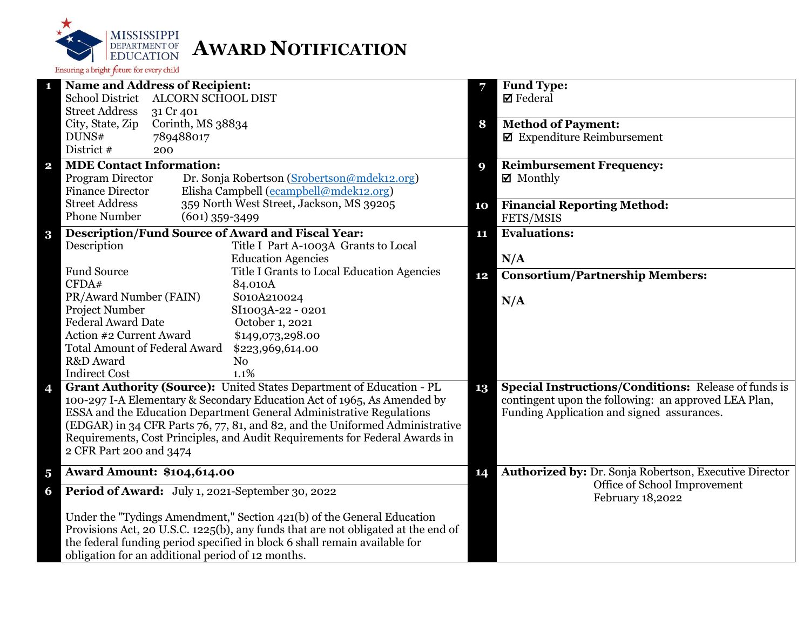

| $\mathbf{1}$            | <b>Name and Address of Recipient:</b>                                             |    | Fund Type:                                                  |
|-------------------------|-----------------------------------------------------------------------------------|----|-------------------------------------------------------------|
|                         | School District ALCORN SCHOOL DIST                                                |    | $\boxtimes$ Federal                                         |
|                         | <b>Street Address</b><br>31 Cr 401                                                |    |                                                             |
|                         | City, State, Zip<br>Corinth, MS 38834                                             | 8  | <b>Method of Payment:</b>                                   |
|                         | DUNS#<br>789488017                                                                |    | $\blacksquare$ Expenditure Reimbursement                    |
|                         | District #<br>200                                                                 |    |                                                             |
| $\mathbf{2}$            | <b>MDE Contact Information:</b>                                                   | 9  | <b>Reimbursement Frequency:</b>                             |
|                         | Program Director<br>Dr. Sonja Robertson (Srobertson@mdek12.org)                   |    | ■ Monthly                                                   |
|                         | Elisha Campbell (ecampbell@mdek12.org)<br><b>Finance Director</b>                 |    |                                                             |
|                         | <b>Street Address</b><br>359 North West Street, Jackson, MS 39205                 | 10 | <b>Financial Reporting Method:</b>                          |
|                         | <b>Phone Number</b><br>$(601)$ 359-3499                                           |    | FETS/MSIS                                                   |
| $\bf{3}$                | <b>Description/Fund Source of Award and Fiscal Year:</b>                          | 11 | <b>Evaluations:</b>                                         |
|                         | Description<br>Title I Part A-1003A Grants to Local                               |    |                                                             |
|                         | <b>Education Agencies</b>                                                         |    | N/A                                                         |
|                         | <b>Fund Source</b><br>Title I Grants to Local Education Agencies                  | 12 | <b>Consortium/Partnership Members:</b>                      |
|                         | CFDA#<br>84.010A                                                                  |    |                                                             |
|                         | PR/Award Number (FAIN)<br>S010A210024                                             |    | N/A                                                         |
|                         | Project Number<br>SI1003A-22 - 0201                                               |    |                                                             |
|                         | <b>Federal Award Date</b><br>October 1, 2021                                      |    |                                                             |
|                         | Action #2 Current Award<br>\$149,073,298.00                                       |    |                                                             |
|                         | <b>Total Amount of Federal Award</b><br>\$223,969,614.00                          |    |                                                             |
|                         | R&D Award<br>N <sub>o</sub>                                                       |    |                                                             |
|                         | <b>Indirect Cost</b><br>1.1%                                                      |    |                                                             |
| 4                       | Grant Authority (Source): United States Department of Education - PL              | 13 | <b>Special Instructions/Conditions: Release of funds is</b> |
|                         | 100-297 I-A Elementary & Secondary Education Act of 1965, As Amended by           |    | contingent upon the following: an approved LEA Plan,        |
|                         | ESSA and the Education Department General Administrative Regulations              |    | Funding Application and signed assurances.                  |
|                         | (EDGAR) in 34 CFR Parts 76, 77, 81, and 82, and the Uniformed Administrative      |    |                                                             |
|                         | Requirements, Cost Principles, and Audit Requirements for Federal Awards in       |    |                                                             |
|                         | 2 CFR Part 200 and 3474                                                           |    |                                                             |
| $\overline{\mathbf{5}}$ | <b>Award Amount: \$104,614.00</b>                                                 | 14 | Authorized by: Dr. Sonja Robertson, Executive Director      |
| 6                       | Period of Award: July 1, 2021-September 30, 2022                                  |    | Office of School Improvement<br>February 18,2022            |
|                         | Under the "Tydings Amendment," Section 421(b) of the General Education            |    |                                                             |
|                         | Provisions Act, 20 U.S.C. 1225(b), any funds that are not obligated at the end of |    |                                                             |
|                         | the federal funding period specified in block 6 shall remain available for        |    |                                                             |
|                         | obligation for an additional period of 12 months.                                 |    |                                                             |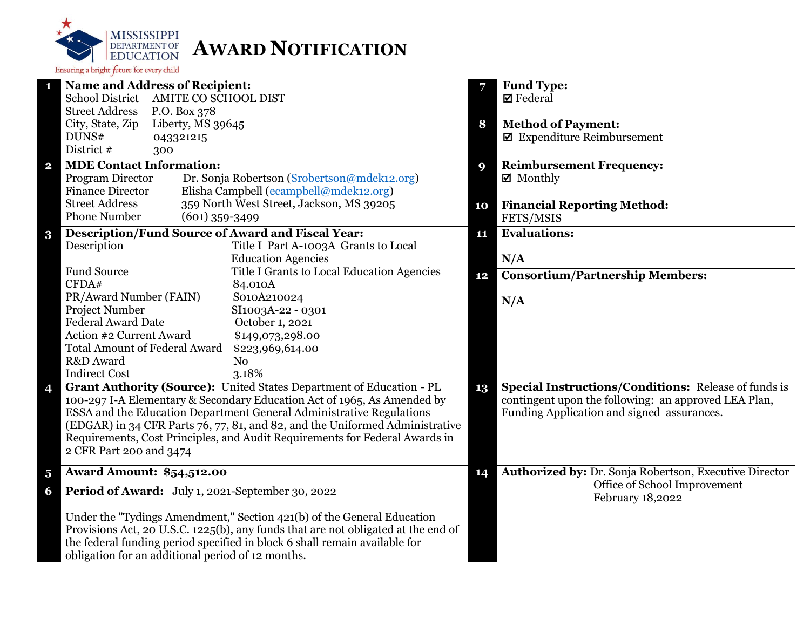

| 1                       | <b>Name and Address of Recipient:</b>                                             |    | Fund Type:                                                  |
|-------------------------|-----------------------------------------------------------------------------------|----|-------------------------------------------------------------|
|                         | School District AMITE CO SCHOOL DIST                                              |    | <b>Ø</b> Federal                                            |
|                         | <b>Street Address</b><br>P.O. Box 378                                             |    |                                                             |
|                         | City, State, Zip<br>Liberty, MS 39645                                             | 8  | <b>Method of Payment:</b>                                   |
|                         | DUNS#<br>043321215                                                                |    | $\blacksquare$ Expenditure Reimbursement                    |
|                         | District #<br>300                                                                 |    |                                                             |
| $\mathbf{2}$            | <b>MDE Contact Information:</b>                                                   | 9  | <b>Reimbursement Frequency:</b>                             |
|                         | Dr. Sonja Robertson (Srobertson@mdek12.org)<br>Program Director                   |    | $\boxtimes$ Monthly                                         |
|                         | Elisha Campbell (ecampbell@mdek12.org)<br><b>Finance Director</b>                 |    |                                                             |
|                         | <b>Street Address</b><br>359 North West Street, Jackson, MS 39205                 | 10 | <b>Financial Reporting Method:</b>                          |
|                         | <b>Phone Number</b><br>$(601)$ 359-3499                                           |    | FETS/MSIS                                                   |
| $\bf{3}$                | <b>Description/Fund Source of Award and Fiscal Year:</b>                          | 11 | <b>Evaluations:</b>                                         |
|                         | Description<br>Title I Part A-1003A Grants to Local                               |    |                                                             |
|                         | <b>Education Agencies</b>                                                         |    | N/A                                                         |
|                         | Fund Source<br>Title I Grants to Local Education Agencies                         | 12 | <b>Consortium/Partnership Members:</b>                      |
|                         | CFDA#<br>84.010A                                                                  |    |                                                             |
|                         | PR/Award Number (FAIN)<br>S010A210024                                             |    | N/A                                                         |
|                         | Project Number<br>SI1003A-22 - 0301                                               |    |                                                             |
|                         | <b>Federal Award Date</b><br>October 1, 2021                                      |    |                                                             |
|                         | Action #2 Current Award<br>\$149,073,298.00                                       |    |                                                             |
|                         | <b>Total Amount of Federal Award</b><br>\$223,969,614.00                          |    |                                                             |
|                         | R&D Award<br>N <sub>o</sub>                                                       |    |                                                             |
|                         | 3.18%<br><b>Indirect Cost</b>                                                     |    |                                                             |
| 4                       | Grant Authority (Source): United States Department of Education - PL              | 13 | <b>Special Instructions/Conditions:</b> Release of funds is |
|                         | 100-297 I-A Elementary & Secondary Education Act of 1965, As Amended by           |    | contingent upon the following: an approved LEA Plan,        |
|                         | ESSA and the Education Department General Administrative Regulations              |    | Funding Application and signed assurances.                  |
|                         | (EDGAR) in 34 CFR Parts 76, 77, 81, and 82, and the Uniformed Administrative      |    |                                                             |
|                         | Requirements, Cost Principles, and Audit Requirements for Federal Awards in       |    |                                                             |
|                         | 2 CFR Part 200 and 3474                                                           |    |                                                             |
| $\overline{\mathbf{5}}$ | <b>Award Amount: \$54,512.00</b>                                                  | 14 | Authorized by: Dr. Sonja Robertson, Executive Director      |
| 6                       | Period of Award: July 1, 2021-September 30, 2022                                  |    | Office of School Improvement<br>February 18,2022            |
|                         | Under the "Tydings Amendment," Section 421(b) of the General Education            |    |                                                             |
|                         | Provisions Act, 20 U.S.C. 1225(b), any funds that are not obligated at the end of |    |                                                             |
|                         | the federal funding period specified in block 6 shall remain available for        |    |                                                             |
|                         | obligation for an additional period of 12 months.                                 |    |                                                             |
|                         |                                                                                   |    |                                                             |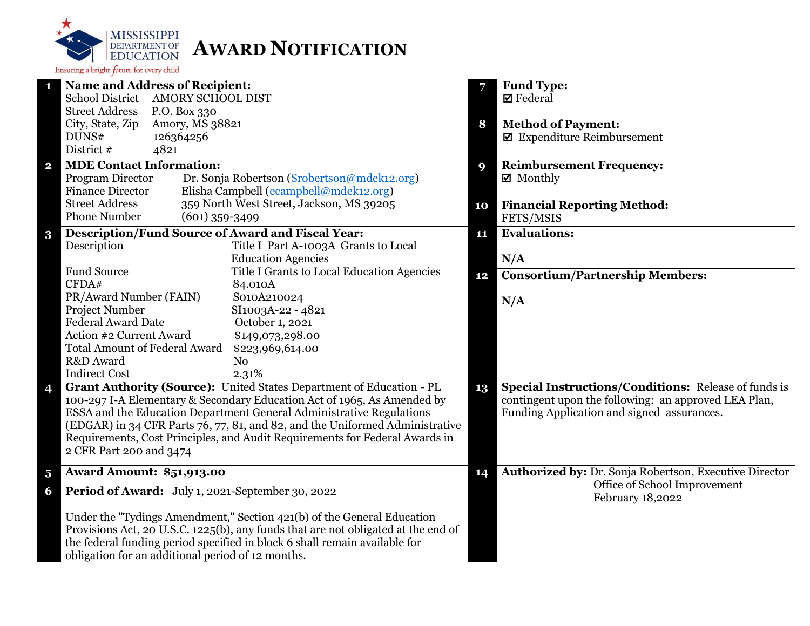

| <b>Name and Address of Recipient:</b><br>1                                        | 7  | Fund Type:                                                  |
|-----------------------------------------------------------------------------------|----|-------------------------------------------------------------|
| School District AMORY SCHOOL DIST                                                 |    | $\boxtimes$ Federal                                         |
| <b>Street Address</b><br>P.O. Box 330                                             |    |                                                             |
| City, State, Zip<br>Amory, MS 38821                                               | 8  | <b>Method of Payment:</b>                                   |
| DUNS#<br>126364256                                                                |    | $\boxtimes$ Expenditure Reimbursement                       |
| District #<br>4821                                                                |    |                                                             |
| <b>MDE Contact Information:</b><br>$\mathbf{2}$                                   | 9  | <b>Reimbursement Frequency:</b>                             |
| Program Director<br>Dr. Sonja Robertson (Srobertson@mdek12.org)                   |    | $\boxtimes$ Monthly                                         |
| Elisha Campbell (ecampbell@mdek12.org)<br><b>Finance Director</b>                 |    |                                                             |
| 359 North West Street, Jackson, MS 39205<br><b>Street Address</b>                 | 10 | <b>Financial Reporting Method:</b>                          |
| <b>Phone Number</b><br>$(601)$ 359-3499                                           |    | FETS/MSIS                                                   |
| <b>Description/Fund Source of Award and Fiscal Year:</b><br>$\bf{3}$              | 11 | <b>Evaluations:</b>                                         |
| Description<br>Title I Part A-1003A Grants to Local                               |    |                                                             |
| <b>Education Agencies</b>                                                         |    | N/A                                                         |
| <b>Fund Source</b><br>Title I Grants to Local Education Agencies                  | 12 | <b>Consortium/Partnership Members:</b>                      |
| CFDA#<br>84.010A                                                                  |    |                                                             |
| PR/Award Number (FAIN)<br>S010A210024                                             |    | N/A                                                         |
| Project Number<br>SI1003A-22 - 4821                                               |    |                                                             |
| <b>Federal Award Date</b><br>October 1, 2021                                      |    |                                                             |
| Action #2 Current Award<br>\$149,073,298.00                                       |    |                                                             |
| <b>Total Amount of Federal Award</b><br>\$223,969,614.00                          |    |                                                             |
| R&D Award<br>N <sub>0</sub>                                                       |    |                                                             |
| <b>Indirect Cost</b><br>2.31%                                                     |    |                                                             |
| Grant Authority (Source): United States Department of Education - PL<br>4         | 13 | <b>Special Instructions/Conditions: Release of funds is</b> |
| 100-297 I-A Elementary & Secondary Education Act of 1965, As Amended by           |    | contingent upon the following: an approved LEA Plan,        |
| ESSA and the Education Department General Administrative Regulations              |    | Funding Application and signed assurances.                  |
| (EDGAR) in 34 CFR Parts 76, 77, 81, and 82, and the Uniformed Administrative      |    |                                                             |
| Requirements, Cost Principles, and Audit Requirements for Federal Awards in       |    |                                                             |
| 2 CFR Part 200 and 3474                                                           |    |                                                             |
| <b>Award Amount: \$51,913.00</b><br>$\overline{\mathbf{5}}$                       | 14 | Authorized by: Dr. Sonja Robertson, Executive Director      |
| Period of Award: July 1, 2021-September 30, 2022<br>6                             |    | Office of School Improvement<br>February 18,2022            |
| Under the "Tydings Amendment," Section 421(b) of the General Education            |    |                                                             |
| Provisions Act, 20 U.S.C. 1225(b), any funds that are not obligated at the end of |    |                                                             |
| the federal funding period specified in block 6 shall remain available for        |    |                                                             |
| obligation for an additional period of 12 months.                                 |    |                                                             |
|                                                                                   |    |                                                             |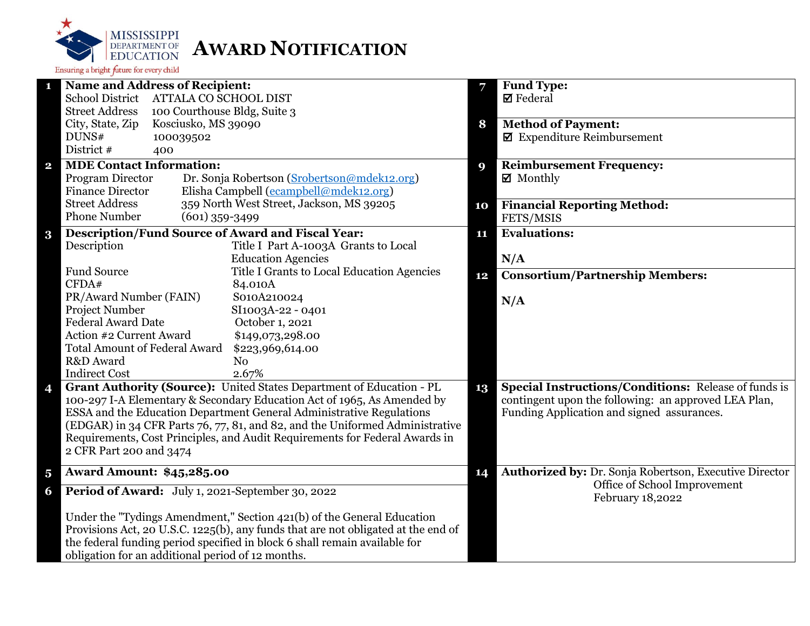

|                         | <b>Name and Address of Recipient:</b>                                             | 7  | <b>Fund Type:</b>                                           |
|-------------------------|-----------------------------------------------------------------------------------|----|-------------------------------------------------------------|
|                         | School District ATTALA CO SCHOOL DIST                                             |    | $\boxtimes$ Federal                                         |
|                         | <b>Street Address</b><br>100 Courthouse Bldg, Suite 3                             |    |                                                             |
|                         | City, State, Zip<br>Kosciusko, MS 39090                                           | 8  | <b>Method of Payment:</b>                                   |
|                         | DUNS#<br>100039502                                                                |    | $\blacksquare$ Expenditure Reimbursement                    |
|                         | District #<br>400                                                                 |    |                                                             |
| $\overline{\mathbf{2}}$ | <b>MDE Contact Information:</b>                                                   | 9  | <b>Reimbursement Frequency:</b>                             |
|                         | Program Director<br>Dr. Sonja Robertson (Srobertson@mdek12.org)                   |    | $\boxtimes$ Monthly                                         |
|                         | Elisha Campbell (ecampbell@mdek12.org)<br><b>Finance Director</b>                 |    |                                                             |
|                         | <b>Street Address</b><br>359 North West Street, Jackson, MS 39205                 | 10 | <b>Financial Reporting Method:</b>                          |
|                         | <b>Phone Number</b><br>$(601)$ 359-3499                                           |    | FETS/MSIS                                                   |
|                         | <b>Description/Fund Source of Award and Fiscal Year:</b>                          | 11 | <b>Evaluations:</b>                                         |
| $\bf{3}$                | Description<br>Title I Part A-1003A Grants to Local                               |    |                                                             |
|                         | <b>Education Agencies</b>                                                         |    | N/A                                                         |
|                         | <b>Fund Source</b><br>Title I Grants to Local Education Agencies                  |    |                                                             |
|                         | CFDA#<br>84.010A                                                                  | 12 | <b>Consortium/Partnership Members:</b>                      |
|                         | PR/Award Number (FAIN)<br>S010A210024                                             |    |                                                             |
|                         | <b>Project Number</b><br>SI1003A-22 - 0401                                        |    | N/A                                                         |
|                         | <b>Federal Award Date</b><br>October 1, 2021                                      |    |                                                             |
|                         | Action #2 Current Award<br>\$149,073,298.00                                       |    |                                                             |
|                         | <b>Total Amount of Federal Award</b>                                              |    |                                                             |
|                         | \$223,969,614.00<br>R&D Award<br>N <sub>o</sub>                                   |    |                                                             |
|                         | <b>Indirect Cost</b><br>2.67%                                                     |    |                                                             |
|                         | Grant Authority (Source): United States Department of Education - PL              |    | <b>Special Instructions/Conditions: Release of funds is</b> |
| 4                       | 100-297 I-A Elementary & Secondary Education Act of 1965, As Amended by           | 13 | contingent upon the following: an approved LEA Plan,        |
|                         | ESSA and the Education Department General Administrative Regulations              |    | Funding Application and signed assurances.                  |
|                         | (EDGAR) in 34 CFR Parts 76, 77, 81, and 82, and the Uniformed Administrative      |    |                                                             |
|                         | Requirements, Cost Principles, and Audit Requirements for Federal Awards in       |    |                                                             |
|                         | 2 CFR Part 200 and 3474                                                           |    |                                                             |
|                         |                                                                                   |    |                                                             |
| $\overline{\mathbf{5}}$ | <b>Award Amount: \$45,285.00</b>                                                  | 14 | Authorized by: Dr. Sonja Robertson, Executive Director      |
| 6                       | Period of Award: July 1, 2021-September 30, 2022                                  |    | Office of School Improvement<br>February 18,2022            |
|                         | Under the "Tydings Amendment," Section 421(b) of the General Education            |    |                                                             |
|                         | Provisions Act, 20 U.S.C. 1225(b), any funds that are not obligated at the end of |    |                                                             |
|                         | the federal funding period specified in block 6 shall remain available for        |    |                                                             |
|                         | obligation for an additional period of 12 months.                                 |    |                                                             |
|                         |                                                                                   |    |                                                             |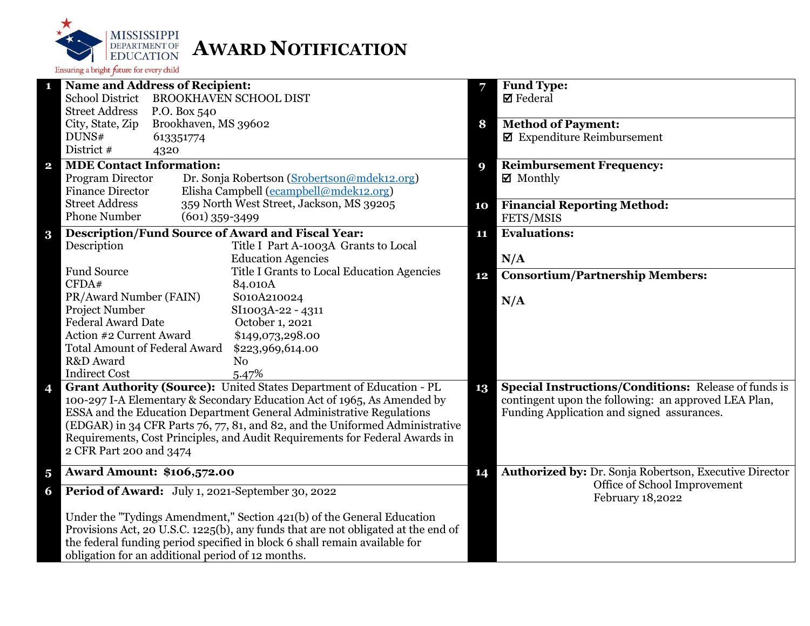

| 1                       | <b>Name and Address of Recipient:</b>                                             |    | <b>Fund Type:</b>                                           |
|-------------------------|-----------------------------------------------------------------------------------|----|-------------------------------------------------------------|
|                         | School District BROOKHAVEN SCHOOL DIST                                            |    | $\boxtimes$ Federal                                         |
|                         | <b>Street Address</b><br>P.O. Box 540                                             |    |                                                             |
|                         | Brookhaven, MS 39602<br>City, State, Zip                                          | 8  | <b>Method of Payment:</b>                                   |
|                         | DUNS#<br>613351774                                                                |    | $\blacksquare$ Expenditure Reimbursement                    |
|                         | District #<br>4320                                                                |    |                                                             |
| $\overline{\mathbf{2}}$ | <b>MDE Contact Information:</b>                                                   | 9  | <b>Reimbursement Frequency:</b>                             |
|                         | Program Director<br>Dr. Sonja Robertson (Srobertson@mdek12.org)                   |    | $\boxtimes$ Monthly                                         |
|                         | Elisha Campbell (ecampbell@mdek12.org)<br><b>Finance Director</b>                 |    |                                                             |
|                         | 359 North West Street, Jackson, MS 39205<br><b>Street Address</b>                 | 10 | <b>Financial Reporting Method:</b>                          |
|                         | <b>Phone Number</b><br>$(601)$ 359-3499                                           |    | FETS/MSIS                                                   |
| $\bf{3}$                | <b>Description/Fund Source of Award and Fiscal Year:</b>                          | 11 | <b>Evaluations:</b>                                         |
|                         | Description<br>Title I Part A-1003A Grants to Local                               |    |                                                             |
|                         | <b>Education Agencies</b>                                                         |    | N/A                                                         |
|                         | <b>Fund Source</b><br>Title I Grants to Local Education Agencies                  | 12 | <b>Consortium/Partnership Members:</b>                      |
|                         | CFDA#<br>84.010A                                                                  |    |                                                             |
|                         | PR/Award Number (FAIN)<br>S010A210024                                             |    | N/A                                                         |
|                         | Project Number<br>SI1003A-22 - 4311                                               |    |                                                             |
|                         | <b>Federal Award Date</b><br>October 1, 2021                                      |    |                                                             |
|                         | Action #2 Current Award<br>\$149,073,298.00                                       |    |                                                             |
|                         | <b>Total Amount of Federal Award</b><br>\$223,969,614.00                          |    |                                                             |
|                         | R&D Award<br>N <sub>o</sub>                                                       |    |                                                             |
|                         | <b>Indirect Cost</b><br>5.47%                                                     |    |                                                             |
| 4                       | Grant Authority (Source): United States Department of Education - PL              | 13 | <b>Special Instructions/Conditions: Release of funds is</b> |
|                         | 100-297 I-A Elementary & Secondary Education Act of 1965, As Amended by           |    | contingent upon the following: an approved LEA Plan,        |
|                         | ESSA and the Education Department General Administrative Regulations              |    | Funding Application and signed assurances.                  |
|                         | (EDGAR) in 34 CFR Parts 76, 77, 81, and 82, and the Uniformed Administrative      |    |                                                             |
|                         | Requirements, Cost Principles, and Audit Requirements for Federal Awards in       |    |                                                             |
|                         | 2 CFR Part 200 and 3474                                                           |    |                                                             |
| $\overline{\mathbf{5}}$ | <b>Award Amount: \$106,572.00</b>                                                 | 14 | Authorized by: Dr. Sonja Robertson, Executive Director      |
| 6                       | Period of Award: July 1, 2021-September 30, 2022                                  |    | Office of School Improvement<br>February 18,2022            |
|                         | Under the "Tydings Amendment," Section 421(b) of the General Education            |    |                                                             |
|                         | Provisions Act, 20 U.S.C. 1225(b), any funds that are not obligated at the end of |    |                                                             |
|                         | the federal funding period specified in block 6 shall remain available for        |    |                                                             |
|                         | obligation for an additional period of 12 months.                                 |    |                                                             |
|                         |                                                                                   |    |                                                             |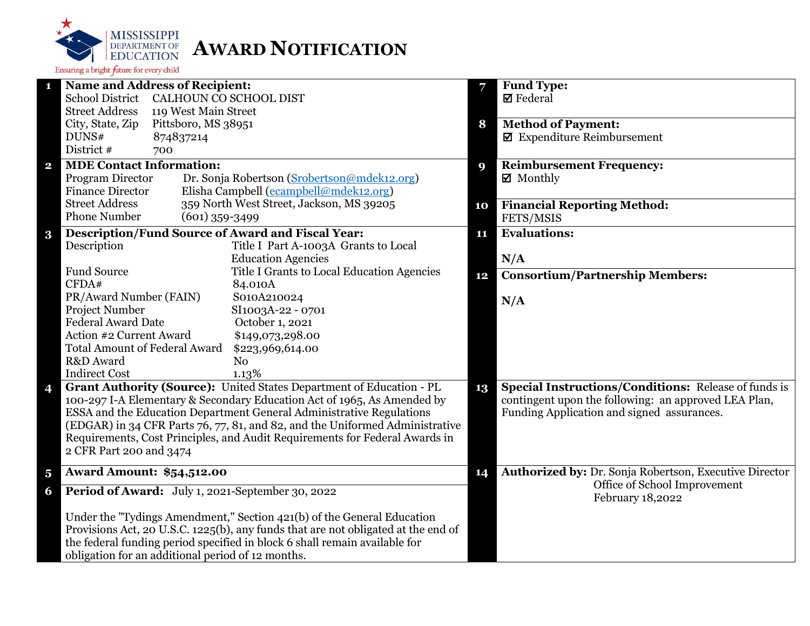

| <b>Name and Address of Recipient:</b><br>1                                        | 7  | <b>Fund Type:</b>                                      |
|-----------------------------------------------------------------------------------|----|--------------------------------------------------------|
| <b>School District</b><br>CALHOUN CO SCHOOL DIST                                  |    | $\boxtimes$ Federal                                    |
| <b>Street Address</b><br>119 West Main Street                                     |    |                                                        |
| Pittsboro, MS 38951<br>City, State, Zip                                           | 8  | <b>Method of Payment:</b>                              |
| DUNS#<br>874837214                                                                |    | $\blacksquare$ Expenditure Reimbursement               |
| District #<br>700                                                                 |    |                                                        |
| <b>MDE Contact Information:</b><br>$\mathbf{2}$                                   | 9  | <b>Reimbursement Frequency:</b>                        |
| Dr. Sonja Robertson (Srobertson@mdek12.org)<br>Program Director                   |    | $\boxtimes$ Monthly                                    |
| <b>Finance Director</b><br>Elisha Campbell (ecampbell@mdek12.org)                 |    |                                                        |
| 359 North West Street, Jackson, MS 39205<br><b>Street Address</b>                 | 10 | <b>Financial Reporting Method:</b>                     |
| <b>Phone Number</b><br>$(601)$ 359-3499                                           |    | FETS/MSIS                                              |
| <b>Description/Fund Source of Award and Fiscal Year:</b><br>$\bf{3}$              | 11 | <b>Evaluations:</b>                                    |
| Description<br>Title I Part A-1003A Grants to Local                               |    |                                                        |
| <b>Education Agencies</b>                                                         |    | N/A                                                    |
| <b>Fund Source</b><br>Title I Grants to Local Education Agencies                  | 12 | <b>Consortium/Partnership Members:</b>                 |
| CFDA#<br>84.010A                                                                  |    |                                                        |
| PR/Award Number (FAIN)<br>S010A210024                                             |    | N/A                                                    |
| Project Number<br>SI1003A-22 - 0701                                               |    |                                                        |
| <b>Federal Award Date</b><br>October 1, 2021                                      |    |                                                        |
| Action #2 Current Award<br>\$149,073,298.00                                       |    |                                                        |
| <b>Total Amount of Federal Award</b><br>\$223,969,614.00                          |    |                                                        |
| R&D Award<br>N <sub>o</sub>                                                       |    |                                                        |
| <b>Indirect Cost</b><br>1.13%                                                     |    |                                                        |
| Grant Authority (Source): United States Department of Education - PL<br>4         | 13 | Special Instructions/Conditions: Release of funds is   |
| 100-297 I-A Elementary & Secondary Education Act of 1965, As Amended by           |    | contingent upon the following: an approved LEA Plan,   |
| ESSA and the Education Department General Administrative Regulations              |    | Funding Application and signed assurances.             |
| (EDGAR) in 34 CFR Parts 76, 77, 81, and 82, and the Uniformed Administrative      |    |                                                        |
| Requirements, Cost Principles, and Audit Requirements for Federal Awards in       |    |                                                        |
| 2 CFR Part 200 and 3474                                                           |    |                                                        |
| <b>Award Amount: \$54,512.00</b><br>$\overline{\mathbf{5}}$                       | 14 | Authorized by: Dr. Sonja Robertson, Executive Director |
| Period of Award: July 1, 2021-September 30, 2022<br>6                             |    | Office of School Improvement<br>February 18,2022       |
| Under the "Tydings Amendment," Section 421(b) of the General Education            |    |                                                        |
| Provisions Act, 20 U.S.C. 1225(b), any funds that are not obligated at the end of |    |                                                        |
| the federal funding period specified in block 6 shall remain available for        |    |                                                        |
| obligation for an additional period of 12 months.                                 |    |                                                        |
|                                                                                   |    |                                                        |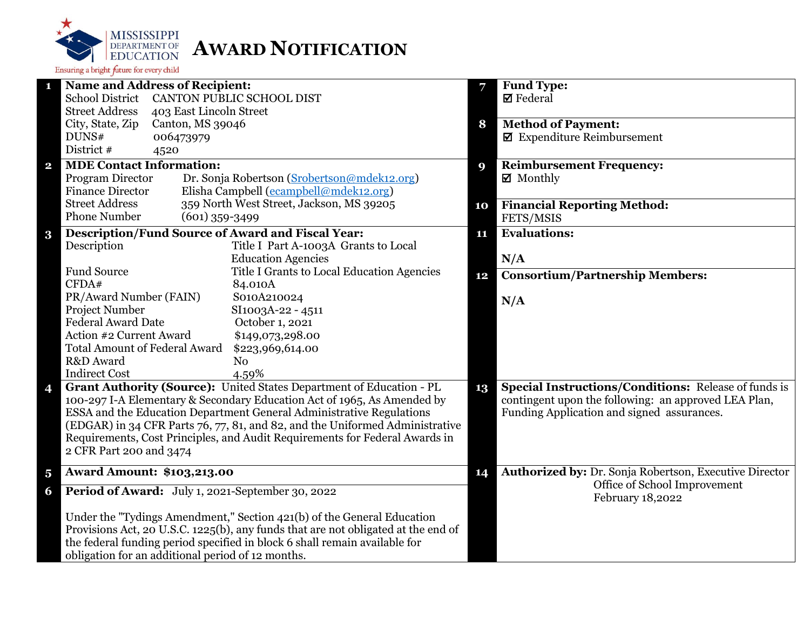

|                         | <b>Name and Address of Recipient:</b>                                             | 7  | <b>Fund Type:</b>                                                                      |
|-------------------------|-----------------------------------------------------------------------------------|----|----------------------------------------------------------------------------------------|
|                         | <b>School District</b><br>CANTON PUBLIC SCHOOL DIST                               |    | $\boxtimes$ Federal                                                                    |
|                         | <b>Street Address</b><br>403 East Lincoln Street                                  |    |                                                                                        |
|                         | City, State, Zip<br>Canton, MS 39046                                              | 8  | <b>Method of Payment:</b>                                                              |
|                         | DUNS#<br>006473979                                                                |    | $\blacksquare$ Expenditure Reimbursement                                               |
|                         | District #<br>4520                                                                |    |                                                                                        |
| $\overline{\mathbf{2}}$ | <b>MDE Contact Information:</b>                                                   | 9  | <b>Reimbursement Frequency:</b>                                                        |
|                         | Program Director<br>Dr. Sonja Robertson (Srobertson@mdek12.org)                   |    | $\boxtimes$ Monthly                                                                    |
|                         | Elisha Campbell (ecampbell@mdek12.org)<br><b>Finance Director</b>                 |    |                                                                                        |
|                         | <b>Street Address</b><br>359 North West Street, Jackson, MS 39205                 | 10 | <b>Financial Reporting Method:</b>                                                     |
|                         | <b>Phone Number</b><br>$(601)$ 359-3499                                           |    | FETS/MSIS                                                                              |
| $\bf{3}$                | <b>Description/Fund Source of Award and Fiscal Year:</b>                          | 11 | <b>Evaluations:</b>                                                                    |
|                         | Description<br>Title I Part A-1003A Grants to Local                               |    |                                                                                        |
|                         | <b>Education Agencies</b>                                                         |    | N/A                                                                                    |
|                         | <b>Fund Source</b><br>Title I Grants to Local Education Agencies                  |    | <b>Consortium/Partnership Members:</b>                                                 |
|                         | CFDA#<br>84.010A                                                                  | 12 |                                                                                        |
|                         | PR/Award Number (FAIN)<br>S010A210024                                             |    | N/A                                                                                    |
|                         | <b>Project Number</b><br>SI1003A-22 - 4511                                        |    |                                                                                        |
|                         | <b>Federal Award Date</b><br>October 1, 2021                                      |    |                                                                                        |
|                         | Action #2 Current Award<br>\$149,073,298.00                                       |    |                                                                                        |
|                         | <b>Total Amount of Federal Award</b><br>\$223,969,614.00                          |    |                                                                                        |
|                         | R&D Award<br>N <sub>o</sub>                                                       |    |                                                                                        |
|                         | <b>Indirect Cost</b><br>4.59%                                                     |    |                                                                                        |
| 4                       | Grant Authority (Source): United States Department of Education - PL              | 13 | <b>Special Instructions/Conditions: Release of funds is</b>                            |
|                         | 100-297 I-A Elementary & Secondary Education Act of 1965, As Amended by           |    | contingent upon the following: an approved LEA Plan,                                   |
|                         | ESSA and the Education Department General Administrative Regulations              |    | Funding Application and signed assurances.                                             |
|                         | (EDGAR) in 34 CFR Parts 76, 77, 81, and 82, and the Uniformed Administrative      |    |                                                                                        |
|                         | Requirements, Cost Principles, and Audit Requirements for Federal Awards in       |    |                                                                                        |
|                         | 2 CFR Part 200 and 3474                                                           |    |                                                                                        |
|                         |                                                                                   |    |                                                                                        |
| $\overline{\mathbf{5}}$ | <b>Award Amount: \$103,213.00</b>                                                 | 14 | Authorized by: Dr. Sonja Robertson, Executive Director<br>Office of School Improvement |
| 6                       | Period of Award: July 1, 2021-September 30, 2022                                  |    | February 18,2022                                                                       |
|                         | Under the "Tydings Amendment," Section 421(b) of the General Education            |    |                                                                                        |
|                         | Provisions Act, 20 U.S.C. 1225(b), any funds that are not obligated at the end of |    |                                                                                        |
|                         | the federal funding period specified in block 6 shall remain available for        |    |                                                                                        |
|                         | obligation for an additional period of 12 months.                                 |    |                                                                                        |
|                         |                                                                                   |    |                                                                                        |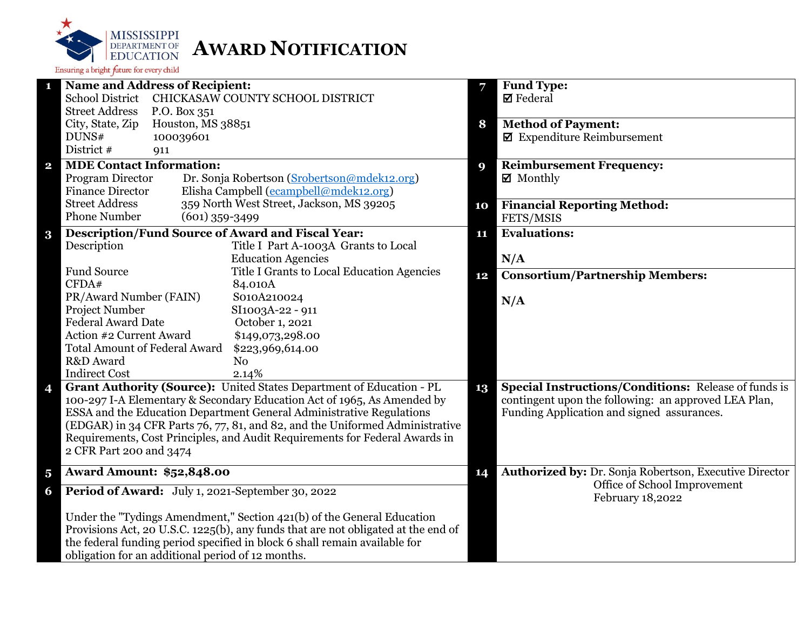

| <b>Name and Address of Recipient:</b><br>1                                        | 7           | <b>Fund Type:</b>                                           |
|-----------------------------------------------------------------------------------|-------------|-------------------------------------------------------------|
| <b>School District</b><br>CHICKASAW COUNTY SCHOOL DISTRICT                        |             | $\boxtimes$ Federal                                         |
| <b>Street Address</b><br>P.O. Box 351                                             |             |                                                             |
| Houston, MS 38851<br>City, State, Zip                                             | 8           | <b>Method of Payment:</b>                                   |
| DUNS#<br>100039601                                                                |             | $\boxtimes$ Expenditure Reimbursement                       |
| District #<br>911                                                                 |             |                                                             |
| <b>MDE Contact Information:</b><br>$\mathbf 2$                                    | $\mathbf Q$ | <b>Reimbursement Frequency:</b>                             |
| Program Director<br>Dr. Sonja Robertson (Srobertson@mdek12.org)                   |             | $\boxtimes$ Monthly                                         |
| Elisha Campbell (ecampbell@mdek12.org)<br><b>Finance Director</b>                 |             |                                                             |
| 359 North West Street, Jackson, MS 39205<br><b>Street Address</b>                 | 10          | <b>Financial Reporting Method:</b>                          |
| <b>Phone Number</b><br>$(601)$ 359-3499                                           |             | FETS/MSIS                                                   |
| <b>Description/Fund Source of Award and Fiscal Year:</b><br>3                     | 11          | <b>Evaluations:</b>                                         |
| Title I Part A-1003A Grants to Local<br>Description                               |             |                                                             |
| <b>Education Agencies</b>                                                         |             | N/A                                                         |
| <b>Fund Source</b><br>Title I Grants to Local Education Agencies                  | 12          | <b>Consortium/Partnership Members:</b>                      |
| CFDA#<br>84.010A                                                                  |             |                                                             |
| PR/Award Number (FAIN)<br>S010A210024                                             |             | N/A                                                         |
| Project Number<br>SI1003A-22 - 911                                                |             |                                                             |
| <b>Federal Award Date</b><br>October 1, 2021                                      |             |                                                             |
| Action #2 Current Award<br>\$149,073,298.00                                       |             |                                                             |
| <b>Total Amount of Federal Award</b><br>\$223,969,614.00                          |             |                                                             |
| R&D Award<br>N <sub>0</sub>                                                       |             |                                                             |
| <b>Indirect Cost</b><br>2.14%                                                     |             |                                                             |
| Grant Authority (Source): United States Department of Education - PL<br>4         | 13          | <b>Special Instructions/Conditions: Release of funds is</b> |
| 100-297 I-A Elementary & Secondary Education Act of 1965, As Amended by           |             | contingent upon the following: an approved LEA Plan,        |
| ESSA and the Education Department General Administrative Regulations              |             | Funding Application and signed assurances.                  |
| (EDGAR) in 34 CFR Parts 76, 77, 81, and 82, and the Uniformed Administrative      |             |                                                             |
| Requirements, Cost Principles, and Audit Requirements for Federal Awards in       |             |                                                             |
| 2 CFR Part 200 and 3474                                                           |             |                                                             |
| <b>Award Amount: \$52,848.00</b><br>5                                             | 14          | Authorized by: Dr. Sonja Robertson, Executive Director      |
| Period of Award: July 1, 2021-September 30, 2022<br>6                             |             | Office of School Improvement<br>February 18,2022            |
| Under the "Tydings Amendment," Section 421(b) of the General Education            |             |                                                             |
| Provisions Act, 20 U.S.C. 1225(b), any funds that are not obligated at the end of |             |                                                             |
| the federal funding period specified in block 6 shall remain available for        |             |                                                             |
| obligation for an additional period of 12 months.                                 |             |                                                             |
|                                                                                   |             |                                                             |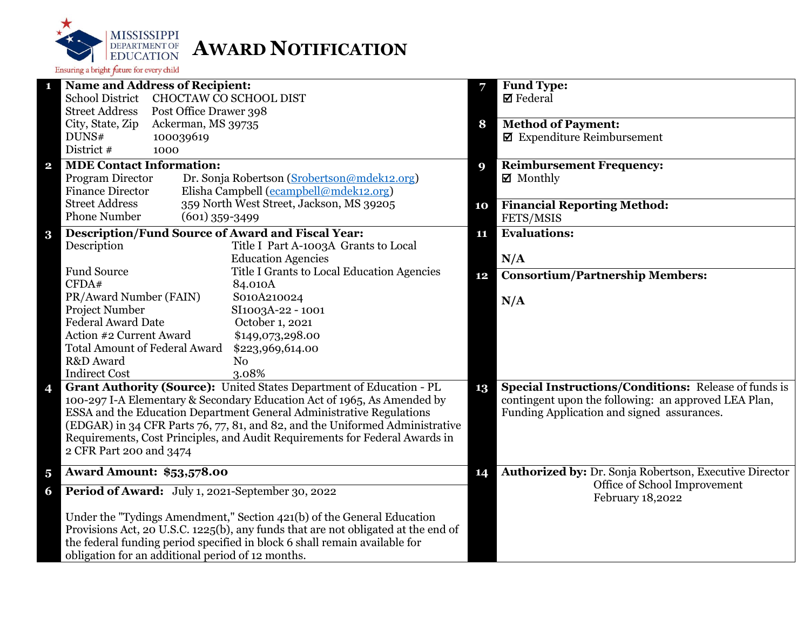

|                         | <b>Name and Address of Recipient:</b>                                             | 7  | <b>Fund Type:</b>                                           |
|-------------------------|-----------------------------------------------------------------------------------|----|-------------------------------------------------------------|
|                         | <b>School District</b><br>CHOCTAW CO SCHOOL DIST                                  |    | $\boxtimes$ Federal                                         |
|                         | <b>Street Address</b><br>Post Office Drawer 398                                   |    |                                                             |
|                         | City, State, Zip<br>Ackerman, MS 39735                                            | 8  | <b>Method of Payment:</b>                                   |
|                         | DUNS#<br>100039619                                                                |    | $\blacksquare$ Expenditure Reimbursement                    |
|                         | District #<br>1000                                                                |    |                                                             |
| $\overline{\mathbf{2}}$ | <b>MDE Contact Information:</b>                                                   | 9  | <b>Reimbursement Frequency:</b>                             |
|                         | Program Director<br>Dr. Sonja Robertson (Srobertson@mdek12.org)                   |    | $\boxtimes$ Monthly                                         |
|                         | Elisha Campbell (ecampbell@mdek12.org)<br><b>Finance Director</b>                 |    |                                                             |
|                         | <b>Street Address</b><br>359 North West Street, Jackson, MS 39205                 | 10 | <b>Financial Reporting Method:</b>                          |
|                         | <b>Phone Number</b><br>$(601)$ 359-3499                                           |    | FETS/MSIS                                                   |
|                         | <b>Description/Fund Source of Award and Fiscal Year:</b>                          | 11 | <b>Evaluations:</b>                                         |
| $\bf{3}$                | Description<br>Title I Part A-1003A Grants to Local                               |    |                                                             |
|                         | <b>Education Agencies</b>                                                         |    | N/A                                                         |
|                         | <b>Fund Source</b><br>Title I Grants to Local Education Agencies                  |    |                                                             |
|                         | CFDA#<br>84.010A                                                                  | 12 | <b>Consortium/Partnership Members:</b>                      |
|                         | PR/Award Number (FAIN)<br>S010A210024                                             |    |                                                             |
|                         | <b>Project Number</b><br>SI1003A-22 - 1001                                        |    | N/A                                                         |
|                         | <b>Federal Award Date</b><br>October 1, 2021                                      |    |                                                             |
|                         | Action #2 Current Award<br>\$149,073,298.00                                       |    |                                                             |
|                         | <b>Total Amount of Federal Award</b><br>\$223,969,614.00                          |    |                                                             |
|                         | R&D Award<br>N <sub>o</sub>                                                       |    |                                                             |
|                         | <b>Indirect Cost</b><br>3.08%                                                     |    |                                                             |
| 4                       | Grant Authority (Source): United States Department of Education - PL              | 13 | <b>Special Instructions/Conditions: Release of funds is</b> |
|                         | 100-297 I-A Elementary & Secondary Education Act of 1965, As Amended by           |    | contingent upon the following: an approved LEA Plan,        |
|                         | ESSA and the Education Department General Administrative Regulations              |    | Funding Application and signed assurances.                  |
|                         | (EDGAR) in 34 CFR Parts 76, 77, 81, and 82, and the Uniformed Administrative      |    |                                                             |
|                         | Requirements, Cost Principles, and Audit Requirements for Federal Awards in       |    |                                                             |
|                         | 2 CFR Part 200 and 3474                                                           |    |                                                             |
|                         |                                                                                   |    |                                                             |
| $\overline{\mathbf{5}}$ | <b>Award Amount: \$53,578.00</b>                                                  | 14 | Authorized by: Dr. Sonja Robertson, Executive Director      |
| 6                       | Period of Award: July 1, 2021-September 30, 2022                                  |    | Office of School Improvement<br>February 18,2022            |
|                         | Under the "Tydings Amendment," Section 421(b) of the General Education            |    |                                                             |
|                         | Provisions Act, 20 U.S.C. 1225(b), any funds that are not obligated at the end of |    |                                                             |
|                         | the federal funding period specified in block 6 shall remain available for        |    |                                                             |
|                         | obligation for an additional period of 12 months.                                 |    |                                                             |
|                         |                                                                                   |    |                                                             |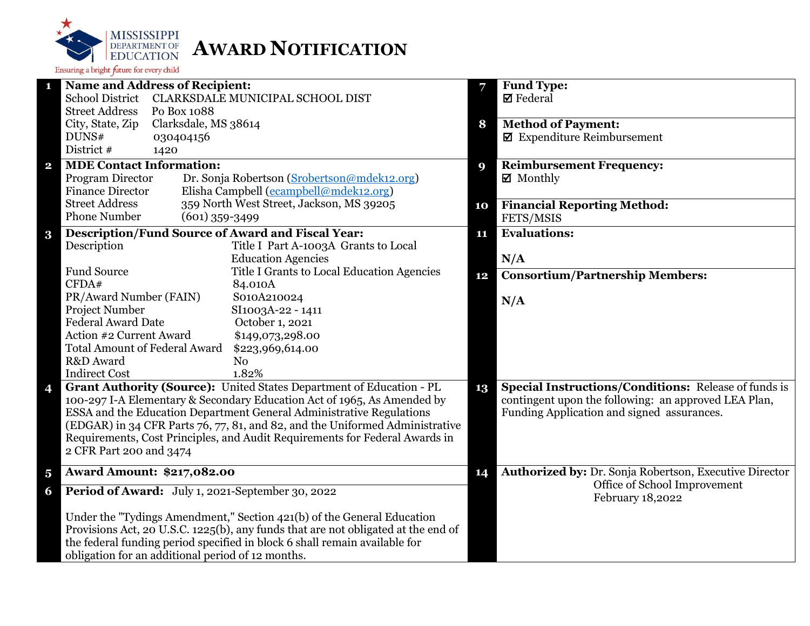

|                         | <b>Name and Address of Recipient:</b>                                             | 7  | <b>Fund Type:</b>                                           |
|-------------------------|-----------------------------------------------------------------------------------|----|-------------------------------------------------------------|
|                         | <b>School District</b><br>CLARKSDALE MUNICIPAL SCHOOL DIST                        |    | $\boxtimes$ Federal                                         |
|                         | <b>Street Address</b><br>Po Box 1088                                              |    |                                                             |
|                         | City, State, Zip<br>Clarksdale, MS 38614                                          | 8  | <b>Method of Payment:</b>                                   |
|                         | DUNS#<br>030404156                                                                |    | $\blacksquare$ Expenditure Reimbursement                    |
|                         | District #<br>1420                                                                |    |                                                             |
| $\overline{\mathbf{2}}$ | <b>MDE Contact Information:</b>                                                   | 9  | <b>Reimbursement Frequency:</b>                             |
|                         | Program Director<br>Dr. Sonja Robertson (Srobertson@mdek12.org)                   |    | ■ Monthly                                                   |
|                         | <b>Finance Director</b><br>Elisha Campbell (ecampbell@mdek12.org)                 |    |                                                             |
|                         | <b>Street Address</b><br>359 North West Street, Jackson, MS 39205                 | 10 | <b>Financial Reporting Method:</b>                          |
|                         | <b>Phone Number</b><br>$(601)$ 359-3499                                           |    | FETS/MSIS                                                   |
| $\bf{3}$                | <b>Description/Fund Source of Award and Fiscal Year:</b>                          | 11 | <b>Evaluations:</b>                                         |
|                         | Description<br>Title I Part A-1003A Grants to Local                               |    |                                                             |
|                         | <b>Education Agencies</b>                                                         |    | N/A                                                         |
|                         | <b>Fund Source</b><br>Title I Grants to Local Education Agencies                  | 12 | <b>Consortium/Partnership Members:</b>                      |
|                         | CFDA#<br>84.010A                                                                  |    |                                                             |
|                         | PR/Award Number (FAIN)<br>S010A210024                                             |    | N/A                                                         |
|                         | Project Number<br>SI1003A-22 - 1411                                               |    |                                                             |
|                         | <b>Federal Award Date</b><br>October 1, 2021                                      |    |                                                             |
|                         | Action #2 Current Award<br>\$149,073,298.00                                       |    |                                                             |
|                         | <b>Total Amount of Federal Award</b><br>\$223,969,614.00                          |    |                                                             |
|                         | R&D Award<br>N <sub>o</sub>                                                       |    |                                                             |
|                         | 1.82%<br><b>Indirect Cost</b>                                                     |    |                                                             |
| 4                       | Grant Authority (Source): United States Department of Education - PL              | 13 | <b>Special Instructions/Conditions:</b> Release of funds is |
|                         | 100-297 I-A Elementary & Secondary Education Act of 1965, As Amended by           |    | contingent upon the following: an approved LEA Plan,        |
|                         | ESSA and the Education Department General Administrative Regulations              |    | Funding Application and signed assurances.                  |
|                         | (EDGAR) in 34 CFR Parts 76, 77, 81, and 82, and the Uniformed Administrative      |    |                                                             |
|                         | Requirements, Cost Principles, and Audit Requirements for Federal Awards in       |    |                                                             |
|                         | 2 CFR Part 200 and 3474                                                           |    |                                                             |
| $\overline{\mathbf{5}}$ | <b>Award Amount: \$217,082.00</b>                                                 | 14 | Authorized by: Dr. Sonja Robertson, Executive Director      |
| 6                       | Period of Award: July 1, 2021-September 30, 2022                                  |    | Office of School Improvement<br>February 18,2022            |
|                         | Under the "Tydings Amendment," Section 421(b) of the General Education            |    |                                                             |
|                         | Provisions Act, 20 U.S.C. 1225(b), any funds that are not obligated at the end of |    |                                                             |
|                         | the federal funding period specified in block 6 shall remain available for        |    |                                                             |
|                         | obligation for an additional period of 12 months.                                 |    |                                                             |
|                         |                                                                                   |    |                                                             |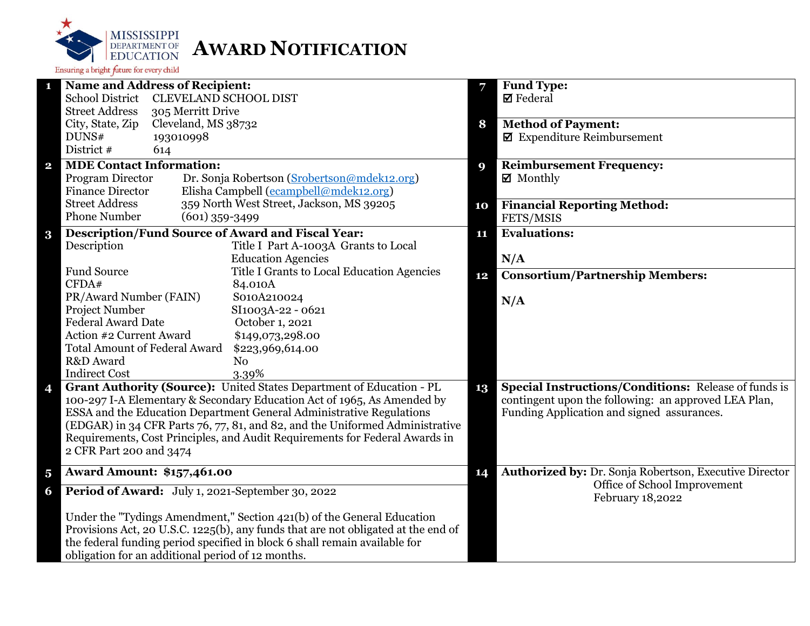

| <b>Name and Address of Recipient:</b><br>1                                        |    | Fund Type:                                                  |
|-----------------------------------------------------------------------------------|----|-------------------------------------------------------------|
| <b>School District</b><br><b>CLEVELAND SCHOOL DIST</b>                            |    | $\boxtimes$ Federal                                         |
| <b>Street Address</b><br>305 Merritt Drive                                        |    |                                                             |
| City, State, Zip<br>Cleveland, MS 38732                                           | 8  | <b>Method of Payment:</b>                                   |
| 193010998<br>DUNS#                                                                |    | $\blacksquare$ Expenditure Reimbursement                    |
| District #<br>614                                                                 |    |                                                             |
| <b>MDE Contact Information:</b><br>$\mathbf{2}$                                   | 9  | <b>Reimbursement Frequency:</b>                             |
| Program Director<br>Dr. Sonja Robertson (Srobertson@mdek12.org)                   |    | $\boxtimes$ Monthly                                         |
| Elisha Campbell (ecampbell@mdek12.org)<br><b>Finance Director</b>                 |    |                                                             |
| 359 North West Street, Jackson, MS 39205<br><b>Street Address</b>                 | 10 | <b>Financial Reporting Method:</b>                          |
| <b>Phone Number</b><br>$(601)$ 359-3499                                           |    | FETS/MSIS                                                   |
| <b>Description/Fund Source of Award and Fiscal Year:</b><br>$\bf{3}$              | 11 | <b>Evaluations:</b>                                         |
| Description<br>Title I Part A-1003A Grants to Local                               |    |                                                             |
| <b>Education Agencies</b>                                                         |    | N/A                                                         |
| <b>Fund Source</b><br>Title I Grants to Local Education Agencies                  | 12 | <b>Consortium/Partnership Members:</b>                      |
| CFDA#<br>84.010A                                                                  |    |                                                             |
| PR/Award Number (FAIN)<br>S010A210024                                             |    | N/A                                                         |
| Project Number<br>SI1003A-22 - 0621                                               |    |                                                             |
| <b>Federal Award Date</b><br>October 1, 2021                                      |    |                                                             |
| Action #2 Current Award<br>\$149,073,298.00                                       |    |                                                             |
| <b>Total Amount of Federal Award</b><br>\$223,969,614.00                          |    |                                                             |
| R&D Award<br>N <sub>0</sub>                                                       |    |                                                             |
| <b>Indirect Cost</b><br>3.39%                                                     |    |                                                             |
| Grant Authority (Source): United States Department of Education - PL<br>4         | 13 | <b>Special Instructions/Conditions: Release of funds is</b> |
| 100-297 I-A Elementary & Secondary Education Act of 1965, As Amended by           |    | contingent upon the following: an approved LEA Plan,        |
| ESSA and the Education Department General Administrative Regulations              |    | Funding Application and signed assurances.                  |
| (EDGAR) in 34 CFR Parts 76, 77, 81, and 82, and the Uniformed Administrative      |    |                                                             |
| Requirements, Cost Principles, and Audit Requirements for Federal Awards in       |    |                                                             |
| 2 CFR Part 200 and 3474                                                           |    |                                                             |
| <b>Award Amount: \$157,461.00</b><br>$\overline{\mathbf{5}}$                      | 14 | Authorized by: Dr. Sonja Robertson, Executive Director      |
| Period of Award: July 1, 2021-September 30, 2022<br>6                             |    | Office of School Improvement<br>February 18,2022            |
|                                                                                   |    |                                                             |
| Under the "Tydings Amendment," Section 421(b) of the General Education            |    |                                                             |
| Provisions Act, 20 U.S.C. 1225(b), any funds that are not obligated at the end of |    |                                                             |
| the federal funding period specified in block 6 shall remain available for        |    |                                                             |
| obligation for an additional period of 12 months.                                 |    |                                                             |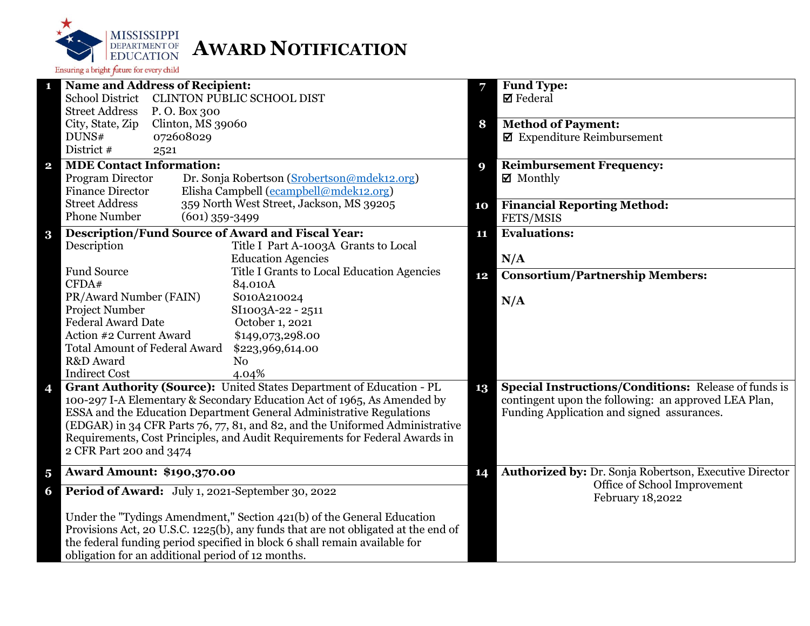

|                         | <b>Name and Address of Recipient:</b>                                                                  | 7  | <b>Fund Type:</b>                                           |
|-------------------------|--------------------------------------------------------------------------------------------------------|----|-------------------------------------------------------------|
|                         | <b>School District</b><br>CLINTON PUBLIC SCHOOL DIST                                                   |    | $\boxtimes$ Federal                                         |
|                         | <b>Street Address</b><br>P.O. Box 300                                                                  |    |                                                             |
|                         | City, State, Zip<br>Clinton, MS 39060                                                                  | 8  | <b>Method of Payment:</b>                                   |
|                         | DUNS#<br>072608029                                                                                     |    | $\blacksquare$ Expenditure Reimbursement                    |
|                         | District #<br>2521                                                                                     |    |                                                             |
| $\mathbf{2}$            | <b>MDE Contact Information:</b>                                                                        | 9  | <b>Reimbursement Frequency:</b>                             |
|                         | Program Director<br>Dr. Sonja Robertson (Srobertson@mdek12.org)                                        |    | $\boxtimes$ Monthly                                         |
|                         | Elisha Campbell (ecampbell@mdek12.org)<br><b>Finance Director</b>                                      |    |                                                             |
|                         | 359 North West Street, Jackson, MS 39205<br><b>Street Address</b>                                      | 10 | <b>Financial Reporting Method:</b>                          |
|                         | <b>Phone Number</b><br>$(601)$ 359-3499                                                                |    | FETS/MSIS                                                   |
| $\bf{3}$                | <b>Description/Fund Source of Award and Fiscal Year:</b>                                               | 11 | <b>Evaluations:</b>                                         |
|                         | Description<br>Title I Part A-1003A Grants to Local                                                    |    |                                                             |
|                         | <b>Education Agencies</b>                                                                              |    | N/A                                                         |
|                         | <b>Fund Source</b><br>Title I Grants to Local Education Agencies                                       | 12 | <b>Consortium/Partnership Members:</b>                      |
|                         | CFDA#<br>84.010A                                                                                       |    |                                                             |
|                         | PR/Award Number (FAIN)<br>S010A210024                                                                  |    | N/A                                                         |
|                         | Project Number<br>SI1003A-22 - 2511                                                                    |    |                                                             |
|                         | <b>Federal Award Date</b><br>October 1, 2021                                                           |    |                                                             |
|                         | Action #2 Current Award<br>\$149,073,298.00                                                            |    |                                                             |
|                         | <b>Total Amount of Federal Award</b><br>\$223,969,614.00                                               |    |                                                             |
|                         | R&D Award<br>N <sub>0</sub>                                                                            |    |                                                             |
|                         | <b>Indirect Cost</b><br>4.04%                                                                          |    |                                                             |
| 4                       | Grant Authority (Source): United States Department of Education - PL                                   | 13 | <b>Special Instructions/Conditions: Release of funds is</b> |
|                         | 100-297 I-A Elementary & Secondary Education Act of 1965, As Amended by                                |    | contingent upon the following: an approved LEA Plan,        |
|                         | ESSA and the Education Department General Administrative Regulations                                   |    | Funding Application and signed assurances.                  |
|                         | (EDGAR) in 34 CFR Parts 76, 77, 81, and 82, and the Uniformed Administrative                           |    |                                                             |
|                         | Requirements, Cost Principles, and Audit Requirements for Federal Awards in<br>2 CFR Part 200 and 3474 |    |                                                             |
|                         |                                                                                                        |    |                                                             |
| $\overline{\mathbf{5}}$ | <b>Award Amount: \$190,370.00</b>                                                                      | 14 | Authorized by: Dr. Sonja Robertson, Executive Director      |
| 6                       | Period of Award: July 1, 2021-September 30, 2022                                                       |    | Office of School Improvement<br>February 18,2022            |
|                         | Under the "Tydings Amendment," Section 421(b) of the General Education                                 |    |                                                             |
|                         | Provisions Act, 20 U.S.C. 1225(b), any funds that are not obligated at the end of                      |    |                                                             |
|                         | the federal funding period specified in block 6 shall remain available for                             |    |                                                             |
|                         | obligation for an additional period of 12 months.                                                      |    |                                                             |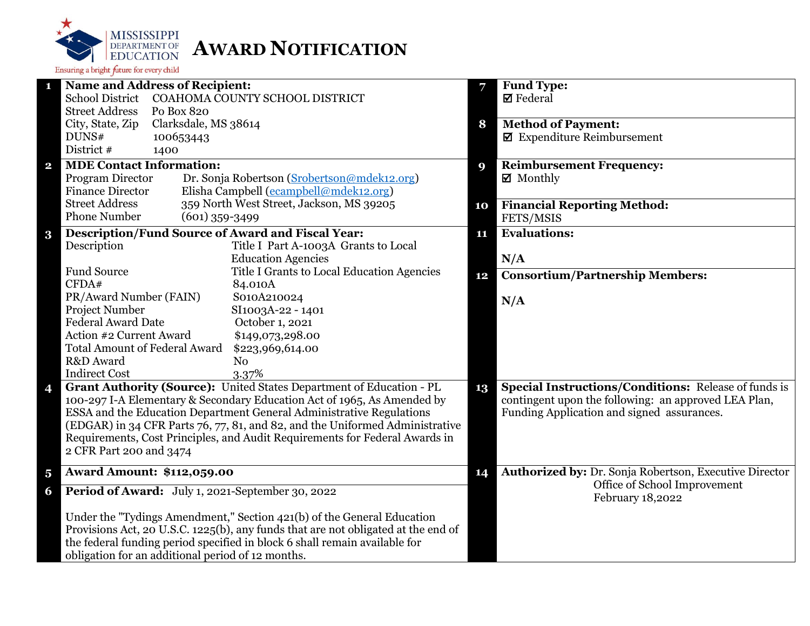

| <b>Name and Address of Recipient:</b><br>1                                        | 7  | <b>Fund Type:</b>                                           |
|-----------------------------------------------------------------------------------|----|-------------------------------------------------------------|
| <b>School District</b><br>COAHOMA COUNTY SCHOOL DISTRICT                          |    | $\boxtimes$ Federal                                         |
| <b>Street Address</b><br>Po Box 820                                               |    |                                                             |
| Clarksdale, MS 38614<br>City, State, Zip                                          | 8  | <b>Method of Payment:</b>                                   |
| DUNS#<br>100653443                                                                |    | $\blacksquare$ Expenditure Reimbursement                    |
| District #<br>1400                                                                |    |                                                             |
| <b>MDE Contact Information:</b><br>$\mathbf{2}$                                   | 9  | <b>Reimbursement Frequency:</b>                             |
| Dr. Sonja Robertson (Srobertson@mdek12.org)<br>Program Director                   |    | $\boxtimes$ Monthly                                         |
| <b>Finance Director</b><br>Elisha Campbell (ecampbell@mdek12.org)                 |    |                                                             |
| 359 North West Street, Jackson, MS 39205<br><b>Street Address</b>                 | 10 | <b>Financial Reporting Method:</b>                          |
| <b>Phone Number</b><br>$(601)$ 359-3499                                           |    | FETS/MSIS                                                   |
| <b>Description/Fund Source of Award and Fiscal Year:</b><br>$\bf{3}$              | 11 | <b>Evaluations:</b>                                         |
| Description<br>Title I Part A-1003A Grants to Local                               |    |                                                             |
| <b>Education Agencies</b>                                                         |    | N/A                                                         |
| <b>Fund Source</b><br>Title I Grants to Local Education Agencies                  | 12 | <b>Consortium/Partnership Members:</b>                      |
| CFDA#<br>84.010A                                                                  |    |                                                             |
| PR/Award Number (FAIN)<br>S010A210024                                             |    | N/A                                                         |
| Project Number<br>SI1003A-22 - 1401                                               |    |                                                             |
| <b>Federal Award Date</b><br>October 1, 2021                                      |    |                                                             |
| Action #2 Current Award<br>\$149,073,298.00                                       |    |                                                             |
| <b>Total Amount of Federal Award</b><br>\$223,969,614.00                          |    |                                                             |
| R&D Award<br>N <sub>o</sub>                                                       |    |                                                             |
| <b>Indirect Cost</b><br>3.37%                                                     |    |                                                             |
| Grant Authority (Source): United States Department of Education - PL<br>4         | 13 | <b>Special Instructions/Conditions:</b> Release of funds is |
| 100-297 I-A Elementary & Secondary Education Act of 1965, As Amended by           |    | contingent upon the following: an approved LEA Plan,        |
| ESSA and the Education Department General Administrative Regulations              |    | Funding Application and signed assurances.                  |
| (EDGAR) in 34 CFR Parts 76, 77, 81, and 82, and the Uniformed Administrative      |    |                                                             |
| Requirements, Cost Principles, and Audit Requirements for Federal Awards in       |    |                                                             |
| 2 CFR Part 200 and 3474                                                           |    |                                                             |
| <b>Award Amount: \$112,059.00</b><br>$\overline{\mathbf{5}}$                      | 14 | Authorized by: Dr. Sonja Robertson, Executive Director      |
| Period of Award: July 1, 2021-September 30, 2022<br>6                             |    | Office of School Improvement<br>February 18,2022            |
| Under the "Tydings Amendment," Section 421(b) of the General Education            |    |                                                             |
| Provisions Act, 20 U.S.C. 1225(b), any funds that are not obligated at the end of |    |                                                             |
| the federal funding period specified in block 6 shall remain available for        |    |                                                             |
| obligation for an additional period of 12 months.                                 |    |                                                             |
|                                                                                   |    |                                                             |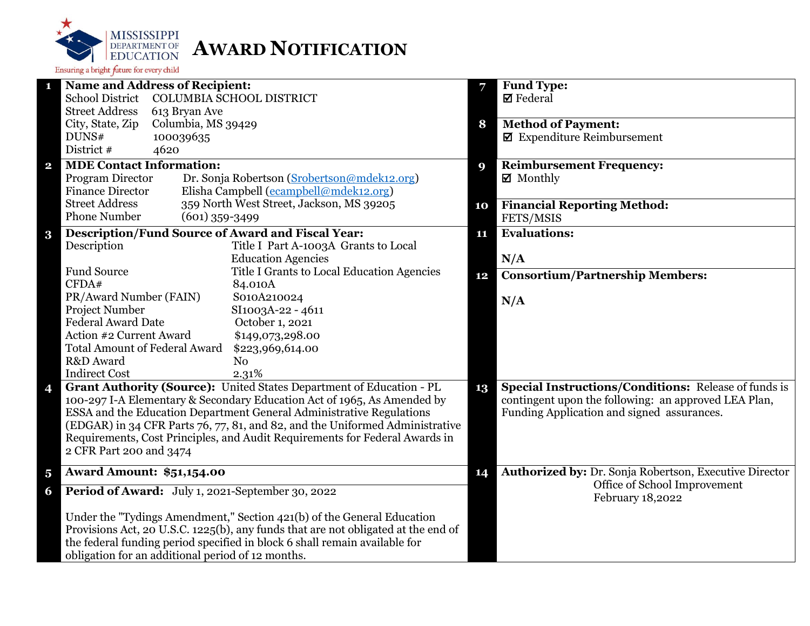

|                         | <b>Name and Address of Recipient:</b>                                                                  | 7  | <b>Fund Type:</b>                                           |
|-------------------------|--------------------------------------------------------------------------------------------------------|----|-------------------------------------------------------------|
|                         | <b>School District</b><br><b>COLUMBIA SCHOOL DISTRICT</b>                                              |    | $\boxtimes$ Federal                                         |
|                         | <b>Street Address</b><br>613 Bryan Ave                                                                 |    |                                                             |
|                         | City, State, Zip<br>Columbia, MS 39429                                                                 | 8  | <b>Method of Payment:</b>                                   |
|                         | DUNS#<br>100039635                                                                                     |    | $\blacksquare$ Expenditure Reimbursement                    |
|                         | District #<br>4620                                                                                     |    |                                                             |
| $\overline{\mathbf{2}}$ | <b>MDE Contact Information:</b>                                                                        | 9  | <b>Reimbursement Frequency:</b>                             |
|                         | Program Director<br>Dr. Sonja Robertson (Srobertson@mdek12.org)                                        |    | $\boxtimes$ Monthly                                         |
|                         | Elisha Campbell (ecampbell@mdek12.org)<br><b>Finance Director</b>                                      |    |                                                             |
|                         | <b>Street Address</b><br>359 North West Street, Jackson, MS 39205                                      | 10 | <b>Financial Reporting Method:</b>                          |
|                         | <b>Phone Number</b><br>$(601)$ 359-3499                                                                |    | FETS/MSIS                                                   |
| $\bf{3}$                | <b>Description/Fund Source of Award and Fiscal Year:</b>                                               | 11 | <b>Evaluations:</b>                                         |
|                         | Description<br>Title I Part A-1003A Grants to Local                                                    |    |                                                             |
|                         | <b>Education Agencies</b>                                                                              |    | N/A                                                         |
|                         | <b>Fund Source</b><br>Title I Grants to Local Education Agencies                                       | 12 | <b>Consortium/Partnership Members:</b>                      |
|                         | CFDA#<br>84.010A                                                                                       |    |                                                             |
|                         | PR/Award Number (FAIN)<br>S010A210024                                                                  |    | N/A                                                         |
|                         | <b>Project Number</b><br>SI1003A-22 - 4611                                                             |    |                                                             |
|                         | <b>Federal Award Date</b><br>October 1, 2021                                                           |    |                                                             |
|                         | Action #2 Current Award<br>\$149,073,298.00                                                            |    |                                                             |
|                         | <b>Total Amount of Federal Award</b><br>\$223,969,614.00                                               |    |                                                             |
|                         | R&D Award<br>N <sub>o</sub>                                                                            |    |                                                             |
|                         | <b>Indirect Cost</b><br>2.31%                                                                          |    |                                                             |
| 4                       | Grant Authority (Source): United States Department of Education - PL                                   | 13 | <b>Special Instructions/Conditions: Release of funds is</b> |
|                         | 100-297 I-A Elementary & Secondary Education Act of 1965, As Amended by                                |    | contingent upon the following: an approved LEA Plan,        |
|                         | ESSA and the Education Department General Administrative Regulations                                   |    | Funding Application and signed assurances.                  |
|                         | (EDGAR) in 34 CFR Parts 76, 77, 81, and 82, and the Uniformed Administrative                           |    |                                                             |
|                         | Requirements, Cost Principles, and Audit Requirements for Federal Awards in<br>2 CFR Part 200 and 3474 |    |                                                             |
|                         |                                                                                                        |    |                                                             |
| $\overline{\mathbf{5}}$ | <b>Award Amount: \$51,154.00</b>                                                                       | 14 | Authorized by: Dr. Sonja Robertson, Executive Director      |
| 6                       | Period of Award: July 1, 2021-September 30, 2022                                                       |    | Office of School Improvement<br>February 18,2022            |
|                         | Under the "Tydings Amendment," Section 421(b) of the General Education                                 |    |                                                             |
|                         | Provisions Act, 20 U.S.C. 1225(b), any funds that are not obligated at the end of                      |    |                                                             |
|                         | the federal funding period specified in block 6 shall remain available for                             |    |                                                             |
|                         | obligation for an additional period of 12 months.                                                      |    |                                                             |
|                         |                                                                                                        |    |                                                             |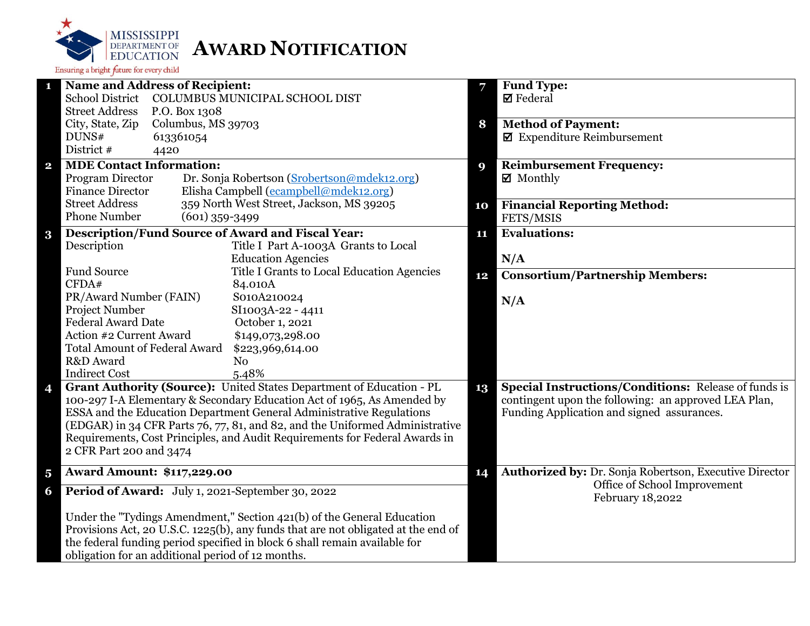

| 1                       | <b>Name and Address of Recipient:</b>             |                                 |                                                                                   | 7  | Fund Type:                                                            |
|-------------------------|---------------------------------------------------|---------------------------------|-----------------------------------------------------------------------------------|----|-----------------------------------------------------------------------|
|                         | <b>School District</b>                            |                                 | COLUMBUS MUNICIPAL SCHOOL DIST                                                    |    | $\boxtimes$ Federal                                                   |
|                         | <b>Street Address</b>                             | P.O. Box 1308                   |                                                                                   |    |                                                                       |
|                         | City, State, Zip<br>DUNS#                         | Columbus, MS 39703<br>613361054 |                                                                                   | 8  | <b>Method of Payment:</b><br>$\blacksquare$ Expenditure Reimbursement |
|                         | District #<br>4420                                |                                 |                                                                                   |    |                                                                       |
| $\mathbf{2}$            | <b>MDE Contact Information:</b>                   |                                 |                                                                                   |    | <b>Reimbursement Frequency:</b>                                       |
|                         | Program Director                                  |                                 | Dr. Sonja Robertson (Srobertson@mdek12.org)                                       | 9  | ■ Monthly                                                             |
|                         | <b>Finance Director</b>                           |                                 | Elisha Campbell (ecampbell@mdek12.org)                                            |    |                                                                       |
|                         | <b>Street Address</b>                             |                                 | 359 North West Street, Jackson, MS 39205                                          | 10 | <b>Financial Reporting Method:</b>                                    |
|                         | <b>Phone Number</b>                               | $(601)$ 359-3499                |                                                                                   |    | FETS/MSIS                                                             |
| $\bf{3}$                |                                                   |                                 | Description/Fund Source of Award and Fiscal Year:                                 | 11 | <b>Evaluations:</b>                                                   |
|                         | Description                                       |                                 | Title I Part A-1003A Grants to Local                                              |    |                                                                       |
|                         |                                                   |                                 | <b>Education Agencies</b>                                                         |    | N/A                                                                   |
|                         | <b>Fund Source</b>                                |                                 | Title I Grants to Local Education Agencies                                        | 12 | <b>Consortium/Partnership Members:</b>                                |
|                         | CFDA#                                             |                                 | 84.010A                                                                           |    |                                                                       |
|                         | PR/Award Number (FAIN)                            |                                 | S010A210024                                                                       |    | N/A                                                                   |
|                         | Project Number                                    |                                 | SI1003A-22 - 4411                                                                 |    |                                                                       |
|                         | <b>Federal Award Date</b>                         |                                 | October 1, 2021                                                                   |    |                                                                       |
|                         | Action #2 Current Award                           |                                 | \$149,073,298.00                                                                  |    |                                                                       |
|                         | <b>Total Amount of Federal Award</b><br>R&D Award |                                 | \$223,969,614.00<br>N <sub>0</sub>                                                |    |                                                                       |
|                         | <b>Indirect Cost</b>                              |                                 | 5.48%                                                                             |    |                                                                       |
| 4                       |                                                   |                                 | Grant Authority (Source): United States Department of Education - PL              | 13 | Special Instructions/Conditions: Release of funds is                  |
|                         |                                                   |                                 | 100-297 I-A Elementary & Secondary Education Act of 1965, As Amended by           |    | contingent upon the following: an approved LEA Plan,                  |
|                         |                                                   |                                 | ESSA and the Education Department General Administrative Regulations              |    | Funding Application and signed assurances.                            |
|                         |                                                   |                                 | (EDGAR) in 34 CFR Parts 76, 77, 81, and 82, and the Uniformed Administrative      |    |                                                                       |
|                         |                                                   |                                 | Requirements, Cost Principles, and Audit Requirements for Federal Awards in       |    |                                                                       |
|                         | 2 CFR Part 200 and 3474                           |                                 |                                                                                   |    |                                                                       |
| $\overline{\mathbf{5}}$ | <b>Award Amount: \$117,229.00</b>                 |                                 |                                                                                   | 14 | Authorized by: Dr. Sonja Robertson, Executive Director                |
|                         |                                                   |                                 | Period of Award: July 1, 2021-September 30, 2022                                  |    | Office of School Improvement                                          |
| 6                       |                                                   |                                 |                                                                                   |    | February 18,2022                                                      |
|                         |                                                   |                                 | Under the "Tydings Amendment," Section 421(b) of the General Education            |    |                                                                       |
|                         |                                                   |                                 | Provisions Act, 20 U.S.C. 1225(b), any funds that are not obligated at the end of |    |                                                                       |
|                         |                                                   |                                 | the federal funding period specified in block 6 shall remain available for        |    |                                                                       |
|                         | obligation for an additional period of 12 months. |                                 |                                                                                   |    |                                                                       |
|                         |                                                   |                                 |                                                                                   |    |                                                                       |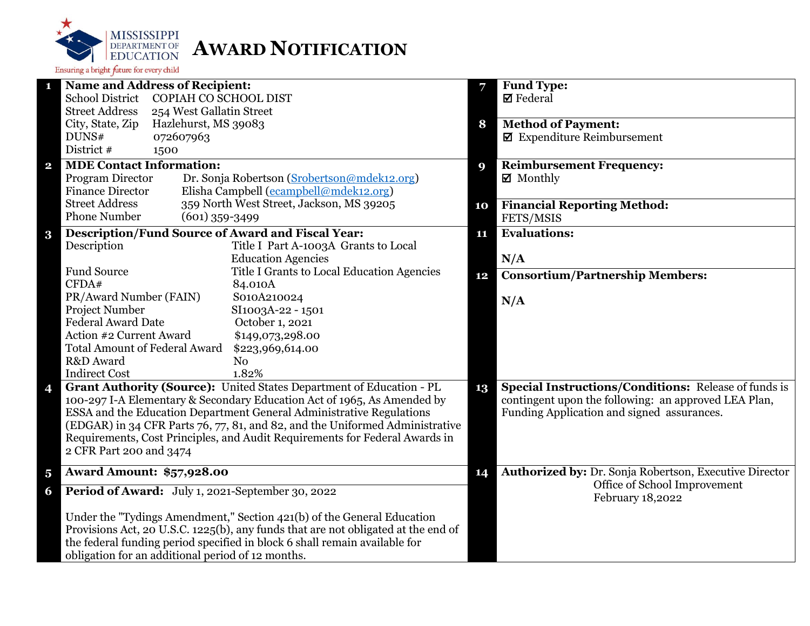

|                         | <b>Name and Address of Recipient:</b>                                             | 7  | <b>Fund Type:</b>                                           |
|-------------------------|-----------------------------------------------------------------------------------|----|-------------------------------------------------------------|
|                         | <b>School District</b><br>COPIAH CO SCHOOL DIST                                   |    | $\boxtimes$ Federal                                         |
|                         | <b>Street Address</b><br>254 West Gallatin Street                                 |    |                                                             |
|                         | City, State, Zip<br>Hazlehurst, MS 39083                                          | 8  | <b>Method of Payment:</b>                                   |
|                         | DUNS#<br>072607963                                                                |    | $\blacksquare$ Expenditure Reimbursement                    |
|                         | District #<br>1500                                                                |    |                                                             |
| $\overline{\mathbf{2}}$ | <b>MDE Contact Information:</b>                                                   | 9  | <b>Reimbursement Frequency:</b>                             |
|                         | Program Director<br>Dr. Sonja Robertson (Srobertson@mdek12.org)                   |    | $\boxtimes$ Monthly                                         |
|                         | Elisha Campbell (ecampbell@mdek12.org)<br><b>Finance Director</b>                 |    |                                                             |
|                         | <b>Street Address</b><br>359 North West Street, Jackson, MS 39205                 | 10 | <b>Financial Reporting Method:</b>                          |
|                         | <b>Phone Number</b><br>$(601)$ 359-3499                                           |    | FETS/MSIS                                                   |
| $\bf{3}$                | <b>Description/Fund Source of Award and Fiscal Year:</b>                          | 11 | <b>Evaluations:</b>                                         |
|                         | Description<br>Title I Part A-1003A Grants to Local                               |    |                                                             |
|                         | <b>Education Agencies</b>                                                         |    | N/A                                                         |
|                         | <b>Fund Source</b><br>Title I Grants to Local Education Agencies                  |    |                                                             |
|                         | CFDA#<br>84.010A                                                                  | 12 | <b>Consortium/Partnership Members:</b>                      |
|                         | PR/Award Number (FAIN)<br>S010A210024                                             |    |                                                             |
|                         | <b>Project Number</b><br>SI1003A-22 - 1501                                        |    | N/A                                                         |
|                         | <b>Federal Award Date</b><br>October 1, 2021                                      |    |                                                             |
|                         | Action #2 Current Award<br>\$149,073,298.00                                       |    |                                                             |
|                         | <b>Total Amount of Federal Award</b><br>\$223,969,614.00                          |    |                                                             |
|                         | R&D Award<br>N <sub>o</sub>                                                       |    |                                                             |
|                         | 1.82%<br><b>Indirect Cost</b>                                                     |    |                                                             |
| 4                       | Grant Authority (Source): United States Department of Education - PL              | 13 | <b>Special Instructions/Conditions: Release of funds is</b> |
|                         | 100-297 I-A Elementary & Secondary Education Act of 1965, As Amended by           |    | contingent upon the following: an approved LEA Plan,        |
|                         | ESSA and the Education Department General Administrative Regulations              |    | Funding Application and signed assurances.                  |
|                         | (EDGAR) in 34 CFR Parts 76, 77, 81, and 82, and the Uniformed Administrative      |    |                                                             |
|                         | Requirements, Cost Principles, and Audit Requirements for Federal Awards in       |    |                                                             |
|                         | 2 CFR Part 200 and 3474                                                           |    |                                                             |
|                         |                                                                                   |    |                                                             |
| $\overline{\mathbf{5}}$ | <b>Award Amount: \$57,928.00</b>                                                  | 14 | Authorized by: Dr. Sonja Robertson, Executive Director      |
| 6                       | Period of Award: July 1, 2021-September 30, 2022                                  |    | Office of School Improvement<br>February 18,2022            |
|                         | Under the "Tydings Amendment," Section 421(b) of the General Education            |    |                                                             |
|                         | Provisions Act, 20 U.S.C. 1225(b), any funds that are not obligated at the end of |    |                                                             |
|                         | the federal funding period specified in block 6 shall remain available for        |    |                                                             |
|                         | obligation for an additional period of 12 months.                                 |    |                                                             |
|                         |                                                                                   |    |                                                             |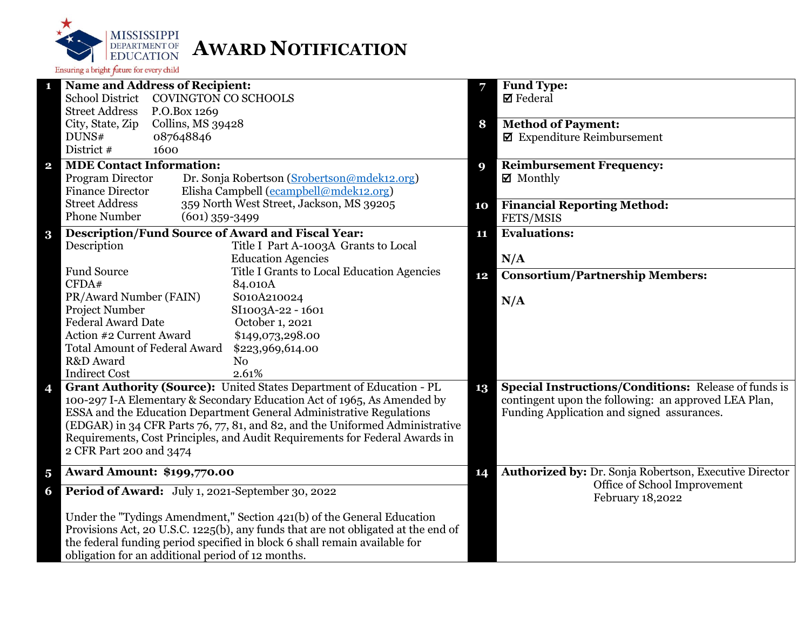

| 1                       | <b>Name and Address of Recipient:</b>                                             |    | <b>Fund Type:</b>                                           |
|-------------------------|-----------------------------------------------------------------------------------|----|-------------------------------------------------------------|
|                         | <b>School District</b><br><b>COVINGTON CO SCHOOLS</b>                             |    | $\boxtimes$ Federal                                         |
|                         | <b>Street Address</b><br>P.O.Box 1269                                             |    |                                                             |
|                         | City, State, Zip<br>Collins, MS 39428                                             | 8  | <b>Method of Payment:</b>                                   |
|                         | DUNS#<br>087648846                                                                |    | $\boxtimes$ Expenditure Reimbursement                       |
|                         | District #<br>1600                                                                |    |                                                             |
| $\mathbf{2}$            | <b>MDE Contact Information:</b>                                                   | 9  | <b>Reimbursement Frequency:</b>                             |
|                         | Dr. Sonja Robertson (Srobertson@mdek12.org)<br>Program Director                   |    | $\boxtimes$ Monthly                                         |
|                         | Elisha Campbell (ecampbell@mdek12.org)<br><b>Finance Director</b>                 |    |                                                             |
|                         | 359 North West Street, Jackson, MS 39205<br><b>Street Address</b>                 | 10 | <b>Financial Reporting Method:</b>                          |
|                         | <b>Phone Number</b><br>$(601)$ 359-3499                                           |    | FETS/MSIS                                                   |
| $\bf{3}$                | <b>Description/Fund Source of Award and Fiscal Year:</b>                          | 11 | <b>Evaluations:</b>                                         |
|                         | Description<br>Title I Part A-1003A Grants to Local                               |    |                                                             |
|                         | <b>Education Agencies</b>                                                         |    | N/A                                                         |
|                         | <b>Fund Source</b><br>Title I Grants to Local Education Agencies                  | 12 | <b>Consortium/Partnership Members:</b>                      |
|                         | CFDA#<br>84.010A                                                                  |    |                                                             |
|                         | PR/Award Number (FAIN)<br>S010A210024                                             |    | N/A                                                         |
|                         | Project Number<br>SI1003A-22 - 1601                                               |    |                                                             |
|                         | <b>Federal Award Date</b><br>October 1, 2021                                      |    |                                                             |
|                         | Action #2 Current Award<br>\$149,073,298.00                                       |    |                                                             |
|                         | <b>Total Amount of Federal Award</b><br>\$223,969,614.00                          |    |                                                             |
|                         | R&D Award<br>N <sub>0</sub>                                                       |    |                                                             |
|                         | <b>Indirect Cost</b><br>2.61%                                                     |    |                                                             |
| 4                       | Grant Authority (Source): United States Department of Education - PL              | 13 | <b>Special Instructions/Conditions:</b> Release of funds is |
|                         | 100-297 I-A Elementary & Secondary Education Act of 1965, As Amended by           |    | contingent upon the following: an approved LEA Plan,        |
|                         | ESSA and the Education Department General Administrative Regulations              |    | Funding Application and signed assurances.                  |
|                         | (EDGAR) in 34 CFR Parts 76, 77, 81, and 82, and the Uniformed Administrative      |    |                                                             |
|                         | Requirements, Cost Principles, and Audit Requirements for Federal Awards in       |    |                                                             |
|                         | 2 CFR Part 200 and 3474                                                           |    |                                                             |
| $\overline{\mathbf{5}}$ | <b>Award Amount: \$199,770.00</b>                                                 | 14 | Authorized by: Dr. Sonja Robertson, Executive Director      |
| 6                       | Period of Award: July 1, 2021-September 30, 2022                                  |    | Office of School Improvement                                |
|                         |                                                                                   |    | February 18,2022                                            |
|                         | Under the "Tydings Amendment," Section 421(b) of the General Education            |    |                                                             |
|                         | Provisions Act, 20 U.S.C. 1225(b), any funds that are not obligated at the end of |    |                                                             |
|                         | the federal funding period specified in block 6 shall remain available for        |    |                                                             |
|                         | obligation for an additional period of 12 months.                                 |    |                                                             |
|                         |                                                                                   |    |                                                             |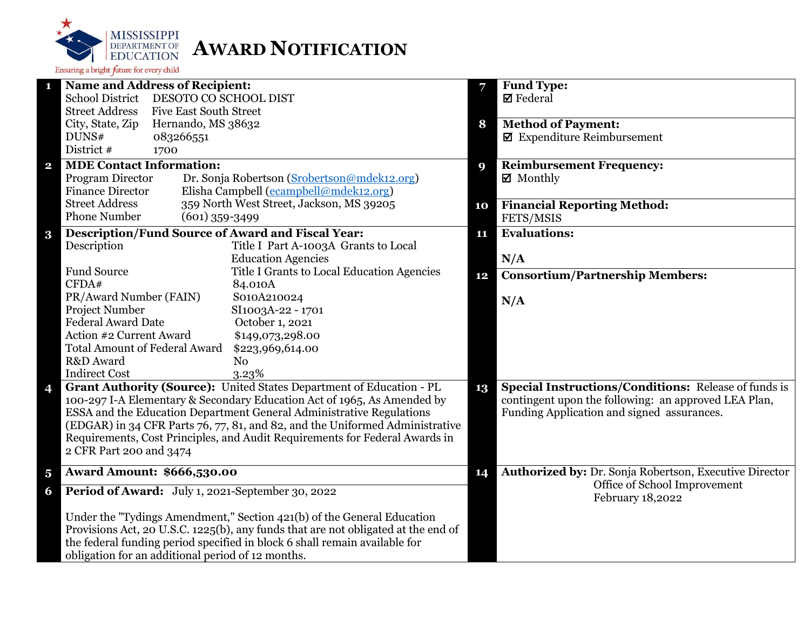

|                         | <b>Name and Address of Recipient:</b>                                             | 7  | <b>Fund Type:</b>                                           |
|-------------------------|-----------------------------------------------------------------------------------|----|-------------------------------------------------------------|
|                         | <b>School District</b><br>DESOTO CO SCHOOL DIST                                   |    | $\boxtimes$ Federal                                         |
|                         | <b>Street Address</b><br><b>Five East South Street</b>                            |    |                                                             |
|                         | City, State, Zip<br>Hernando, MS 38632                                            | 8  | <b>Method of Payment:</b>                                   |
|                         | DUNS#<br>083266551                                                                |    | $\blacksquare$ Expenditure Reimbursement                    |
|                         | District #<br>1700                                                                |    |                                                             |
| $\overline{\mathbf{2}}$ | <b>MDE Contact Information:</b>                                                   | 9  | <b>Reimbursement Frequency:</b>                             |
|                         | Program Director<br>Dr. Sonja Robertson (Srobertson@mdek12.org)                   |    | $\boxtimes$ Monthly                                         |
|                         | Elisha Campbell (ecampbell@mdek12.org)<br><b>Finance Director</b>                 |    |                                                             |
|                         | <b>Street Address</b><br>359 North West Street, Jackson, MS 39205                 | 10 | <b>Financial Reporting Method:</b>                          |
|                         | <b>Phone Number</b><br>$(601)$ 359-3499                                           |    | FETS/MSIS                                                   |
| $\bf{3}$                | <b>Description/Fund Source of Award and Fiscal Year:</b>                          | 11 | <b>Evaluations:</b>                                         |
|                         | Description<br>Title I Part A-1003A Grants to Local                               |    |                                                             |
|                         | <b>Education Agencies</b>                                                         |    | N/A                                                         |
|                         | <b>Fund Source</b><br>Title I Grants to Local Education Agencies                  |    |                                                             |
|                         | CFDA#<br>84.010A                                                                  | 12 | <b>Consortium/Partnership Members:</b>                      |
|                         | PR/Award Number (FAIN)<br>S010A210024                                             |    |                                                             |
|                         | <b>Project Number</b><br>SI1003A-22 - 1701                                        |    | N/A                                                         |
|                         | <b>Federal Award Date</b><br>October 1, 2021                                      |    |                                                             |
|                         | Action #2 Current Award<br>\$149,073,298.00                                       |    |                                                             |
|                         | <b>Total Amount of Federal Award</b><br>\$223,969,614.00                          |    |                                                             |
|                         | R&D Award<br>N <sub>o</sub>                                                       |    |                                                             |
|                         | <b>Indirect Cost</b><br>3.23%                                                     |    |                                                             |
| 4                       | Grant Authority (Source): United States Department of Education - PL              | 13 | <b>Special Instructions/Conditions: Release of funds is</b> |
|                         | 100-297 I-A Elementary & Secondary Education Act of 1965, As Amended by           |    | contingent upon the following: an approved LEA Plan,        |
|                         | ESSA and the Education Department General Administrative Regulations              |    | Funding Application and signed assurances.                  |
|                         | (EDGAR) in 34 CFR Parts 76, 77, 81, and 82, and the Uniformed Administrative      |    |                                                             |
|                         | Requirements, Cost Principles, and Audit Requirements for Federal Awards in       |    |                                                             |
|                         | 2 CFR Part 200 and 3474                                                           |    |                                                             |
|                         |                                                                                   |    |                                                             |
| $\overline{\mathbf{5}}$ | <b>Award Amount: \$666,530.00</b>                                                 | 14 | Authorized by: Dr. Sonja Robertson, Executive Director      |
| 6                       | Period of Award: July 1, 2021-September 30, 2022                                  |    | Office of School Improvement<br>February 18,2022            |
|                         | Under the "Tydings Amendment," Section 421(b) of the General Education            |    |                                                             |
|                         | Provisions Act, 20 U.S.C. 1225(b), any funds that are not obligated at the end of |    |                                                             |
|                         | the federal funding period specified in block 6 shall remain available for        |    |                                                             |
|                         | obligation for an additional period of 12 months.                                 |    |                                                             |
|                         |                                                                                   |    |                                                             |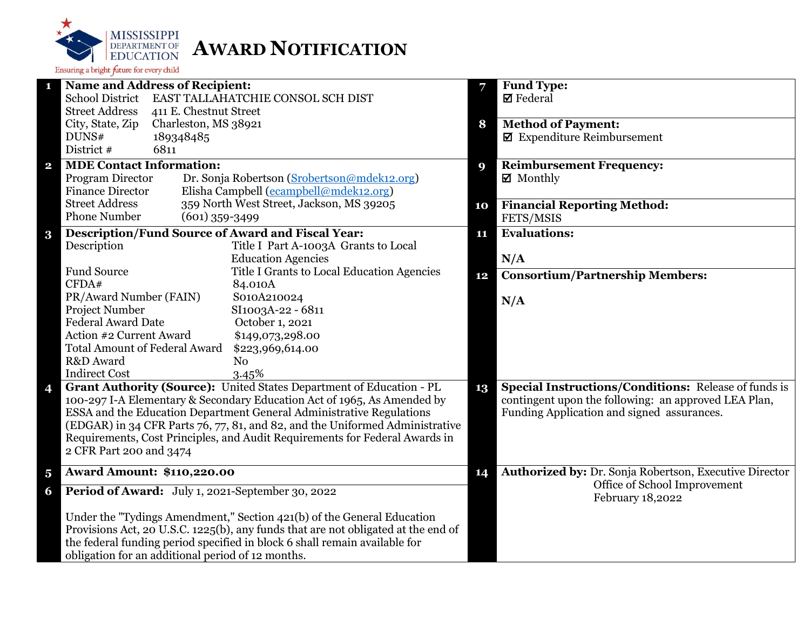

| $\mathbf{1}$            | <b>Name and Address of Recipient:</b>                                             | 7  | <b>Fund Type:</b>                                           |
|-------------------------|-----------------------------------------------------------------------------------|----|-------------------------------------------------------------|
|                         | <b>School District</b><br>EAST TALLAHATCHIE CONSOL SCH DIST                       |    | <b>Ø</b> Federal                                            |
|                         | <b>Street Address</b><br>411 E. Chestnut Street                                   |    |                                                             |
|                         | City, State, Zip<br>Charleston, MS 38921                                          | 8  | <b>Method of Payment:</b>                                   |
|                         | DUNS#<br>189348485                                                                |    | $\blacksquare$ Expenditure Reimbursement                    |
|                         | District #<br>6811                                                                |    |                                                             |
| $\overline{\mathbf{2}}$ | <b>MDE Contact Information:</b>                                                   | 9  | <b>Reimbursement Frequency:</b>                             |
|                         | Dr. Sonja Robertson (Srobertson@mdek12.org)<br>Program Director                   |    | $\boxtimes$ Monthly                                         |
|                         | Elisha Campbell (ecampbell@mdek12.org)<br><b>Finance Director</b>                 |    |                                                             |
|                         | 359 North West Street, Jackson, MS 39205<br><b>Street Address</b>                 | 10 | <b>Financial Reporting Method:</b>                          |
|                         | <b>Phone Number</b><br>$(601)$ 359-3499                                           |    | FETS/MSIS                                                   |
| $\bf{3}$                | <b>Description/Fund Source of Award and Fiscal Year:</b>                          | 11 | <b>Evaluations:</b>                                         |
|                         | Description<br>Title I Part A-1003A Grants to Local                               |    |                                                             |
|                         | <b>Education Agencies</b>                                                         |    | N/A                                                         |
|                         | <b>Fund Source</b><br>Title I Grants to Local Education Agencies                  | 12 | <b>Consortium/Partnership Members:</b>                      |
|                         | CFDA#<br>84.010A                                                                  |    |                                                             |
|                         | PR/Award Number (FAIN)<br>S010A210024                                             |    | N/A                                                         |
|                         | Project Number<br>SI1003A-22 - 6811                                               |    |                                                             |
|                         | <b>Federal Award Date</b><br>October 1, 2021                                      |    |                                                             |
|                         | Action #2 Current Award<br>\$149,073,298.00                                       |    |                                                             |
|                         | <b>Total Amount of Federal Award</b><br>\$223,969,614.00                          |    |                                                             |
|                         | R&D Award<br>N <sub>o</sub>                                                       |    |                                                             |
|                         | <b>Indirect Cost</b><br>3.45%                                                     |    |                                                             |
| 4                       | Grant Authority (Source): United States Department of Education - PL              | 13 | <b>Special Instructions/Conditions: Release of funds is</b> |
|                         | 100-297 I-A Elementary & Secondary Education Act of 1965, As Amended by           |    | contingent upon the following: an approved LEA Plan,        |
|                         | ESSA and the Education Department General Administrative Regulations              |    | Funding Application and signed assurances.                  |
|                         | (EDGAR) in 34 CFR Parts 76, 77, 81, and 82, and the Uniformed Administrative      |    |                                                             |
|                         | Requirements, Cost Principles, and Audit Requirements for Federal Awards in       |    |                                                             |
|                         | 2 CFR Part 200 and 3474                                                           |    |                                                             |
| $\overline{\mathbf{5}}$ | <b>Award Amount: \$110,220.00</b>                                                 | 14 | Authorized by: Dr. Sonja Robertson, Executive Director      |
|                         |                                                                                   |    | Office of School Improvement                                |
| 6                       | Period of Award: July 1, 2021-September 30, 2022                                  |    | February 18,2022                                            |
|                         |                                                                                   |    |                                                             |
|                         | Under the "Tydings Amendment," Section 421(b) of the General Education            |    |                                                             |
|                         | Provisions Act, 20 U.S.C. 1225(b), any funds that are not obligated at the end of |    |                                                             |
|                         | the federal funding period specified in block 6 shall remain available for        |    |                                                             |
|                         | obligation for an additional period of 12 months.                                 |    |                                                             |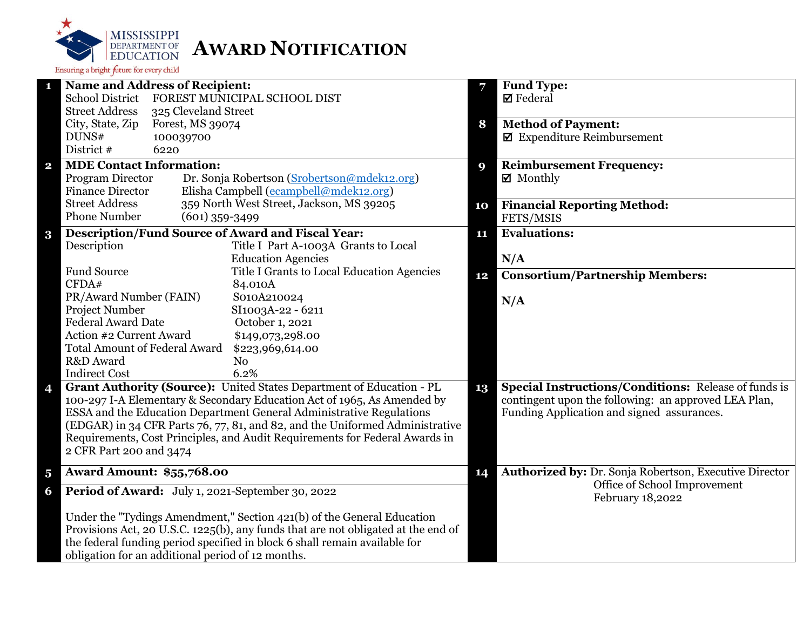

|                         | <b>Name and Address of Recipient:</b>                                             | 7  | <b>Fund Type:</b>                                           |
|-------------------------|-----------------------------------------------------------------------------------|----|-------------------------------------------------------------|
|                         | <b>School District</b><br>FOREST MUNICIPAL SCHOOL DIST                            |    | $\boxtimes$ Federal                                         |
|                         | <b>Street Address</b><br>325 Cleveland Street                                     |    |                                                             |
|                         | City, State, Zip<br>Forest, MS 39074                                              | 8  | <b>Method of Payment:</b>                                   |
|                         | DUNS#<br>100039700                                                                |    | $\blacksquare$ Expenditure Reimbursement                    |
|                         | District #<br>6220                                                                |    |                                                             |
| $\overline{\mathbf{2}}$ | <b>MDE Contact Information:</b>                                                   | 9  | <b>Reimbursement Frequency:</b>                             |
|                         | Program Director<br>Dr. Sonja Robertson (Srobertson@mdek12.org)                   |    | $\boxtimes$ Monthly                                         |
|                         | Elisha Campbell (ecampbell@mdek12.org)<br><b>Finance Director</b>                 |    |                                                             |
|                         | <b>Street Address</b><br>359 North West Street, Jackson, MS 39205                 | 10 | <b>Financial Reporting Method:</b>                          |
|                         | <b>Phone Number</b><br>$(601)$ 359-3499                                           |    | FETS/MSIS                                                   |
| $\bf{3}$                | <b>Description/Fund Source of Award and Fiscal Year:</b>                          | 11 | <b>Evaluations:</b>                                         |
|                         | Description<br>Title I Part A-1003A Grants to Local                               |    |                                                             |
|                         | <b>Education Agencies</b>                                                         |    | N/A                                                         |
|                         | <b>Fund Source</b><br>Title I Grants to Local Education Agencies                  |    |                                                             |
|                         | CFDA#<br>84.010A                                                                  | 12 | <b>Consortium/Partnership Members:</b>                      |
|                         | PR/Award Number (FAIN)<br>S010A210024                                             |    |                                                             |
|                         | <b>Project Number</b><br>SI1003A-22 - 6211                                        |    | N/A                                                         |
|                         | <b>Federal Award Date</b><br>October 1, 2021                                      |    |                                                             |
|                         | Action #2 Current Award<br>\$149,073,298.00                                       |    |                                                             |
|                         | <b>Total Amount of Federal Award</b><br>\$223,969,614.00                          |    |                                                             |
|                         | R&D Award<br>N <sub>o</sub>                                                       |    |                                                             |
|                         | 6.2%<br><b>Indirect Cost</b>                                                      |    |                                                             |
| 4                       | Grant Authority (Source): United States Department of Education - PL              | 13 | <b>Special Instructions/Conditions: Release of funds is</b> |
|                         | 100-297 I-A Elementary & Secondary Education Act of 1965, As Amended by           |    | contingent upon the following: an approved LEA Plan,        |
|                         | ESSA and the Education Department General Administrative Regulations              |    | Funding Application and signed assurances.                  |
|                         | (EDGAR) in 34 CFR Parts 76, 77, 81, and 82, and the Uniformed Administrative      |    |                                                             |
|                         | Requirements, Cost Principles, and Audit Requirements for Federal Awards in       |    |                                                             |
|                         | 2 CFR Part 200 and 3474                                                           |    |                                                             |
|                         |                                                                                   |    |                                                             |
| $\overline{\mathbf{5}}$ | <b>Award Amount: \$55,768.00</b>                                                  | 14 | Authorized by: Dr. Sonja Robertson, Executive Director      |
| 6                       | Period of Award: July 1, 2021-September 30, 2022                                  |    | Office of School Improvement<br>February 18,2022            |
|                         | Under the "Tydings Amendment," Section 421(b) of the General Education            |    |                                                             |
|                         | Provisions Act, 20 U.S.C. 1225(b), any funds that are not obligated at the end of |    |                                                             |
|                         | the federal funding period specified in block 6 shall remain available for        |    |                                                             |
|                         | obligation for an additional period of 12 months.                                 |    |                                                             |
|                         |                                                                                   |    |                                                             |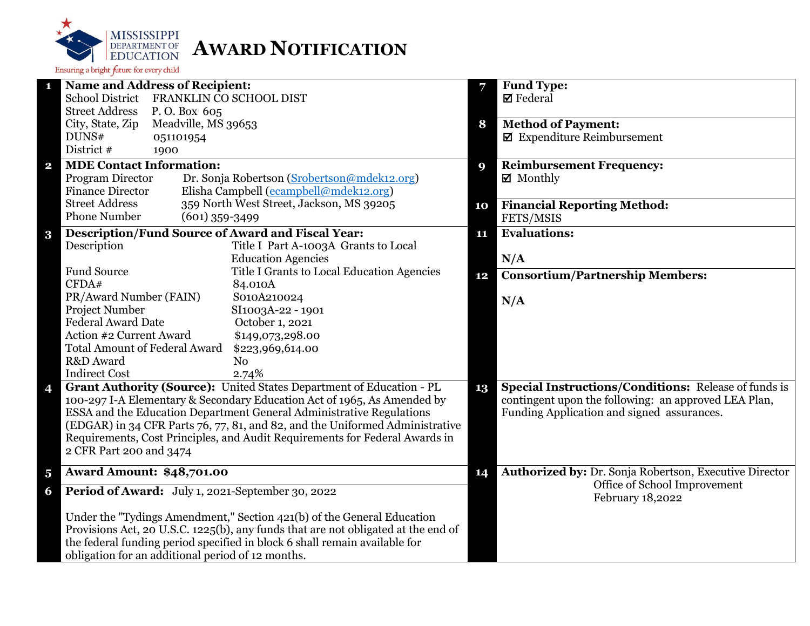

|                         | <b>Name and Address of Recipient:</b>                                             | 7  | <b>Fund Type:</b>                                           |
|-------------------------|-----------------------------------------------------------------------------------|----|-------------------------------------------------------------|
|                         | School District FRANKLIN CO SCHOOL DIST                                           |    | $\boxtimes$ Federal                                         |
|                         | <b>Street Address</b><br>P.O. Box 605                                             |    |                                                             |
|                         | City, State, Zip<br>Meadville, MS 39653                                           | 8  | <b>Method of Payment:</b>                                   |
|                         | DUNS#<br>051101954                                                                |    | $\blacksquare$ Expenditure Reimbursement                    |
|                         | District #<br>1900                                                                |    |                                                             |
| $\mathbf{2}$            | <b>MDE Contact Information:</b>                                                   | 9  | <b>Reimbursement Frequency:</b>                             |
|                         | Program Director<br>Dr. Sonja Robertson (Srobertson@mdek12.org)                   |    | $\boxtimes$ Monthly                                         |
|                         | Elisha Campbell (ecampbell@mdek12.org)<br><b>Finance Director</b>                 |    |                                                             |
|                         | 359 North West Street, Jackson, MS 39205<br><b>Street Address</b>                 | 10 | <b>Financial Reporting Method:</b>                          |
|                         | <b>Phone Number</b><br>$(601)$ 359-3499                                           |    | FETS/MSIS                                                   |
| $\bf{3}$                | <b>Description/Fund Source of Award and Fiscal Year:</b>                          | 11 | <b>Evaluations:</b>                                         |
|                         | Description<br>Title I Part A-1003A Grants to Local                               |    |                                                             |
|                         | <b>Education Agencies</b>                                                         |    | N/A                                                         |
|                         | <b>Fund Source</b><br>Title I Grants to Local Education Agencies                  | 12 | <b>Consortium/Partnership Members:</b>                      |
|                         | CFDA#<br>84.010A                                                                  |    |                                                             |
|                         | PR/Award Number (FAIN)<br>S010A210024                                             |    | N/A                                                         |
|                         | Project Number<br>SI1003A-22 - 1901                                               |    |                                                             |
|                         | <b>Federal Award Date</b><br>October 1, 2021                                      |    |                                                             |
|                         | Action #2 Current Award<br>\$149,073,298.00                                       |    |                                                             |
|                         | <b>Total Amount of Federal Award</b><br>\$223,969,614.00                          |    |                                                             |
|                         | R&D Award<br>N <sub>0</sub>                                                       |    |                                                             |
|                         | <b>Indirect Cost</b><br>2.74%                                                     |    |                                                             |
| 4                       | Grant Authority (Source): United States Department of Education - PL              | 13 | <b>Special Instructions/Conditions: Release of funds is</b> |
|                         | 100-297 I-A Elementary & Secondary Education Act of 1965, As Amended by           |    | contingent upon the following: an approved LEA Plan,        |
|                         | ESSA and the Education Department General Administrative Regulations              |    | Funding Application and signed assurances.                  |
|                         | (EDGAR) in 34 CFR Parts 76, 77, 81, and 82, and the Uniformed Administrative      |    |                                                             |
|                         | Requirements, Cost Principles, and Audit Requirements for Federal Awards in       |    |                                                             |
|                         | 2 CFR Part 200 and 3474                                                           |    |                                                             |
|                         |                                                                                   |    |                                                             |
| $\overline{\mathbf{5}}$ | <b>Award Amount: \$48,701.00</b>                                                  | 14 | Authorized by: Dr. Sonja Robertson, Executive Director      |
| 6                       | Period of Award: July 1, 2021-September 30, 2022                                  |    | Office of School Improvement<br>February 18,2022            |
|                         | Under the "Tydings Amendment," Section 421(b) of the General Education            |    |                                                             |
|                         | Provisions Act, 20 U.S.C. 1225(b), any funds that are not obligated at the end of |    |                                                             |
|                         | the federal funding period specified in block 6 shall remain available for        |    |                                                             |
|                         | obligation for an additional period of 12 months.                                 |    |                                                             |
|                         |                                                                                   |    |                                                             |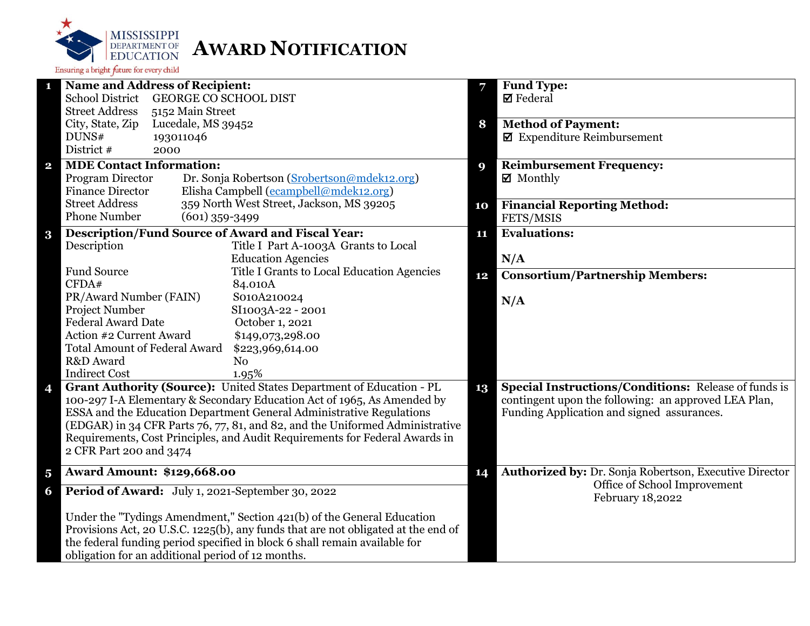

| <b>Name and Address of Recipient:</b><br>1                                                                                                                  |    | <b>Fund Type:</b>                                           |
|-------------------------------------------------------------------------------------------------------------------------------------------------------------|----|-------------------------------------------------------------|
| <b>GEORGE CO SCHOOL DIST</b><br><b>School District</b>                                                                                                      |    | $\boxtimes$ Federal                                         |
| <b>Street Address</b><br>5152 Main Street                                                                                                                   |    |                                                             |
| City, State, Zip<br>Lucedale, MS 39452                                                                                                                      | 8  | <b>Method of Payment:</b>                                   |
| DUNS#<br>193011046                                                                                                                                          |    | $\boxtimes$ Expenditure Reimbursement                       |
| District #<br>2000                                                                                                                                          |    |                                                             |
| <b>MDE Contact Information:</b><br>$\mathbf{2}$                                                                                                             | 9  | <b>Reimbursement Frequency:</b>                             |
| Dr. Sonja Robertson (Srobertson@mdek12.org)<br>Program Director                                                                                             |    | $\boxtimes$ Monthly                                         |
| Elisha Campbell (ecampbell@mdek12.org)<br><b>Finance Director</b>                                                                                           |    |                                                             |
| 359 North West Street, Jackson, MS 39205<br><b>Street Address</b>                                                                                           | 10 | <b>Financial Reporting Method:</b>                          |
| <b>Phone Number</b><br>$(601)$ 359-3499                                                                                                                     |    | FETS/MSIS                                                   |
| <b>Description/Fund Source of Award and Fiscal Year:</b><br>$\bf{3}$                                                                                        | 11 | <b>Evaluations:</b>                                         |
| Description<br>Title I Part A-1003A Grants to Local                                                                                                         |    |                                                             |
| <b>Education Agencies</b>                                                                                                                                   |    | N/A                                                         |
| <b>Fund Source</b><br>Title I Grants to Local Education Agencies                                                                                            | 12 | <b>Consortium/Partnership Members:</b>                      |
| CFDA#<br>84.010A                                                                                                                                            |    |                                                             |
| PR/Award Number (FAIN)<br>S010A210024                                                                                                                       |    | N/A                                                         |
| Project Number<br>SI1003A-22 - 2001                                                                                                                         |    |                                                             |
| <b>Federal Award Date</b><br>October 1, 2021                                                                                                                |    |                                                             |
| Action #2 Current Award<br>\$149,073,298.00                                                                                                                 |    |                                                             |
| <b>Total Amount of Federal Award</b><br>\$223,969,614.00                                                                                                    |    |                                                             |
| R&D Award<br>N <sub>0</sub>                                                                                                                                 |    |                                                             |
| <b>Indirect Cost</b><br>1.95%                                                                                                                               |    |                                                             |
| Grant Authority (Source): United States Department of Education - PL<br>4                                                                                   | 13 | <b>Special Instructions/Conditions:</b> Release of funds is |
| 100-297 I-A Elementary & Secondary Education Act of 1965, As Amended by                                                                                     |    | contingent upon the following: an approved LEA Plan,        |
| ESSA and the Education Department General Administrative Regulations                                                                                        |    | Funding Application and signed assurances.                  |
| (EDGAR) in 34 CFR Parts 76, 77, 81, and 82, and the Uniformed Administrative<br>Requirements, Cost Principles, and Audit Requirements for Federal Awards in |    |                                                             |
| 2 CFR Part 200 and 3474                                                                                                                                     |    |                                                             |
|                                                                                                                                                             |    |                                                             |
| <b>Award Amount: \$129,668.00</b><br>$\overline{\mathbf{5}}$                                                                                                | 14 | Authorized by: Dr. Sonja Robertson, Executive Director      |
| Period of Award: July 1, 2021-September 30, 2022<br>6                                                                                                       |    | Office of School Improvement<br>February 18,2022            |
| Under the "Tydings Amendment," Section 421(b) of the General Education                                                                                      |    |                                                             |
| Provisions Act, 20 U.S.C. 1225(b), any funds that are not obligated at the end of                                                                           |    |                                                             |
| the federal funding period specified in block 6 shall remain available for                                                                                  |    |                                                             |
| obligation for an additional period of 12 months.                                                                                                           |    |                                                             |
|                                                                                                                                                             |    |                                                             |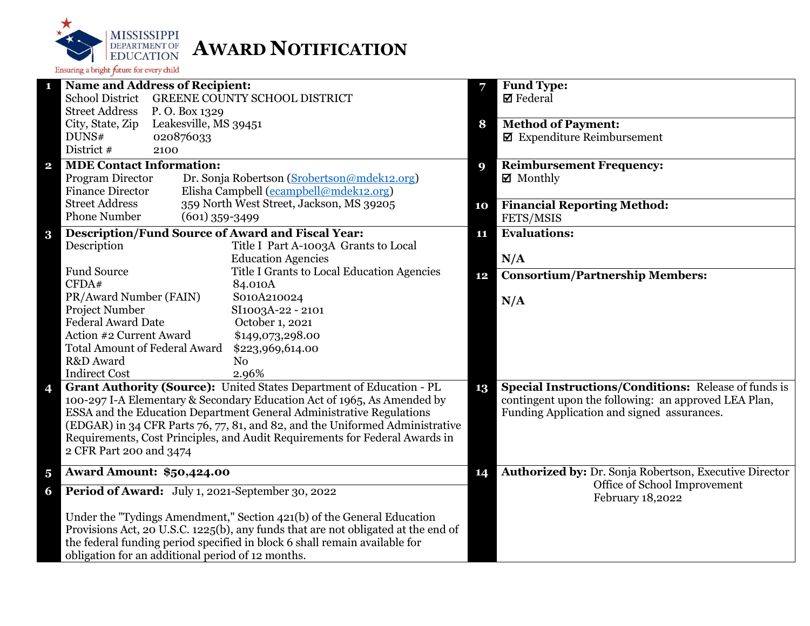

| <b>Name and Address of Recipient:</b><br>1                                        | 7  | <b>Fund Type:</b>                                           |
|-----------------------------------------------------------------------------------|----|-------------------------------------------------------------|
| <b>School District</b><br>GREENE COUNTY SCHOOL DISTRICT                           |    | $\boxtimes$ Federal                                         |
| <b>Street Address</b><br>P.O. Box 1329                                            |    |                                                             |
| City, State, Zip<br>Leakesville, MS 39451                                         | 8  | <b>Method of Payment:</b>                                   |
| DUNS#<br>020876033                                                                |    | $\blacksquare$ Expenditure Reimbursement                    |
| District #<br>2100                                                                |    |                                                             |
| <b>MDE Contact Information:</b><br>$\mathbf{2}$                                   | 9  | <b>Reimbursement Frequency:</b>                             |
| Dr. Sonja Robertson (Srobertson@mdek12.org)<br>Program Director                   |    | $\boxtimes$ Monthly                                         |
| <b>Finance Director</b><br>Elisha Campbell (ecampbell@mdek12.org)                 |    |                                                             |
| 359 North West Street, Jackson, MS 39205<br><b>Street Address</b>                 | 10 | <b>Financial Reporting Method:</b>                          |
| <b>Phone Number</b><br>$(601)$ 359-3499                                           |    | FETS/MSIS                                                   |
| <b>Description/Fund Source of Award and Fiscal Year:</b><br>$\bf{3}$              | 11 | <b>Evaluations:</b>                                         |
| Description<br>Title I Part A-1003A Grants to Local                               |    |                                                             |
| <b>Education Agencies</b>                                                         |    | N/A                                                         |
| <b>Fund Source</b><br>Title I Grants to Local Education Agencies                  | 12 | <b>Consortium/Partnership Members:</b>                      |
| CFDA#<br>84.010A                                                                  |    |                                                             |
| PR/Award Number (FAIN)<br>S010A210024                                             |    | N/A                                                         |
| Project Number<br>SI1003A-22 - 2101                                               |    |                                                             |
| <b>Federal Award Date</b><br>October 1, 2021                                      |    |                                                             |
| Action #2 Current Award<br>\$149,073,298.00                                       |    |                                                             |
| <b>Total Amount of Federal Award</b><br>\$223,969,614.00                          |    |                                                             |
| R&D Award<br>N <sub>o</sub>                                                       |    |                                                             |
| <b>Indirect Cost</b><br>2.96%                                                     |    |                                                             |
| Grant Authority (Source): United States Department of Education - PL<br>4         | 13 | <b>Special Instructions/Conditions:</b> Release of funds is |
| 100-297 I-A Elementary & Secondary Education Act of 1965, As Amended by           |    | contingent upon the following: an approved LEA Plan,        |
| ESSA and the Education Department General Administrative Regulations              |    | Funding Application and signed assurances.                  |
| (EDGAR) in 34 CFR Parts 76, 77, 81, and 82, and the Uniformed Administrative      |    |                                                             |
| Requirements, Cost Principles, and Audit Requirements for Federal Awards in       |    |                                                             |
| 2 CFR Part 200 and 3474                                                           |    |                                                             |
| <b>Award Amount: \$50,424.00</b><br>$\overline{\mathbf{5}}$                       | 14 | Authorized by: Dr. Sonja Robertson, Executive Director      |
| Period of Award: July 1, 2021-September 30, 2022<br>6                             |    | Office of School Improvement<br>February 18,2022            |
| Under the "Tydings Amendment," Section 421(b) of the General Education            |    |                                                             |
| Provisions Act, 20 U.S.C. 1225(b), any funds that are not obligated at the end of |    |                                                             |
| the federal funding period specified in block 6 shall remain available for        |    |                                                             |
| obligation for an additional period of 12 months.                                 |    |                                                             |
|                                                                                   |    |                                                             |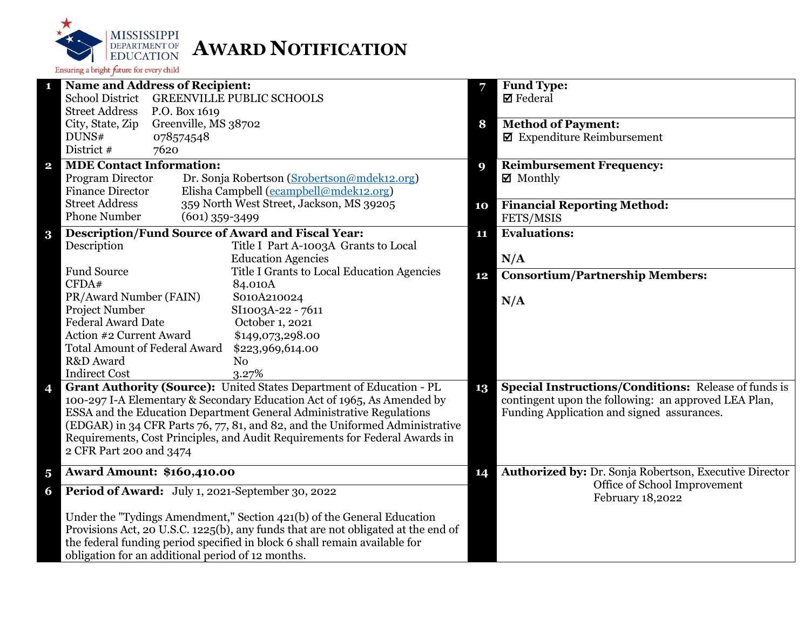

| <b>Name and Address of Recipient:</b><br>1                                        | 7  | Fund Type:                                                  |
|-----------------------------------------------------------------------------------|----|-------------------------------------------------------------|
| <b>School District</b><br><b>GREENVILLE PUBLIC SCHOOLS</b>                        |    | $\boxtimes$ Federal                                         |
| <b>Street Address</b><br>P.O. Box 1619                                            |    |                                                             |
| Greenville, MS 38702<br>City, State, Zip                                          | 8  | <b>Method of Payment:</b>                                   |
| DUNS#<br>078574548                                                                |    | $\blacksquare$ Expenditure Reimbursement                    |
| District #<br>7620                                                                |    |                                                             |
| <b>MDE Contact Information:</b><br>$\mathbf{2}$                                   | 9  | <b>Reimbursement Frequency:</b>                             |
| Program Director<br>Dr. Sonja Robertson (Srobertson@mdek12.org)                   |    | $\boxtimes$ Monthly                                         |
| Elisha Campbell (ecampbell@mdek12.org)<br><b>Finance Director</b>                 |    |                                                             |
| 359 North West Street, Jackson, MS 39205<br><b>Street Address</b>                 | 10 | <b>Financial Reporting Method:</b>                          |
| <b>Phone Number</b><br>$(601)$ 359-3499                                           |    | FETS/MSIS                                                   |
| <b>Description/Fund Source of Award and Fiscal Year:</b><br>$\bf{3}$              | 11 | <b>Evaluations:</b>                                         |
| Description<br>Title I Part A-1003A Grants to Local                               |    |                                                             |
| <b>Education Agencies</b>                                                         |    | N/A                                                         |
| <b>Fund Source</b><br>Title I Grants to Local Education Agencies                  | 12 | <b>Consortium/Partnership Members:</b>                      |
| CFDA#<br>84.010A                                                                  |    |                                                             |
| PR/Award Number (FAIN)<br>S010A210024                                             |    | N/A                                                         |
| Project Number<br>SI1003A-22 - 7611                                               |    |                                                             |
| <b>Federal Award Date</b><br>October 1, 2021                                      |    |                                                             |
| Action #2 Current Award<br>\$149,073,298.00                                       |    |                                                             |
| <b>Total Amount of Federal Award</b><br>\$223,969,614.00                          |    |                                                             |
| R&D Award<br>N <sub>0</sub>                                                       |    |                                                             |
| <b>Indirect Cost</b><br>3.27%                                                     |    |                                                             |
| Grant Authority (Source): United States Department of Education - PL<br>4         | 13 | <b>Special Instructions/Conditions: Release of funds is</b> |
| 100-297 I-A Elementary & Secondary Education Act of 1965, As Amended by           |    | contingent upon the following: an approved LEA Plan,        |
| ESSA and the Education Department General Administrative Regulations              |    | Funding Application and signed assurances.                  |
| (EDGAR) in 34 CFR Parts 76, 77, 81, and 82, and the Uniformed Administrative      |    |                                                             |
| Requirements, Cost Principles, and Audit Requirements for Federal Awards in       |    |                                                             |
| 2 CFR Part 200 and 3474                                                           |    |                                                             |
| <b>Award Amount: \$160,410.00</b><br>$\overline{\mathbf{5}}$                      | 14 | Authorized by: Dr. Sonja Robertson, Executive Director      |
| Period of Award: July 1, 2021-September 30, 2022<br>6                             |    | Office of School Improvement<br>February 18,2022            |
| Under the "Tydings Amendment," Section 421(b) of the General Education            |    |                                                             |
| Provisions Act, 20 U.S.C. 1225(b), any funds that are not obligated at the end of |    |                                                             |
| the federal funding period specified in block 6 shall remain available for        |    |                                                             |
| obligation for an additional period of 12 months.                                 |    |                                                             |
|                                                                                   |    |                                                             |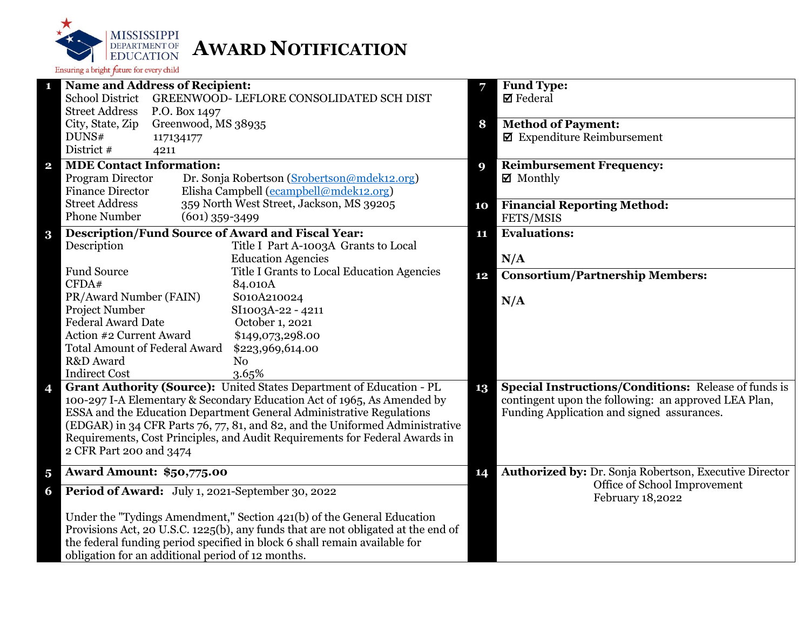

| $\mathbf{1}$<br>7<br><b>School District</b><br>GREENWOOD- LEFLORE CONSOLIDATED SCH DIST<br><b>Ø</b> Federal<br><b>Street Address</b><br>P.O. Box 1497<br>Greenwood, MS 38935<br>City, State, Zip<br><b>Method of Payment:</b><br>8<br>$\blacksquare$ Expenditure Reimbursement<br>DUNS#<br>117134177<br>District #<br>4211<br><b>MDE Contact Information:</b><br><b>Reimbursement Frequency:</b><br>$\mathbf{2}$<br>9<br>Program Director<br>Dr. Sonja Robertson (Srobertson@mdek12.org)<br>$\boxtimes$ Monthly<br>Elisha Campbell (ecampbell@mdek12.org)<br><b>Finance Director</b><br>359 North West Street, Jackson, MS 39205<br><b>Street Address</b><br><b>Financial Reporting Method:</b><br>10<br><b>Phone Number</b><br>$(601)$ 359-3499<br>FETS/MSIS<br><b>Description/Fund Source of Award and Fiscal Year:</b><br><b>Evaluations:</b><br>$\bf{3}$<br>11<br>Title I Part A-1003A Grants to Local<br>Description<br><b>Education Agencies</b><br>N/A<br><b>Fund Source</b><br>Title I Grants to Local Education Agencies<br><b>Consortium/Partnership Members:</b><br>12<br>CFDA#<br>84.010A<br>PR/Award Number (FAIN)<br>S010A210024<br>N/A<br>Project Number<br>SI1003A-22 - 4211<br><b>Federal Award Date</b><br>October 1, 2021<br>Action #2 Current Award<br>\$149,073,298.00<br><b>Total Amount of Federal Award</b><br>\$223,969,614.00<br>R&D Award<br>N <sub>o</sub><br><b>Indirect Cost</b><br>3.65%<br>Grant Authority (Source): United States Department of Education - PL<br><b>Special Instructions/Conditions: Release of funds is</b><br>$\overline{\mathbf{4}}$<br>13<br>100-297 I-A Elementary & Secondary Education Act of 1965, As Amended by<br>contingent upon the following: an approved LEA Plan,<br>ESSA and the Education Department General Administrative Regulations<br>Funding Application and signed assurances.<br>(EDGAR) in 34 CFR Parts 76, 77, 81, and 82, and the Uniformed Administrative<br>Requirements, Cost Principles, and Audit Requirements for Federal Awards in<br>2 CFR Part 200 and 3474<br><b>Award Amount: \$50,775.00</b><br>14<br>$\overline{\mathbf{5}}$<br>Office of School Improvement<br>Period of Award: July 1, 2021-September 30, 2022<br>6<br>February 18,2022<br>Under the "Tydings Amendment," Section 421(b) of the General Education<br>Provisions Act, 20 U.S.C. 1225(b), any funds that are not obligated at the end of<br>the federal funding period specified in block 6 shall remain available for<br>obligation for an additional period of 12 months. |                                       |                                                        |
|----------------------------------------------------------------------------------------------------------------------------------------------------------------------------------------------------------------------------------------------------------------------------------------------------------------------------------------------------------------------------------------------------------------------------------------------------------------------------------------------------------------------------------------------------------------------------------------------------------------------------------------------------------------------------------------------------------------------------------------------------------------------------------------------------------------------------------------------------------------------------------------------------------------------------------------------------------------------------------------------------------------------------------------------------------------------------------------------------------------------------------------------------------------------------------------------------------------------------------------------------------------------------------------------------------------------------------------------------------------------------------------------------------------------------------------------------------------------------------------------------------------------------------------------------------------------------------------------------------------------------------------------------------------------------------------------------------------------------------------------------------------------------------------------------------------------------------------------------------------------------------------------------------------------------------------------------------------------------------------------------------------------------------------------------------------------------------------------------------------------------------------------------------------------------------------------------------------------------------------------------------------------------------------------------------------------------------------------------------------------------------------------------------------------------------------------------------------------------------------------------------------------------------------|---------------------------------------|--------------------------------------------------------|
|                                                                                                                                                                                                                                                                                                                                                                                                                                                                                                                                                                                                                                                                                                                                                                                                                                                                                                                                                                                                                                                                                                                                                                                                                                                                                                                                                                                                                                                                                                                                                                                                                                                                                                                                                                                                                                                                                                                                                                                                                                                                                                                                                                                                                                                                                                                                                                                                                                                                                                                                        | <b>Name and Address of Recipient:</b> | <b>Fund Type:</b>                                      |
|                                                                                                                                                                                                                                                                                                                                                                                                                                                                                                                                                                                                                                                                                                                                                                                                                                                                                                                                                                                                                                                                                                                                                                                                                                                                                                                                                                                                                                                                                                                                                                                                                                                                                                                                                                                                                                                                                                                                                                                                                                                                                                                                                                                                                                                                                                                                                                                                                                                                                                                                        |                                       |                                                        |
|                                                                                                                                                                                                                                                                                                                                                                                                                                                                                                                                                                                                                                                                                                                                                                                                                                                                                                                                                                                                                                                                                                                                                                                                                                                                                                                                                                                                                                                                                                                                                                                                                                                                                                                                                                                                                                                                                                                                                                                                                                                                                                                                                                                                                                                                                                                                                                                                                                                                                                                                        |                                       |                                                        |
|                                                                                                                                                                                                                                                                                                                                                                                                                                                                                                                                                                                                                                                                                                                                                                                                                                                                                                                                                                                                                                                                                                                                                                                                                                                                                                                                                                                                                                                                                                                                                                                                                                                                                                                                                                                                                                                                                                                                                                                                                                                                                                                                                                                                                                                                                                                                                                                                                                                                                                                                        |                                       |                                                        |
|                                                                                                                                                                                                                                                                                                                                                                                                                                                                                                                                                                                                                                                                                                                                                                                                                                                                                                                                                                                                                                                                                                                                                                                                                                                                                                                                                                                                                                                                                                                                                                                                                                                                                                                                                                                                                                                                                                                                                                                                                                                                                                                                                                                                                                                                                                                                                                                                                                                                                                                                        |                                       |                                                        |
|                                                                                                                                                                                                                                                                                                                                                                                                                                                                                                                                                                                                                                                                                                                                                                                                                                                                                                                                                                                                                                                                                                                                                                                                                                                                                                                                                                                                                                                                                                                                                                                                                                                                                                                                                                                                                                                                                                                                                                                                                                                                                                                                                                                                                                                                                                                                                                                                                                                                                                                                        |                                       |                                                        |
|                                                                                                                                                                                                                                                                                                                                                                                                                                                                                                                                                                                                                                                                                                                                                                                                                                                                                                                                                                                                                                                                                                                                                                                                                                                                                                                                                                                                                                                                                                                                                                                                                                                                                                                                                                                                                                                                                                                                                                                                                                                                                                                                                                                                                                                                                                                                                                                                                                                                                                                                        |                                       |                                                        |
|                                                                                                                                                                                                                                                                                                                                                                                                                                                                                                                                                                                                                                                                                                                                                                                                                                                                                                                                                                                                                                                                                                                                                                                                                                                                                                                                                                                                                                                                                                                                                                                                                                                                                                                                                                                                                                                                                                                                                                                                                                                                                                                                                                                                                                                                                                                                                                                                                                                                                                                                        |                                       |                                                        |
|                                                                                                                                                                                                                                                                                                                                                                                                                                                                                                                                                                                                                                                                                                                                                                                                                                                                                                                                                                                                                                                                                                                                                                                                                                                                                                                                                                                                                                                                                                                                                                                                                                                                                                                                                                                                                                                                                                                                                                                                                                                                                                                                                                                                                                                                                                                                                                                                                                                                                                                                        |                                       |                                                        |
|                                                                                                                                                                                                                                                                                                                                                                                                                                                                                                                                                                                                                                                                                                                                                                                                                                                                                                                                                                                                                                                                                                                                                                                                                                                                                                                                                                                                                                                                                                                                                                                                                                                                                                                                                                                                                                                                                                                                                                                                                                                                                                                                                                                                                                                                                                                                                                                                                                                                                                                                        |                                       |                                                        |
|                                                                                                                                                                                                                                                                                                                                                                                                                                                                                                                                                                                                                                                                                                                                                                                                                                                                                                                                                                                                                                                                                                                                                                                                                                                                                                                                                                                                                                                                                                                                                                                                                                                                                                                                                                                                                                                                                                                                                                                                                                                                                                                                                                                                                                                                                                                                                                                                                                                                                                                                        |                                       |                                                        |
|                                                                                                                                                                                                                                                                                                                                                                                                                                                                                                                                                                                                                                                                                                                                                                                                                                                                                                                                                                                                                                                                                                                                                                                                                                                                                                                                                                                                                                                                                                                                                                                                                                                                                                                                                                                                                                                                                                                                                                                                                                                                                                                                                                                                                                                                                                                                                                                                                                                                                                                                        |                                       |                                                        |
|                                                                                                                                                                                                                                                                                                                                                                                                                                                                                                                                                                                                                                                                                                                                                                                                                                                                                                                                                                                                                                                                                                                                                                                                                                                                                                                                                                                                                                                                                                                                                                                                                                                                                                                                                                                                                                                                                                                                                                                                                                                                                                                                                                                                                                                                                                                                                                                                                                                                                                                                        |                                       |                                                        |
|                                                                                                                                                                                                                                                                                                                                                                                                                                                                                                                                                                                                                                                                                                                                                                                                                                                                                                                                                                                                                                                                                                                                                                                                                                                                                                                                                                                                                                                                                                                                                                                                                                                                                                                                                                                                                                                                                                                                                                                                                                                                                                                                                                                                                                                                                                                                                                                                                                                                                                                                        |                                       |                                                        |
|                                                                                                                                                                                                                                                                                                                                                                                                                                                                                                                                                                                                                                                                                                                                                                                                                                                                                                                                                                                                                                                                                                                                                                                                                                                                                                                                                                                                                                                                                                                                                                                                                                                                                                                                                                                                                                                                                                                                                                                                                                                                                                                                                                                                                                                                                                                                                                                                                                                                                                                                        |                                       |                                                        |
|                                                                                                                                                                                                                                                                                                                                                                                                                                                                                                                                                                                                                                                                                                                                                                                                                                                                                                                                                                                                                                                                                                                                                                                                                                                                                                                                                                                                                                                                                                                                                                                                                                                                                                                                                                                                                                                                                                                                                                                                                                                                                                                                                                                                                                                                                                                                                                                                                                                                                                                                        |                                       |                                                        |
|                                                                                                                                                                                                                                                                                                                                                                                                                                                                                                                                                                                                                                                                                                                                                                                                                                                                                                                                                                                                                                                                                                                                                                                                                                                                                                                                                                                                                                                                                                                                                                                                                                                                                                                                                                                                                                                                                                                                                                                                                                                                                                                                                                                                                                                                                                                                                                                                                                                                                                                                        |                                       |                                                        |
|                                                                                                                                                                                                                                                                                                                                                                                                                                                                                                                                                                                                                                                                                                                                                                                                                                                                                                                                                                                                                                                                                                                                                                                                                                                                                                                                                                                                                                                                                                                                                                                                                                                                                                                                                                                                                                                                                                                                                                                                                                                                                                                                                                                                                                                                                                                                                                                                                                                                                                                                        |                                       |                                                        |
|                                                                                                                                                                                                                                                                                                                                                                                                                                                                                                                                                                                                                                                                                                                                                                                                                                                                                                                                                                                                                                                                                                                                                                                                                                                                                                                                                                                                                                                                                                                                                                                                                                                                                                                                                                                                                                                                                                                                                                                                                                                                                                                                                                                                                                                                                                                                                                                                                                                                                                                                        |                                       |                                                        |
|                                                                                                                                                                                                                                                                                                                                                                                                                                                                                                                                                                                                                                                                                                                                                                                                                                                                                                                                                                                                                                                                                                                                                                                                                                                                                                                                                                                                                                                                                                                                                                                                                                                                                                                                                                                                                                                                                                                                                                                                                                                                                                                                                                                                                                                                                                                                                                                                                                                                                                                                        |                                       |                                                        |
|                                                                                                                                                                                                                                                                                                                                                                                                                                                                                                                                                                                                                                                                                                                                                                                                                                                                                                                                                                                                                                                                                                                                                                                                                                                                                                                                                                                                                                                                                                                                                                                                                                                                                                                                                                                                                                                                                                                                                                                                                                                                                                                                                                                                                                                                                                                                                                                                                                                                                                                                        |                                       |                                                        |
|                                                                                                                                                                                                                                                                                                                                                                                                                                                                                                                                                                                                                                                                                                                                                                                                                                                                                                                                                                                                                                                                                                                                                                                                                                                                                                                                                                                                                                                                                                                                                                                                                                                                                                                                                                                                                                                                                                                                                                                                                                                                                                                                                                                                                                                                                                                                                                                                                                                                                                                                        |                                       |                                                        |
|                                                                                                                                                                                                                                                                                                                                                                                                                                                                                                                                                                                                                                                                                                                                                                                                                                                                                                                                                                                                                                                                                                                                                                                                                                                                                                                                                                                                                                                                                                                                                                                                                                                                                                                                                                                                                                                                                                                                                                                                                                                                                                                                                                                                                                                                                                                                                                                                                                                                                                                                        |                                       |                                                        |
|                                                                                                                                                                                                                                                                                                                                                                                                                                                                                                                                                                                                                                                                                                                                                                                                                                                                                                                                                                                                                                                                                                                                                                                                                                                                                                                                                                                                                                                                                                                                                                                                                                                                                                                                                                                                                                                                                                                                                                                                                                                                                                                                                                                                                                                                                                                                                                                                                                                                                                                                        |                                       |                                                        |
|                                                                                                                                                                                                                                                                                                                                                                                                                                                                                                                                                                                                                                                                                                                                                                                                                                                                                                                                                                                                                                                                                                                                                                                                                                                                                                                                                                                                                                                                                                                                                                                                                                                                                                                                                                                                                                                                                                                                                                                                                                                                                                                                                                                                                                                                                                                                                                                                                                                                                                                                        |                                       |                                                        |
|                                                                                                                                                                                                                                                                                                                                                                                                                                                                                                                                                                                                                                                                                                                                                                                                                                                                                                                                                                                                                                                                                                                                                                                                                                                                                                                                                                                                                                                                                                                                                                                                                                                                                                                                                                                                                                                                                                                                                                                                                                                                                                                                                                                                                                                                                                                                                                                                                                                                                                                                        |                                       |                                                        |
|                                                                                                                                                                                                                                                                                                                                                                                                                                                                                                                                                                                                                                                                                                                                                                                                                                                                                                                                                                                                                                                                                                                                                                                                                                                                                                                                                                                                                                                                                                                                                                                                                                                                                                                                                                                                                                                                                                                                                                                                                                                                                                                                                                                                                                                                                                                                                                                                                                                                                                                                        |                                       |                                                        |
|                                                                                                                                                                                                                                                                                                                                                                                                                                                                                                                                                                                                                                                                                                                                                                                                                                                                                                                                                                                                                                                                                                                                                                                                                                                                                                                                                                                                                                                                                                                                                                                                                                                                                                                                                                                                                                                                                                                                                                                                                                                                                                                                                                                                                                                                                                                                                                                                                                                                                                                                        |                                       |                                                        |
|                                                                                                                                                                                                                                                                                                                                                                                                                                                                                                                                                                                                                                                                                                                                                                                                                                                                                                                                                                                                                                                                                                                                                                                                                                                                                                                                                                                                                                                                                                                                                                                                                                                                                                                                                                                                                                                                                                                                                                                                                                                                                                                                                                                                                                                                                                                                                                                                                                                                                                                                        |                                       |                                                        |
|                                                                                                                                                                                                                                                                                                                                                                                                                                                                                                                                                                                                                                                                                                                                                                                                                                                                                                                                                                                                                                                                                                                                                                                                                                                                                                                                                                                                                                                                                                                                                                                                                                                                                                                                                                                                                                                                                                                                                                                                                                                                                                                                                                                                                                                                                                                                                                                                                                                                                                                                        |                                       | Authorized by: Dr. Sonja Robertson, Executive Director |
|                                                                                                                                                                                                                                                                                                                                                                                                                                                                                                                                                                                                                                                                                                                                                                                                                                                                                                                                                                                                                                                                                                                                                                                                                                                                                                                                                                                                                                                                                                                                                                                                                                                                                                                                                                                                                                                                                                                                                                                                                                                                                                                                                                                                                                                                                                                                                                                                                                                                                                                                        |                                       |                                                        |
|                                                                                                                                                                                                                                                                                                                                                                                                                                                                                                                                                                                                                                                                                                                                                                                                                                                                                                                                                                                                                                                                                                                                                                                                                                                                                                                                                                                                                                                                                                                                                                                                                                                                                                                                                                                                                                                                                                                                                                                                                                                                                                                                                                                                                                                                                                                                                                                                                                                                                                                                        |                                       |                                                        |
|                                                                                                                                                                                                                                                                                                                                                                                                                                                                                                                                                                                                                                                                                                                                                                                                                                                                                                                                                                                                                                                                                                                                                                                                                                                                                                                                                                                                                                                                                                                                                                                                                                                                                                                                                                                                                                                                                                                                                                                                                                                                                                                                                                                                                                                                                                                                                                                                                                                                                                                                        |                                       |                                                        |
|                                                                                                                                                                                                                                                                                                                                                                                                                                                                                                                                                                                                                                                                                                                                                                                                                                                                                                                                                                                                                                                                                                                                                                                                                                                                                                                                                                                                                                                                                                                                                                                                                                                                                                                                                                                                                                                                                                                                                                                                                                                                                                                                                                                                                                                                                                                                                                                                                                                                                                                                        |                                       |                                                        |
|                                                                                                                                                                                                                                                                                                                                                                                                                                                                                                                                                                                                                                                                                                                                                                                                                                                                                                                                                                                                                                                                                                                                                                                                                                                                                                                                                                                                                                                                                                                                                                                                                                                                                                                                                                                                                                                                                                                                                                                                                                                                                                                                                                                                                                                                                                                                                                                                                                                                                                                                        |                                       |                                                        |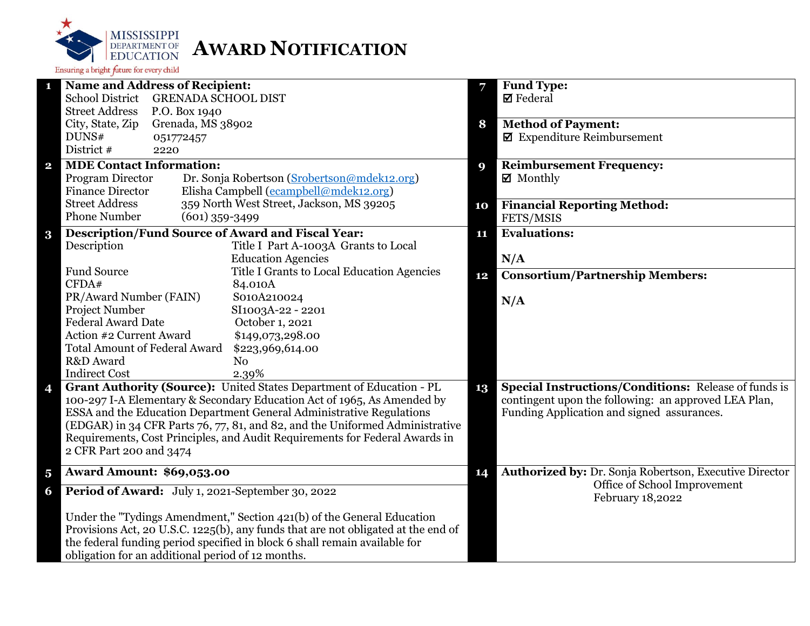

| 1                       | <b>Name and Address of Recipient:</b>                                             |    | <b>Fund Type:</b>                                           |
|-------------------------|-----------------------------------------------------------------------------------|----|-------------------------------------------------------------|
|                         | <b>School District</b><br><b>GRENADA SCHOOL DIST</b>                              |    | $\boxtimes$ Federal                                         |
|                         | <b>Street Address</b><br>P.O. Box 1940                                            |    |                                                             |
|                         | City, State, Zip<br>Grenada, MS 38902                                             | 8  | <b>Method of Payment:</b>                                   |
|                         | DUNS#<br>051772457                                                                |    | $\blacksquare$ Expenditure Reimbursement                    |
|                         | District #<br>2220                                                                |    |                                                             |
| $\overline{\mathbf{2}}$ | <b>MDE Contact Information:</b>                                                   | 9  | <b>Reimbursement Frequency:</b>                             |
|                         | Program Director<br>Dr. Sonja Robertson (Srobertson@mdek12.org)                   |    | $\boxtimes$ Monthly                                         |
|                         | Elisha Campbell (ecampbell@mdek12.org)<br><b>Finance Director</b>                 |    |                                                             |
|                         | 359 North West Street, Jackson, MS 39205<br><b>Street Address</b>                 | 10 | <b>Financial Reporting Method:</b>                          |
|                         | <b>Phone Number</b><br>$(601)$ 359-3499                                           |    | FETS/MSIS                                                   |
| $\bf{3}$                | <b>Description/Fund Source of Award and Fiscal Year:</b>                          | 11 | <b>Evaluations:</b>                                         |
|                         | Description<br>Title I Part A-1003A Grants to Local                               |    |                                                             |
|                         | <b>Education Agencies</b>                                                         |    | N/A                                                         |
|                         | <b>Fund Source</b><br>Title I Grants to Local Education Agencies                  | 12 | <b>Consortium/Partnership Members:</b>                      |
|                         | CFDA#<br>84.010A                                                                  |    |                                                             |
|                         | PR/Award Number (FAIN)<br>S010A210024                                             |    | N/A                                                         |
|                         | Project Number<br>SI1003A-22 - 2201<br><b>Federal Award Date</b>                  |    |                                                             |
|                         | October 1, 2021<br>Action #2 Current Award                                        |    |                                                             |
|                         | \$149,073,298.00<br><b>Total Amount of Federal Award</b>                          |    |                                                             |
|                         | \$223,969,614.00<br>R&D Award<br>N <sub>o</sub>                                   |    |                                                             |
|                         | <b>Indirect Cost</b><br>2.39%                                                     |    |                                                             |
|                         | Grant Authority (Source): United States Department of Education - PL              | 13 | <b>Special Instructions/Conditions: Release of funds is</b> |
| 4                       | 100-297 I-A Elementary & Secondary Education Act of 1965, As Amended by           |    | contingent upon the following: an approved LEA Plan,        |
|                         | ESSA and the Education Department General Administrative Regulations              |    | Funding Application and signed assurances.                  |
|                         | (EDGAR) in 34 CFR Parts 76, 77, 81, and 82, and the Uniformed Administrative      |    |                                                             |
|                         | Requirements, Cost Principles, and Audit Requirements for Federal Awards in       |    |                                                             |
|                         | 2 CFR Part 200 and 3474                                                           |    |                                                             |
|                         |                                                                                   |    |                                                             |
| $\overline{\mathbf{5}}$ | <b>Award Amount: \$69,053.00</b>                                                  | 14 | Authorized by: Dr. Sonja Robertson, Executive Director      |
| 6                       | Period of Award: July 1, 2021-September 30, 2022                                  |    | Office of School Improvement<br>February 18,2022            |
|                         | Under the "Tydings Amendment," Section 421(b) of the General Education            |    |                                                             |
|                         | Provisions Act, 20 U.S.C. 1225(b), any funds that are not obligated at the end of |    |                                                             |
|                         | the federal funding period specified in block 6 shall remain available for        |    |                                                             |
|                         | obligation for an additional period of 12 months.                                 |    |                                                             |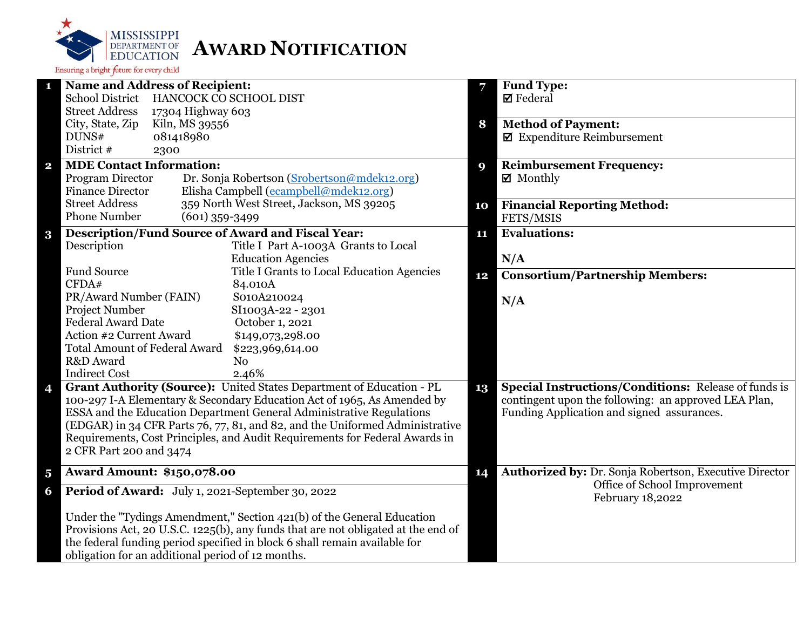

| 1                       | <b>Name and Address of Recipient:</b>                                             |    | <b>Fund Type:</b>                                           |
|-------------------------|-----------------------------------------------------------------------------------|----|-------------------------------------------------------------|
|                         | School District HANCOCK CO SCHOOL DIST                                            |    | $\boxtimes$ Federal                                         |
|                         | <b>Street Address</b><br>17304 Highway 603                                        |    |                                                             |
|                         | City, State, Zip<br>Kiln, MS 39556                                                | 8  | <b>Method of Payment:</b>                                   |
|                         | DUNS#<br>081418980                                                                |    | $\blacksquare$ Expenditure Reimbursement                    |
|                         | District #<br>2300                                                                |    |                                                             |
| $\overline{\mathbf{2}}$ | <b>MDE Contact Information:</b>                                                   | 9  | <b>Reimbursement Frequency:</b>                             |
|                         | Program Director<br>Dr. Sonja Robertson (Srobertson@mdek12.org)                   |    | $\boxtimes$ Monthly                                         |
|                         | Elisha Campbell (ecampbell@mdek12.org)<br><b>Finance Director</b>                 |    |                                                             |
|                         | 359 North West Street, Jackson, MS 39205<br><b>Street Address</b>                 | 10 | <b>Financial Reporting Method:</b>                          |
|                         | <b>Phone Number</b><br>$(601)$ 359-3499                                           |    | FETS/MSIS                                                   |
| $\bf{3}$                | <b>Description/Fund Source of Award and Fiscal Year:</b>                          | 11 | <b>Evaluations:</b>                                         |
|                         | Description<br>Title I Part A-1003A Grants to Local                               |    |                                                             |
|                         | <b>Education Agencies</b>                                                         |    | N/A                                                         |
|                         | <b>Fund Source</b><br>Title I Grants to Local Education Agencies                  | 12 | <b>Consortium/Partnership Members:</b>                      |
|                         | CFDA#<br>84.010A                                                                  |    |                                                             |
|                         | PR/Award Number (FAIN)<br>S010A210024                                             |    | N/A                                                         |
|                         | Project Number<br>SI1003A-22 - 2301                                               |    |                                                             |
|                         | <b>Federal Award Date</b><br>October 1, 2021                                      |    |                                                             |
|                         | Action #2 Current Award<br>\$149,073,298.00                                       |    |                                                             |
|                         | <b>Total Amount of Federal Award</b><br>\$223,969,614.00                          |    |                                                             |
|                         | R&D Award<br>N <sub>o</sub>                                                       |    |                                                             |
|                         | <b>Indirect Cost</b><br>2.46%                                                     |    |                                                             |
| 4                       | Grant Authority (Source): United States Department of Education - PL              | 13 | <b>Special Instructions/Conditions: Release of funds is</b> |
|                         | 100-297 I-A Elementary & Secondary Education Act of 1965, As Amended by           |    | contingent upon the following: an approved LEA Plan,        |
|                         | ESSA and the Education Department General Administrative Regulations              |    | Funding Application and signed assurances.                  |
|                         | (EDGAR) in 34 CFR Parts 76, 77, 81, and 82, and the Uniformed Administrative      |    |                                                             |
|                         | Requirements, Cost Principles, and Audit Requirements for Federal Awards in       |    |                                                             |
|                         | 2 CFR Part 200 and 3474                                                           |    |                                                             |
| $\overline{\mathbf{5}}$ | <b>Award Amount: \$150,078.00</b>                                                 | 14 | Authorized by: Dr. Sonja Robertson, Executive Director      |
| 6                       | Period of Award: July 1, 2021-September 30, 2022                                  |    | Office of School Improvement<br>February 18,2022            |
|                         | Under the "Tydings Amendment," Section 421(b) of the General Education            |    |                                                             |
|                         | Provisions Act, 20 U.S.C. 1225(b), any funds that are not obligated at the end of |    |                                                             |
|                         | the federal funding period specified in block 6 shall remain available for        |    |                                                             |
|                         | obligation for an additional period of 12 months.                                 |    |                                                             |
|                         |                                                                                   |    |                                                             |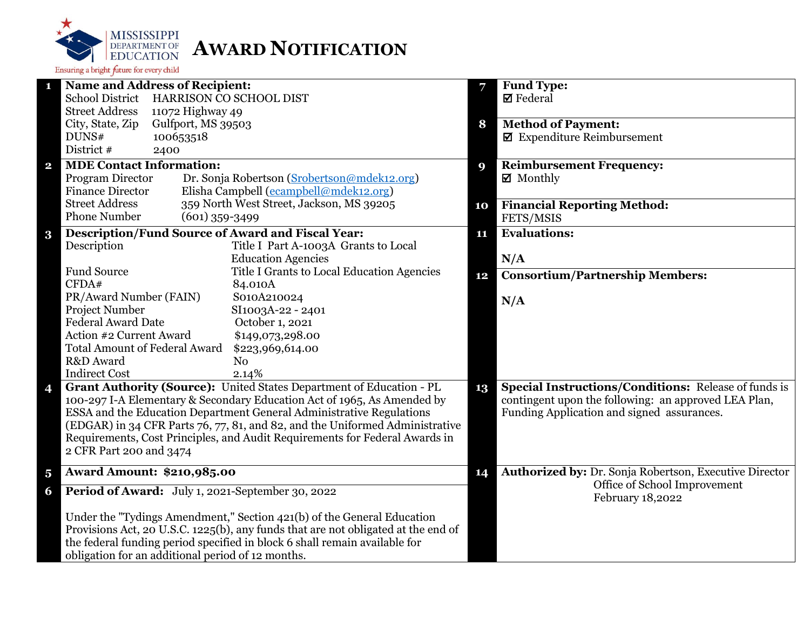

| 1                       | <b>Name and Address of Recipient:</b>                                                                 |    | <b>Fund Type:</b>                                                                                                   |
|-------------------------|-------------------------------------------------------------------------------------------------------|----|---------------------------------------------------------------------------------------------------------------------|
|                         | School District HARRISON CO SCHOOL DIST                                                               |    | $\boxtimes$ Federal                                                                                                 |
|                         | <b>Street Address</b><br>11072 Highway 49                                                             |    |                                                                                                                     |
|                         | City, State, Zip<br>Gulfport, MS 39503                                                                | 8  | <b>Method of Payment:</b>                                                                                           |
|                         | 100653518<br>DUNS#                                                                                    |    | $\blacksquare$ Expenditure Reimbursement                                                                            |
|                         | District #<br>2400                                                                                    |    |                                                                                                                     |
| $\overline{\mathbf{2}}$ | <b>MDE Contact Information:</b>                                                                       | 9  | <b>Reimbursement Frequency:</b>                                                                                     |
|                         | Program Director<br>Dr. Sonja Robertson (Srobertson@mdek12.org)                                       |    | $\boxtimes$ Monthly                                                                                                 |
|                         | Elisha Campbell (ecampbell@mdek12.org)<br><b>Finance Director</b>                                     |    |                                                                                                                     |
|                         | 359 North West Street, Jackson, MS 39205<br><b>Street Address</b>                                     | 10 | <b>Financial Reporting Method:</b>                                                                                  |
|                         | <b>Phone Number</b><br>$(601)$ 359-3499                                                               |    | FETS/MSIS                                                                                                           |
| $\bf{3}$                | <b>Description/Fund Source of Award and Fiscal Year:</b>                                              | 11 | <b>Evaluations:</b>                                                                                                 |
|                         | Description<br>Title I Part A-1003A Grants to Local                                                   |    |                                                                                                                     |
|                         | <b>Education Agencies</b>                                                                             |    | N/A                                                                                                                 |
|                         | <b>Fund Source</b><br>Title I Grants to Local Education Agencies                                      | 12 | <b>Consortium/Partnership Members:</b>                                                                              |
|                         | CFDA#<br>84.010A                                                                                      |    |                                                                                                                     |
|                         | PR/Award Number (FAIN)<br>S010A210024                                                                 |    | N/A                                                                                                                 |
|                         | Project Number<br>SI1003A-22 - 2401                                                                   |    |                                                                                                                     |
|                         | <b>Federal Award Date</b><br>October 1, 2021                                                          |    |                                                                                                                     |
|                         | Action #2 Current Award<br>\$149,073,298.00                                                           |    |                                                                                                                     |
|                         | <b>Total Amount of Federal Award</b><br>\$223,969,614.00                                              |    |                                                                                                                     |
|                         | R&D Award<br>N <sub>o</sub>                                                                           |    |                                                                                                                     |
|                         | <b>Indirect Cost</b><br>2.14%<br>Grant Authority (Source): United States Department of Education - PL |    |                                                                                                                     |
| 4                       | 100-297 I-A Elementary & Secondary Education Act of 1965, As Amended by                               | 13 | <b>Special Instructions/Conditions: Release of funds is</b><br>contingent upon the following: an approved LEA Plan, |
|                         | ESSA and the Education Department General Administrative Regulations                                  |    | Funding Application and signed assurances.                                                                          |
|                         | (EDGAR) in 34 CFR Parts 76, 77, 81, and 82, and the Uniformed Administrative                          |    |                                                                                                                     |
|                         | Requirements, Cost Principles, and Audit Requirements for Federal Awards in                           |    |                                                                                                                     |
|                         | 2 CFR Part 200 and 3474                                                                               |    |                                                                                                                     |
|                         |                                                                                                       |    |                                                                                                                     |
| $\overline{\mathbf{5}}$ | <b>Award Amount: \$210,985.00</b>                                                                     | 14 | Authorized by: Dr. Sonja Robertson, Executive Director                                                              |
| 6                       | Period of Award: July 1, 2021-September 30, 2022                                                      |    | Office of School Improvement<br>February 18,2022                                                                    |
|                         | Under the "Tydings Amendment," Section 421(b) of the General Education                                |    |                                                                                                                     |
|                         | Provisions Act, 20 U.S.C. 1225(b), any funds that are not obligated at the end of                     |    |                                                                                                                     |
|                         | the federal funding period specified in block 6 shall remain available for                            |    |                                                                                                                     |
|                         | obligation for an additional period of 12 months.                                                     |    |                                                                                                                     |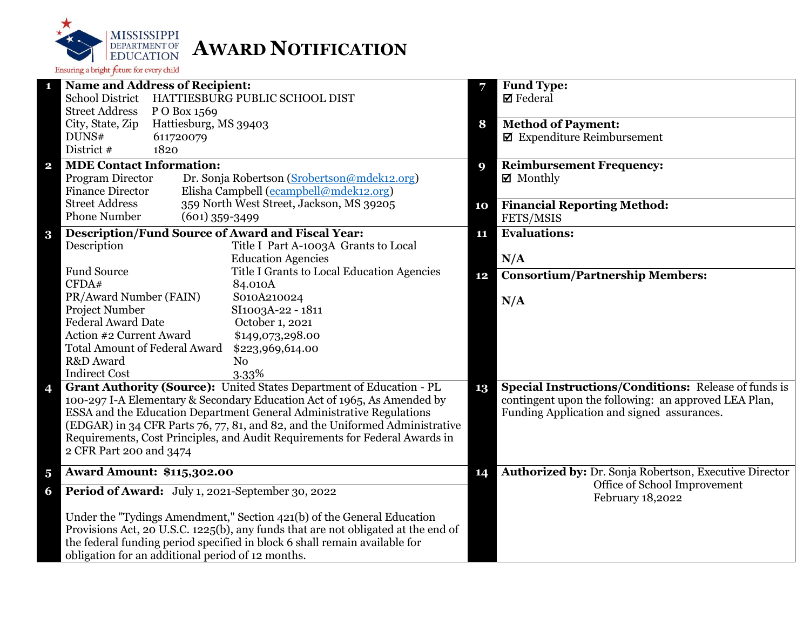

|                         | <b>Name and Address of Recipient:</b>                                             | 7  | <b>Fund Type:</b>                                           |
|-------------------------|-----------------------------------------------------------------------------------|----|-------------------------------------------------------------|
|                         | <b>School District</b><br>HATTIESBURG PUBLIC SCHOOL DIST                          |    | $\boxtimes$ Federal                                         |
|                         | <b>Street Address</b><br>P O Box 1569                                             |    |                                                             |
|                         | City, State, Zip<br>Hattiesburg, MS 39403                                         | 8  | <b>Method of Payment:</b>                                   |
|                         | DUNS#<br>611720079                                                                |    | $\blacksquare$ Expenditure Reimbursement                    |
|                         | District #<br>1820                                                                |    |                                                             |
| $\overline{\mathbf{2}}$ | <b>MDE Contact Information:</b>                                                   | 9  | <b>Reimbursement Frequency:</b>                             |
|                         | Program Director<br>Dr. Sonja Robertson (Srobertson@mdek12.org)                   |    | ■ Monthly                                                   |
|                         | <b>Finance Director</b><br>Elisha Campbell (ecampbell@mdek12.org)                 |    |                                                             |
|                         | <b>Street Address</b><br>359 North West Street, Jackson, MS 39205                 | 10 | <b>Financial Reporting Method:</b>                          |
|                         | <b>Phone Number</b><br>$(601)$ 359-3499                                           |    | FETS/MSIS                                                   |
| $\bf{3}$                | <b>Description/Fund Source of Award and Fiscal Year:</b>                          | 11 | <b>Evaluations:</b>                                         |
|                         | Description<br>Title I Part A-1003A Grants to Local                               |    |                                                             |
|                         | <b>Education Agencies</b>                                                         |    | N/A                                                         |
|                         | <b>Fund Source</b><br>Title I Grants to Local Education Agencies                  | 12 | <b>Consortium/Partnership Members:</b>                      |
|                         | CFDA#<br>84.010A                                                                  |    |                                                             |
|                         | PR/Award Number (FAIN)<br>S010A210024                                             |    | N/A                                                         |
|                         | Project Number<br>SI1003A-22 - 1811                                               |    |                                                             |
|                         | <b>Federal Award Date</b><br>October 1, 2021                                      |    |                                                             |
|                         | Action #2 Current Award<br>\$149,073,298.00                                       |    |                                                             |
|                         | <b>Total Amount of Federal Award</b><br>\$223,969,614.00                          |    |                                                             |
|                         | R&D Award<br>N <sub>o</sub>                                                       |    |                                                             |
|                         | <b>Indirect Cost</b><br>3.33%                                                     |    |                                                             |
| 4                       | Grant Authority (Source): United States Department of Education - PL              | 13 | <b>Special Instructions/Conditions:</b> Release of funds is |
|                         | 100-297 I-A Elementary & Secondary Education Act of 1965, As Amended by           |    | contingent upon the following: an approved LEA Plan,        |
|                         | ESSA and the Education Department General Administrative Regulations              |    | Funding Application and signed assurances.                  |
|                         | (EDGAR) in 34 CFR Parts 76, 77, 81, and 82, and the Uniformed Administrative      |    |                                                             |
|                         | Requirements, Cost Principles, and Audit Requirements for Federal Awards in       |    |                                                             |
|                         | 2 CFR Part 200 and 3474                                                           |    |                                                             |
| $\overline{\mathbf{5}}$ | <b>Award Amount: \$115,302.00</b>                                                 | 14 | Authorized by: Dr. Sonja Robertson, Executive Director      |
| 6                       | Period of Award: July 1, 2021-September 30, 2022                                  |    | Office of School Improvement<br>February 18,2022            |
|                         | Under the "Tydings Amendment," Section 421(b) of the General Education            |    |                                                             |
|                         | Provisions Act, 20 U.S.C. 1225(b), any funds that are not obligated at the end of |    |                                                             |
|                         | the federal funding period specified in block 6 shall remain available for        |    |                                                             |
|                         | obligation for an additional period of 12 months.                                 |    |                                                             |
|                         |                                                                                   |    |                                                             |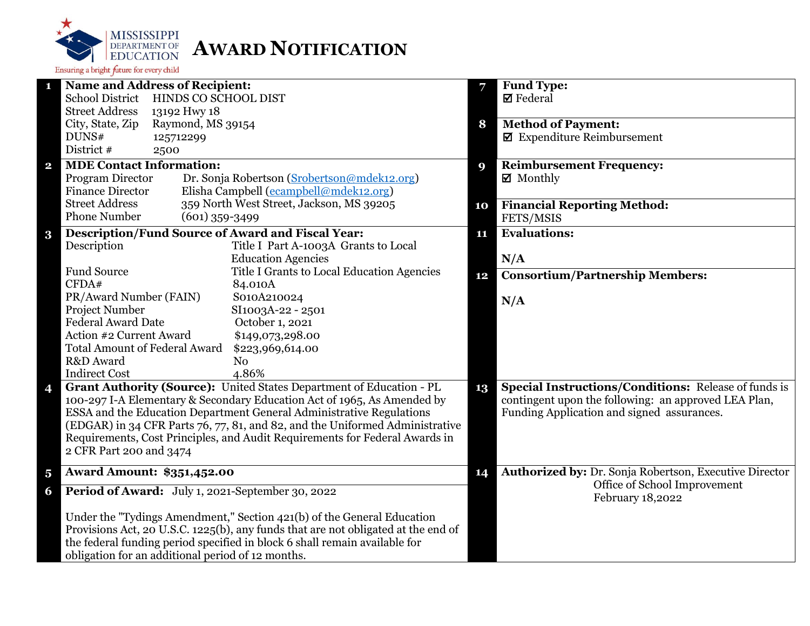

| <b>Name and Address of Recipient:</b><br>1                                   |                                                                                   |    | Fund Type:                                             |
|------------------------------------------------------------------------------|-----------------------------------------------------------------------------------|----|--------------------------------------------------------|
| <b>School District</b><br>HINDS CO SCHOOL DIST                               |                                                                                   |    | $\boxtimes$ Federal                                    |
| <b>Street Address</b><br>13192 Hwy 18                                        |                                                                                   |    |                                                        |
| City, State, Zip<br>Raymond, MS 39154                                        |                                                                                   | 8  | <b>Method of Payment:</b>                              |
| DUNS#<br>125712299                                                           |                                                                                   |    | $\blacksquare$ Expenditure Reimbursement               |
| District #<br>2500                                                           |                                                                                   |    |                                                        |
| <b>MDE Contact Information:</b><br>$\mathbf{2}$                              |                                                                                   | 9  | <b>Reimbursement Frequency:</b>                        |
| Program Director                                                             | Dr. Sonja Robertson (Srobertson@mdek12.org)                                       |    | $\boxtimes$ Monthly                                    |
| <b>Finance Director</b>                                                      | Elisha Campbell (ecampbell@mdek12.org)                                            |    |                                                        |
| <b>Street Address</b>                                                        | 359 North West Street, Jackson, MS 39205                                          | 10 | <b>Financial Reporting Method:</b>                     |
| <b>Phone Number</b><br>$(601)$ 359-3499                                      |                                                                                   |    | FETS/MSIS                                              |
| Description/Fund Source of Award and Fiscal Year:<br>$\bf{3}$                |                                                                                   | 11 | <b>Evaluations:</b>                                    |
| Description                                                                  | Title I Part A-1003A Grants to Local                                              |    |                                                        |
|                                                                              | <b>Education Agencies</b>                                                         |    | N/A                                                    |
| <b>Fund Source</b>                                                           | Title I Grants to Local Education Agencies                                        | 12 | <b>Consortium/Partnership Members:</b>                 |
| CFDA#<br>84.010A                                                             |                                                                                   |    |                                                        |
| PR/Award Number (FAIN)                                                       | S010A210024                                                                       |    | N/A                                                    |
| Project Number                                                               | SI1003A-22 - 2501                                                                 |    |                                                        |
| <b>Federal Award Date</b>                                                    | October 1, 2021                                                                   |    |                                                        |
| Action #2 Current Award<br><b>Total Amount of Federal Award</b>              | \$149,073,298.00                                                                  |    |                                                        |
| R&D Award<br>N <sub>0</sub>                                                  | \$223,969,614.00                                                                  |    |                                                        |
| <b>Indirect Cost</b><br>4.86%                                                |                                                                                   |    |                                                        |
| Grant Authority (Source): United States Department of Education - PL         |                                                                                   | 13 | Special Instructions/Conditions: Release of funds is   |
| 4<br>100-297 I-A Elementary & Secondary Education Act of 1965, As Amended by |                                                                                   |    | contingent upon the following: an approved LEA Plan,   |
| ESSA and the Education Department General Administrative Regulations         |                                                                                   |    | Funding Application and signed assurances.             |
|                                                                              | (EDGAR) in 34 CFR Parts 76, 77, 81, and 82, and the Uniformed Administrative      |    |                                                        |
|                                                                              | Requirements, Cost Principles, and Audit Requirements for Federal Awards in       |    |                                                        |
| 2 CFR Part 200 and 3474                                                      |                                                                                   |    |                                                        |
|                                                                              |                                                                                   |    |                                                        |
| <b>Award Amount: \$351,452.00</b><br>$\overline{\mathbf{5}}$                 |                                                                                   | 14 | Authorized by: Dr. Sonja Robertson, Executive Director |
| Period of Award: July 1, 2021-September 30, 2022<br>6                        |                                                                                   |    | Office of School Improvement<br>February 18,2022       |
| Under the "Tydings Amendment," Section 421(b) of the General Education       |                                                                                   |    |                                                        |
|                                                                              | Provisions Act, 20 U.S.C. 1225(b), any funds that are not obligated at the end of |    |                                                        |
| the federal funding period specified in block 6 shall remain available for   |                                                                                   |    |                                                        |
| obligation for an additional period of 12 months.                            |                                                                                   |    |                                                        |
|                                                                              |                                                                                   |    |                                                        |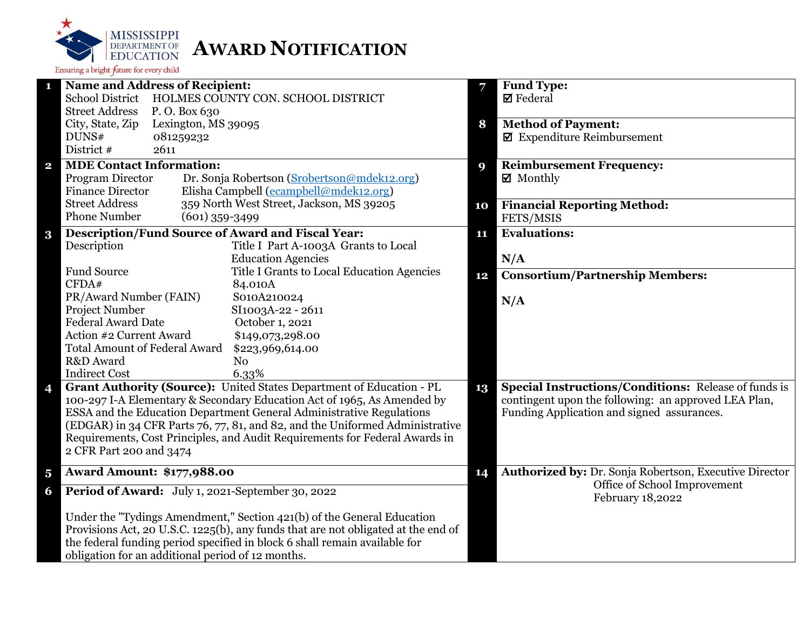

| 1                       | <b>Name and Address of Recipient:</b>                    |                                                                                                                                                      | 7  | <b>Fund Type:</b>                                           |
|-------------------------|----------------------------------------------------------|------------------------------------------------------------------------------------------------------------------------------------------------------|----|-------------------------------------------------------------|
|                         | <b>School District</b>                                   | HOLMES COUNTY CON. SCHOOL DISTRICT                                                                                                                   |    | $\boxtimes$ Federal                                         |
|                         | <b>Street Address</b><br>P.O. Box 630                    |                                                                                                                                                      |    |                                                             |
|                         | Lexington, MS 39095<br>City, State, Zip                  |                                                                                                                                                      | 8  | <b>Method of Payment:</b>                                   |
|                         | DUNS#<br>081259232                                       |                                                                                                                                                      |    | $\blacksquare$ Expenditure Reimbursement                    |
|                         | District #<br>2611                                       |                                                                                                                                                      |    |                                                             |
| $\mathbf{2}$            | <b>MDE Contact Information:</b>                          |                                                                                                                                                      | 9  | <b>Reimbursement Frequency:</b>                             |
|                         | Program Director                                         | Dr. Sonja Robertson (Srobertson@mdek12.org)                                                                                                          |    | $\boxtimes$ Monthly                                         |
|                         | <b>Finance Director</b>                                  | Elisha Campbell (ecampbell@mdek12.org)                                                                                                               |    |                                                             |
|                         | <b>Street Address</b>                                    | 359 North West Street, Jackson, MS 39205                                                                                                             | 10 | <b>Financial Reporting Method:</b>                          |
|                         | <b>Phone Number</b>                                      | $(601)$ 359-3499                                                                                                                                     |    | FETS/MSIS                                                   |
| $\bf{3}$                | <b>Description/Fund Source of Award and Fiscal Year:</b> |                                                                                                                                                      | 11 | <b>Evaluations:</b>                                         |
|                         | Description                                              | Title I Part A-1003A Grants to Local                                                                                                                 |    |                                                             |
|                         |                                                          | <b>Education Agencies</b>                                                                                                                            |    | N/A                                                         |
|                         | <b>Fund Source</b>                                       | Title I Grants to Local Education Agencies                                                                                                           | 12 | <b>Consortium/Partnership Members:</b>                      |
|                         | CFDA#                                                    | 84.010A                                                                                                                                              |    |                                                             |
|                         | PR/Award Number (FAIN)                                   | S010A210024                                                                                                                                          |    | N/A                                                         |
|                         | Project Number                                           | SI1003A-22 - 2611                                                                                                                                    |    |                                                             |
|                         | <b>Federal Award Date</b>                                | October 1, 2021                                                                                                                                      |    |                                                             |
|                         | Action #2 Current Award                                  | \$149,073,298.00                                                                                                                                     |    |                                                             |
|                         | <b>Total Amount of Federal Award</b>                     | \$223,969,614.00                                                                                                                                     |    |                                                             |
|                         | R&D Award                                                | N <sub>o</sub>                                                                                                                                       |    |                                                             |
|                         | <b>Indirect Cost</b>                                     | 6.33%                                                                                                                                                |    |                                                             |
| 4                       |                                                          | Grant Authority (Source): United States Department of Education - PL                                                                                 | 13 | <b>Special Instructions/Conditions:</b> Release of funds is |
|                         |                                                          | 100-297 I-A Elementary & Secondary Education Act of 1965, As Amended by                                                                              |    | contingent upon the following: an approved LEA Plan,        |
|                         |                                                          | ESSA and the Education Department General Administrative Regulations<br>(EDGAR) in 34 CFR Parts 76, 77, 81, and 82, and the Uniformed Administrative |    | Funding Application and signed assurances.                  |
|                         |                                                          | Requirements, Cost Principles, and Audit Requirements for Federal Awards in                                                                          |    |                                                             |
|                         | 2 CFR Part 200 and 3474                                  |                                                                                                                                                      |    |                                                             |
|                         |                                                          |                                                                                                                                                      |    |                                                             |
| $\overline{\mathbf{5}}$ | <b>Award Amount: \$177,988.00</b>                        |                                                                                                                                                      | 14 | Authorized by: Dr. Sonja Robertson, Executive Director      |
| 6                       | Period of Award: July 1, 2021-September 30, 2022         |                                                                                                                                                      |    | Office of School Improvement<br>February 18,2022            |
|                         |                                                          | Under the "Tydings Amendment," Section 421(b) of the General Education                                                                               |    |                                                             |
|                         |                                                          | Provisions Act, 20 U.S.C. 1225(b), any funds that are not obligated at the end of                                                                    |    |                                                             |
|                         |                                                          | the federal funding period specified in block 6 shall remain available for                                                                           |    |                                                             |
|                         | obligation for an additional period of 12 months.        |                                                                                                                                                      |    |                                                             |
|                         |                                                          |                                                                                                                                                      |    |                                                             |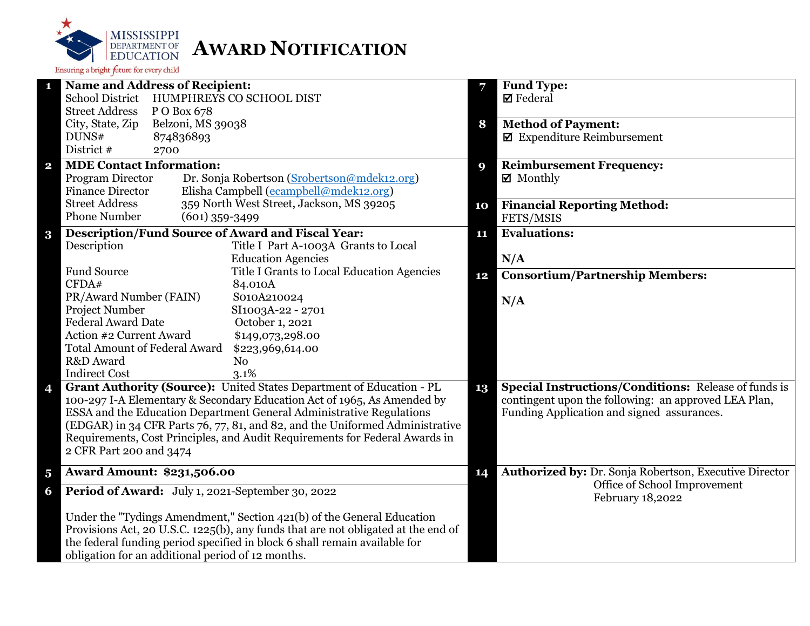

| <b>Name and Address of Recipient:</b><br>1                                        | 7  | <b>Fund Type:</b>                                           |
|-----------------------------------------------------------------------------------|----|-------------------------------------------------------------|
| <b>School District</b><br>HUMPHREYS CO SCHOOL DIST                                |    | $\boxtimes$ Federal                                         |
| <b>Street Address</b><br>P O Box 678                                              |    |                                                             |
| Belzoni, MS 39038<br>City, State, Zip                                             | 8  | <b>Method of Payment:</b>                                   |
| DUNS#<br>874836893                                                                |    | $\blacksquare$ Expenditure Reimbursement                    |
| District #<br>2700                                                                |    |                                                             |
| <b>MDE Contact Information:</b><br>$\mathbf{2}$                                   | 9  | <b>Reimbursement Frequency:</b>                             |
| Program Director<br>Dr. Sonja Robertson (Srobertson@mdek12.org)                   |    | $\boxtimes$ Monthly                                         |
| Elisha Campbell (ecampbell@mdek12.org)<br><b>Finance Director</b>                 |    |                                                             |
| 359 North West Street, Jackson, MS 39205<br><b>Street Address</b>                 | 10 | <b>Financial Reporting Method:</b>                          |
| <b>Phone Number</b><br>$(601)$ 359-3499                                           |    | FETS/MSIS                                                   |
| <b>Description/Fund Source of Award and Fiscal Year:</b><br>$\bf{3}$              | 11 | <b>Evaluations:</b>                                         |
| Description<br>Title I Part A-1003A Grants to Local                               |    |                                                             |
| <b>Education Agencies</b>                                                         |    | N/A                                                         |
| <b>Fund Source</b><br>Title I Grants to Local Education Agencies                  | 12 | <b>Consortium/Partnership Members:</b>                      |
| CFDA#<br>84.010A                                                                  |    |                                                             |
| PR/Award Number (FAIN)<br>S010A210024                                             |    | N/A                                                         |
| SI1003A-22 - 2701<br>Project Number                                               |    |                                                             |
| <b>Federal Award Date</b><br>October 1, 2021                                      |    |                                                             |
| Action #2 Current Award<br>\$149,073,298.00                                       |    |                                                             |
| <b>Total Amount of Federal Award</b><br>\$223,969,614.00                          |    |                                                             |
| R&D Award<br>N <sub>0</sub>                                                       |    |                                                             |
| <b>Indirect Cost</b><br>3.1%                                                      |    |                                                             |
| Grant Authority (Source): United States Department of Education - PL<br>4         | 13 | <b>Special Instructions/Conditions: Release of funds is</b> |
| 100-297 I-A Elementary & Secondary Education Act of 1965, As Amended by           |    | contingent upon the following: an approved LEA Plan,        |
| ESSA and the Education Department General Administrative Regulations              |    | Funding Application and signed assurances.                  |
| (EDGAR) in 34 CFR Parts 76, 77, 81, and 82, and the Uniformed Administrative      |    |                                                             |
| Requirements, Cost Principles, and Audit Requirements for Federal Awards in       |    |                                                             |
| 2 CFR Part 200 and 3474                                                           |    |                                                             |
| <b>Award Amount: \$231,506.00</b><br>$\overline{\mathbf{5}}$                      | 14 | Authorized by: Dr. Sonja Robertson, Executive Director      |
| Period of Award: July 1, 2021-September 30, 2022<br>6                             |    | Office of School Improvement<br>February 18,2022            |
|                                                                                   |    |                                                             |
| Under the "Tydings Amendment," Section 421(b) of the General Education            |    |                                                             |
| Provisions Act, 20 U.S.C. 1225(b), any funds that are not obligated at the end of |    |                                                             |
| the federal funding period specified in block 6 shall remain available for        |    |                                                             |
| obligation for an additional period of 12 months.                                 |    |                                                             |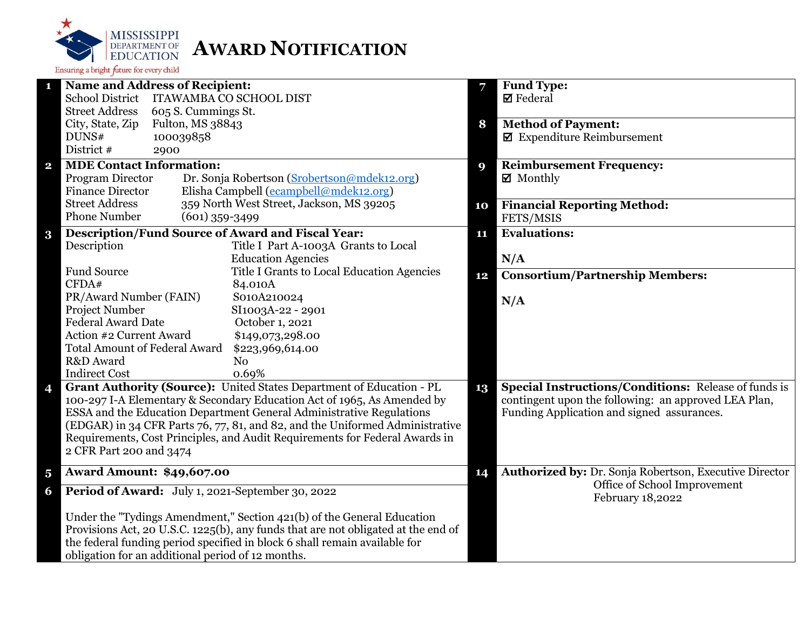

|                         | <b>Name and Address of Recipient:</b>                                             | 7  | <b>Fund Type:</b>                                           |
|-------------------------|-----------------------------------------------------------------------------------|----|-------------------------------------------------------------|
|                         | <b>School District</b><br><b>ITAWAMBA CO SCHOOL DIST</b>                          |    | $\boxtimes$ Federal                                         |
|                         | <b>Street Address</b><br>605 S. Cummings St.                                      |    |                                                             |
|                         | City, State, Zip<br>Fulton, MS 38843                                              | 8  | <b>Method of Payment:</b>                                   |
|                         | 100039858<br>DUNS#                                                                |    | $\blacksquare$ Expenditure Reimbursement                    |
|                         | District #<br>2900                                                                |    |                                                             |
| $\overline{\mathbf{2}}$ | <b>MDE Contact Information:</b>                                                   | 9  | <b>Reimbursement Frequency:</b>                             |
|                         | Program Director<br>Dr. Sonja Robertson (Srobertson@mdek12.org)                   |    | $\boxtimes$ Monthly                                         |
|                         | Elisha Campbell (ecampbell@mdek12.org)<br><b>Finance Director</b>                 |    |                                                             |
|                         | <b>Street Address</b><br>359 North West Street, Jackson, MS 39205                 | 10 | <b>Financial Reporting Method:</b>                          |
|                         | <b>Phone Number</b><br>$(601)$ 359-3499                                           |    | FETS/MSIS                                                   |
| $\bf{3}$                | <b>Description/Fund Source of Award and Fiscal Year:</b>                          | 11 | <b>Evaluations:</b>                                         |
|                         | Description<br>Title I Part A-1003A Grants to Local                               |    |                                                             |
|                         | <b>Education Agencies</b>                                                         |    | N/A                                                         |
|                         | <b>Fund Source</b><br>Title I Grants to Local Education Agencies                  |    | <b>Consortium/Partnership Members:</b>                      |
|                         | CFDA#<br>84.010A                                                                  | 12 |                                                             |
|                         | PR/Award Number (FAIN)<br>S010A210024                                             |    | N/A                                                         |
|                         | <b>Project Number</b><br>SI1003A-22 - 2901                                        |    |                                                             |
|                         | <b>Federal Award Date</b><br>October 1, 2021                                      |    |                                                             |
|                         | Action #2 Current Award<br>\$149,073,298.00                                       |    |                                                             |
|                         | <b>Total Amount of Federal Award</b><br>\$223,969,614.00                          |    |                                                             |
|                         | R&D Award<br>N <sub>o</sub>                                                       |    |                                                             |
|                         | <b>Indirect Cost</b><br>0.69%                                                     |    |                                                             |
| 4                       | Grant Authority (Source): United States Department of Education - PL              | 13 | <b>Special Instructions/Conditions: Release of funds is</b> |
|                         | 100-297 I-A Elementary & Secondary Education Act of 1965, As Amended by           |    | contingent upon the following: an approved LEA Plan,        |
|                         | ESSA and the Education Department General Administrative Regulations              |    | Funding Application and signed assurances.                  |
|                         | (EDGAR) in 34 CFR Parts 76, 77, 81, and 82, and the Uniformed Administrative      |    |                                                             |
|                         | Requirements, Cost Principles, and Audit Requirements for Federal Awards in       |    |                                                             |
|                         | 2 CFR Part 200 and 3474                                                           |    |                                                             |
|                         |                                                                                   |    |                                                             |
| $\overline{\mathbf{5}}$ | <b>Award Amount: \$49,607.00</b>                                                  | 14 | Authorized by: Dr. Sonja Robertson, Executive Director      |
| 6                       | Period of Award: July 1, 2021-September 30, 2022                                  |    | Office of School Improvement<br>February 18,2022            |
|                         | Under the "Tydings Amendment," Section 421(b) of the General Education            |    |                                                             |
|                         | Provisions Act, 20 U.S.C. 1225(b), any funds that are not obligated at the end of |    |                                                             |
|                         | the federal funding period specified in block 6 shall remain available for        |    |                                                             |
|                         | obligation for an additional period of 12 months.                                 |    |                                                             |
|                         |                                                                                   |    |                                                             |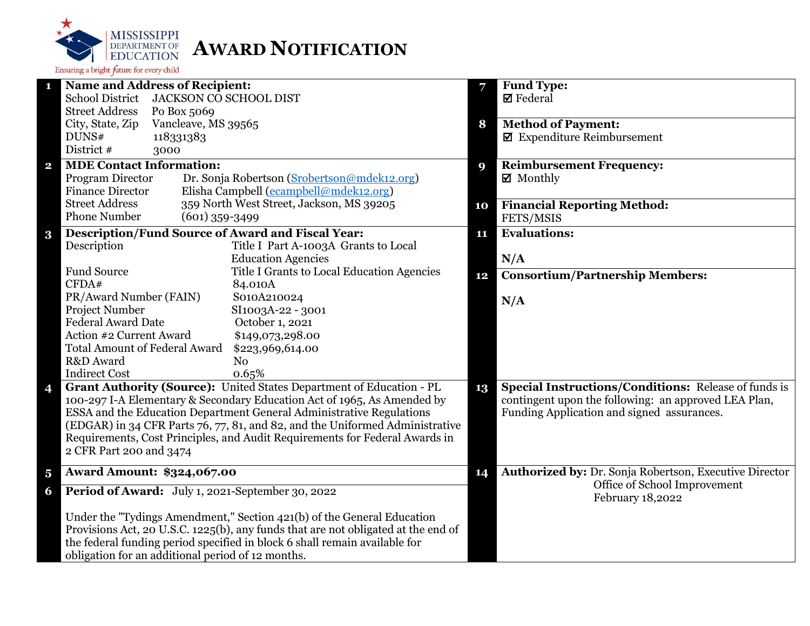

| п                       | <b>Name and Address of Recipient:</b>                                             |          | Fund Type:                                                    |
|-------------------------|-----------------------------------------------------------------------------------|----------|---------------------------------------------------------------|
|                         | School District JACKSON CO SCHOOL DIST                                            |          | $\boxtimes$ Federal                                           |
|                         | <b>Street Address</b><br>Po Box 5069                                              |          |                                                               |
|                         | City, State, Zip<br>Vancleave, MS 39565                                           | 8        | <b>Method of Payment:</b>                                     |
|                         | DUNS#<br>118331383                                                                |          | $\boxtimes$ Expenditure Reimbursement                         |
|                         | District #<br>3000                                                                |          |                                                               |
| $\mathbf{2}$            | <b>MDE Contact Information:</b>                                                   | <b>Q</b> | <b>Reimbursement Frequency:</b>                               |
|                         | Dr. Sonja Robertson (Srobertson@mdek12.org)<br>Program Director                   |          | $\boxtimes$ Monthly                                           |
|                         | Elisha Campbell (ecampbell@mdek12.org)<br><b>Finance Director</b>                 |          |                                                               |
|                         | 359 North West Street, Jackson, MS 39205<br><b>Street Address</b>                 | 10       | <b>Financial Reporting Method:</b>                            |
|                         | <b>Phone Number</b><br>$(601)$ 359-3499                                           |          | FETS/MSIS                                                     |
| $\bf{3}$                | <b>Description/Fund Source of Award and Fiscal Year:</b>                          | 11       | <b>Evaluations:</b>                                           |
|                         | Description<br>Title I Part A-1003A Grants to Local                               |          |                                                               |
|                         | <b>Education Agencies</b>                                                         |          | N/A                                                           |
|                         | Fund Source<br>Title I Grants to Local Education Agencies                         | 12       | <b>Consortium/Partnership Members:</b>                        |
|                         | CFDA#<br>84.010A                                                                  |          |                                                               |
|                         | PR/Award Number (FAIN)<br>S010A210024                                             |          | N/A                                                           |
|                         | Project Number<br>SI1003A-22 - 3001                                               |          |                                                               |
|                         | <b>Federal Award Date</b><br>October 1, 2021                                      |          |                                                               |
|                         | Action #2 Current Award<br>\$149,073,298.00                                       |          |                                                               |
|                         | <b>Total Amount of Federal Award</b><br>\$223,969,614.00                          |          |                                                               |
|                         | R&D Award<br>N <sub>o</sub>                                                       |          |                                                               |
|                         | <b>Indirect Cost</b><br>0.65%                                                     |          |                                                               |
| 4                       | Grant Authority (Source): United States Department of Education - PL              | 13       | Special Instructions/Conditions: Release of funds is          |
|                         | 100-297 I-A Elementary & Secondary Education Act of 1965, As Amended by           |          | contingent upon the following: an approved LEA Plan,          |
|                         | ESSA and the Education Department General Administrative Regulations              |          | Funding Application and signed assurances.                    |
|                         | (EDGAR) in 34 CFR Parts 76, 77, 81, and 82, and the Uniformed Administrative      |          |                                                               |
|                         | Requirements, Cost Principles, and Audit Requirements for Federal Awards in       |          |                                                               |
|                         | 2 CFR Part 200 and 3474                                                           |          |                                                               |
| $\overline{\mathbf{5}}$ | <b>Award Amount: \$324,067.00</b>                                                 | 14       | <b>Authorized by: Dr. Sonja Robertson, Executive Director</b> |
| 6                       | Period of Award: July 1, 2021-September 30, 2022                                  |          | Office of School Improvement                                  |
|                         |                                                                                   |          | February 18,2022                                              |
|                         | Under the "Tydings Amendment," Section 421(b) of the General Education            |          |                                                               |
|                         | Provisions Act, 20 U.S.C. 1225(b), any funds that are not obligated at the end of |          |                                                               |
|                         | the federal funding period specified in block 6 shall remain available for        |          |                                                               |
|                         | obligation for an additional period of 12 months.                                 |          |                                                               |
|                         |                                                                                   |          |                                                               |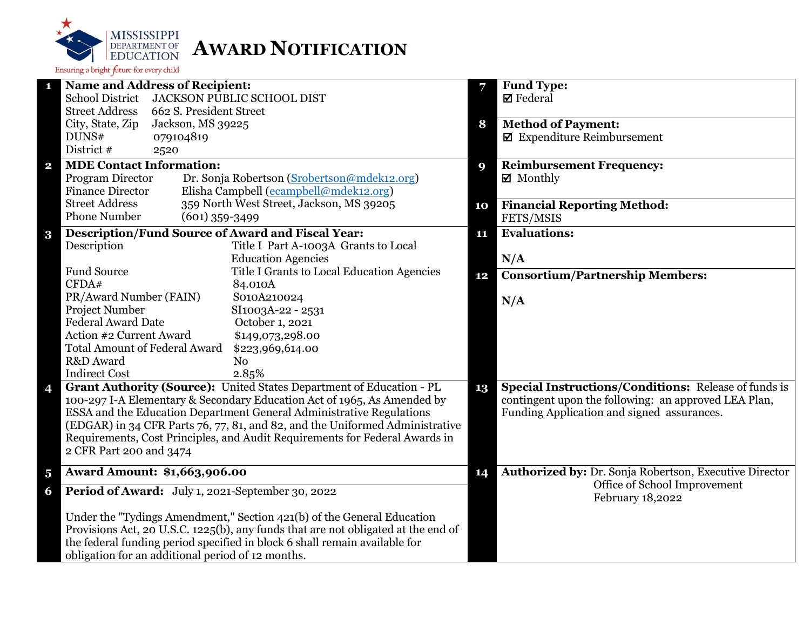

|                         | <b>Name and Address of Recipient:</b>                                             | 7  | <b>Fund Type:</b>                                           |
|-------------------------|-----------------------------------------------------------------------------------|----|-------------------------------------------------------------|
|                         | <b>School District</b><br><b>JACKSON PUBLIC SCHOOL DIST</b>                       |    | $\boxtimes$ Federal                                         |
|                         | <b>Street Address</b><br>662 S. President Street                                  |    |                                                             |
|                         | City, State, Zip<br>Jackson, MS 39225                                             | 8  | <b>Method of Payment:</b>                                   |
|                         | DUNS#<br>079104819                                                                |    | $\blacksquare$ Expenditure Reimbursement                    |
|                         | District #<br>2520                                                                |    |                                                             |
| $\overline{\mathbf{2}}$ | <b>MDE Contact Information:</b>                                                   | 9  | <b>Reimbursement Frequency:</b>                             |
|                         | Program Director<br>Dr. Sonja Robertson (Srobertson@mdek12.org)                   |    | $\boxtimes$ Monthly                                         |
|                         | Elisha Campbell (ecampbell@mdek12.org)<br><b>Finance Director</b>                 |    |                                                             |
|                         | <b>Street Address</b><br>359 North West Street, Jackson, MS 39205                 | 10 | <b>Financial Reporting Method:</b>                          |
|                         | <b>Phone Number</b><br>$(601)$ 359-3499                                           |    | FETS/MSIS                                                   |
| $\bf{3}$                | <b>Description/Fund Source of Award and Fiscal Year:</b>                          | 11 | <b>Evaluations:</b>                                         |
|                         | Description<br>Title I Part A-1003A Grants to Local                               |    |                                                             |
|                         | <b>Education Agencies</b>                                                         |    | N/A                                                         |
|                         | <b>Fund Source</b><br>Title I Grants to Local Education Agencies                  | 12 | <b>Consortium/Partnership Members:</b>                      |
|                         | CFDA#<br>84.010A                                                                  |    |                                                             |
|                         | PR/Award Number (FAIN)<br>S010A210024                                             |    | N/A                                                         |
|                         | <b>Project Number</b><br>SI1003A-22 - 2531                                        |    |                                                             |
|                         | <b>Federal Award Date</b><br>October 1, 2021                                      |    |                                                             |
|                         | Action #2 Current Award<br>\$149,073,298.00                                       |    |                                                             |
|                         | <b>Total Amount of Federal Award</b><br>\$223,969,614.00                          |    |                                                             |
|                         | R&D Award<br>N <sub>o</sub>                                                       |    |                                                             |
|                         | <b>Indirect Cost</b><br>2.85%                                                     |    |                                                             |
| 4                       | Grant Authority (Source): United States Department of Education - PL              | 13 | <b>Special Instructions/Conditions: Release of funds is</b> |
|                         | 100-297 I-A Elementary & Secondary Education Act of 1965, As Amended by           |    | contingent upon the following: an approved LEA Plan,        |
|                         | ESSA and the Education Department General Administrative Regulations              |    | Funding Application and signed assurances.                  |
|                         | (EDGAR) in 34 CFR Parts 76, 77, 81, and 82, and the Uniformed Administrative      |    |                                                             |
|                         | Requirements, Cost Principles, and Audit Requirements for Federal Awards in       |    |                                                             |
|                         | 2 CFR Part 200 and 3474                                                           |    |                                                             |
| $\overline{\mathbf{5}}$ | <b>Award Amount: \$1,663,906.00</b>                                               | 14 | Authorized by: Dr. Sonja Robertson, Executive Director      |
| 6                       | Period of Award: July 1, 2021-September 30, 2022                                  |    | Office of School Improvement<br>February 18,2022            |
|                         |                                                                                   |    |                                                             |
|                         | Under the "Tydings Amendment," Section 421(b) of the General Education            |    |                                                             |
|                         | Provisions Act, 20 U.S.C. 1225(b), any funds that are not obligated at the end of |    |                                                             |
|                         | the federal funding period specified in block 6 shall remain available for        |    |                                                             |
|                         | obligation for an additional period of 12 months.                                 |    |                                                             |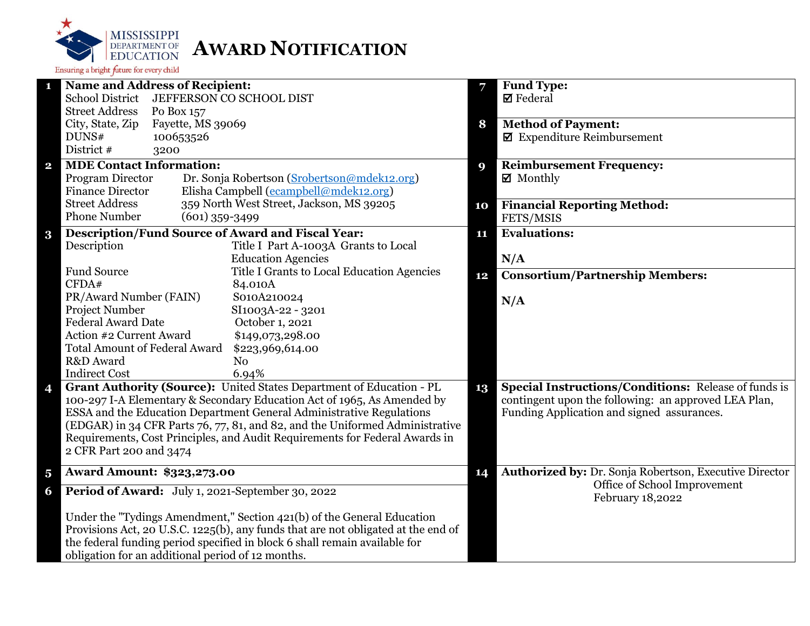

|                         | <b>Name and Address of Recipient:</b>                                             | 7  | <b>Fund Type:</b>                                           |
|-------------------------|-----------------------------------------------------------------------------------|----|-------------------------------------------------------------|
|                         | <b>School District</b><br>JEFFERSON CO SCHOOL DIST                                |    | $\boxtimes$ Federal                                         |
|                         | <b>Street Address</b><br>Po Box 157                                               |    |                                                             |
|                         | City, State, Zip<br>Fayette, MS 39069                                             | 8  | <b>Method of Payment:</b>                                   |
|                         | DUNS#<br>100653526                                                                |    | $\blacksquare$ Expenditure Reimbursement                    |
|                         | District #<br>3200                                                                |    |                                                             |
| $\mathbf{2}$            | <b>MDE Contact Information:</b>                                                   | 9  | <b>Reimbursement Frequency:</b>                             |
|                         | Program Director<br>Dr. Sonja Robertson (Srobertson@mdek12.org)                   |    | $\boxtimes$ Monthly                                         |
|                         | Elisha Campbell (ecampbell@mdek12.org)<br><b>Finance Director</b>                 |    |                                                             |
|                         | 359 North West Street, Jackson, MS 39205<br><b>Street Address</b>                 | 10 | <b>Financial Reporting Method:</b>                          |
|                         | <b>Phone Number</b><br>$(601)$ 359-3499                                           |    | FETS/MSIS                                                   |
| $\bf{3}$                | <b>Description/Fund Source of Award and Fiscal Year:</b>                          | 11 | <b>Evaluations:</b>                                         |
|                         | Description<br>Title I Part A-1003A Grants to Local                               |    |                                                             |
|                         | <b>Education Agencies</b>                                                         |    | N/A                                                         |
|                         | <b>Fund Source</b><br>Title I Grants to Local Education Agencies                  | 12 | <b>Consortium/Partnership Members:</b>                      |
|                         | CFDA#<br>84.010A                                                                  |    |                                                             |
|                         | PR/Award Number (FAIN)<br>S010A210024                                             |    | N/A                                                         |
|                         | Project Number<br>SI1003A-22 - 3201                                               |    |                                                             |
|                         | <b>Federal Award Date</b><br>October 1, 2021                                      |    |                                                             |
|                         | Action #2 Current Award<br>\$149,073,298.00                                       |    |                                                             |
|                         | <b>Total Amount of Federal Award</b><br>\$223,969,614.00                          |    |                                                             |
|                         | R&D Award<br>N <sub>0</sub>                                                       |    |                                                             |
|                         | <b>Indirect Cost</b><br>6.94%                                                     |    |                                                             |
| 4                       | Grant Authority (Source): United States Department of Education - PL              | 13 | <b>Special Instructions/Conditions: Release of funds is</b> |
|                         | 100-297 I-A Elementary & Secondary Education Act of 1965, As Amended by           |    | contingent upon the following: an approved LEA Plan,        |
|                         | ESSA and the Education Department General Administrative Regulations              |    | Funding Application and signed assurances.                  |
|                         | (EDGAR) in 34 CFR Parts 76, 77, 81, and 82, and the Uniformed Administrative      |    |                                                             |
|                         | Requirements, Cost Principles, and Audit Requirements for Federal Awards in       |    |                                                             |
|                         | 2 CFR Part 200 and 3474                                                           |    |                                                             |
|                         |                                                                                   |    |                                                             |
| $\overline{\mathbf{5}}$ | <b>Award Amount: \$323,273.00</b>                                                 | 14 | Authorized by: Dr. Sonja Robertson, Executive Director      |
| 6                       | Period of Award: July 1, 2021-September 30, 2022                                  |    | Office of School Improvement<br>February 18,2022            |
|                         | Under the "Tydings Amendment," Section 421(b) of the General Education            |    |                                                             |
|                         | Provisions Act, 20 U.S.C. 1225(b), any funds that are not obligated at the end of |    |                                                             |
|                         | the federal funding period specified in block 6 shall remain available for        |    |                                                             |
|                         | obligation for an additional period of 12 months.                                 |    |                                                             |
|                         |                                                                                   |    |                                                             |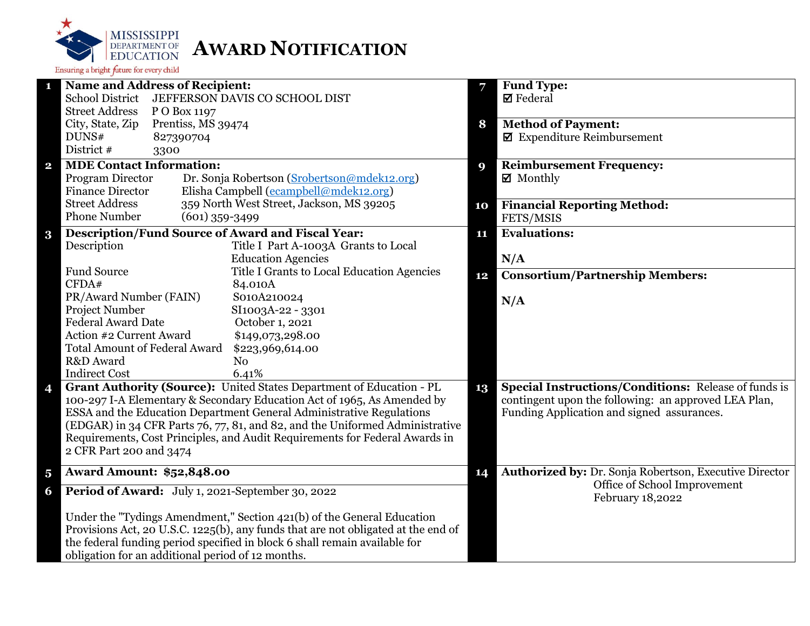

|                         | <b>Name and Address of Recipient:</b>                                             | 7  | <b>Fund Type:</b>                                           |
|-------------------------|-----------------------------------------------------------------------------------|----|-------------------------------------------------------------|
|                         | <b>School District</b><br>JEFFERSON DAVIS CO SCHOOL DIST                          |    | $\boxtimes$ Federal                                         |
|                         | <b>Street Address</b><br>P O Box 1197                                             |    |                                                             |
|                         | City, State, Zip<br>Prentiss, MS 39474                                            | 8  | <b>Method of Payment:</b>                                   |
|                         | DUNS#<br>827390704                                                                |    | $\blacksquare$ Expenditure Reimbursement                    |
|                         | District #<br>3300                                                                |    |                                                             |
| $\overline{\mathbf{2}}$ | <b>MDE Contact Information:</b>                                                   | 9  | <b>Reimbursement Frequency:</b>                             |
|                         | Program Director<br>Dr. Sonja Robertson (Srobertson@mdek12.org)                   |    | ■ Monthly                                                   |
|                         | <b>Finance Director</b><br>Elisha Campbell (ecampbell@mdek12.org)                 |    |                                                             |
|                         | <b>Street Address</b><br>359 North West Street, Jackson, MS 39205                 | 10 | <b>Financial Reporting Method:</b>                          |
|                         | <b>Phone Number</b><br>$(601)$ 359-3499                                           |    | FETS/MSIS                                                   |
| $\bf{3}$                | <b>Description/Fund Source of Award and Fiscal Year:</b>                          | 11 | <b>Evaluations:</b>                                         |
|                         | Description<br>Title I Part A-1003A Grants to Local                               |    |                                                             |
|                         | <b>Education Agencies</b>                                                         |    | N/A                                                         |
|                         | <b>Fund Source</b><br>Title I Grants to Local Education Agencies                  | 12 | <b>Consortium/Partnership Members:</b>                      |
|                         | CFDA#<br>84.010A                                                                  |    |                                                             |
|                         | PR/Award Number (FAIN)<br>S010A210024                                             |    | N/A                                                         |
|                         | Project Number<br>SI1003A-22 - 3301                                               |    |                                                             |
|                         | <b>Federal Award Date</b><br>October 1, 2021                                      |    |                                                             |
|                         | Action #2 Current Award<br>\$149,073,298.00                                       |    |                                                             |
|                         | <b>Total Amount of Federal Award</b><br>\$223,969,614.00                          |    |                                                             |
|                         | R&D Award<br>N <sub>o</sub>                                                       |    |                                                             |
|                         | <b>Indirect Cost</b><br>6.41%                                                     |    |                                                             |
| 4                       | Grant Authority (Source): United States Department of Education - PL              | 13 | <b>Special Instructions/Conditions:</b> Release of funds is |
|                         | 100-297 I-A Elementary & Secondary Education Act of 1965, As Amended by           |    | contingent upon the following: an approved LEA Plan,        |
|                         | ESSA and the Education Department General Administrative Regulations              |    | Funding Application and signed assurances.                  |
|                         | (EDGAR) in 34 CFR Parts 76, 77, 81, and 82, and the Uniformed Administrative      |    |                                                             |
|                         | Requirements, Cost Principles, and Audit Requirements for Federal Awards in       |    |                                                             |
|                         | 2 CFR Part 200 and 3474                                                           |    |                                                             |
| $\overline{\mathbf{5}}$ | <b>Award Amount: \$52,848.00</b>                                                  | 14 | Authorized by: Dr. Sonja Robertson, Executive Director      |
| 6                       | Period of Award: July 1, 2021-September 30, 2022                                  |    | Office of School Improvement<br>February 18,2022            |
|                         | Under the "Tydings Amendment," Section 421(b) of the General Education            |    |                                                             |
|                         | Provisions Act, 20 U.S.C. 1225(b), any funds that are not obligated at the end of |    |                                                             |
|                         | the federal funding period specified in block 6 shall remain available for        |    |                                                             |
|                         | obligation for an additional period of 12 months.                                 |    |                                                             |
|                         |                                                                                   |    |                                                             |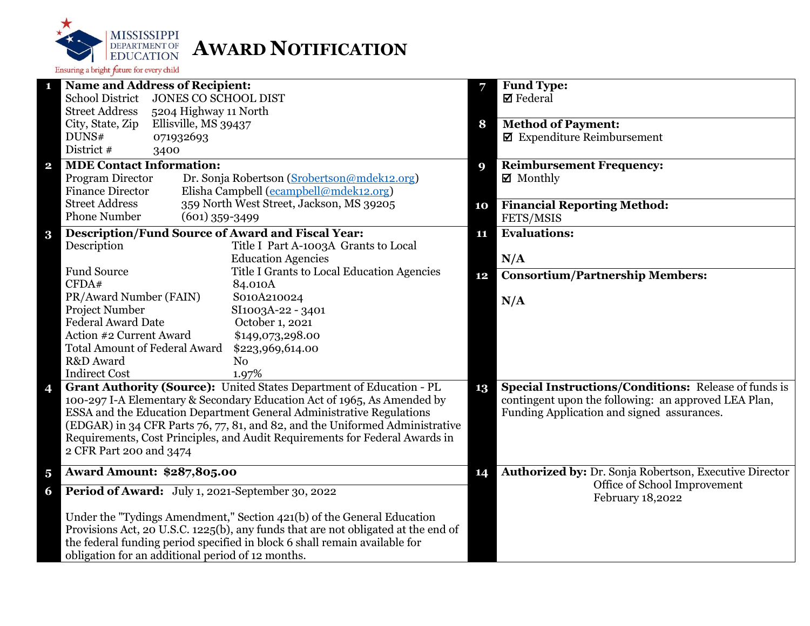

|                         | <b>Name and Address of Recipient:</b>                                             | 7  | <b>Fund Type:</b>                                           |
|-------------------------|-----------------------------------------------------------------------------------|----|-------------------------------------------------------------|
|                         | <b>School District</b><br>JONES CO SCHOOL DIST                                    |    | $\boxtimes$ Federal                                         |
|                         | <b>Street Address</b><br>5204 Highway 11 North                                    |    |                                                             |
|                         | City, State, Zip<br>Ellisville, MS 39437                                          | 8  | <b>Method of Payment:</b>                                   |
|                         | DUNS#<br>071932693                                                                |    | $\blacksquare$ Expenditure Reimbursement                    |
|                         | District #<br>3400                                                                |    |                                                             |
| $\overline{\mathbf{2}}$ | <b>MDE Contact Information:</b>                                                   | 9  | <b>Reimbursement Frequency:</b>                             |
|                         | Program Director<br>Dr. Sonja Robertson (Srobertson@mdek12.org)                   |    | $\boxtimes$ Monthly                                         |
|                         | Elisha Campbell (ecampbell@mdek12.org)<br><b>Finance Director</b>                 |    |                                                             |
|                         | <b>Street Address</b><br>359 North West Street, Jackson, MS 39205                 | 10 | <b>Financial Reporting Method:</b>                          |
|                         | <b>Phone Number</b><br>$(601)$ 359-3499                                           |    | FETS/MSIS                                                   |
|                         | <b>Description/Fund Source of Award and Fiscal Year:</b>                          | 11 | <b>Evaluations:</b>                                         |
| $\bf{3}$                | Description<br>Title I Part A-1003A Grants to Local                               |    |                                                             |
|                         | <b>Education Agencies</b>                                                         |    | N/A                                                         |
|                         | <b>Fund Source</b><br>Title I Grants to Local Education Agencies                  |    |                                                             |
|                         | CFDA#<br>84.010A                                                                  | 12 | <b>Consortium/Partnership Members:</b>                      |
|                         | PR/Award Number (FAIN)<br>S010A210024                                             |    |                                                             |
|                         | Project Number<br>SI1003A-22 - 3401                                               |    | N/A                                                         |
|                         | <b>Federal Award Date</b><br>October 1, 2021                                      |    |                                                             |
|                         | Action #2 Current Award<br>\$149,073,298.00                                       |    |                                                             |
|                         | <b>Total Amount of Federal Award</b><br>\$223,969,614.00                          |    |                                                             |
|                         | R&D Award<br>N <sub>o</sub>                                                       |    |                                                             |
|                         | <b>Indirect Cost</b><br>1.97%                                                     |    |                                                             |
| 4                       | Grant Authority (Source): United States Department of Education - PL              | 13 | <b>Special Instructions/Conditions: Release of funds is</b> |
|                         | 100-297 I-A Elementary & Secondary Education Act of 1965, As Amended by           |    | contingent upon the following: an approved LEA Plan,        |
|                         | ESSA and the Education Department General Administrative Regulations              |    | Funding Application and signed assurances.                  |
|                         | (EDGAR) in 34 CFR Parts 76, 77, 81, and 82, and the Uniformed Administrative      |    |                                                             |
|                         | Requirements, Cost Principles, and Audit Requirements for Federal Awards in       |    |                                                             |
|                         | 2 CFR Part 200 and 3474                                                           |    |                                                             |
|                         |                                                                                   |    |                                                             |
| $\overline{\mathbf{5}}$ | <b>Award Amount: \$287,805.00</b>                                                 | 14 | Authorized by: Dr. Sonja Robertson, Executive Director      |
| 6                       | Period of Award: July 1, 2021-September 30, 2022                                  |    | Office of School Improvement<br>February 18,2022            |
|                         | Under the "Tydings Amendment," Section 421(b) of the General Education            |    |                                                             |
|                         | Provisions Act, 20 U.S.C. 1225(b), any funds that are not obligated at the end of |    |                                                             |
|                         | the federal funding period specified in block 6 shall remain available for        |    |                                                             |
|                         | obligation for an additional period of 12 months.                                 |    |                                                             |
|                         |                                                                                   |    |                                                             |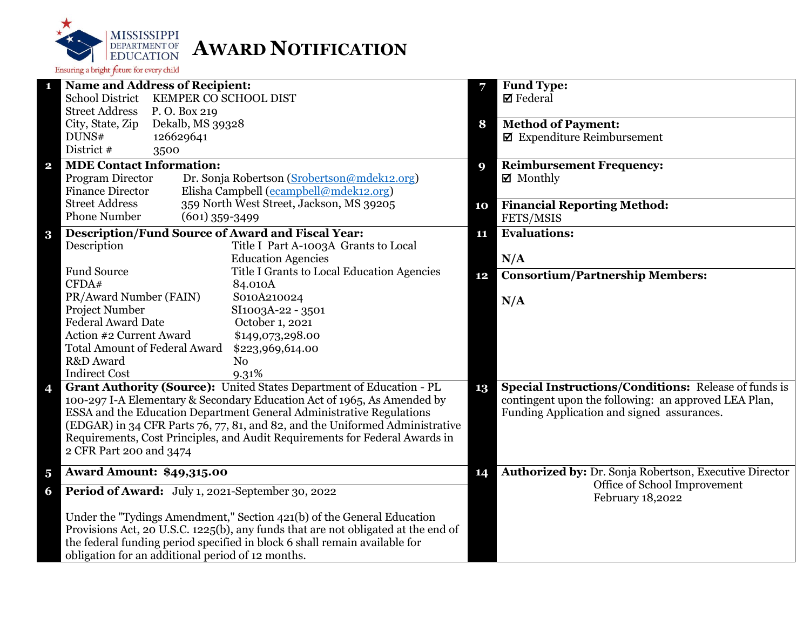

| <b>Name and Address of Recipient:</b><br>1                                                                                                           | 7  | Fund Type:                                                  |
|------------------------------------------------------------------------------------------------------------------------------------------------------|----|-------------------------------------------------------------|
| School District KEMPER CO SCHOOL DIST                                                                                                                |    | $\boxtimes$ Federal                                         |
| <b>Street Address</b><br>P.O. Box 219                                                                                                                |    |                                                             |
| City, State, Zip<br>Dekalb, MS 39328                                                                                                                 | 8  | <b>Method of Payment:</b>                                   |
| DUNS#<br>126629641                                                                                                                                   |    | $\blacksquare$ Expenditure Reimbursement                    |
| District #<br>3500                                                                                                                                   |    |                                                             |
| <b>MDE Contact Information:</b><br>$\mathbf{2}$                                                                                                      | 9  | <b>Reimbursement Frequency:</b>                             |
| Program Director<br>Dr. Sonja Robertson (Srobertson@mdek12.org)                                                                                      |    | $\boxtimes$ Monthly                                         |
| Elisha Campbell (ecampbell@mdek12.org)<br><b>Finance Director</b>                                                                                    |    |                                                             |
| 359 North West Street, Jackson, MS 39205<br><b>Street Address</b>                                                                                    | 10 | <b>Financial Reporting Method:</b>                          |
| <b>Phone Number</b><br>$(601)$ 359-3499                                                                                                              |    | FETS/MSIS                                                   |
| <b>Description/Fund Source of Award and Fiscal Year:</b><br>$\bf{3}$                                                                                 | 11 | <b>Evaluations:</b>                                         |
| Description<br>Title I Part A-1003A Grants to Local                                                                                                  |    |                                                             |
| <b>Education Agencies</b>                                                                                                                            |    | N/A                                                         |
| <b>Fund Source</b><br>Title I Grants to Local Education Agencies                                                                                     | 12 | <b>Consortium/Partnership Members:</b>                      |
| CFDA#<br>84.010A                                                                                                                                     |    |                                                             |
| PR/Award Number (FAIN)<br>S010A210024                                                                                                                |    | N/A                                                         |
| Project Number<br>SI1003A-22 - 3501                                                                                                                  |    |                                                             |
| <b>Federal Award Date</b><br>October 1, 2021                                                                                                         |    |                                                             |
| Action #2 Current Award<br>\$149,073,298.00                                                                                                          |    |                                                             |
| <b>Total Amount of Federal Award</b><br>\$223,969,614.00                                                                                             |    |                                                             |
| R&D Award<br>N <sub>0</sub>                                                                                                                          |    |                                                             |
| <b>Indirect Cost</b><br>9.31%                                                                                                                        |    |                                                             |
| Grant Authority (Source): United States Department of Education - PL<br>4                                                                            | 13 | <b>Special Instructions/Conditions: Release of funds is</b> |
| 100-297 I-A Elementary & Secondary Education Act of 1965, As Amended by                                                                              |    | contingent upon the following: an approved LEA Plan,        |
| ESSA and the Education Department General Administrative Regulations<br>(EDGAR) in 34 CFR Parts 76, 77, 81, and 82, and the Uniformed Administrative |    | Funding Application and signed assurances.                  |
| Requirements, Cost Principles, and Audit Requirements for Federal Awards in                                                                          |    |                                                             |
| 2 CFR Part 200 and 3474                                                                                                                              |    |                                                             |
|                                                                                                                                                      |    |                                                             |
| <b>Award Amount: \$49,315.00</b><br>$\overline{\mathbf{5}}$                                                                                          | 14 | Authorized by: Dr. Sonja Robertson, Executive Director      |
| Period of Award: July 1, 2021-September 30, 2022<br>6                                                                                                |    | Office of School Improvement<br>February 18,2022            |
| Under the "Tydings Amendment," Section 421(b) of the General Education                                                                               |    |                                                             |
| Provisions Act, 20 U.S.C. 1225(b), any funds that are not obligated at the end of                                                                    |    |                                                             |
| the federal funding period specified in block 6 shall remain available for                                                                           |    |                                                             |
| obligation for an additional period of 12 months.                                                                                                    |    |                                                             |
|                                                                                                                                                      |    |                                                             |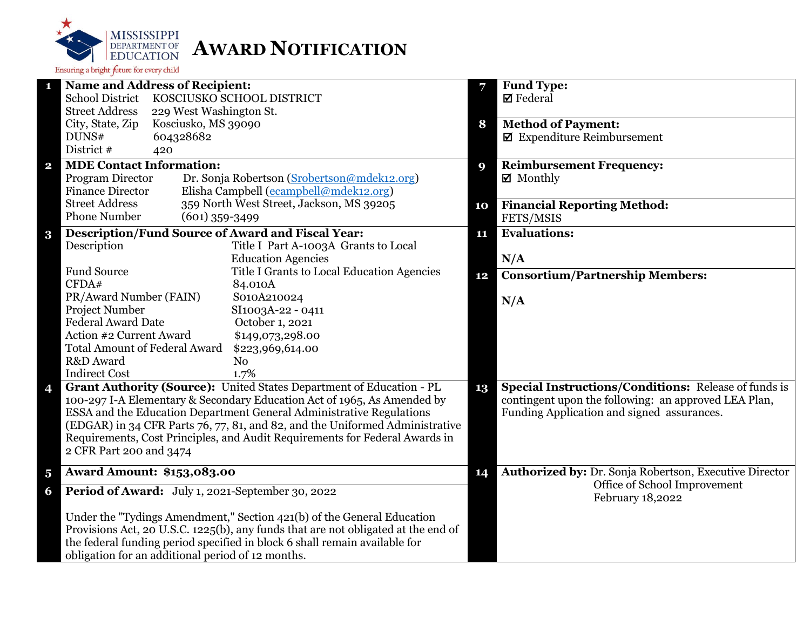

|                         | <b>Name and Address of Recipient:</b>                                             | 7  | <b>Fund Type:</b>                                      |
|-------------------------|-----------------------------------------------------------------------------------|----|--------------------------------------------------------|
|                         | <b>School District</b><br>KOSCIUSKO SCHOOL DISTRICT                               |    | <b>Ø</b> Federal                                       |
|                         | <b>Street Address</b><br>229 West Washington St.                                  |    |                                                        |
|                         | City, State, Zip<br>Kosciusko, MS 39090                                           | 8  | <b>Method of Payment:</b>                              |
|                         | DUNS#<br>604328682                                                                |    | $\boxtimes$ Expenditure Reimbursement                  |
|                         | District #<br>420                                                                 |    |                                                        |
| $\mathbf{2}$            | <b>MDE Contact Information:</b>                                                   | 9  | <b>Reimbursement Frequency:</b>                        |
|                         | Program Director<br>Dr. Sonja Robertson (Srobertson@mdek12.org)                   |    | $\boxtimes$ Monthly                                    |
|                         | Elisha Campbell (ecampbell@mdek12.org)<br><b>Finance Director</b>                 |    |                                                        |
|                         | <b>Street Address</b><br>359 North West Street, Jackson, MS 39205                 | 10 | <b>Financial Reporting Method:</b>                     |
|                         | <b>Phone Number</b><br>$(601)$ 359-3499                                           |    | FETS/MSIS                                              |
| $\bf{3}$                | Description/Fund Source of Award and Fiscal Year:                                 | 11 | <b>Evaluations:</b>                                    |
|                         | Description<br>Title I Part A-1003A Grants to Local                               |    |                                                        |
|                         | <b>Education Agencies</b>                                                         |    | N/A                                                    |
|                         | <b>Fund Source</b><br>Title I Grants to Local Education Agencies                  | 12 | <b>Consortium/Partnership Members:</b>                 |
|                         | CFDA#<br>84.010A                                                                  |    |                                                        |
|                         | PR/Award Number (FAIN)<br>S010A210024                                             |    | N/A                                                    |
|                         | Project Number<br>SI1003A-22 - 0411                                               |    |                                                        |
|                         | <b>Federal Award Date</b><br>October 1, 2021                                      |    |                                                        |
|                         | Action #2 Current Award<br>\$149,073,298.00                                       |    |                                                        |
|                         | <b>Total Amount of Federal Award</b><br>\$223,969,614.00                          |    |                                                        |
|                         | R&D Award<br>N <sub>0</sub>                                                       |    |                                                        |
|                         | <b>Indirect Cost</b><br>1.7%                                                      |    |                                                        |
| 4                       | Grant Authority (Source): United States Department of Education - PL              | 13 | Special Instructions/Conditions: Release of funds is   |
|                         | 100-297 I-A Elementary & Secondary Education Act of 1965, As Amended by           |    | contingent upon the following: an approved LEA Plan,   |
|                         | ESSA and the Education Department General Administrative Regulations              |    | Funding Application and signed assurances.             |
|                         | (EDGAR) in 34 CFR Parts 76, 77, 81, and 82, and the Uniformed Administrative      |    |                                                        |
|                         | Requirements, Cost Principles, and Audit Requirements for Federal Awards in       |    |                                                        |
|                         | 2 CFR Part 200 and 3474                                                           |    |                                                        |
|                         |                                                                                   |    |                                                        |
| $\overline{\mathbf{5}}$ | <b>Award Amount: \$153,083.00</b>                                                 | 14 | Authorized by: Dr. Sonja Robertson, Executive Director |
| 6                       | Period of Award: July 1, 2021-September 30, 2022                                  |    | Office of School Improvement<br>February 18,2022       |
|                         | Under the "Tydings Amendment," Section 421(b) of the General Education            |    |                                                        |
|                         | Provisions Act, 20 U.S.C. 1225(b), any funds that are not obligated at the end of |    |                                                        |
|                         | the federal funding period specified in block 6 shall remain available for        |    |                                                        |
|                         | obligation for an additional period of 12 months.                                 |    |                                                        |
|                         |                                                                                   |    |                                                        |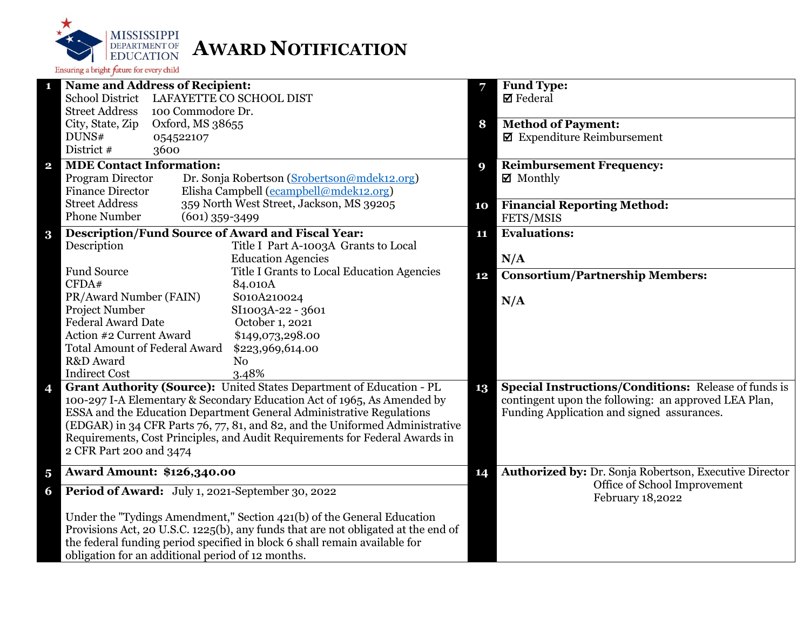

|                         | <b>Name and Address of Recipient:</b>                                             | 7  | <b>Fund Type:</b>                                           |
|-------------------------|-----------------------------------------------------------------------------------|----|-------------------------------------------------------------|
|                         | <b>School District</b><br>LAFAYETTE CO SCHOOL DIST                                |    | $\boxtimes$ Federal                                         |
|                         | <b>Street Address</b><br>100 Commodore Dr.                                        |    |                                                             |
|                         | City, State, Zip<br>Oxford, MS 38655                                              | 8  | <b>Method of Payment:</b>                                   |
|                         | DUNS#<br>054522107                                                                |    | $\blacksquare$ Expenditure Reimbursement                    |
|                         | District #<br>3600                                                                |    |                                                             |
| $\overline{\mathbf{2}}$ | <b>MDE Contact Information:</b>                                                   | 9  | <b>Reimbursement Frequency:</b>                             |
|                         | Program Director<br>Dr. Sonja Robertson (Srobertson@mdek12.org)                   |    | $\boxtimes$ Monthly                                         |
|                         | Elisha Campbell (ecampbell@mdek12.org)<br><b>Finance Director</b>                 |    |                                                             |
|                         | <b>Street Address</b><br>359 North West Street, Jackson, MS 39205                 | 10 | <b>Financial Reporting Method:</b>                          |
|                         | <b>Phone Number</b><br>$(601)$ 359-3499                                           |    | FETS/MSIS                                                   |
| $\bf{3}$                | <b>Description/Fund Source of Award and Fiscal Year:</b>                          | 11 | <b>Evaluations:</b>                                         |
|                         | Description<br>Title I Part A-1003A Grants to Local                               |    |                                                             |
|                         | <b>Education Agencies</b>                                                         |    | N/A                                                         |
|                         | <b>Fund Source</b><br>Title I Grants to Local Education Agencies                  |    | <b>Consortium/Partnership Members:</b>                      |
|                         | CFDA#<br>84.010A                                                                  | 12 |                                                             |
|                         | PR/Award Number (FAIN)<br>S010A210024                                             |    | N/A                                                         |
|                         | Project Number<br>SI1003A-22 - 3601                                               |    |                                                             |
|                         | <b>Federal Award Date</b><br>October 1, 2021                                      |    |                                                             |
|                         | Action #2 Current Award<br>\$149,073,298.00                                       |    |                                                             |
|                         | <b>Total Amount of Federal Award</b><br>\$223,969,614.00                          |    |                                                             |
|                         | R&D Award<br>N <sub>o</sub>                                                       |    |                                                             |
|                         | <b>Indirect Cost</b><br>3.48%                                                     |    |                                                             |
| 4                       | Grant Authority (Source): United States Department of Education - PL              | 13 | <b>Special Instructions/Conditions: Release of funds is</b> |
|                         | 100-297 I-A Elementary & Secondary Education Act of 1965, As Amended by           |    | contingent upon the following: an approved LEA Plan,        |
|                         | ESSA and the Education Department General Administrative Regulations              |    | Funding Application and signed assurances.                  |
|                         | (EDGAR) in 34 CFR Parts 76, 77, 81, and 82, and the Uniformed Administrative      |    |                                                             |
|                         | Requirements, Cost Principles, and Audit Requirements for Federal Awards in       |    |                                                             |
|                         | 2 CFR Part 200 and 3474                                                           |    |                                                             |
|                         |                                                                                   |    |                                                             |
| $\overline{\mathbf{5}}$ | <b>Award Amount: \$126,340.00</b>                                                 | 14 | Authorized by: Dr. Sonja Robertson, Executive Director      |
| 6                       | Period of Award: July 1, 2021-September 30, 2022                                  |    | Office of School Improvement<br>February 18,2022            |
|                         | Under the "Tydings Amendment," Section 421(b) of the General Education            |    |                                                             |
|                         | Provisions Act, 20 U.S.C. 1225(b), any funds that are not obligated at the end of |    |                                                             |
|                         | the federal funding period specified in block 6 shall remain available for        |    |                                                             |
|                         | obligation for an additional period of 12 months.                                 |    |                                                             |
|                         |                                                                                   |    |                                                             |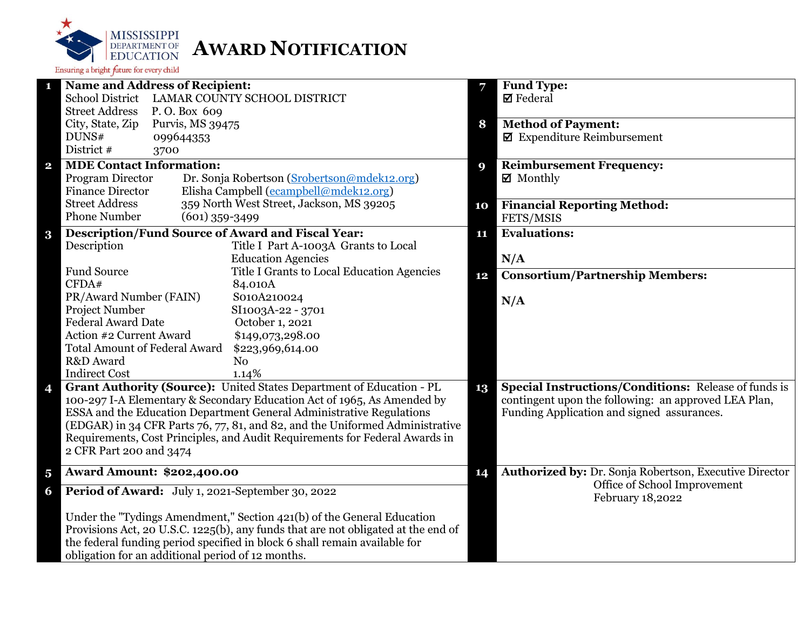

| <b>Name and Address of Recipient:</b><br>1                                                                                                                  | <b>Fund Type:</b><br>7                                       |
|-------------------------------------------------------------------------------------------------------------------------------------------------------------|--------------------------------------------------------------|
| School District LAMAR COUNTY SCHOOL DISTRICT                                                                                                                | $\boxtimes$ Federal                                          |
| <b>Street Address</b><br>P.O. Box 609                                                                                                                       |                                                              |
| City, State, Zip<br>Purvis, MS 39475                                                                                                                        | <b>Method of Payment:</b><br>8                               |
| DUNS#<br>099644353                                                                                                                                          | $\pmb{\boxtimes}$ Expenditure Reimbursement                  |
| District #<br>3700                                                                                                                                          |                                                              |
| <b>MDE Contact Information:</b><br>$\mathbf{2}$                                                                                                             | <b>Reimbursement Frequency:</b><br>9                         |
| Dr. Sonja Robertson (Srobertson@mdek12.org)<br>Program Director                                                                                             | $\boxtimes$ Monthly                                          |
| <b>Finance Director</b><br>Elisha Campbell (ecampbell@mdek12.org)                                                                                           |                                                              |
| 359 North West Street, Jackson, MS 39205<br><b>Street Address</b>                                                                                           | <b>Financial Reporting Method:</b><br>10                     |
| <b>Phone Number</b><br>$(601)$ 359-3499                                                                                                                     | FETS/MSIS                                                    |
| <b>Description/Fund Source of Award and Fiscal Year:</b><br>$\bf{3}$                                                                                        | <b>Evaluations:</b><br>11                                    |
| Description<br>Title I Part A-1003A Grants to Local                                                                                                         |                                                              |
| <b>Education Agencies</b>                                                                                                                                   | N/A                                                          |
| <b>Fund Source</b><br>Title I Grants to Local Education Agencies                                                                                            | <b>Consortium/Partnership Members:</b><br>12                 |
| CFDA#<br>84.010A                                                                                                                                            |                                                              |
| PR/Award Number (FAIN)<br>S010A210024                                                                                                                       | N/A                                                          |
| Project Number<br>SI1003A-22 - 3701                                                                                                                         |                                                              |
| <b>Federal Award Date</b><br>October 1, 2021                                                                                                                |                                                              |
| Action #2 Current Award<br>\$149,073,298.00                                                                                                                 |                                                              |
| <b>Total Amount of Federal Award</b><br>\$223,969,614.00                                                                                                    |                                                              |
| R&D Award<br>N <sub>o</sub>                                                                                                                                 |                                                              |
| <b>Indirect Cost</b><br>1.14%                                                                                                                               |                                                              |
| Grant Authority (Source): United States Department of Education - PL<br>4                                                                                   | Special Instructions/Conditions: Release of funds is<br>13   |
| 100-297 I-A Elementary & Secondary Education Act of 1965, As Amended by                                                                                     | contingent upon the following: an approved LEA Plan,         |
| ESSA and the Education Department General Administrative Regulations                                                                                        | Funding Application and signed assurances.                   |
| (EDGAR) in 34 CFR Parts 76, 77, 81, and 82, and the Uniformed Administrative<br>Requirements, Cost Principles, and Audit Requirements for Federal Awards in |                                                              |
| 2 CFR Part 200 and 3474                                                                                                                                     |                                                              |
|                                                                                                                                                             |                                                              |
| <b>Award Amount: \$202,400.00</b><br>$\overline{\mathbf{5}}$                                                                                                | Authorized by: Dr. Sonja Robertson, Executive Director<br>14 |
| Period of Award: July 1, 2021-September 30, 2022<br>6                                                                                                       | Office of School Improvement<br>February 18,2022             |
| Under the "Tydings Amendment," Section 421(b) of the General Education                                                                                      |                                                              |
| Provisions Act, 20 U.S.C. 1225(b), any funds that are not obligated at the end of                                                                           |                                                              |
| the federal funding period specified in block 6 shall remain available for                                                                                  |                                                              |
| obligation for an additional period of 12 months.                                                                                                           |                                                              |
|                                                                                                                                                             |                                                              |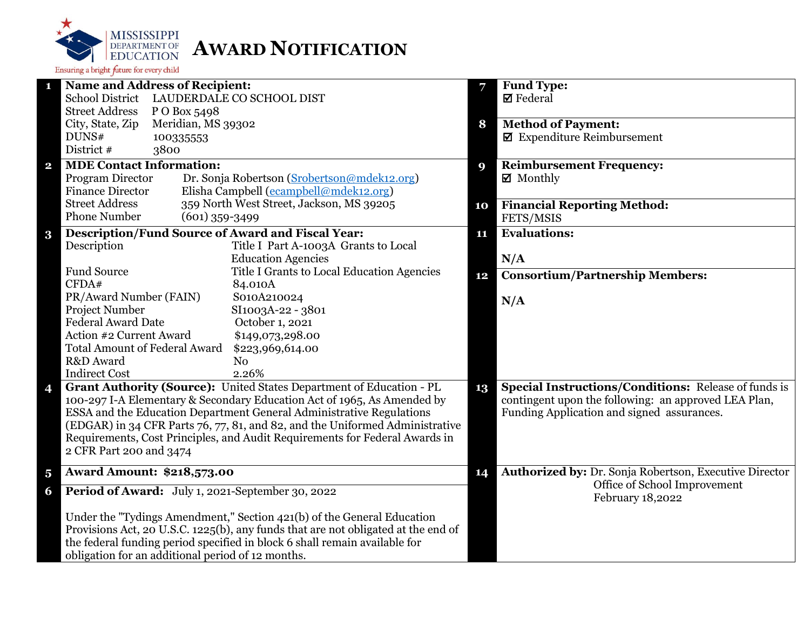

|                         | <b>Name and Address of Recipient:</b>                                             | 7  | <b>Fund Type:</b>                                           |
|-------------------------|-----------------------------------------------------------------------------------|----|-------------------------------------------------------------|
|                         | <b>School District</b><br>LAUDERDALE CO SCHOOL DIST                               |    | $\boxtimes$ Federal                                         |
|                         | <b>Street Address</b><br>P O Box 5498                                             |    |                                                             |
|                         | City, State, Zip<br>Meridian, MS 39302                                            | 8  | <b>Method of Payment:</b>                                   |
|                         | DUNS#<br>100335553                                                                |    | $\blacksquare$ Expenditure Reimbursement                    |
|                         | District #<br>3800                                                                |    |                                                             |
| $\overline{\mathbf{2}}$ | <b>MDE Contact Information:</b>                                                   | 9  | <b>Reimbursement Frequency:</b>                             |
|                         | Program Director<br>Dr. Sonja Robertson (Srobertson@mdek12.org)                   |    | $\boxtimes$ Monthly                                         |
|                         | Elisha Campbell (ecampbell@mdek12.org)<br><b>Finance Director</b>                 |    |                                                             |
|                         | 359 North West Street, Jackson, MS 39205<br><b>Street Address</b>                 | 10 | <b>Financial Reporting Method:</b>                          |
|                         | <b>Phone Number</b><br>$(601)$ 359-3499                                           |    | FETS/MSIS                                                   |
| $\bf{3}$                | <b>Description/Fund Source of Award and Fiscal Year:</b>                          | 11 | <b>Evaluations:</b>                                         |
|                         | Description<br>Title I Part A-1003A Grants to Local                               |    |                                                             |
|                         | <b>Education Agencies</b>                                                         |    | N/A                                                         |
|                         | <b>Fund Source</b><br>Title I Grants to Local Education Agencies                  |    |                                                             |
|                         | CFDA#<br>84.010A                                                                  | 12 | <b>Consortium/Partnership Members:</b>                      |
|                         | PR/Award Number (FAIN)<br>S010A210024                                             |    |                                                             |
|                         | Project Number<br>SI1003A-22 - 3801                                               |    | N/A                                                         |
|                         | <b>Federal Award Date</b><br>October 1, 2021                                      |    |                                                             |
|                         | Action #2 Current Award<br>\$149,073,298.00                                       |    |                                                             |
|                         | <b>Total Amount of Federal Award</b><br>\$223,969,614.00                          |    |                                                             |
|                         | R&D Award<br>N <sub>0</sub>                                                       |    |                                                             |
|                         | <b>Indirect Cost</b><br>2.26%                                                     |    |                                                             |
| $\overline{\mathbf{4}}$ | Grant Authority (Source): United States Department of Education - PL              | 13 | <b>Special Instructions/Conditions: Release of funds is</b> |
|                         | 100-297 I-A Elementary & Secondary Education Act of 1965, As Amended by           |    | contingent upon the following: an approved LEA Plan,        |
|                         | ESSA and the Education Department General Administrative Regulations              |    | Funding Application and signed assurances.                  |
|                         | (EDGAR) in 34 CFR Parts 76, 77, 81, and 82, and the Uniformed Administrative      |    |                                                             |
|                         | Requirements, Cost Principles, and Audit Requirements for Federal Awards in       |    |                                                             |
|                         | 2 CFR Part 200 and 3474                                                           |    |                                                             |
|                         |                                                                                   |    |                                                             |
| $\overline{\mathbf{5}}$ | <b>Award Amount: \$218,573.00</b>                                                 | 14 | Authorized by: Dr. Sonja Robertson, Executive Director      |
| 6                       | Period of Award: July 1, 2021-September 30, 2022                                  |    | Office of School Improvement<br>February 18,2022            |
|                         | Under the "Tydings Amendment," Section 421(b) of the General Education            |    |                                                             |
|                         | Provisions Act, 20 U.S.C. 1225(b), any funds that are not obligated at the end of |    |                                                             |
|                         | the federal funding period specified in block 6 shall remain available for        |    |                                                             |
|                         | obligation for an additional period of 12 months.                                 |    |                                                             |
|                         |                                                                                   |    |                                                             |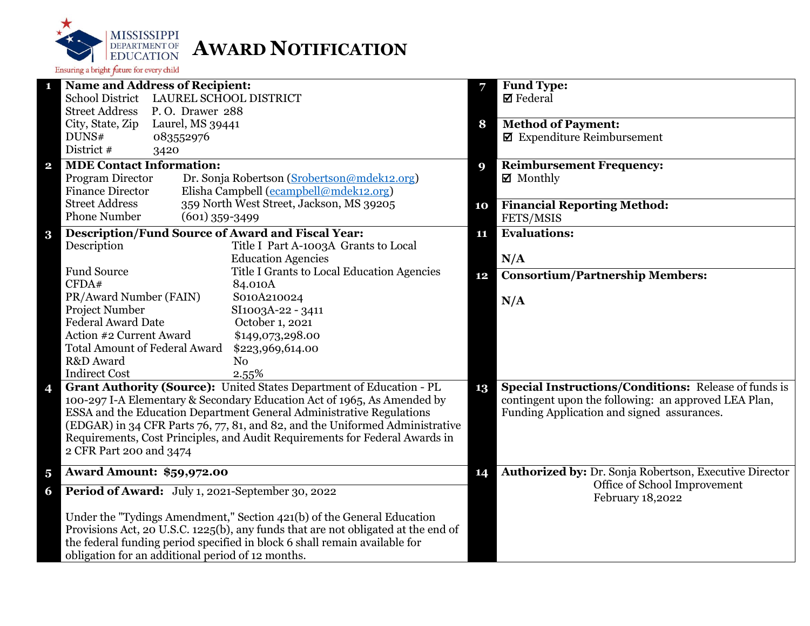

| 1                       | <b>Name and Address of Recipient:</b>                                                                 |          | <b>Fund Type:</b>                                           |
|-------------------------|-------------------------------------------------------------------------------------------------------|----------|-------------------------------------------------------------|
|                         | School District LAUREL SCHOOL DISTRICT                                                                |          | $\boxtimes$ Federal                                         |
|                         | <b>Street Address</b><br>P.O. Drawer 288                                                              |          |                                                             |
|                         | City, State, Zip<br>Laurel, MS 39441                                                                  | 8        | <b>Method of Payment:</b>                                   |
|                         | DUNS#<br>083552976                                                                                    |          | $\boxtimes$ Expenditure Reimbursement                       |
|                         | District #<br>3420                                                                                    |          |                                                             |
| $\mathbf{2}$            | <b>MDE Contact Information:</b>                                                                       | <b>Q</b> | <b>Reimbursement Frequency:</b>                             |
|                         | Program Director<br>Dr. Sonja Robertson (Srobertson@mdek12.org)                                       |          | $\boxtimes$ Monthly                                         |
|                         | Elisha Campbell (ecampbell@mdek12.org)<br><b>Finance Director</b>                                     |          |                                                             |
|                         | 359 North West Street, Jackson, MS 39205<br><b>Street Address</b>                                     | 10       | <b>Financial Reporting Method:</b>                          |
|                         | <b>Phone Number</b><br>$(601)$ 359-3499                                                               |          | FETS/MSIS                                                   |
| $\bf{3}$                | <b>Description/Fund Source of Award and Fiscal Year:</b>                                              | 11       | <b>Evaluations:</b>                                         |
|                         | Description<br>Title I Part A-1003A Grants to Local                                                   |          |                                                             |
|                         | <b>Education Agencies</b>                                                                             |          | N/A                                                         |
|                         | <b>Fund Source</b><br>Title I Grants to Local Education Agencies                                      | 12       | <b>Consortium/Partnership Members:</b>                      |
|                         | CFDA#<br>84.010A                                                                                      |          |                                                             |
|                         | PR/Award Number (FAIN)<br>S010A210024                                                                 |          | N/A                                                         |
|                         | Project Number<br>SI1003A-22 - 3411                                                                   |          |                                                             |
|                         | <b>Federal Award Date</b><br>October 1, 2021                                                          |          |                                                             |
|                         | Action #2 Current Award<br>\$149,073,298.00                                                           |          |                                                             |
|                         | <b>Total Amount of Federal Award</b><br>\$223,969,614.00                                              |          |                                                             |
|                         | R&D Award<br>N <sub>o</sub>                                                                           |          |                                                             |
|                         | <b>Indirect Cost</b><br>2.55%<br>Grant Authority (Source): United States Department of Education - PL |          | <b>Special Instructions/Conditions: Release of funds is</b> |
| 4                       | 100-297 I-A Elementary & Secondary Education Act of 1965, As Amended by                               | 13       | contingent upon the following: an approved LEA Plan,        |
|                         | ESSA and the Education Department General Administrative Regulations                                  |          | Funding Application and signed assurances.                  |
|                         | (EDGAR) in 34 CFR Parts 76, 77, 81, and 82, and the Uniformed Administrative                          |          |                                                             |
|                         | Requirements, Cost Principles, and Audit Requirements for Federal Awards in                           |          |                                                             |
|                         | 2 CFR Part 200 and 3474                                                                               |          |                                                             |
|                         |                                                                                                       |          |                                                             |
| $\overline{\mathbf{5}}$ | <b>Award Amount: \$59,972.00</b>                                                                      | 14       | Authorized by: Dr. Sonja Robertson, Executive Director      |
| 6                       | Period of Award: July 1, 2021-September 30, 2022                                                      |          | Office of School Improvement<br>February 18,2022            |
|                         | Under the "Tydings Amendment," Section 421(b) of the General Education                                |          |                                                             |
|                         | Provisions Act, 20 U.S.C. 1225(b), any funds that are not obligated at the end of                     |          |                                                             |
|                         | the federal funding period specified in block 6 shall remain available for                            |          |                                                             |
|                         | obligation for an additional period of 12 months.                                                     |          |                                                             |
|                         |                                                                                                       |          |                                                             |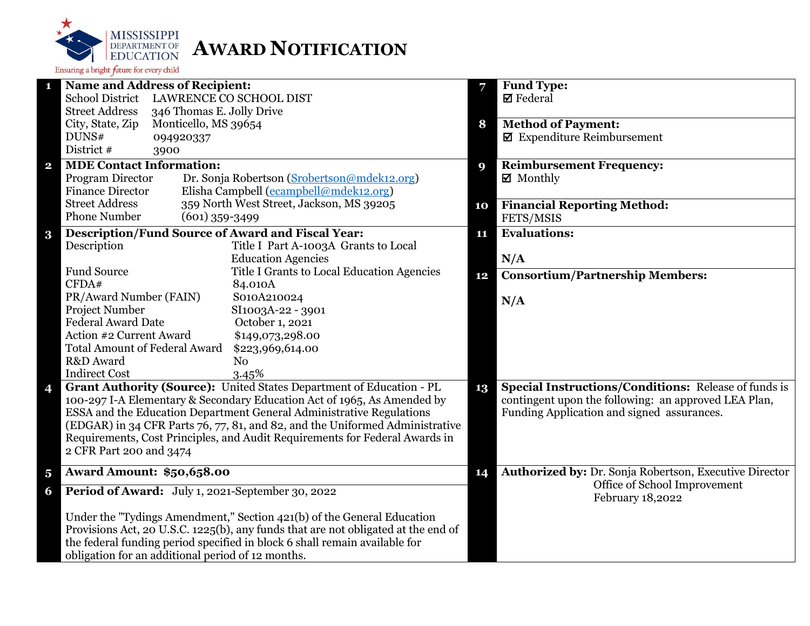

|                         | <b>Name and Address of Recipient:</b>                                             | 7  | <b>Fund Type:</b>                                           |
|-------------------------|-----------------------------------------------------------------------------------|----|-------------------------------------------------------------|
|                         | <b>School District</b><br>LAWRENCE CO SCHOOL DIST                                 |    | $\boxtimes$ Federal                                         |
|                         | <b>Street Address</b><br>346 Thomas E. Jolly Drive                                |    |                                                             |
|                         | City, State, Zip<br>Monticello, MS 39654                                          | 8  | <b>Method of Payment:</b>                                   |
|                         | DUNS#<br>094920337                                                                |    | $\blacksquare$ Expenditure Reimbursement                    |
|                         | District #<br>3900                                                                |    |                                                             |
| $\overline{\mathbf{2}}$ | <b>MDE Contact Information:</b>                                                   | 9  | <b>Reimbursement Frequency:</b>                             |
|                         | Program Director<br>Dr. Sonja Robertson (Srobertson@mdek12.org)                   |    | $\boxtimes$ Monthly                                         |
|                         | Elisha Campbell (ecampbell@mdek12.org)<br><b>Finance Director</b>                 |    |                                                             |
|                         | <b>Street Address</b><br>359 North West Street, Jackson, MS 39205                 | 10 | <b>Financial Reporting Method:</b>                          |
|                         | <b>Phone Number</b><br>$(601)$ 359-3499                                           |    | FETS/MSIS                                                   |
| $\bf{3}$                | <b>Description/Fund Source of Award and Fiscal Year:</b>                          | 11 | <b>Evaluations:</b>                                         |
|                         | Description<br>Title I Part A-1003A Grants to Local                               |    |                                                             |
|                         | <b>Education Agencies</b>                                                         |    | N/A                                                         |
|                         | <b>Fund Source</b><br>Title I Grants to Local Education Agencies                  |    | <b>Consortium/Partnership Members:</b>                      |
|                         | CFDA#<br>84.010A                                                                  | 12 |                                                             |
|                         | PR/Award Number (FAIN)<br>S010A210024                                             |    | N/A                                                         |
|                         | Project Number<br>SI1003A-22 - 3901                                               |    |                                                             |
|                         | <b>Federal Award Date</b><br>October 1, 2021                                      |    |                                                             |
|                         | Action #2 Current Award<br>\$149,073,298.00                                       |    |                                                             |
|                         | <b>Total Amount of Federal Award</b><br>\$223,969,614.00                          |    |                                                             |
|                         | R&D Award<br>N <sub>o</sub>                                                       |    |                                                             |
|                         | <b>Indirect Cost</b><br>3.45%                                                     |    |                                                             |
| 4                       | Grant Authority (Source): United States Department of Education - PL              | 13 | <b>Special Instructions/Conditions: Release of funds is</b> |
|                         | 100-297 I-A Elementary & Secondary Education Act of 1965, As Amended by           |    | contingent upon the following: an approved LEA Plan,        |
|                         | ESSA and the Education Department General Administrative Regulations              |    | Funding Application and signed assurances.                  |
|                         | (EDGAR) in 34 CFR Parts 76, 77, 81, and 82, and the Uniformed Administrative      |    |                                                             |
|                         | Requirements, Cost Principles, and Audit Requirements for Federal Awards in       |    |                                                             |
|                         | 2 CFR Part 200 and 3474                                                           |    |                                                             |
| $\overline{\mathbf{5}}$ | <b>Award Amount: \$50,658.00</b>                                                  | 14 | Authorized by: Dr. Sonja Robertson, Executive Director      |
|                         |                                                                                   |    | Office of School Improvement                                |
| 6                       | Period of Award: July 1, 2021-September 30, 2022                                  |    | February 18,2022                                            |
|                         | Under the "Tydings Amendment," Section 421(b) of the General Education            |    |                                                             |
|                         | Provisions Act, 20 U.S.C. 1225(b), any funds that are not obligated at the end of |    |                                                             |
|                         | the federal funding period specified in block 6 shall remain available for        |    |                                                             |
|                         | obligation for an additional period of 12 months.                                 |    |                                                             |
|                         |                                                                                   |    |                                                             |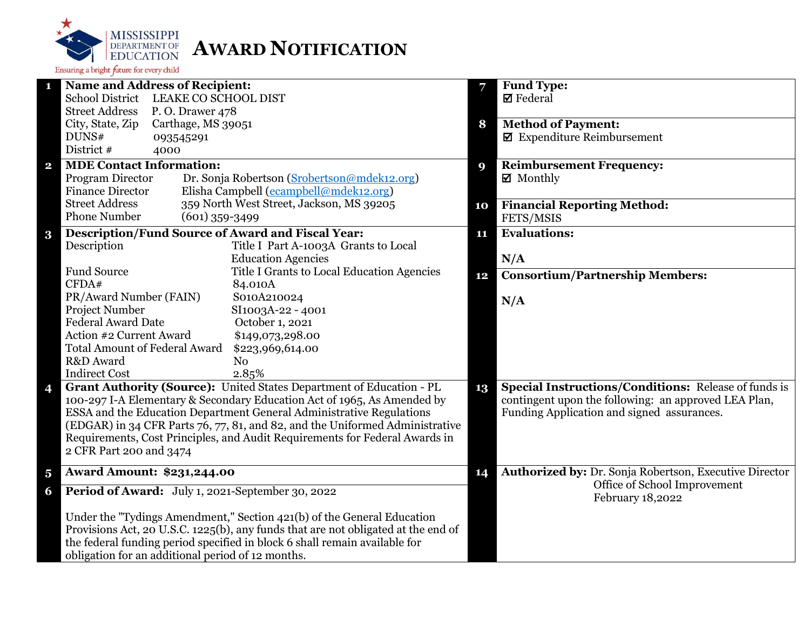

| 1                       | <b>Name and Address of Recipient:</b>                                                                 |    | <b>Fund Type:</b>                                                                                                   |
|-------------------------|-------------------------------------------------------------------------------------------------------|----|---------------------------------------------------------------------------------------------------------------------|
|                         | School District LEAKE CO SCHOOL DIST                                                                  |    | $\boxtimes$ Federal                                                                                                 |
|                         | <b>Street Address</b><br>P.O. Drawer 478                                                              |    |                                                                                                                     |
|                         | City, State, Zip<br>Carthage, MS 39051                                                                | 8  | <b>Method of Payment:</b>                                                                                           |
|                         | DUNS#<br>093545291                                                                                    |    | $\blacksquare$ Expenditure Reimbursement                                                                            |
|                         | District #<br>4000                                                                                    |    |                                                                                                                     |
| $\overline{\mathbf{2}}$ | <b>MDE Contact Information:</b>                                                                       | 9  | <b>Reimbursement Frequency:</b>                                                                                     |
|                         | Program Director<br>Dr. Sonja Robertson (Srobertson@mdek12.org)                                       |    | $\boxtimes$ Monthly                                                                                                 |
|                         | Elisha Campbell (ecampbell@mdek12.org)<br><b>Finance Director</b>                                     |    |                                                                                                                     |
|                         | 359 North West Street, Jackson, MS 39205<br><b>Street Address</b>                                     | 10 | <b>Financial Reporting Method:</b>                                                                                  |
|                         | <b>Phone Number</b><br>$(601)$ 359-3499                                                               |    | FETS/MSIS                                                                                                           |
| $\bf{3}$                | <b>Description/Fund Source of Award and Fiscal Year:</b>                                              | 11 | <b>Evaluations:</b>                                                                                                 |
|                         | Description<br>Title I Part A-1003A Grants to Local                                                   |    |                                                                                                                     |
|                         | <b>Education Agencies</b>                                                                             |    | N/A                                                                                                                 |
|                         | <b>Fund Source</b><br>Title I Grants to Local Education Agencies                                      | 12 | <b>Consortium/Partnership Members:</b>                                                                              |
|                         | CFDA#<br>84.010A                                                                                      |    |                                                                                                                     |
|                         | PR/Award Number (FAIN)<br>S010A210024                                                                 |    | N/A                                                                                                                 |
|                         | Project Number<br>SI1003A-22 - 4001                                                                   |    |                                                                                                                     |
|                         | <b>Federal Award Date</b><br>October 1, 2021                                                          |    |                                                                                                                     |
|                         | Action #2 Current Award<br>\$149,073,298.00                                                           |    |                                                                                                                     |
|                         | <b>Total Amount of Federal Award</b><br>\$223,969,614.00                                              |    |                                                                                                                     |
|                         | R&D Award<br>N <sub>o</sub>                                                                           |    |                                                                                                                     |
|                         | <b>Indirect Cost</b><br>2.85%<br>Grant Authority (Source): United States Department of Education - PL |    |                                                                                                                     |
| 4                       | 100-297 I-A Elementary & Secondary Education Act of 1965, As Amended by                               | 13 | <b>Special Instructions/Conditions: Release of funds is</b><br>contingent upon the following: an approved LEA Plan, |
|                         | ESSA and the Education Department General Administrative Regulations                                  |    | Funding Application and signed assurances.                                                                          |
|                         | (EDGAR) in 34 CFR Parts 76, 77, 81, and 82, and the Uniformed Administrative                          |    |                                                                                                                     |
|                         | Requirements, Cost Principles, and Audit Requirements for Federal Awards in                           |    |                                                                                                                     |
|                         | 2 CFR Part 200 and 3474                                                                               |    |                                                                                                                     |
|                         |                                                                                                       |    |                                                                                                                     |
| $\overline{\mathbf{5}}$ | <b>Award Amount: \$231,244.00</b>                                                                     | 14 | Authorized by: Dr. Sonja Robertson, Executive Director                                                              |
| 6                       | Period of Award: July 1, 2021-September 30, 2022                                                      |    | Office of School Improvement<br>February 18,2022                                                                    |
|                         | Under the "Tydings Amendment," Section 421(b) of the General Education                                |    |                                                                                                                     |
|                         | Provisions Act, 20 U.S.C. 1225(b), any funds that are not obligated at the end of                     |    |                                                                                                                     |
|                         | the federal funding period specified in block 6 shall remain available for                            |    |                                                                                                                     |
|                         | obligation for an additional period of 12 months.                                                     |    |                                                                                                                     |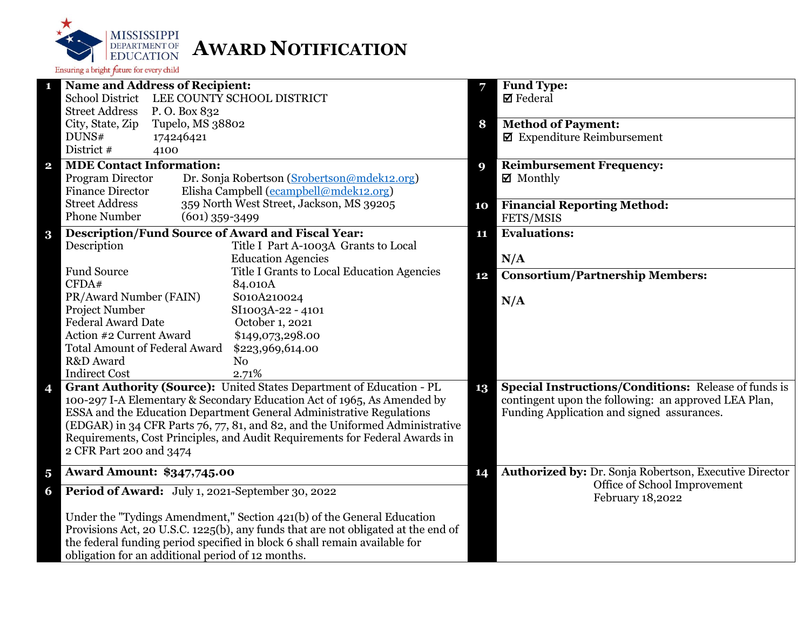

|                         | <b>Name and Address of Recipient:</b>                                             | 7  | <b>Fund Type:</b>                                           |
|-------------------------|-----------------------------------------------------------------------------------|----|-------------------------------------------------------------|
|                         | <b>School District</b><br>LEE COUNTY SCHOOL DISTRICT                              |    | $\boxtimes$ Federal                                         |
|                         | <b>Street Address</b><br>P.O. Box 832                                             |    |                                                             |
|                         | City, State, Zip<br>Tupelo, MS 38802                                              | 8  | <b>Method of Payment:</b>                                   |
|                         | DUNS#<br>174246421                                                                |    | $\blacksquare$ Expenditure Reimbursement                    |
|                         | District #<br>4100                                                                |    |                                                             |
| $\mathbf{2}$            | <b>MDE Contact Information:</b>                                                   | 9  | <b>Reimbursement Frequency:</b>                             |
|                         | Program Director<br>Dr. Sonja Robertson (Srobertson@mdek12.org)                   |    | $\boxtimes$ Monthly                                         |
|                         | Elisha Campbell (ecampbell@mdek12.org)<br><b>Finance Director</b>                 |    |                                                             |
|                         | 359 North West Street, Jackson, MS 39205<br><b>Street Address</b>                 | 10 | <b>Financial Reporting Method:</b>                          |
|                         | <b>Phone Number</b><br>$(601)$ 359-3499                                           |    | FETS/MSIS                                                   |
| $\bf{3}$                | <b>Description/Fund Source of Award and Fiscal Year:</b>                          | 11 | <b>Evaluations:</b>                                         |
|                         | Description<br>Title I Part A-1003A Grants to Local                               |    |                                                             |
|                         | <b>Education Agencies</b>                                                         |    | N/A                                                         |
|                         | <b>Fund Source</b><br>Title I Grants to Local Education Agencies                  | 12 | <b>Consortium/Partnership Members:</b>                      |
|                         | CFDA#<br>84.010A                                                                  |    |                                                             |
|                         | PR/Award Number (FAIN)<br>S010A210024                                             |    | N/A                                                         |
|                         | Project Number<br>SI1003A-22 - 4101                                               |    |                                                             |
|                         | <b>Federal Award Date</b><br>October 1, 2021                                      |    |                                                             |
|                         | Action #2 Current Award<br>\$149,073,298.00                                       |    |                                                             |
|                         | <b>Total Amount of Federal Award</b><br>\$223,969,614.00                          |    |                                                             |
|                         | R&D Award<br>N <sub>0</sub>                                                       |    |                                                             |
|                         | <b>Indirect Cost</b><br>2.71%                                                     |    |                                                             |
| 4                       | Grant Authority (Source): United States Department of Education - PL              | 13 | <b>Special Instructions/Conditions: Release of funds is</b> |
|                         | 100-297 I-A Elementary & Secondary Education Act of 1965, As Amended by           |    | contingent upon the following: an approved LEA Plan,        |
|                         | ESSA and the Education Department General Administrative Regulations              |    | Funding Application and signed assurances.                  |
|                         | (EDGAR) in 34 CFR Parts 76, 77, 81, and 82, and the Uniformed Administrative      |    |                                                             |
|                         | Requirements, Cost Principles, and Audit Requirements for Federal Awards in       |    |                                                             |
|                         | 2 CFR Part 200 and 3474                                                           |    |                                                             |
| $\overline{\mathbf{5}}$ | <b>Award Amount: \$347,745.00</b>                                                 | 14 | Authorized by: Dr. Sonja Robertson, Executive Director      |
| 6                       | Period of Award: July 1, 2021-September 30, 2022                                  |    | Office of School Improvement<br>February 18,2022            |
|                         | Under the "Tydings Amendment," Section 421(b) of the General Education            |    |                                                             |
|                         | Provisions Act, 20 U.S.C. 1225(b), any funds that are not obligated at the end of |    |                                                             |
|                         | the federal funding period specified in block 6 shall remain available for        |    |                                                             |
|                         | obligation for an additional period of 12 months.                                 |    |                                                             |
|                         |                                                                                   |    |                                                             |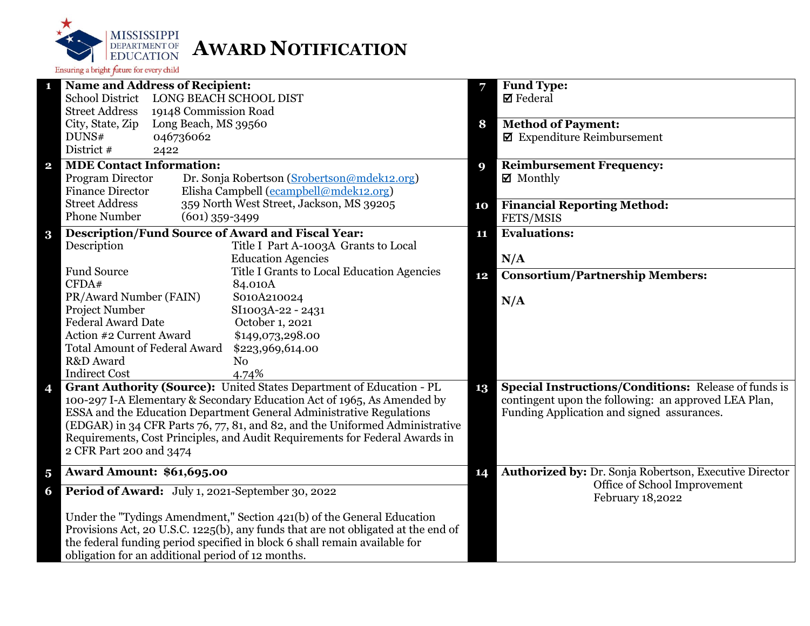

|                         | <b>Name and Address of Recipient:</b>                                             | 7  | <b>Fund Type:</b>                                           |
|-------------------------|-----------------------------------------------------------------------------------|----|-------------------------------------------------------------|
|                         | <b>School District</b><br><b>LONG BEACH SCHOOL DIST</b>                           |    | $\boxtimes$ Federal                                         |
|                         | <b>Street Address</b><br>19148 Commission Road                                    |    |                                                             |
|                         | City, State, Zip<br>Long Beach, MS 39560                                          | 8  | <b>Method of Payment:</b>                                   |
|                         | DUNS#<br>046736062                                                                |    | $\blacksquare$ Expenditure Reimbursement                    |
|                         | District #<br>2422                                                                |    |                                                             |
| $\overline{\mathbf{2}}$ | <b>MDE Contact Information:</b>                                                   | 9  | <b>Reimbursement Frequency:</b>                             |
|                         | Program Director<br>Dr. Sonja Robertson (Srobertson@mdek12.org)                   |    | $\boxtimes$ Monthly                                         |
|                         | Elisha Campbell (ecampbell@mdek12.org)<br><b>Finance Director</b>                 |    |                                                             |
|                         | <b>Street Address</b><br>359 North West Street, Jackson, MS 39205                 | 10 | <b>Financial Reporting Method:</b>                          |
|                         | <b>Phone Number</b><br>$(601)$ 359-3499                                           |    | FETS/MSIS                                                   |
| $\bf{3}$                | <b>Description/Fund Source of Award and Fiscal Year:</b>                          | 11 | <b>Evaluations:</b>                                         |
|                         | Description<br>Title I Part A-1003A Grants to Local                               |    |                                                             |
|                         | <b>Education Agencies</b>                                                         |    | N/A                                                         |
|                         | <b>Fund Source</b><br>Title I Grants to Local Education Agencies                  |    |                                                             |
|                         | CFDA#<br>84.010A                                                                  | 12 | <b>Consortium/Partnership Members:</b>                      |
|                         | PR/Award Number (FAIN)<br>S010A210024                                             |    |                                                             |
|                         | Project Number<br>SI1003A-22 - 2431                                               |    | N/A                                                         |
|                         | <b>Federal Award Date</b><br>October 1, 2021                                      |    |                                                             |
|                         | Action #2 Current Award<br>\$149,073,298.00                                       |    |                                                             |
|                         | <b>Total Amount of Federal Award</b><br>\$223,969,614.00                          |    |                                                             |
|                         | R&D Award<br>N <sub>o</sub>                                                       |    |                                                             |
|                         | <b>Indirect Cost</b><br>4.74%                                                     |    |                                                             |
| 4                       | Grant Authority (Source): United States Department of Education - PL              | 13 | <b>Special Instructions/Conditions: Release of funds is</b> |
|                         | 100-297 I-A Elementary & Secondary Education Act of 1965, As Amended by           |    | contingent upon the following: an approved LEA Plan,        |
|                         | ESSA and the Education Department General Administrative Regulations              |    | Funding Application and signed assurances.                  |
|                         | (EDGAR) in 34 CFR Parts 76, 77, 81, and 82, and the Uniformed Administrative      |    |                                                             |
|                         | Requirements, Cost Principles, and Audit Requirements for Federal Awards in       |    |                                                             |
|                         | 2 CFR Part 200 and 3474                                                           |    |                                                             |
|                         |                                                                                   |    |                                                             |
| $\overline{\mathbf{5}}$ | <b>Award Amount: \$61,695.00</b>                                                  | 14 | Authorized by: Dr. Sonja Robertson, Executive Director      |
| 6                       | Period of Award: July 1, 2021-September 30, 2022                                  |    | Office of School Improvement<br>February 18,2022            |
|                         | Under the "Tydings Amendment," Section 421(b) of the General Education            |    |                                                             |
|                         | Provisions Act, 20 U.S.C. 1225(b), any funds that are not obligated at the end of |    |                                                             |
|                         | the federal funding period specified in block 6 shall remain available for        |    |                                                             |
|                         | obligation for an additional period of 12 months.                                 |    |                                                             |
|                         |                                                                                   |    |                                                             |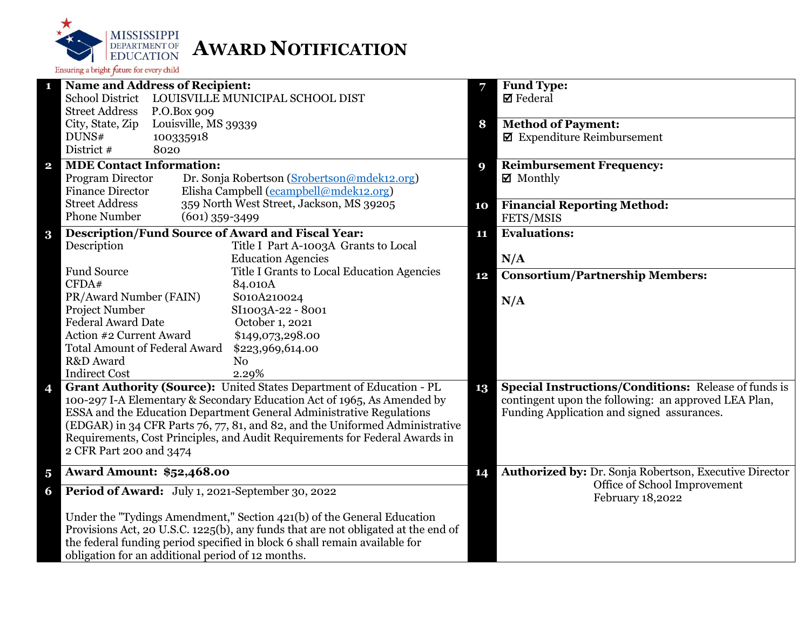

|                         | <b>Name and Address of Recipient:</b>                                             | 7  | <b>Fund Type:</b>                                           |
|-------------------------|-----------------------------------------------------------------------------------|----|-------------------------------------------------------------|
|                         | <b>School District</b><br>LOUISVILLE MUNICIPAL SCHOOL DIST                        |    | $\boxtimes$ Federal                                         |
|                         | <b>Street Address</b><br>P.O.Box 909                                              |    |                                                             |
|                         | City, State, Zip<br>Louisville, MS 39339                                          | 8  | <b>Method of Payment:</b>                                   |
|                         | DUNS#<br>100335918                                                                |    | $\blacksquare$ Expenditure Reimbursement                    |
|                         | District #<br>8020                                                                |    |                                                             |
| $\overline{\mathbf{2}}$ | <b>MDE Contact Information:</b>                                                   | 9  | <b>Reimbursement Frequency:</b>                             |
|                         | Program Director<br>Dr. Sonja Robertson (Srobertson@mdek12.org)                   |    | $\boxtimes$ Monthly                                         |
|                         | <b>Finance Director</b><br>Elisha Campbell (ecampbell@mdek12.org)                 |    |                                                             |
|                         | <b>Street Address</b><br>359 North West Street, Jackson, MS 39205                 | 10 | <b>Financial Reporting Method:</b>                          |
|                         | <b>Phone Number</b><br>$(601)$ 359-3499                                           |    | FETS/MSIS                                                   |
| $\bf{3}$                | <b>Description/Fund Source of Award and Fiscal Year:</b>                          | 11 | <b>Evaluations:</b>                                         |
|                         | Description<br>Title I Part A-1003A Grants to Local                               |    |                                                             |
|                         | <b>Education Agencies</b>                                                         |    | N/A                                                         |
|                         | <b>Fund Source</b><br>Title I Grants to Local Education Agencies                  | 12 | <b>Consortium/Partnership Members:</b>                      |
|                         | CFDA#<br>84.010A                                                                  |    |                                                             |
|                         | PR/Award Number (FAIN)<br>S010A210024                                             |    | N/A                                                         |
|                         | Project Number<br>SI1003A-22 - 8001                                               |    |                                                             |
|                         | <b>Federal Award Date</b><br>October 1, 2021                                      |    |                                                             |
|                         | Action #2 Current Award<br>\$149,073,298.00                                       |    |                                                             |
|                         | <b>Total Amount of Federal Award</b><br>\$223,969,614.00                          |    |                                                             |
|                         | R&D Award<br>N <sub>o</sub>                                                       |    |                                                             |
|                         | <b>Indirect Cost</b><br>2.29%                                                     |    |                                                             |
| 4                       | Grant Authority (Source): United States Department of Education - PL              | 13 | <b>Special Instructions/Conditions:</b> Release of funds is |
|                         | 100-297 I-A Elementary & Secondary Education Act of 1965, As Amended by           |    | contingent upon the following: an approved LEA Plan,        |
|                         | ESSA and the Education Department General Administrative Regulations              |    | Funding Application and signed assurances.                  |
|                         | (EDGAR) in 34 CFR Parts 76, 77, 81, and 82, and the Uniformed Administrative      |    |                                                             |
|                         | Requirements, Cost Principles, and Audit Requirements for Federal Awards in       |    |                                                             |
|                         | 2 CFR Part 200 and 3474                                                           |    |                                                             |
| $\overline{\mathbf{5}}$ | <b>Award Amount: \$52,468.00</b>                                                  | 14 | Authorized by: Dr. Sonja Robertson, Executive Director      |
| 6                       | Period of Award: July 1, 2021-September 30, 2022                                  |    | Office of School Improvement<br>February 18,2022            |
|                         | Under the "Tydings Amendment," Section 421(b) of the General Education            |    |                                                             |
|                         | Provisions Act, 20 U.S.C. 1225(b), any funds that are not obligated at the end of |    |                                                             |
|                         | the federal funding period specified in block 6 shall remain available for        |    |                                                             |
|                         | obligation for an additional period of 12 months.                                 |    |                                                             |
|                         |                                                                                   |    |                                                             |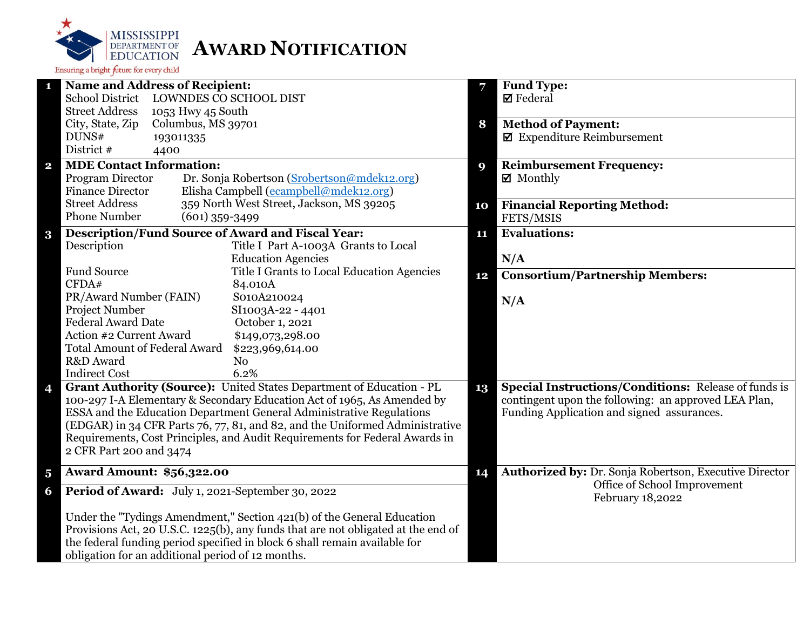

|                         | <b>Name and Address of Recipient:</b>                                             | 7  | <b>Fund Type:</b>                                           |
|-------------------------|-----------------------------------------------------------------------------------|----|-------------------------------------------------------------|
|                         | <b>School District</b><br>LOWNDES CO SCHOOL DIST                                  |    | $\boxtimes$ Federal                                         |
|                         | <b>Street Address</b><br>1053 Hwy 45 South                                        |    |                                                             |
|                         | City, State, Zip<br>Columbus, MS 39701                                            | 8  | <b>Method of Payment:</b>                                   |
|                         | DUNS#<br>193011335                                                                |    | $\blacksquare$ Expenditure Reimbursement                    |
|                         | District #<br>4400                                                                |    |                                                             |
| $\overline{\mathbf{2}}$ | <b>MDE Contact Information:</b>                                                   | 9  | <b>Reimbursement Frequency:</b>                             |
|                         | Program Director<br>Dr. Sonja Robertson (Srobertson@mdek12.org)                   |    | $\boxtimes$ Monthly                                         |
|                         | Elisha Campbell (ecampbell@mdek12.org)<br><b>Finance Director</b>                 |    |                                                             |
|                         | <b>Street Address</b><br>359 North West Street, Jackson, MS 39205                 | 10 | <b>Financial Reporting Method:</b>                          |
|                         | <b>Phone Number</b><br>$(601)$ 359-3499                                           |    | FETS/MSIS                                                   |
|                         | <b>Description/Fund Source of Award and Fiscal Year:</b>                          |    | <b>Evaluations:</b>                                         |
| $\bf{3}$                | Description<br>Title I Part A-1003A Grants to Local                               | 11 |                                                             |
|                         | <b>Education Agencies</b>                                                         |    |                                                             |
|                         | <b>Fund Source</b>                                                                |    | N/A                                                         |
|                         | Title I Grants to Local Education Agencies<br>CFDA#                               | 12 | <b>Consortium/Partnership Members:</b>                      |
|                         | 84.010A                                                                           |    |                                                             |
|                         | PR/Award Number (FAIN)<br>S010A210024<br>Project Number                           |    | N/A                                                         |
|                         | SI1003A-22 - 4401<br><b>Federal Award Date</b>                                    |    |                                                             |
|                         | October 1, 2021<br>Action #2 Current Award                                        |    |                                                             |
|                         | \$149,073,298.00                                                                  |    |                                                             |
|                         | <b>Total Amount of Federal Award</b><br>\$223,969,614.00                          |    |                                                             |
|                         | R&D Award<br>N <sub>o</sub><br>6.2%                                               |    |                                                             |
|                         | <b>Indirect Cost</b>                                                              |    |                                                             |
| 4                       | Grant Authority (Source): United States Department of Education - PL              | 13 | <b>Special Instructions/Conditions: Release of funds is</b> |
|                         | 100-297 I-A Elementary & Secondary Education Act of 1965, As Amended by           |    | contingent upon the following: an approved LEA Plan,        |
|                         | ESSA and the Education Department General Administrative Regulations              |    | Funding Application and signed assurances.                  |
|                         | (EDGAR) in 34 CFR Parts 76, 77, 81, and 82, and the Uniformed Administrative      |    |                                                             |
|                         | Requirements, Cost Principles, and Audit Requirements for Federal Awards in       |    |                                                             |
|                         | 2 CFR Part 200 and 3474                                                           |    |                                                             |
| $\overline{\mathbf{5}}$ | <b>Award Amount: \$56,322.00</b>                                                  | 14 | Authorized by: Dr. Sonja Robertson, Executive Director      |
| 6                       | Period of Award: July 1, 2021-September 30, 2022                                  |    | Office of School Improvement                                |
|                         |                                                                                   |    | February 18,2022                                            |
|                         | Under the "Tydings Amendment," Section 421(b) of the General Education            |    |                                                             |
|                         | Provisions Act, 20 U.S.C. 1225(b), any funds that are not obligated at the end of |    |                                                             |
|                         | the federal funding period specified in block 6 shall remain available for        |    |                                                             |
|                         | obligation for an additional period of 12 months.                                 |    |                                                             |
|                         |                                                                                   |    |                                                             |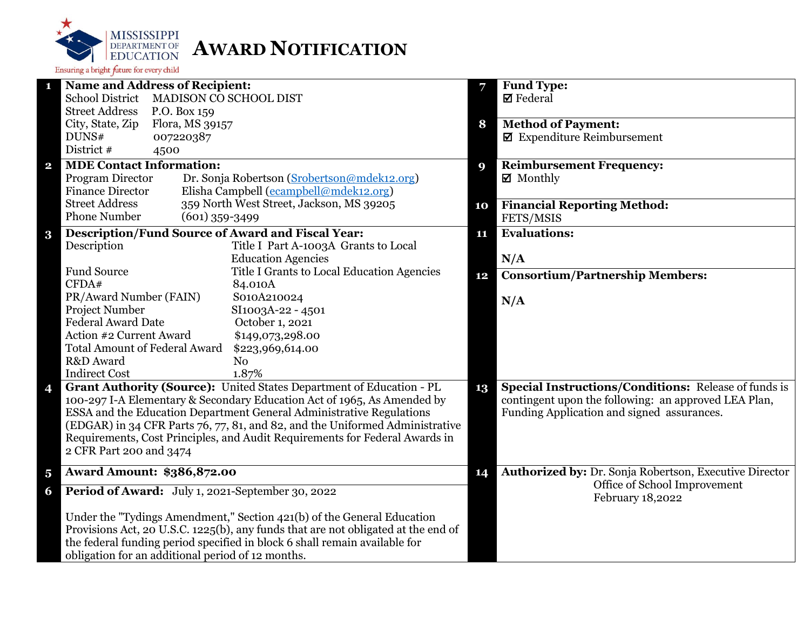

| 1                       | <b>Name and Address of Recipient:</b>                                             | 7  | <b>Fund Type:</b>                                                     |
|-------------------------|-----------------------------------------------------------------------------------|----|-----------------------------------------------------------------------|
|                         | School District MADISON CO SCHOOL DIST                                            |    | $\boxtimes$ Federal                                                   |
|                         | <b>Street Address</b><br>P.O. Box 159                                             |    |                                                                       |
|                         | City, State, Zip<br>Flora, MS 39157<br>DUNS#<br>007220387                         | 8  | <b>Method of Payment:</b><br>$\blacksquare$ Expenditure Reimbursement |
|                         | District #<br>4500                                                                |    |                                                                       |
|                         | <b>MDE Contact Information:</b>                                                   |    | <b>Reimbursement Frequency:</b>                                       |
| $\mathbf{2}$            | Program Director<br>Dr. Sonja Robertson (Srobertson@mdek12.org)                   | 9  | $\boxtimes$ Monthly                                                   |
|                         | Elisha Campbell (ecampbell@mdek12.org)<br><b>Finance Director</b>                 |    |                                                                       |
|                         | 359 North West Street, Jackson, MS 39205<br><b>Street Address</b>                 | 10 | <b>Financial Reporting Method:</b>                                    |
|                         | <b>Phone Number</b><br>$(601)$ 359-3499                                           |    | FETS/MSIS                                                             |
| $\bf{3}$                | <b>Description/Fund Source of Award and Fiscal Year:</b>                          | 11 | <b>Evaluations:</b>                                                   |
|                         | Title I Part A-1003A Grants to Local<br>Description                               |    |                                                                       |
|                         | <b>Education Agencies</b>                                                         |    | N/A                                                                   |
|                         | <b>Fund Source</b><br>Title I Grants to Local Education Agencies                  | 12 | <b>Consortium/Partnership Members:</b>                                |
|                         | CFDA#<br>84.010A                                                                  |    |                                                                       |
|                         | PR/Award Number (FAIN)<br>S010A210024                                             |    | N/A                                                                   |
|                         | Project Number<br>SI1003A-22 - 4501<br><b>Federal Award Date</b>                  |    |                                                                       |
|                         | October 1, 2021<br>Action #2 Current Award<br>\$149,073,298.00                    |    |                                                                       |
|                         | <b>Total Amount of Federal Award</b><br>\$223,969,614.00                          |    |                                                                       |
|                         | R&D Award<br>N <sub>0</sub>                                                       |    |                                                                       |
|                         | <b>Indirect Cost</b><br>1.87%                                                     |    |                                                                       |
| 4                       | Grant Authority (Source): United States Department of Education - PL              | 13 | <b>Special Instructions/Conditions:</b> Release of funds is           |
|                         | 100-297 I-A Elementary & Secondary Education Act of 1965, As Amended by           |    | contingent upon the following: an approved LEA Plan,                  |
|                         | ESSA and the Education Department General Administrative Regulations              |    | Funding Application and signed assurances.                            |
|                         | (EDGAR) in 34 CFR Parts 76, 77, 81, and 82, and the Uniformed Administrative      |    |                                                                       |
|                         | Requirements, Cost Principles, and Audit Requirements for Federal Awards in       |    |                                                                       |
|                         | 2 CFR Part 200 and 3474                                                           |    |                                                                       |
| $\overline{\mathbf{5}}$ | <b>Award Amount: \$386,872.00</b>                                                 | 14 | Authorized by: Dr. Sonja Robertson, Executive Director                |
| 6                       | Period of Award: July 1, 2021-September 30, 2022                                  |    | Office of School Improvement<br>February 18,2022                      |
|                         | Under the "Tydings Amendment," Section 421(b) of the General Education            |    |                                                                       |
|                         | Provisions Act, 20 U.S.C. 1225(b), any funds that are not obligated at the end of |    |                                                                       |
|                         | the federal funding period specified in block 6 shall remain available for        |    |                                                                       |
|                         | obligation for an additional period of 12 months.                                 |    |                                                                       |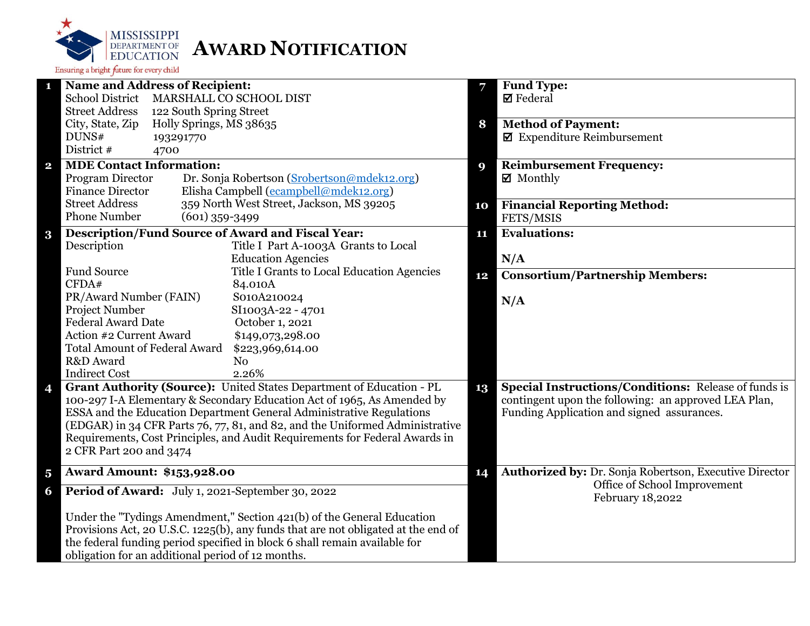

|                         | <b>Name and Address of Recipient:</b>                                             | 7  | <b>Fund Type:</b>                                           |
|-------------------------|-----------------------------------------------------------------------------------|----|-------------------------------------------------------------|
|                         | <b>School District</b><br>MARSHALL CO SCHOOL DIST                                 |    | $\boxtimes$ Federal                                         |
|                         | <b>Street Address</b><br>122 South Spring Street                                  |    |                                                             |
|                         | City, State, Zip<br>Holly Springs, MS 38635                                       | 8  | <b>Method of Payment:</b>                                   |
|                         | DUNS#<br>193291770                                                                |    | $\boxtimes$ Expenditure Reimbursement                       |
|                         | District #<br>4700                                                                |    |                                                             |
| $\overline{\mathbf{2}}$ | <b>MDE Contact Information:</b>                                                   | 9  | <b>Reimbursement Frequency:</b>                             |
|                         | Program Director<br>Dr. Sonja Robertson (Srobertson@mdek12.org)                   |    | $\boxtimes$ Monthly                                         |
|                         | Elisha Campbell (ecampbell@mdek12.org)<br><b>Finance Director</b>                 |    |                                                             |
|                         | <b>Street Address</b><br>359 North West Street, Jackson, MS 39205                 | 10 | <b>Financial Reporting Method:</b>                          |
|                         | <b>Phone Number</b><br>$(601)$ 359-3499                                           |    | FETS/MSIS                                                   |
| $\bf{3}$                | <b>Description/Fund Source of Award and Fiscal Year:</b>                          | 11 | <b>Evaluations:</b>                                         |
|                         | Description<br>Title I Part A-1003A Grants to Local                               |    |                                                             |
|                         | <b>Education Agencies</b>                                                         |    | N/A                                                         |
|                         | <b>Fund Source</b><br>Title I Grants to Local Education Agencies                  |    |                                                             |
|                         | CFDA#<br>84.010A                                                                  | 12 | <b>Consortium/Partnership Members:</b>                      |
|                         | PR/Award Number (FAIN)<br>S010A210024                                             |    |                                                             |
|                         | Project Number<br>SI1003A-22 - 4701                                               |    | N/A                                                         |
|                         | <b>Federal Award Date</b><br>October 1, 2021                                      |    |                                                             |
|                         | Action #2 Current Award<br>\$149,073,298.00                                       |    |                                                             |
|                         | <b>Total Amount of Federal Award</b><br>\$223,969,614.00                          |    |                                                             |
|                         | R&D Award<br>N <sub>o</sub>                                                       |    |                                                             |
|                         | <b>Indirect Cost</b><br>2.26%                                                     |    |                                                             |
| 4                       | Grant Authority (Source): United States Department of Education - PL              | 13 | <b>Special Instructions/Conditions: Release of funds is</b> |
|                         | 100-297 I-A Elementary & Secondary Education Act of 1965, As Amended by           |    | contingent upon the following: an approved LEA Plan,        |
|                         | ESSA and the Education Department General Administrative Regulations              |    | Funding Application and signed assurances.                  |
|                         | (EDGAR) in 34 CFR Parts 76, 77, 81, and 82, and the Uniformed Administrative      |    |                                                             |
|                         | Requirements, Cost Principles, and Audit Requirements for Federal Awards in       |    |                                                             |
|                         | 2 CFR Part 200 and 3474                                                           |    |                                                             |
|                         |                                                                                   |    |                                                             |
| $\overline{\mathbf{5}}$ | <b>Award Amount: \$153,928.00</b>                                                 | 14 | Authorized by: Dr. Sonja Robertson, Executive Director      |
| 6                       | Period of Award: July 1, 2021-September 30, 2022                                  |    | Office of School Improvement<br>February 18,2022            |
|                         | Under the "Tydings Amendment," Section 421(b) of the General Education            |    |                                                             |
|                         | Provisions Act, 20 U.S.C. 1225(b), any funds that are not obligated at the end of |    |                                                             |
|                         | the federal funding period specified in block 6 shall remain available for        |    |                                                             |
|                         | obligation for an additional period of 12 months.                                 |    |                                                             |
|                         |                                                                                   |    |                                                             |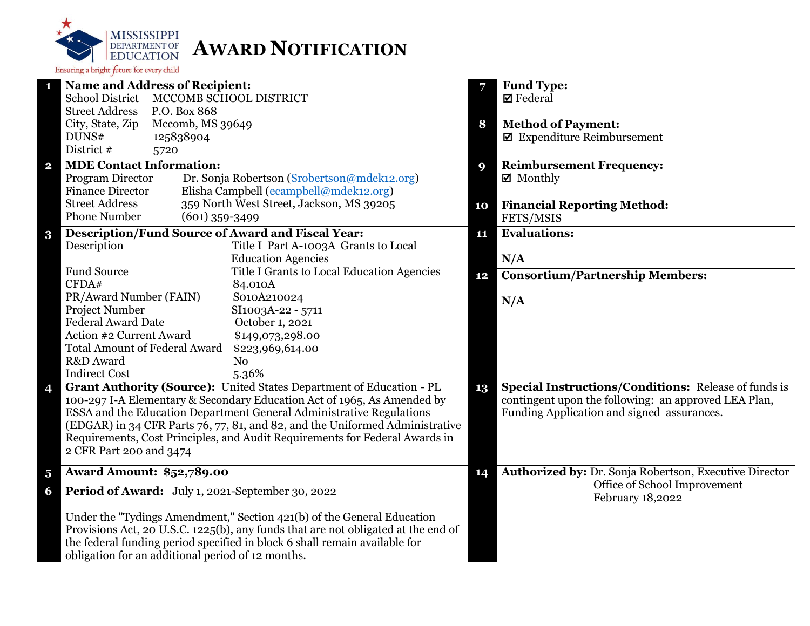

| <b>Name and Address of Recipient:</b><br><b>Fund Type:</b><br>1<br>School District MCCOMB SCHOOL DISTRICT<br>$\boxtimes$ Federal<br><b>Street Address</b><br>P.O. Box 868<br>City, State, Zip<br>Mccomb, MS 39649<br><b>Method of Payment:</b><br>8<br>$\blacksquare$ Expenditure Reimbursement<br>DUNS#<br>125838904<br>District #<br>5720<br><b>MDE Contact Information:</b><br><b>Reimbursement Frequency:</b><br>$\overline{\mathbf{2}}$<br>9<br>Program Director<br>$\boxtimes$ Monthly<br>Dr. Sonja Robertson (Srobertson@mdek12.org)<br>Elisha Campbell (ecampbell@mdek12.org)<br><b>Finance Director</b><br>359 North West Street, Jackson, MS 39205<br><b>Street Address</b><br><b>Financial Reporting Method:</b><br>10<br><b>Phone Number</b><br>$(601)$ 359-3499<br>FETS/MSIS<br><b>Description/Fund Source of Award and Fiscal Year:</b><br><b>Evaluations:</b><br>$\bf{3}$<br>11<br>Description<br>Title I Part A-1003A Grants to Local<br><b>Education Agencies</b><br>N/A<br><b>Fund Source</b><br>Title I Grants to Local Education Agencies<br>12<br>CFDA#<br>84.010A<br>PR/Award Number (FAIN)<br>S010A210024<br>N/A<br>Project Number<br>SI1003A-22 - 5711<br><b>Federal Award Date</b><br>October 1, 2021<br>Action #2 Current Award<br>\$149,073,298.00<br><b>Total Amount of Federal Award</b><br>\$223,969,614.00<br>R&D Award<br>N <sub>o</sub><br><b>Indirect Cost</b><br>5.36%<br>Grant Authority (Source): United States Department of Education - PL<br>13<br>4<br>100-297 I-A Elementary & Secondary Education Act of 1965, As Amended by<br>ESSA and the Education Department General Administrative Regulations<br>(EDGAR) in 34 CFR Parts 76, 77, 81, and 82, and the Uniformed Administrative<br>Requirements, Cost Principles, and Audit Requirements for Federal Awards in<br>2 CFR Part 200 and 3474<br><b>Award Amount: \$52,789.00</b><br>14<br>$\overline{\mathbf{5}}$<br>Period of Award: July 1, 2021-September 30, 2022<br>6<br>February 18,2022<br>Under the "Tydings Amendment," Section 421(b) of the General Education<br>Provisions Act, 20 U.S.C. 1225(b), any funds that are not obligated at the end of |  |                                                             |
|------------------------------------------------------------------------------------------------------------------------------------------------------------------------------------------------------------------------------------------------------------------------------------------------------------------------------------------------------------------------------------------------------------------------------------------------------------------------------------------------------------------------------------------------------------------------------------------------------------------------------------------------------------------------------------------------------------------------------------------------------------------------------------------------------------------------------------------------------------------------------------------------------------------------------------------------------------------------------------------------------------------------------------------------------------------------------------------------------------------------------------------------------------------------------------------------------------------------------------------------------------------------------------------------------------------------------------------------------------------------------------------------------------------------------------------------------------------------------------------------------------------------------------------------------------------------------------------------------------------------------------------------------------------------------------------------------------------------------------------------------------------------------------------------------------------------------------------------------------------------------------------------------------------------------------------------------------------------------------------------------------------------------------------------------------------------------------------------------------------------------------------------------------|--|-------------------------------------------------------------|
|                                                                                                                                                                                                                                                                                                                                                                                                                                                                                                                                                                                                                                                                                                                                                                                                                                                                                                                                                                                                                                                                                                                                                                                                                                                                                                                                                                                                                                                                                                                                                                                                                                                                                                                                                                                                                                                                                                                                                                                                                                                                                                                                                            |  |                                                             |
|                                                                                                                                                                                                                                                                                                                                                                                                                                                                                                                                                                                                                                                                                                                                                                                                                                                                                                                                                                                                                                                                                                                                                                                                                                                                                                                                                                                                                                                                                                                                                                                                                                                                                                                                                                                                                                                                                                                                                                                                                                                                                                                                                            |  |                                                             |
|                                                                                                                                                                                                                                                                                                                                                                                                                                                                                                                                                                                                                                                                                                                                                                                                                                                                                                                                                                                                                                                                                                                                                                                                                                                                                                                                                                                                                                                                                                                                                                                                                                                                                                                                                                                                                                                                                                                                                                                                                                                                                                                                                            |  |                                                             |
|                                                                                                                                                                                                                                                                                                                                                                                                                                                                                                                                                                                                                                                                                                                                                                                                                                                                                                                                                                                                                                                                                                                                                                                                                                                                                                                                                                                                                                                                                                                                                                                                                                                                                                                                                                                                                                                                                                                                                                                                                                                                                                                                                            |  |                                                             |
|                                                                                                                                                                                                                                                                                                                                                                                                                                                                                                                                                                                                                                                                                                                                                                                                                                                                                                                                                                                                                                                                                                                                                                                                                                                                                                                                                                                                                                                                                                                                                                                                                                                                                                                                                                                                                                                                                                                                                                                                                                                                                                                                                            |  |                                                             |
|                                                                                                                                                                                                                                                                                                                                                                                                                                                                                                                                                                                                                                                                                                                                                                                                                                                                                                                                                                                                                                                                                                                                                                                                                                                                                                                                                                                                                                                                                                                                                                                                                                                                                                                                                                                                                                                                                                                                                                                                                                                                                                                                                            |  |                                                             |
|                                                                                                                                                                                                                                                                                                                                                                                                                                                                                                                                                                                                                                                                                                                                                                                                                                                                                                                                                                                                                                                                                                                                                                                                                                                                                                                                                                                                                                                                                                                                                                                                                                                                                                                                                                                                                                                                                                                                                                                                                                                                                                                                                            |  |                                                             |
|                                                                                                                                                                                                                                                                                                                                                                                                                                                                                                                                                                                                                                                                                                                                                                                                                                                                                                                                                                                                                                                                                                                                                                                                                                                                                                                                                                                                                                                                                                                                                                                                                                                                                                                                                                                                                                                                                                                                                                                                                                                                                                                                                            |  |                                                             |
|                                                                                                                                                                                                                                                                                                                                                                                                                                                                                                                                                                                                                                                                                                                                                                                                                                                                                                                                                                                                                                                                                                                                                                                                                                                                                                                                                                                                                                                                                                                                                                                                                                                                                                                                                                                                                                                                                                                                                                                                                                                                                                                                                            |  |                                                             |
|                                                                                                                                                                                                                                                                                                                                                                                                                                                                                                                                                                                                                                                                                                                                                                                                                                                                                                                                                                                                                                                                                                                                                                                                                                                                                                                                                                                                                                                                                                                                                                                                                                                                                                                                                                                                                                                                                                                                                                                                                                                                                                                                                            |  |                                                             |
|                                                                                                                                                                                                                                                                                                                                                                                                                                                                                                                                                                                                                                                                                                                                                                                                                                                                                                                                                                                                                                                                                                                                                                                                                                                                                                                                                                                                                                                                                                                                                                                                                                                                                                                                                                                                                                                                                                                                                                                                                                                                                                                                                            |  |                                                             |
|                                                                                                                                                                                                                                                                                                                                                                                                                                                                                                                                                                                                                                                                                                                                                                                                                                                                                                                                                                                                                                                                                                                                                                                                                                                                                                                                                                                                                                                                                                                                                                                                                                                                                                                                                                                                                                                                                                                                                                                                                                                                                                                                                            |  |                                                             |
|                                                                                                                                                                                                                                                                                                                                                                                                                                                                                                                                                                                                                                                                                                                                                                                                                                                                                                                                                                                                                                                                                                                                                                                                                                                                                                                                                                                                                                                                                                                                                                                                                                                                                                                                                                                                                                                                                                                                                                                                                                                                                                                                                            |  |                                                             |
|                                                                                                                                                                                                                                                                                                                                                                                                                                                                                                                                                                                                                                                                                                                                                                                                                                                                                                                                                                                                                                                                                                                                                                                                                                                                                                                                                                                                                                                                                                                                                                                                                                                                                                                                                                                                                                                                                                                                                                                                                                                                                                                                                            |  |                                                             |
|                                                                                                                                                                                                                                                                                                                                                                                                                                                                                                                                                                                                                                                                                                                                                                                                                                                                                                                                                                                                                                                                                                                                                                                                                                                                                                                                                                                                                                                                                                                                                                                                                                                                                                                                                                                                                                                                                                                                                                                                                                                                                                                                                            |  | <b>Consortium/Partnership Members:</b>                      |
|                                                                                                                                                                                                                                                                                                                                                                                                                                                                                                                                                                                                                                                                                                                                                                                                                                                                                                                                                                                                                                                                                                                                                                                                                                                                                                                                                                                                                                                                                                                                                                                                                                                                                                                                                                                                                                                                                                                                                                                                                                                                                                                                                            |  |                                                             |
|                                                                                                                                                                                                                                                                                                                                                                                                                                                                                                                                                                                                                                                                                                                                                                                                                                                                                                                                                                                                                                                                                                                                                                                                                                                                                                                                                                                                                                                                                                                                                                                                                                                                                                                                                                                                                                                                                                                                                                                                                                                                                                                                                            |  |                                                             |
|                                                                                                                                                                                                                                                                                                                                                                                                                                                                                                                                                                                                                                                                                                                                                                                                                                                                                                                                                                                                                                                                                                                                                                                                                                                                                                                                                                                                                                                                                                                                                                                                                                                                                                                                                                                                                                                                                                                                                                                                                                                                                                                                                            |  |                                                             |
|                                                                                                                                                                                                                                                                                                                                                                                                                                                                                                                                                                                                                                                                                                                                                                                                                                                                                                                                                                                                                                                                                                                                                                                                                                                                                                                                                                                                                                                                                                                                                                                                                                                                                                                                                                                                                                                                                                                                                                                                                                                                                                                                                            |  |                                                             |
|                                                                                                                                                                                                                                                                                                                                                                                                                                                                                                                                                                                                                                                                                                                                                                                                                                                                                                                                                                                                                                                                                                                                                                                                                                                                                                                                                                                                                                                                                                                                                                                                                                                                                                                                                                                                                                                                                                                                                                                                                                                                                                                                                            |  |                                                             |
|                                                                                                                                                                                                                                                                                                                                                                                                                                                                                                                                                                                                                                                                                                                                                                                                                                                                                                                                                                                                                                                                                                                                                                                                                                                                                                                                                                                                                                                                                                                                                                                                                                                                                                                                                                                                                                                                                                                                                                                                                                                                                                                                                            |  |                                                             |
|                                                                                                                                                                                                                                                                                                                                                                                                                                                                                                                                                                                                                                                                                                                                                                                                                                                                                                                                                                                                                                                                                                                                                                                                                                                                                                                                                                                                                                                                                                                                                                                                                                                                                                                                                                                                                                                                                                                                                                                                                                                                                                                                                            |  |                                                             |
|                                                                                                                                                                                                                                                                                                                                                                                                                                                                                                                                                                                                                                                                                                                                                                                                                                                                                                                                                                                                                                                                                                                                                                                                                                                                                                                                                                                                                                                                                                                                                                                                                                                                                                                                                                                                                                                                                                                                                                                                                                                                                                                                                            |  | <b>Special Instructions/Conditions: Release of funds is</b> |
|                                                                                                                                                                                                                                                                                                                                                                                                                                                                                                                                                                                                                                                                                                                                                                                                                                                                                                                                                                                                                                                                                                                                                                                                                                                                                                                                                                                                                                                                                                                                                                                                                                                                                                                                                                                                                                                                                                                                                                                                                                                                                                                                                            |  | contingent upon the following: an approved LEA Plan,        |
|                                                                                                                                                                                                                                                                                                                                                                                                                                                                                                                                                                                                                                                                                                                                                                                                                                                                                                                                                                                                                                                                                                                                                                                                                                                                                                                                                                                                                                                                                                                                                                                                                                                                                                                                                                                                                                                                                                                                                                                                                                                                                                                                                            |  | Funding Application and signed assurances.                  |
|                                                                                                                                                                                                                                                                                                                                                                                                                                                                                                                                                                                                                                                                                                                                                                                                                                                                                                                                                                                                                                                                                                                                                                                                                                                                                                                                                                                                                                                                                                                                                                                                                                                                                                                                                                                                                                                                                                                                                                                                                                                                                                                                                            |  |                                                             |
|                                                                                                                                                                                                                                                                                                                                                                                                                                                                                                                                                                                                                                                                                                                                                                                                                                                                                                                                                                                                                                                                                                                                                                                                                                                                                                                                                                                                                                                                                                                                                                                                                                                                                                                                                                                                                                                                                                                                                                                                                                                                                                                                                            |  |                                                             |
|                                                                                                                                                                                                                                                                                                                                                                                                                                                                                                                                                                                                                                                                                                                                                                                                                                                                                                                                                                                                                                                                                                                                                                                                                                                                                                                                                                                                                                                                                                                                                                                                                                                                                                                                                                                                                                                                                                                                                                                                                                                                                                                                                            |  |                                                             |
|                                                                                                                                                                                                                                                                                                                                                                                                                                                                                                                                                                                                                                                                                                                                                                                                                                                                                                                                                                                                                                                                                                                                                                                                                                                                                                                                                                                                                                                                                                                                                                                                                                                                                                                                                                                                                                                                                                                                                                                                                                                                                                                                                            |  | Authorized by: Dr. Sonja Robertson, Executive Director      |
|                                                                                                                                                                                                                                                                                                                                                                                                                                                                                                                                                                                                                                                                                                                                                                                                                                                                                                                                                                                                                                                                                                                                                                                                                                                                                                                                                                                                                                                                                                                                                                                                                                                                                                                                                                                                                                                                                                                                                                                                                                                                                                                                                            |  | Office of School Improvement                                |
|                                                                                                                                                                                                                                                                                                                                                                                                                                                                                                                                                                                                                                                                                                                                                                                                                                                                                                                                                                                                                                                                                                                                                                                                                                                                                                                                                                                                                                                                                                                                                                                                                                                                                                                                                                                                                                                                                                                                                                                                                                                                                                                                                            |  |                                                             |
|                                                                                                                                                                                                                                                                                                                                                                                                                                                                                                                                                                                                                                                                                                                                                                                                                                                                                                                                                                                                                                                                                                                                                                                                                                                                                                                                                                                                                                                                                                                                                                                                                                                                                                                                                                                                                                                                                                                                                                                                                                                                                                                                                            |  |                                                             |
| the federal funding period specified in block 6 shall remain available for                                                                                                                                                                                                                                                                                                                                                                                                                                                                                                                                                                                                                                                                                                                                                                                                                                                                                                                                                                                                                                                                                                                                                                                                                                                                                                                                                                                                                                                                                                                                                                                                                                                                                                                                                                                                                                                                                                                                                                                                                                                                                 |  |                                                             |
| obligation for an additional period of 12 months.                                                                                                                                                                                                                                                                                                                                                                                                                                                                                                                                                                                                                                                                                                                                                                                                                                                                                                                                                                                                                                                                                                                                                                                                                                                                                                                                                                                                                                                                                                                                                                                                                                                                                                                                                                                                                                                                                                                                                                                                                                                                                                          |  |                                                             |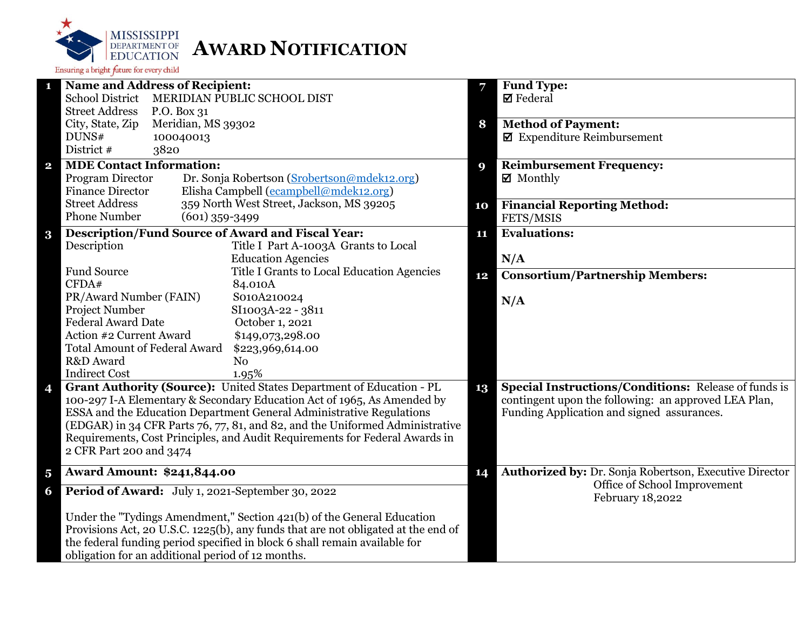

| $\mathbf{1}$            | <b>Name and Address of Recipient:</b>                                                                  | 7                | <b>Fund Type:</b>                                           |
|-------------------------|--------------------------------------------------------------------------------------------------------|------------------|-------------------------------------------------------------|
|                         | <b>School District</b><br>MERIDIAN PUBLIC SCHOOL DIST                                                  |                  | $\boxtimes$ Federal                                         |
|                         | <b>Street Address</b><br>P.O. Box 31                                                                   |                  |                                                             |
|                         | Meridian, MS 39302<br>City, State, Zip                                                                 | 8                | <b>Method of Payment:</b>                                   |
|                         | DUNS#<br>100040013                                                                                     |                  | $\blacksquare$ Expenditure Reimbursement                    |
|                         | District #<br>3820                                                                                     |                  |                                                             |
| $\mathbf{2}$            | <b>MDE Contact Information:</b>                                                                        | $\boldsymbol{9}$ | <b>Reimbursement Frequency:</b>                             |
|                         | Program Director<br>Dr. Sonja Robertson (Srobertson@mdek12.org)                                        |                  | $\boxtimes$ Monthly                                         |
|                         | Elisha Campbell (ecampbell@mdek12.org)<br><b>Finance Director</b>                                      |                  |                                                             |
|                         | <b>Street Address</b><br>359 North West Street, Jackson, MS 39205                                      | 10               | <b>Financial Reporting Method:</b>                          |
|                         | <b>Phone Number</b><br>$(601)$ 359-3499                                                                |                  | FETS/MSIS                                                   |
| $\bf{3}$                | <b>Description/Fund Source of Award and Fiscal Year:</b>                                               | 11               | <b>Evaluations:</b>                                         |
|                         | Description<br>Title I Part A-1003A Grants to Local                                                    |                  |                                                             |
|                         | <b>Education Agencies</b>                                                                              |                  | N/A                                                         |
|                         | <b>Fund Source</b><br>Title I Grants to Local Education Agencies                                       | 12               | <b>Consortium/Partnership Members:</b>                      |
|                         | CFDA#<br>84.010A                                                                                       |                  |                                                             |
|                         | S010A210024<br>PR/Award Number (FAIN)                                                                  |                  | N/A                                                         |
|                         | Project Number<br>SI1003A-22 - 3811                                                                    |                  |                                                             |
|                         | <b>Federal Award Date</b><br>October 1, 2021                                                           |                  |                                                             |
|                         | Action #2 Current Award<br>\$149,073,298.00                                                            |                  |                                                             |
|                         | <b>Total Amount of Federal Award</b><br>\$223,969,614.00                                               |                  |                                                             |
|                         | R&D Award<br>No                                                                                        |                  |                                                             |
|                         | <b>Indirect Cost</b><br>1.95%                                                                          |                  |                                                             |
| 4                       | Grant Authority (Source): United States Department of Education - PL                                   | 13               | <b>Special Instructions/Conditions: Release of funds is</b> |
|                         | 100-297 I-A Elementary & Secondary Education Act of 1965, As Amended by                                |                  | contingent upon the following: an approved LEA Plan,        |
|                         | ESSA and the Education Department General Administrative Regulations                                   |                  | Funding Application and signed assurances.                  |
|                         | (EDGAR) in 34 CFR Parts 76, 77, 81, and 82, and the Uniformed Administrative                           |                  |                                                             |
|                         | Requirements, Cost Principles, and Audit Requirements for Federal Awards in<br>2 CFR Part 200 and 3474 |                  |                                                             |
|                         |                                                                                                        |                  |                                                             |
| $\overline{\mathbf{5}}$ | <b>Award Amount: \$241,844.00</b>                                                                      | 14               | Authorized by: Dr. Sonja Robertson, Executive Director      |
| 6                       | Period of Award: July 1, 2021-September 30, 2022                                                       |                  | Office of School Improvement<br>February 18,2022            |
|                         | Under the "Tydings Amendment," Section 421(b) of the General Education                                 |                  |                                                             |
|                         | Provisions Act, 20 U.S.C. 1225(b), any funds that are not obligated at the end of                      |                  |                                                             |
|                         | the federal funding period specified in block 6 shall remain available for                             |                  |                                                             |
|                         | obligation for an additional period of 12 months.                                                      |                  |                                                             |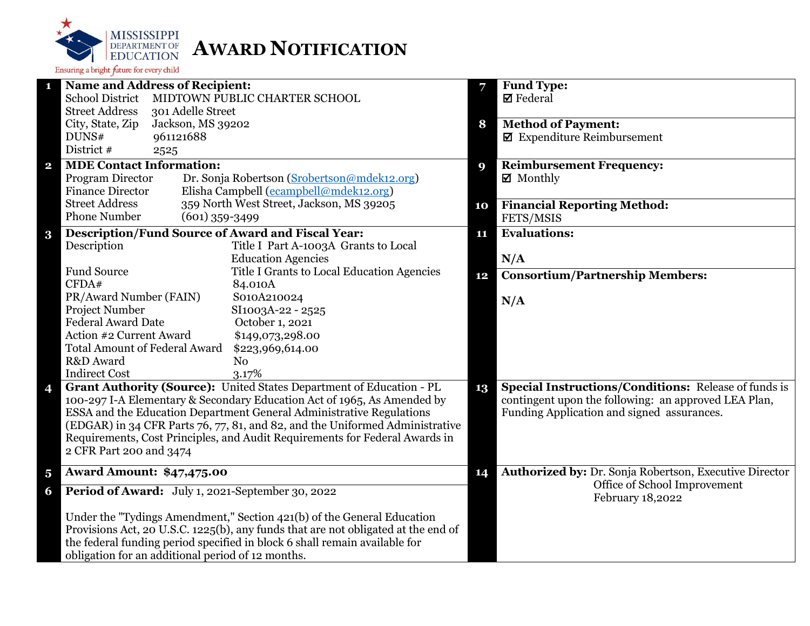

| 1                       | <b>Name and Address of Recipient:</b>                                                    | 7  | Fund Type:                                                  |
|-------------------------|------------------------------------------------------------------------------------------|----|-------------------------------------------------------------|
|                         | <b>School District</b><br>MIDTOWN PUBLIC CHARTER SCHOOL                                  |    | $\boxtimes$ Federal                                         |
|                         | <b>Street Address</b><br>301 Adelle Street                                               |    |                                                             |
|                         | City, State, Zip<br>Jackson, MS 39202                                                    | 8  | <b>Method of Payment:</b>                                   |
|                         | DUNS#<br>961121688                                                                       |    | $\blacksquare$ Expenditure Reimbursement                    |
|                         | District #<br>2525                                                                       |    |                                                             |
| $\overline{\mathbf{2}}$ | <b>MDE Contact Information:</b>                                                          | 9  | <b>Reimbursement Frequency:</b>                             |
|                         | Program Director<br>Dr. Sonja Robertson (Srobertson@mdek12.org)                          |    | ■ Monthly                                                   |
|                         | Elisha Campbell (ecampbell@mdek12.org)<br><b>Finance Director</b>                        |    |                                                             |
|                         | <b>Street Address</b><br>359 North West Street, Jackson, MS 39205<br><b>Phone Number</b> | 10 | <b>Financial Reporting Method:</b>                          |
|                         | $(601)$ 359-3499                                                                         |    | FETS/MSIS                                                   |
| $\bf{3}$                | Description/Fund Source of Award and Fiscal Year:                                        | 11 | <b>Evaluations:</b>                                         |
|                         | Description<br>Title I Part A-1003A Grants to Local                                      |    |                                                             |
|                         | <b>Education Agencies</b>                                                                |    | N/A                                                         |
|                         | <b>Fund Source</b><br>Title I Grants to Local Education Agencies                         | 12 | <b>Consortium/Partnership Members:</b>                      |
|                         | CFDA#<br>84.010A                                                                         |    |                                                             |
|                         | PR/Award Number (FAIN)<br>S010A210024<br>Project Number<br>SI1003A-22 - 2525             |    | N/A                                                         |
|                         | <b>Federal Award Date</b><br>October 1, 2021                                             |    |                                                             |
|                         | Action #2 Current Award<br>\$149,073,298.00                                              |    |                                                             |
|                         | <b>Total Amount of Federal Award</b><br>\$223,969,614.00                                 |    |                                                             |
|                         | R&D Award<br>N <sub>o</sub>                                                              |    |                                                             |
|                         | <b>Indirect Cost</b><br>3.17%                                                            |    |                                                             |
| 4                       | Grant Authority (Source): United States Department of Education - PL                     | 13 | <b>Special Instructions/Conditions: Release of funds is</b> |
|                         | 100-297 I-A Elementary & Secondary Education Act of 1965, As Amended by                  |    | contingent upon the following: an approved LEA Plan,        |
|                         | ESSA and the Education Department General Administrative Regulations                     |    | Funding Application and signed assurances.                  |
|                         | (EDGAR) in 34 CFR Parts 76, 77, 81, and 82, and the Uniformed Administrative             |    |                                                             |
|                         | Requirements, Cost Principles, and Audit Requirements for Federal Awards in              |    |                                                             |
|                         | 2 CFR Part 200 and 3474                                                                  |    |                                                             |
|                         |                                                                                          |    | Authorized by: Dr. Sonja Robertson, Executive Director      |
| $\overline{\mathbf{5}}$ | <b>Award Amount: \$47,475.00</b>                                                         | 14 | Office of School Improvement                                |
| 6                       | Period of Award: July 1, 2021-September 30, 2022                                         |    | February 18,2022                                            |
|                         | Under the "Tydings Amendment," Section 421(b) of the General Education                   |    |                                                             |
|                         | Provisions Act, 20 U.S.C. 1225(b), any funds that are not obligated at the end of        |    |                                                             |
|                         | the federal funding period specified in block 6 shall remain available for               |    |                                                             |
|                         | obligation for an additional period of 12 months.                                        |    |                                                             |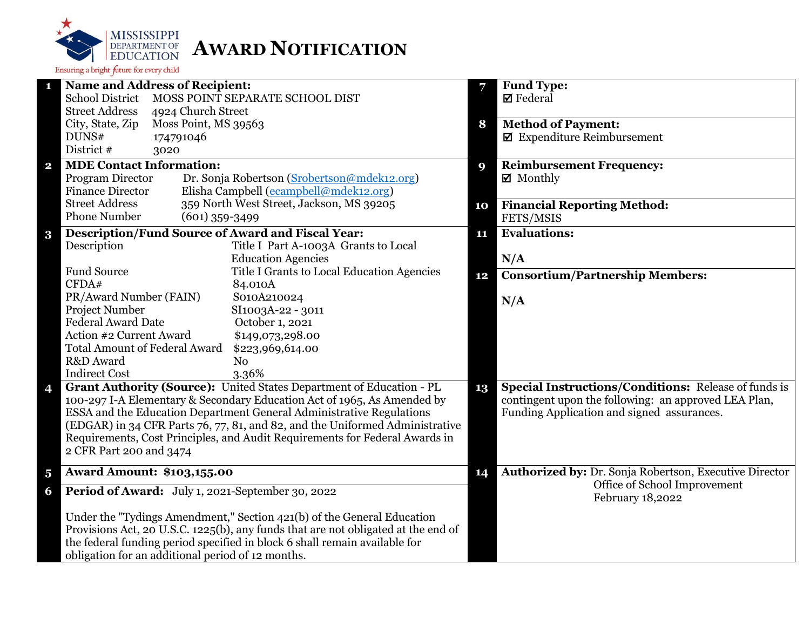

| $\mathbf{1}$            | <b>Name and Address of Recipient:</b>                    |                                                                                   | 7  | <b>Fund Type:</b>                                           |
|-------------------------|----------------------------------------------------------|-----------------------------------------------------------------------------------|----|-------------------------------------------------------------|
|                         | <b>School District</b>                                   | MOSS POINT SEPARATE SCHOOL DIST                                                   |    | $\boxtimes$ Federal                                         |
|                         | <b>Street Address</b><br>4924 Church Street              |                                                                                   |    |                                                             |
|                         | Moss Point, MS 39563<br>City, State, Zip                 |                                                                                   | 8  | <b>Method of Payment:</b>                                   |
|                         | DUNS#<br>174791046                                       |                                                                                   |    | $\boxtimes$ Expenditure Reimbursement                       |
|                         | District #<br>3020                                       |                                                                                   |    |                                                             |
| $\mathbf{2}$            | <b>MDE Contact Information:</b>                          |                                                                                   | 9  | <b>Reimbursement Frequency:</b>                             |
|                         | Program Director                                         | Dr. Sonja Robertson (Srobertson@mdek12.org)                                       |    | $\boxtimes$ Monthly                                         |
|                         | <b>Finance Director</b>                                  | Elisha Campbell (ecampbell@mdek12.org)                                            |    |                                                             |
|                         | <b>Street Address</b>                                    | 359 North West Street, Jackson, MS 39205                                          | 10 | <b>Financial Reporting Method:</b>                          |
|                         | <b>Phone Number</b><br>$(601)$ 359-3499                  |                                                                                   |    | FETS/MSIS                                                   |
| $\bf{3}$                | <b>Description/Fund Source of Award and Fiscal Year:</b> |                                                                                   | 11 | <b>Evaluations:</b>                                         |
|                         | Description                                              | Title I Part A-1003A Grants to Local                                              |    |                                                             |
|                         |                                                          | <b>Education Agencies</b>                                                         |    | N/A                                                         |
|                         | <b>Fund Source</b>                                       | Title I Grants to Local Education Agencies                                        | 12 | <b>Consortium/Partnership Members:</b>                      |
|                         | CFDA#                                                    | 84.010A                                                                           |    |                                                             |
|                         | PR/Award Number (FAIN)                                   | S010A210024                                                                       |    | N/A                                                         |
|                         | Project Number                                           | SI1003A-22 - 3011                                                                 |    |                                                             |
|                         | <b>Federal Award Date</b>                                | October 1, 2021                                                                   |    |                                                             |
|                         | Action #2 Current Award                                  | \$149,073,298.00                                                                  |    |                                                             |
|                         | <b>Total Amount of Federal Award</b>                     | \$223,969,614.00                                                                  |    |                                                             |
|                         | R&D Award                                                | N <sub>0</sub>                                                                    |    |                                                             |
|                         | <b>Indirect Cost</b>                                     | 3.36%                                                                             |    |                                                             |
| 4                       |                                                          | Grant Authority (Source): United States Department of Education - PL              | 13 | <b>Special Instructions/Conditions: Release of funds is</b> |
|                         |                                                          | 100-297 I-A Elementary & Secondary Education Act of 1965, As Amended by           |    | contingent upon the following: an approved LEA Plan,        |
|                         |                                                          | ESSA and the Education Department General Administrative Regulations              |    | Funding Application and signed assurances.                  |
|                         |                                                          | (EDGAR) in 34 CFR Parts 76, 77, 81, and 82, and the Uniformed Administrative      |    |                                                             |
|                         |                                                          | Requirements, Cost Principles, and Audit Requirements for Federal Awards in       |    |                                                             |
|                         | 2 CFR Part 200 and 3474                                  |                                                                                   |    |                                                             |
| $\overline{\mathbf{5}}$ | <b>Award Amount: \$103,155.00</b>                        |                                                                                   | 14 | Authorized by: Dr. Sonja Robertson, Executive Director      |
| 6                       | Period of Award: July 1, 2021-September 30, 2022         |                                                                                   |    | Office of School Improvement                                |
|                         |                                                          |                                                                                   |    | February 18,2022                                            |
|                         |                                                          | Under the "Tydings Amendment," Section 421(b) of the General Education            |    |                                                             |
|                         |                                                          | Provisions Act, 20 U.S.C. 1225(b), any funds that are not obligated at the end of |    |                                                             |
|                         |                                                          | the federal funding period specified in block 6 shall remain available for        |    |                                                             |
|                         | obligation for an additional period of 12 months.        |                                                                                   |    |                                                             |
|                         |                                                          |                                                                                   |    |                                                             |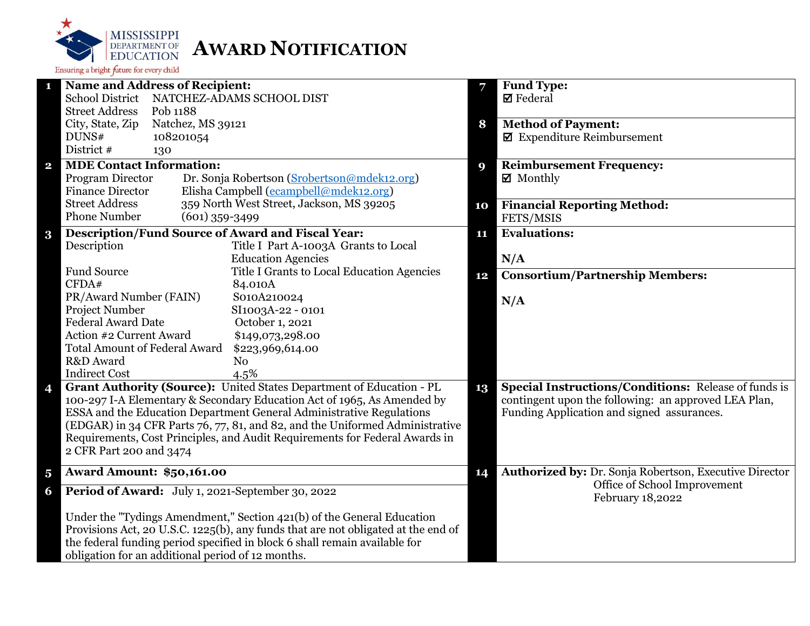

| $\mathbf{1}$            | <b>Name and Address of Recipient:</b>                                             | 7  | <b>Fund Type:</b>                                           |
|-------------------------|-----------------------------------------------------------------------------------|----|-------------------------------------------------------------|
|                         | School District NATCHEZ-ADAMS SCHOOL DIST                                         |    | $\boxtimes$ Federal                                         |
|                         | <b>Street Address</b><br>Pob 1188                                                 |    |                                                             |
|                         | Natchez, MS 39121<br>City, State, Zip                                             | 8  | <b>Method of Payment:</b>                                   |
|                         | DUNS#<br>108201054                                                                |    | $\boxtimes$ Expenditure Reimbursement                       |
|                         | District #<br>130                                                                 |    |                                                             |
| $\mathbf{2}$            | <b>MDE Contact Information:</b>                                                   | 9  | <b>Reimbursement Frequency:</b>                             |
|                         | Program Director<br>Dr. Sonja Robertson (Srobertson@mdek12.org)                   |    | $\boxtimes$ Monthly                                         |
|                         | Elisha Campbell (ecampbell@mdek12.org)<br><b>Finance Director</b>                 |    |                                                             |
|                         | <b>Street Address</b><br>359 North West Street, Jackson, MS 39205                 | 10 | <b>Financial Reporting Method:</b>                          |
|                         | <b>Phone Number</b><br>$(601)$ 359-3499                                           |    | FETS/MSIS                                                   |
| $\bf{3}$                | <b>Description/Fund Source of Award and Fiscal Year:</b>                          | 11 | <b>Evaluations:</b>                                         |
|                         | Description<br>Title I Part A-1003A Grants to Local                               |    |                                                             |
|                         | <b>Education Agencies</b>                                                         |    | N/A                                                         |
|                         | <b>Fund Source</b><br>Title I Grants to Local Education Agencies                  | 12 | <b>Consortium/Partnership Members:</b>                      |
|                         | CFDA#<br>84.010A                                                                  |    |                                                             |
|                         | PR/Award Number (FAIN)<br>S010A210024                                             |    | N/A                                                         |
|                         | Project Number<br>SI1003A-22 - 0101                                               |    |                                                             |
|                         | <b>Federal Award Date</b><br>October 1, 2021                                      |    |                                                             |
|                         | Action #2 Current Award<br>\$149,073,298.00                                       |    |                                                             |
|                         | <b>Total Amount of Federal Award</b><br>\$223,969,614.00                          |    |                                                             |
|                         | R&D Award<br>No                                                                   |    |                                                             |
|                         | <b>Indirect Cost</b><br>4.5%                                                      |    |                                                             |
| 4                       | Grant Authority (Source): United States Department of Education - PL              | 13 | <b>Special Instructions/Conditions: Release of funds is</b> |
|                         | 100-297 I-A Elementary & Secondary Education Act of 1965, As Amended by           |    | contingent upon the following: an approved LEA Plan,        |
|                         | ESSA and the Education Department General Administrative Regulations              |    | Funding Application and signed assurances.                  |
|                         | (EDGAR) in 34 CFR Parts 76, 77, 81, and 82, and the Uniformed Administrative      |    |                                                             |
|                         | Requirements, Cost Principles, and Audit Requirements for Federal Awards in       |    |                                                             |
|                         | 2 CFR Part 200 and 3474                                                           |    |                                                             |
| $\overline{\mathbf{5}}$ | <b>Award Amount: \$50,161.00</b>                                                  | 14 | Authorized by: Dr. Sonja Robertson, Executive Director      |
| 6                       | Period of Award: July 1, 2021-September 30, 2022                                  |    | Office of School Improvement<br>February 18,2022            |
|                         | Under the "Tydings Amendment," Section 421(b) of the General Education            |    |                                                             |
|                         | Provisions Act, 20 U.S.C. 1225(b), any funds that are not obligated at the end of |    |                                                             |
|                         | the federal funding period specified in block 6 shall remain available for        |    |                                                             |
|                         | obligation for an additional period of 12 months.                                 |    |                                                             |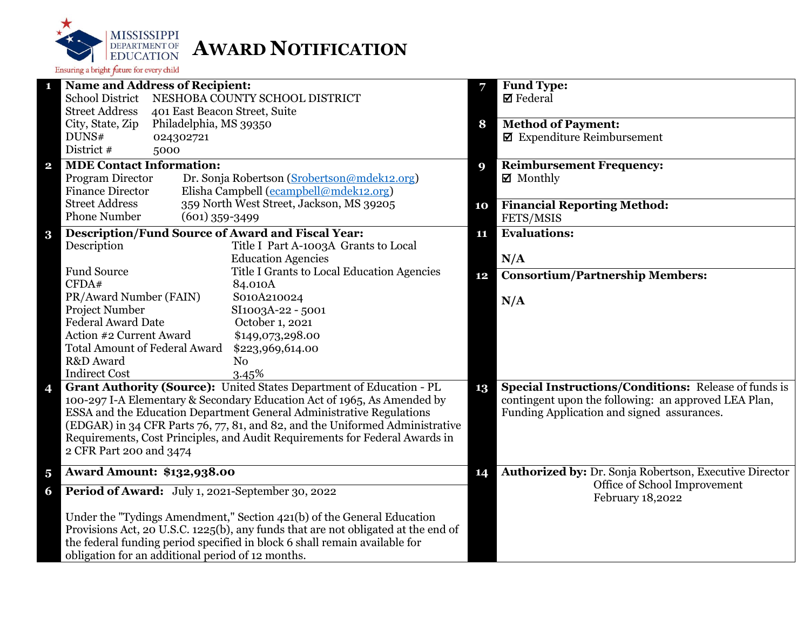

| $\mathbf{1}$            | Name and Address of Recipient:                                                                         | 7  | <b>Fund Type:</b>                                           |
|-------------------------|--------------------------------------------------------------------------------------------------------|----|-------------------------------------------------------------|
|                         | <b>School District</b><br>NESHOBA COUNTY SCHOOL DISTRICT                                               |    | <b>Ø</b> Federal                                            |
|                         | <b>Street Address</b><br>401 East Beacon Street, Suite                                                 |    |                                                             |
|                         | City, State, Zip<br>Philadelphia, MS 39350                                                             | 8  | <b>Method of Payment:</b>                                   |
|                         | DUNS#<br>024302721                                                                                     |    | $\blacksquare$ Expenditure Reimbursement                    |
|                         | District #<br>5000                                                                                     |    |                                                             |
| $\mathbf{2}$            | <b>MDE Contact Information:</b>                                                                        | 9  | <b>Reimbursement Frequency:</b>                             |
|                         | Program Director<br>Dr. Sonja Robertson (Srobertson@mdek12.org)                                        |    | ■ Monthly                                                   |
|                         | Elisha Campbell (ecampbell@mdek12.org)<br><b>Finance Director</b>                                      |    |                                                             |
|                         | <b>Street Address</b><br>359 North West Street, Jackson, MS 39205                                      | 10 | <b>Financial Reporting Method:</b>                          |
|                         | <b>Phone Number</b><br>$(601)$ 359-3499                                                                |    | FETS/MSIS                                                   |
| $\bf{3}$                | <b>Description/Fund Source of Award and Fiscal Year:</b>                                               | 11 | <b>Evaluations:</b>                                         |
|                         | Description<br>Title I Part A-1003A Grants to Local                                                    |    |                                                             |
|                         | <b>Education Agencies</b>                                                                              |    | N/A                                                         |
|                         | <b>Fund Source</b><br>Title I Grants to Local Education Agencies                                       | 12 | <b>Consortium/Partnership Members:</b>                      |
|                         | CFDA#<br>84.010A                                                                                       |    |                                                             |
|                         | PR/Award Number (FAIN)<br>S010A210024                                                                  |    | N/A                                                         |
|                         | Project Number<br>SI1003A-22 - 5001                                                                    |    |                                                             |
|                         | <b>Federal Award Date</b><br>October 1, 2021                                                           |    |                                                             |
|                         | Action #2 Current Award<br>\$149,073,298.00                                                            |    |                                                             |
|                         | <b>Total Amount of Federal Award</b><br>\$223,969,614.00                                               |    |                                                             |
|                         | R&D Award<br>N <sub>o</sub>                                                                            |    |                                                             |
|                         | <b>Indirect Cost</b><br>3.45%                                                                          |    |                                                             |
| 4                       | Grant Authority (Source): United States Department of Education - PL                                   | 13 | <b>Special Instructions/Conditions: Release of funds is</b> |
|                         | 100-297 I-A Elementary & Secondary Education Act of 1965, As Amended by                                |    | contingent upon the following: an approved LEA Plan,        |
|                         | ESSA and the Education Department General Administrative Regulations                                   |    | Funding Application and signed assurances.                  |
|                         | (EDGAR) in 34 CFR Parts 76, 77, 81, and 82, and the Uniformed Administrative                           |    |                                                             |
|                         | Requirements, Cost Principles, and Audit Requirements for Federal Awards in<br>2 CFR Part 200 and 3474 |    |                                                             |
|                         |                                                                                                        |    |                                                             |
| $\overline{\mathbf{5}}$ | <b>Award Amount: \$132,938.00</b>                                                                      | 14 | Authorized by: Dr. Sonja Robertson, Executive Director      |
| 6                       | Period of Award: July 1, 2021-September 30, 2022                                                       |    | Office of School Improvement<br>February 18,2022            |
|                         | Under the "Tydings Amendment," Section 421(b) of the General Education                                 |    |                                                             |
|                         | Provisions Act, 20 U.S.C. 1225(b), any funds that are not obligated at the end of                      |    |                                                             |
|                         | the federal funding period specified in block 6 shall remain available for                             |    |                                                             |
|                         | obligation for an additional period of 12 months.                                                      |    |                                                             |
|                         |                                                                                                        |    |                                                             |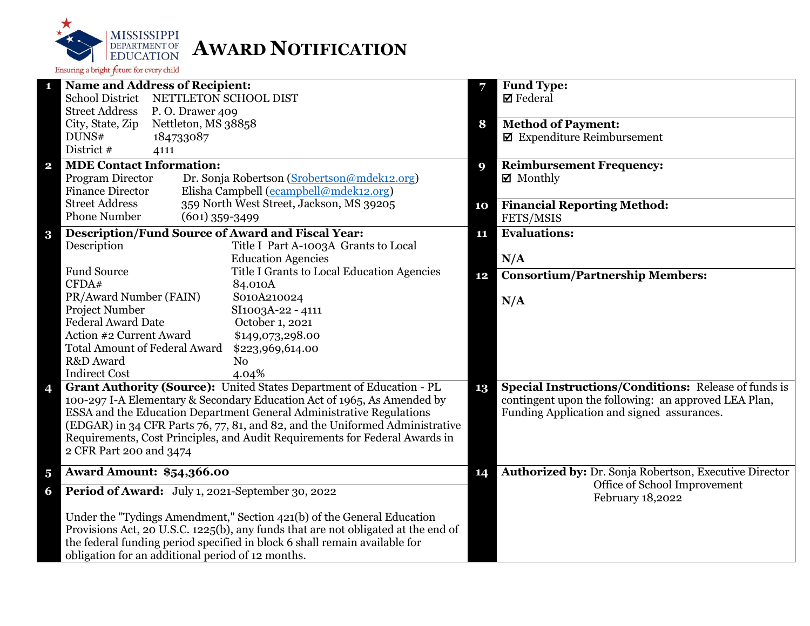

|                         | <b>Name and Address of Recipient:</b>                                             | 7  | <b>Fund Type:</b>                                           |
|-------------------------|-----------------------------------------------------------------------------------|----|-------------------------------------------------------------|
|                         | <b>School District</b><br>NETTLETON SCHOOL DIST                                   |    | $\boxtimes$ Federal                                         |
|                         | <b>Street Address</b><br>P.O. Drawer 409                                          |    |                                                             |
|                         | City, State, Zip<br>Nettleton, MS 38858                                           | 8  | <b>Method of Payment:</b>                                   |
|                         | DUNS#<br>184733087                                                                |    | $\blacksquare$ Expenditure Reimbursement                    |
|                         | District #<br>4111                                                                |    |                                                             |
| $\mathbf{2}$            | <b>MDE Contact Information:</b>                                                   | 9  | <b>Reimbursement Frequency:</b>                             |
|                         | Program Director<br>Dr. Sonja Robertson (Srobertson@mdek12.org)                   |    | $\boxtimes$ Monthly                                         |
|                         | Elisha Campbell (ecampbell@mdek12.org)<br><b>Finance Director</b>                 |    |                                                             |
|                         | 359 North West Street, Jackson, MS 39205<br><b>Street Address</b>                 | 10 | <b>Financial Reporting Method:</b>                          |
|                         | <b>Phone Number</b><br>$(601)$ 359-3499                                           |    | FETS/MSIS                                                   |
| $\bf{3}$                | <b>Description/Fund Source of Award and Fiscal Year:</b>                          | 11 | <b>Evaluations:</b>                                         |
|                         | Description<br>Title I Part A-1003A Grants to Local                               |    |                                                             |
|                         | <b>Education Agencies</b>                                                         |    | N/A                                                         |
|                         | <b>Fund Source</b><br>Title I Grants to Local Education Agencies                  | 12 | <b>Consortium/Partnership Members:</b>                      |
|                         | CFDA#<br>84.010A                                                                  |    |                                                             |
|                         | PR/Award Number (FAIN)<br>S010A210024                                             |    | N/A                                                         |
|                         | Project Number<br>SI1003A-22 - 4111                                               |    |                                                             |
|                         | <b>Federal Award Date</b><br>October 1, 2021                                      |    |                                                             |
|                         | Action #2 Current Award<br>\$149,073,298.00                                       |    |                                                             |
|                         | <b>Total Amount of Federal Award</b><br>\$223,969,614.00                          |    |                                                             |
|                         | R&D Award<br>N <sub>0</sub>                                                       |    |                                                             |
|                         | <b>Indirect Cost</b><br>4.04%                                                     |    |                                                             |
| 4                       | Grant Authority (Source): United States Department of Education - PL              | 13 | <b>Special Instructions/Conditions: Release of funds is</b> |
|                         | 100-297 I-A Elementary & Secondary Education Act of 1965, As Amended by           |    | contingent upon the following: an approved LEA Plan,        |
|                         | ESSA and the Education Department General Administrative Regulations              |    | Funding Application and signed assurances.                  |
|                         | (EDGAR) in 34 CFR Parts 76, 77, 81, and 82, and the Uniformed Administrative      |    |                                                             |
|                         | Requirements, Cost Principles, and Audit Requirements for Federal Awards in       |    |                                                             |
|                         | 2 CFR Part 200 and 3474                                                           |    |                                                             |
|                         |                                                                                   |    |                                                             |
| $\overline{\mathbf{5}}$ | <b>Award Amount: \$54,366.00</b>                                                  | 14 | Authorized by: Dr. Sonja Robertson, Executive Director      |
| 6                       | Period of Award: July 1, 2021-September 30, 2022                                  |    | Office of School Improvement<br>February 18,2022            |
|                         | Under the "Tydings Amendment," Section 421(b) of the General Education            |    |                                                             |
|                         | Provisions Act, 20 U.S.C. 1225(b), any funds that are not obligated at the end of |    |                                                             |
|                         | the federal funding period specified in block 6 shall remain available for        |    |                                                             |
|                         | obligation for an additional period of 12 months.                                 |    |                                                             |
|                         |                                                                                   |    |                                                             |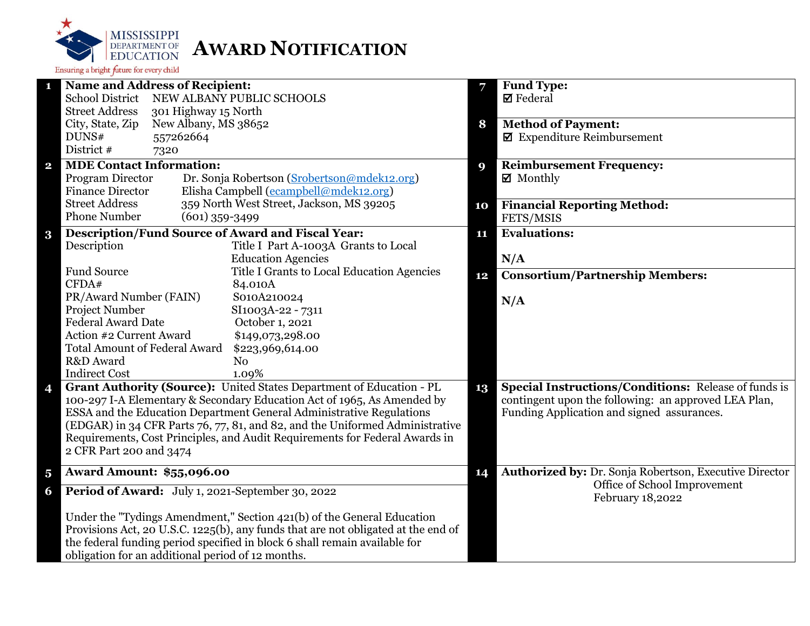

|                         | <b>Name and Address of Recipient:</b>                                             | 7  | <b>Fund Type:</b>                                           |
|-------------------------|-----------------------------------------------------------------------------------|----|-------------------------------------------------------------|
|                         | <b>School District</b><br>NEW ALBANY PUBLIC SCHOOLS                               |    | $\boxtimes$ Federal                                         |
|                         | <b>Street Address</b><br>301 Highway 15 North                                     |    |                                                             |
|                         | City, State, Zip<br>New Albany, MS 38652                                          | 8  | <b>Method of Payment:</b>                                   |
|                         | DUNS#<br>557262664                                                                |    | $\blacksquare$ Expenditure Reimbursement                    |
|                         | District #<br>7320                                                                |    |                                                             |
| $\overline{\mathbf{2}}$ | <b>MDE Contact Information:</b>                                                   | 9  | <b>Reimbursement Frequency:</b>                             |
|                         | Program Director<br>Dr. Sonja Robertson (Srobertson@mdek12.org)                   |    | $\boxtimes$ Monthly                                         |
|                         | Elisha Campbell (ecampbell@mdek12.org)<br><b>Finance Director</b>                 |    |                                                             |
|                         | <b>Street Address</b><br>359 North West Street, Jackson, MS 39205                 | 10 | <b>Financial Reporting Method:</b>                          |
|                         | <b>Phone Number</b><br>$(601)$ 359-3499                                           |    | FETS/MSIS                                                   |
| $\bf{3}$                | <b>Description/Fund Source of Award and Fiscal Year:</b>                          | 11 | <b>Evaluations:</b>                                         |
|                         | Description<br>Title I Part A-1003A Grants to Local                               |    |                                                             |
|                         | <b>Education Agencies</b>                                                         |    | N/A                                                         |
|                         | <b>Fund Source</b><br>Title I Grants to Local Education Agencies                  |    |                                                             |
|                         | CFDA#<br>84.010A                                                                  | 12 | <b>Consortium/Partnership Members:</b>                      |
|                         | PR/Award Number (FAIN)<br>S010A210024                                             |    |                                                             |
|                         | Project Number<br>SI1003A-22 - 7311                                               |    | N/A                                                         |
|                         | <b>Federal Award Date</b><br>October 1, 2021                                      |    |                                                             |
|                         | Action #2 Current Award<br>\$149,073,298.00                                       |    |                                                             |
|                         | <b>Total Amount of Federal Award</b><br>\$223,969,614.00                          |    |                                                             |
|                         | R&D Award<br>N <sub>o</sub>                                                       |    |                                                             |
|                         | <b>Indirect Cost</b><br>1.09%                                                     |    |                                                             |
| 4                       | Grant Authority (Source): United States Department of Education - PL              | 13 | <b>Special Instructions/Conditions: Release of funds is</b> |
|                         | 100-297 I-A Elementary & Secondary Education Act of 1965, As Amended by           |    | contingent upon the following: an approved LEA Plan,        |
|                         | ESSA and the Education Department General Administrative Regulations              |    | Funding Application and signed assurances.                  |
|                         | (EDGAR) in 34 CFR Parts 76, 77, 81, and 82, and the Uniformed Administrative      |    |                                                             |
|                         | Requirements, Cost Principles, and Audit Requirements for Federal Awards in       |    |                                                             |
|                         | 2 CFR Part 200 and 3474                                                           |    |                                                             |
|                         |                                                                                   |    |                                                             |
| $\overline{\mathbf{5}}$ | <b>Award Amount: \$55,096.00</b>                                                  | 14 | Authorized by: Dr. Sonja Robertson, Executive Director      |
| 6                       | Period of Award: July 1, 2021-September 30, 2022                                  |    | Office of School Improvement<br>February 18,2022            |
|                         | Under the "Tydings Amendment," Section 421(b) of the General Education            |    |                                                             |
|                         | Provisions Act, 20 U.S.C. 1225(b), any funds that are not obligated at the end of |    |                                                             |
|                         | the federal funding period specified in block 6 shall remain available for        |    |                                                             |
|                         | obligation for an additional period of 12 months.                                 |    |                                                             |
|                         |                                                                                   |    |                                                             |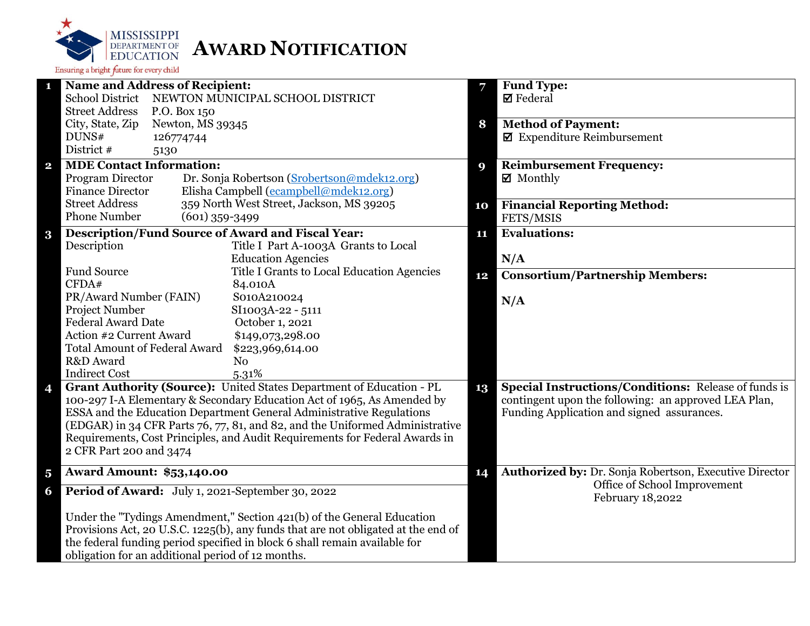

|                         | <b>Name and Address of Recipient:</b>                                             | 7  | <b>Fund Type:</b>                                           |
|-------------------------|-----------------------------------------------------------------------------------|----|-------------------------------------------------------------|
|                         | <b>School District</b><br>NEWTON MUNICIPAL SCHOOL DISTRICT                        |    | $\boxtimes$ Federal                                         |
|                         | <b>Street Address</b><br>P.O. Box 150                                             |    |                                                             |
|                         | City, State, Zip<br>Newton, MS 39345                                              | 8  | <b>Method of Payment:</b>                                   |
|                         | DUNS#<br>126774744                                                                |    | $\blacksquare$ Expenditure Reimbursement                    |
|                         | District #<br>5130                                                                |    |                                                             |
| $\overline{\mathbf{2}}$ | <b>MDE Contact Information:</b>                                                   | 9  | <b>Reimbursement Frequency:</b>                             |
|                         | Program Director<br>Dr. Sonja Robertson (Srobertson@mdek12.org)                   |    | ■ Monthly                                                   |
|                         | <b>Finance Director</b><br>Elisha Campbell (ecampbell@mdek12.org)                 |    |                                                             |
|                         | <b>Street Address</b><br>359 North West Street, Jackson, MS 39205                 | 10 | <b>Financial Reporting Method:</b>                          |
|                         | <b>Phone Number</b><br>$(601)$ 359-3499                                           |    | FETS/MSIS                                                   |
| $\bf{3}$                | <b>Description/Fund Source of Award and Fiscal Year:</b>                          | 11 | <b>Evaluations:</b>                                         |
|                         | Description<br>Title I Part A-1003A Grants to Local                               |    |                                                             |
|                         | <b>Education Agencies</b>                                                         |    | N/A                                                         |
|                         | <b>Fund Source</b><br>Title I Grants to Local Education Agencies                  | 12 | <b>Consortium/Partnership Members:</b>                      |
|                         | CFDA#<br>84.010A                                                                  |    |                                                             |
|                         | PR/Award Number (FAIN)<br>S010A210024                                             |    | N/A                                                         |
|                         | Project Number<br>SI1003A-22 - 5111                                               |    |                                                             |
|                         | <b>Federal Award Date</b><br>October 1, 2021                                      |    |                                                             |
|                         | Action #2 Current Award<br>\$149,073,298.00                                       |    |                                                             |
|                         | <b>Total Amount of Federal Award</b><br>\$223,969,614.00                          |    |                                                             |
|                         | R&D Award<br>N <sub>o</sub>                                                       |    |                                                             |
|                         | <b>Indirect Cost</b><br>5.31%                                                     |    |                                                             |
| 4                       | Grant Authority (Source): United States Department of Education - PL              | 13 | <b>Special Instructions/Conditions:</b> Release of funds is |
|                         | 100-297 I-A Elementary & Secondary Education Act of 1965, As Amended by           |    | contingent upon the following: an approved LEA Plan,        |
|                         | ESSA and the Education Department General Administrative Regulations              |    | Funding Application and signed assurances.                  |
|                         | (EDGAR) in 34 CFR Parts 76, 77, 81, and 82, and the Uniformed Administrative      |    |                                                             |
|                         | Requirements, Cost Principles, and Audit Requirements for Federal Awards in       |    |                                                             |
|                         | 2 CFR Part 200 and 3474                                                           |    |                                                             |
| $\overline{\mathbf{5}}$ | <b>Award Amount: \$53,140.00</b>                                                  | 14 | Authorized by: Dr. Sonja Robertson, Executive Director      |
| 6                       | Period of Award: July 1, 2021-September 30, 2022                                  |    | Office of School Improvement<br>February 18,2022            |
|                         | Under the "Tydings Amendment," Section 421(b) of the General Education            |    |                                                             |
|                         | Provisions Act, 20 U.S.C. 1225(b), any funds that are not obligated at the end of |    |                                                             |
|                         | the federal funding period specified in block 6 shall remain available for        |    |                                                             |
|                         | obligation for an additional period of 12 months.                                 |    |                                                             |
|                         |                                                                                   |    |                                                             |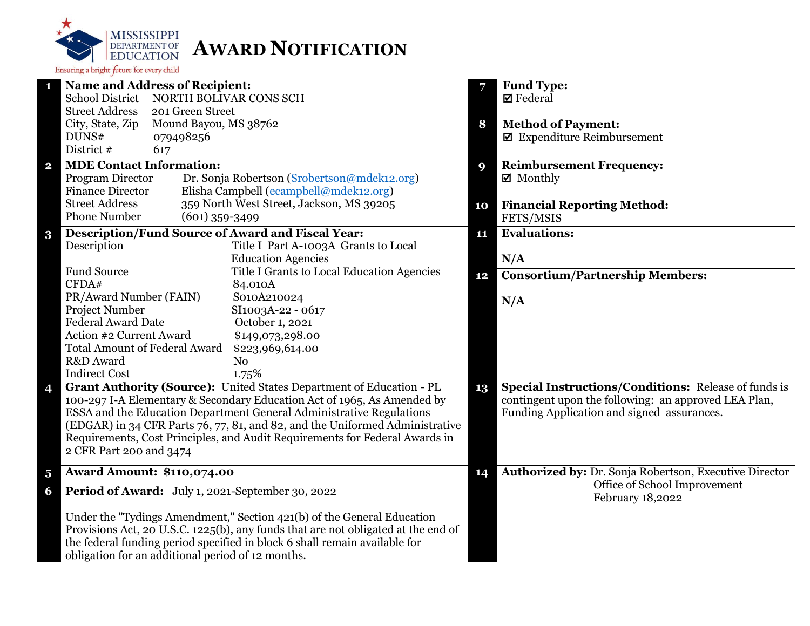

| <b>Name and Address of Recipient:</b><br>1                                                                                                                  | 7  | Fund Type:                                                    |
|-------------------------------------------------------------------------------------------------------------------------------------------------------------|----|---------------------------------------------------------------|
| <b>School District</b><br>NORTH BOLIVAR CONS SCH                                                                                                            |    | $\boxtimes$ Federal                                           |
| <b>Street Address</b><br>201 Green Street                                                                                                                   |    |                                                               |
| City, State, Zip<br>Mound Bayou, MS 38762                                                                                                                   | 8  | <b>Method of Payment:</b>                                     |
| DUNS#<br>079498256                                                                                                                                          |    | $\blacksquare$ Expenditure Reimbursement                      |
| District #<br>617                                                                                                                                           |    |                                                               |
| <b>MDE Contact Information:</b><br>$\mathbf{2}$                                                                                                             | Q) | <b>Reimbursement Frequency:</b>                               |
| Program Director<br>Dr. Sonja Robertson (Srobertson@mdek12.org)                                                                                             |    | $\boxtimes$ Monthly                                           |
| Elisha Campbell (ecampbell@mdek12.org)<br><b>Finance Director</b>                                                                                           |    |                                                               |
| 359 North West Street, Jackson, MS 39205<br><b>Street Address</b>                                                                                           | 10 | <b>Financial Reporting Method:</b>                            |
| <b>Phone Number</b><br>$(601)$ 359-3499                                                                                                                     |    | FETS/MSIS                                                     |
| Description/Fund Source of Award and Fiscal Year:<br>$\bf{3}$                                                                                               | 11 | <b>Evaluations:</b>                                           |
| Description<br>Title I Part A-1003A Grants to Local                                                                                                         |    |                                                               |
| <b>Education Agencies</b>                                                                                                                                   |    | N/A                                                           |
| <b>Fund Source</b><br>Title I Grants to Local Education Agencies                                                                                            | 12 | <b>Consortium/Partnership Members:</b>                        |
| CFDA#<br>84.010A                                                                                                                                            |    |                                                               |
| PR/Award Number (FAIN)<br>S010A210024                                                                                                                       |    | N/A                                                           |
| Project Number<br>SI1003A-22 - 0617                                                                                                                         |    |                                                               |
| <b>Federal Award Date</b><br>October 1, 2021                                                                                                                |    |                                                               |
| Action #2 Current Award<br>\$149,073,298.00                                                                                                                 |    |                                                               |
| <b>Total Amount of Federal Award</b><br>\$223,969,614.00                                                                                                    |    |                                                               |
| R&D Award<br>No                                                                                                                                             |    |                                                               |
| <b>Indirect Cost</b><br>1.75%                                                                                                                               |    |                                                               |
| Grant Authority (Source): United States Department of Education - PL<br>4                                                                                   | 13 | <b>Special Instructions/Conditions:</b> Release of funds is   |
| 100-297 I-A Elementary & Secondary Education Act of 1965, As Amended by                                                                                     |    | contingent upon the following: an approved LEA Plan,          |
| ESSA and the Education Department General Administrative Regulations                                                                                        |    | Funding Application and signed assurances.                    |
| (EDGAR) in 34 CFR Parts 76, 77, 81, and 82, and the Uniformed Administrative<br>Requirements, Cost Principles, and Audit Requirements for Federal Awards in |    |                                                               |
| 2 CFR Part 200 and 3474                                                                                                                                     |    |                                                               |
|                                                                                                                                                             |    |                                                               |
| <b>Award Amount: \$110,074.00</b><br>$\overline{\mathbf{5}}$                                                                                                | 14 | <b>Authorized by: Dr. Sonja Robertson, Executive Director</b> |
| Period of Award: July 1, 2021-September 30, 2022<br>6                                                                                                       |    | Office of School Improvement<br>February 18,2022              |
| Under the "Tydings Amendment," Section 421(b) of the General Education                                                                                      |    |                                                               |
| Provisions Act, 20 U.S.C. 1225(b), any funds that are not obligated at the end of                                                                           |    |                                                               |
| the federal funding period specified in block 6 shall remain available for                                                                                  |    |                                                               |
| obligation for an additional period of 12 months.                                                                                                           |    |                                                               |
|                                                                                                                                                             |    |                                                               |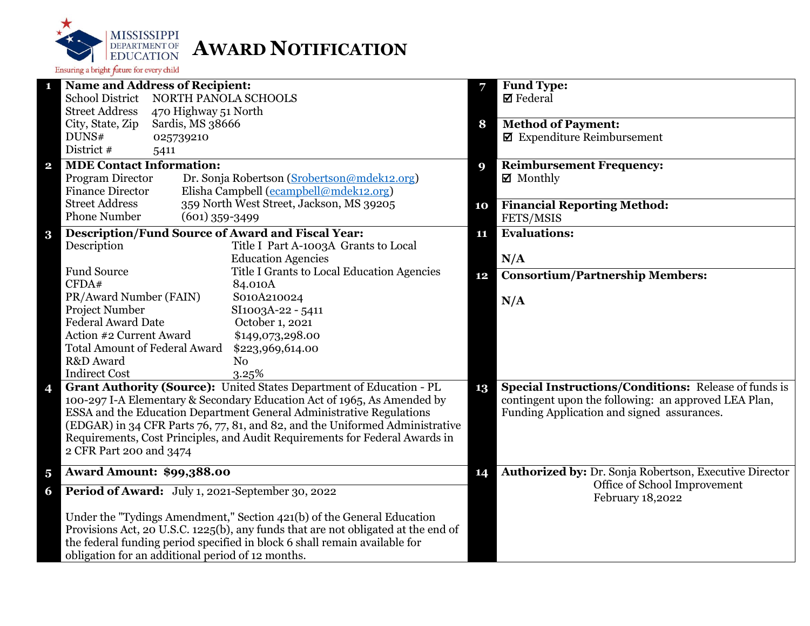

|                         | <b>Name and Address of Recipient:</b>                                             | 7  | <b>Fund Type:</b>                                           |
|-------------------------|-----------------------------------------------------------------------------------|----|-------------------------------------------------------------|
|                         | <b>School District</b><br>NORTH PANOLA SCHOOLS                                    |    | $\boxtimes$ Federal                                         |
|                         | <b>Street Address</b><br>470 Highway 51 North                                     |    |                                                             |
|                         | City, State, Zip<br>Sardis, MS 38666                                              | 8  | <b>Method of Payment:</b>                                   |
|                         | DUNS#<br>025739210                                                                |    | $\blacksquare$ Expenditure Reimbursement                    |
|                         | District #<br>5411                                                                |    |                                                             |
| $\overline{\mathbf{2}}$ | <b>MDE Contact Information:</b>                                                   | 9  | <b>Reimbursement Frequency:</b>                             |
|                         | Program Director<br>Dr. Sonja Robertson (Srobertson@mdek12.org)                   |    | $\boxtimes$ Monthly                                         |
|                         | Elisha Campbell (ecampbell@mdek12.org)<br><b>Finance Director</b>                 |    |                                                             |
|                         | <b>Street Address</b><br>359 North West Street, Jackson, MS 39205                 | 10 | <b>Financial Reporting Method:</b>                          |
|                         | <b>Phone Number</b><br>$(601)$ 359-3499                                           |    | FETS/MSIS                                                   |
| $\bf{3}$                | <b>Description/Fund Source of Award and Fiscal Year:</b>                          | 11 | <b>Evaluations:</b>                                         |
|                         | Description<br>Title I Part A-1003A Grants to Local                               |    |                                                             |
|                         | <b>Education Agencies</b>                                                         |    | N/A                                                         |
|                         | <b>Fund Source</b><br>Title I Grants to Local Education Agencies                  |    |                                                             |
|                         | CFDA#<br>84.010A                                                                  | 12 | <b>Consortium/Partnership Members:</b>                      |
|                         | PR/Award Number (FAIN)<br>S010A210024                                             |    |                                                             |
|                         | Project Number<br>SI1003A-22 - 5411                                               |    | N/A                                                         |
|                         | <b>Federal Award Date</b><br>October 1, 2021                                      |    |                                                             |
|                         | Action #2 Current Award<br>\$149,073,298.00                                       |    |                                                             |
|                         | <b>Total Amount of Federal Award</b><br>\$223,969,614.00                          |    |                                                             |
|                         | R&D Award<br>N <sub>o</sub>                                                       |    |                                                             |
|                         | <b>Indirect Cost</b><br>3.25%                                                     |    |                                                             |
| 4                       | Grant Authority (Source): United States Department of Education - PL              | 13 | <b>Special Instructions/Conditions: Release of funds is</b> |
|                         | 100-297 I-A Elementary & Secondary Education Act of 1965, As Amended by           |    | contingent upon the following: an approved LEA Plan,        |
|                         | ESSA and the Education Department General Administrative Regulations              |    | Funding Application and signed assurances.                  |
|                         | (EDGAR) in 34 CFR Parts 76, 77, 81, and 82, and the Uniformed Administrative      |    |                                                             |
|                         | Requirements, Cost Principles, and Audit Requirements for Federal Awards in       |    |                                                             |
|                         | 2 CFR Part 200 and 3474                                                           |    |                                                             |
|                         |                                                                                   |    |                                                             |
| $\overline{\mathbf{5}}$ | <b>Award Amount: \$99,388.00</b>                                                  | 14 | Authorized by: Dr. Sonja Robertson, Executive Director      |
| 6                       | Period of Award: July 1, 2021-September 30, 2022                                  |    | Office of School Improvement<br>February 18,2022            |
|                         | Under the "Tydings Amendment," Section 421(b) of the General Education            |    |                                                             |
|                         | Provisions Act, 20 U.S.C. 1225(b), any funds that are not obligated at the end of |    |                                                             |
|                         | the federal funding period specified in block 6 shall remain available for        |    |                                                             |
|                         | obligation for an additional period of 12 months.                                 |    |                                                             |
|                         |                                                                                   |    |                                                             |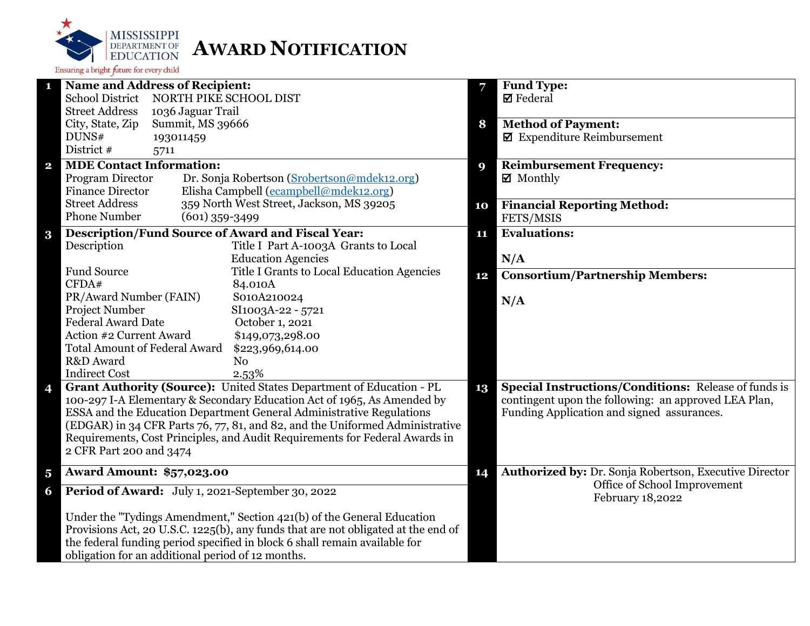

| <b>Name and Address of Recipient:</b><br>п                  |                                                                                                                                                             |             | Fund Type:                                                    |
|-------------------------------------------------------------|-------------------------------------------------------------------------------------------------------------------------------------------------------------|-------------|---------------------------------------------------------------|
| <b>School District</b>                                      | NORTH PIKE SCHOOL DIST                                                                                                                                      |             | $\boxtimes$ Federal                                           |
| <b>Street Address</b>                                       | 1036 Jaguar Trail                                                                                                                                           |             |                                                               |
| City, State, Zip                                            | Summit, MS 39666                                                                                                                                            | 8           | <b>Method of Payment:</b>                                     |
| DUNS#                                                       | 193011459                                                                                                                                                   |             | $\boxtimes$ Expenditure Reimbursement                         |
| District #                                                  | 5711                                                                                                                                                        |             |                                                               |
| <b>MDE Contact Information:</b><br>$\mathbf{2}$             |                                                                                                                                                             | $\mathbf Q$ | <b>Reimbursement Frequency:</b>                               |
| Program Director                                            | Dr. Sonja Robertson (Srobertson@mdek12.org)                                                                                                                 |             | $\boxtimes$ Monthly                                           |
| <b>Finance Director</b>                                     | Elisha Campbell (ecampbell@mdek12.org)                                                                                                                      |             |                                                               |
| <b>Street Address</b>                                       | 359 North West Street, Jackson, MS 39205                                                                                                                    | 10          | <b>Financial Reporting Method:</b>                            |
| <b>Phone Number</b>                                         | $(601)$ 359-3499                                                                                                                                            |             | FETS/MSIS                                                     |
| $\bf{3}$                                                    | <b>Description/Fund Source of Award and Fiscal Year:</b>                                                                                                    | 11          | <b>Evaluations:</b>                                           |
| Description                                                 | Title I Part A-1003A Grants to Local                                                                                                                        |             |                                                               |
|                                                             | <b>Education Agencies</b>                                                                                                                                   |             | N/A                                                           |
| <b>Fund Source</b>                                          | Title I Grants to Local Education Agencies                                                                                                                  | 12          | <b>Consortium/Partnership Members:</b>                        |
| CFDA#                                                       | 84.010A                                                                                                                                                     |             |                                                               |
| PR/Award Number (FAIN)                                      | S010A210024                                                                                                                                                 |             | N/A                                                           |
| Project Number                                              | SI1003A-22 - 5721                                                                                                                                           |             |                                                               |
| <b>Federal Award Date</b>                                   | October 1, 2021                                                                                                                                             |             |                                                               |
| Action #2 Current Award                                     | \$149,073,298.00                                                                                                                                            |             |                                                               |
| <b>Total Amount of Federal Award</b>                        | \$223,969,614.00                                                                                                                                            |             |                                                               |
| R&D Award                                                   | N <sub>o</sub>                                                                                                                                              |             |                                                               |
| <b>Indirect Cost</b>                                        | 2.53%                                                                                                                                                       |             |                                                               |
| 4                                                           | Grant Authority (Source): United States Department of Education - PL                                                                                        | 13          | <b>Special Instructions/Conditions: Release of funds is</b>   |
|                                                             | 100-297 I-A Elementary & Secondary Education Act of 1965, As Amended by                                                                                     |             | contingent upon the following: an approved LEA Plan,          |
|                                                             | ESSA and the Education Department General Administrative Regulations                                                                                        |             | Funding Application and signed assurances.                    |
|                                                             | (EDGAR) in 34 CFR Parts 76, 77, 81, and 82, and the Uniformed Administrative<br>Requirements, Cost Principles, and Audit Requirements for Federal Awards in |             |                                                               |
| 2 CFR Part 200 and 3474                                     |                                                                                                                                                             |             |                                                               |
|                                                             |                                                                                                                                                             |             |                                                               |
| <b>Award Amount: \$57,023.00</b><br>$\overline{\mathbf{5}}$ |                                                                                                                                                             | 14          | <b>Authorized by: Dr. Sonja Robertson, Executive Director</b> |
| 6                                                           | Period of Award: July 1, 2021-September 30, 2022                                                                                                            |             | Office of School Improvement<br>February 18,2022              |
|                                                             | Under the "Tydings Amendment," Section 421(b) of the General Education                                                                                      |             |                                                               |
|                                                             | Provisions Act, 20 U.S.C. 1225(b), any funds that are not obligated at the end of                                                                           |             |                                                               |
|                                                             | the federal funding period specified in block 6 shall remain available for                                                                                  |             |                                                               |
|                                                             | obligation for an additional period of 12 months.                                                                                                           |             |                                                               |
|                                                             |                                                                                                                                                             |             |                                                               |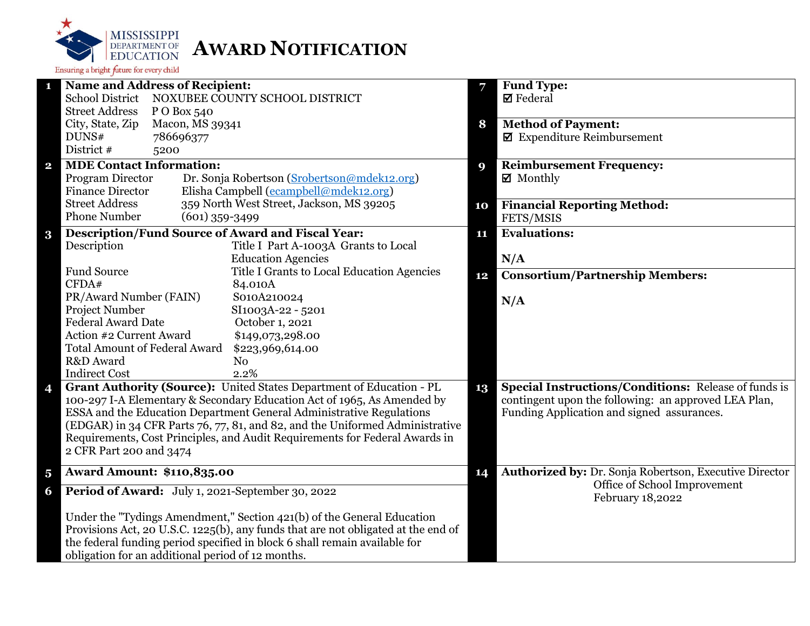

| <b>Name and Address of Recipient:</b><br>$\mathbf{1}$                                                                                                       | 7  | <b>Fund Type:</b>                                      |
|-------------------------------------------------------------------------------------------------------------------------------------------------------------|----|--------------------------------------------------------|
| <b>School District</b><br>NOXUBEE COUNTY SCHOOL DISTRICT                                                                                                    |    | <b>Ø</b> Federal                                       |
| <b>Street Address</b><br>P O Box 540                                                                                                                        |    |                                                        |
| Macon, MS 39341<br>City, State, Zip                                                                                                                         | 8  | <b>Method of Payment:</b>                              |
| DUNS#<br>786696377                                                                                                                                          |    | $\blacksquare$ Expenditure Reimbursement               |
| District #<br>5200                                                                                                                                          |    |                                                        |
| <b>MDE Contact Information:</b><br>$\mathbf{2}$                                                                                                             | 9  | <b>Reimbursement Frequency:</b>                        |
| Program Director<br>Dr. Sonja Robertson (Srobertson@mdek12.org)                                                                                             |    | $\boxtimes$ Monthly                                    |
| Elisha Campbell (ecampbell@mdek12.org)<br><b>Finance Director</b>                                                                                           |    |                                                        |
| <b>Street Address</b><br>359 North West Street, Jackson, MS 39205                                                                                           | 10 | <b>Financial Reporting Method:</b>                     |
| <b>Phone Number</b><br>$(601)$ 359-3499                                                                                                                     |    | FETS/MSIS                                              |
| <b>Description/Fund Source of Award and Fiscal Year:</b><br>$\bf{3}$                                                                                        | 11 | <b>Evaluations:</b>                                    |
| Description<br>Title I Part A-1003A Grants to Local                                                                                                         |    |                                                        |
| <b>Education Agencies</b>                                                                                                                                   |    | N/A                                                    |
| <b>Fund Source</b><br>Title I Grants to Local Education Agencies                                                                                            | 12 | <b>Consortium/Partnership Members:</b>                 |
| CFDA#<br>84.010A                                                                                                                                            |    |                                                        |
| PR/Award Number (FAIN)<br>S010A210024                                                                                                                       |    | N/A                                                    |
| Project Number<br>SI1003A-22 - 5201                                                                                                                         |    |                                                        |
| <b>Federal Award Date</b><br>October 1, 2021                                                                                                                |    |                                                        |
| Action #2 Current Award<br>\$149,073,298.00                                                                                                                 |    |                                                        |
| <b>Total Amount of Federal Award</b><br>\$223,969,614.00                                                                                                    |    |                                                        |
| R&D Award<br>N <sub>0</sub>                                                                                                                                 |    |                                                        |
| <b>Indirect Cost</b><br>2.2%                                                                                                                                |    |                                                        |
| Grant Authority (Source): United States Department of Education - PL<br>4                                                                                   | 13 | Special Instructions/Conditions: Release of funds is   |
| 100-297 I-A Elementary & Secondary Education Act of 1965, As Amended by                                                                                     |    | contingent upon the following: an approved LEA Plan,   |
| ESSA and the Education Department General Administrative Regulations                                                                                        |    | Funding Application and signed assurances.             |
| (EDGAR) in 34 CFR Parts 76, 77, 81, and 82, and the Uniformed Administrative<br>Requirements, Cost Principles, and Audit Requirements for Federal Awards in |    |                                                        |
| 2 CFR Part 200 and 3474                                                                                                                                     |    |                                                        |
|                                                                                                                                                             |    |                                                        |
| <b>Award Amount: \$110,835.00</b><br>$\overline{\mathbf{5}}$                                                                                                | 14 | Authorized by: Dr. Sonja Robertson, Executive Director |
| Period of Award: July 1, 2021-September 30, 2022<br>6                                                                                                       |    | Office of School Improvement<br>February 18,2022       |
| Under the "Tydings Amendment," Section 421(b) of the General Education                                                                                      |    |                                                        |
| Provisions Act, 20 U.S.C. 1225(b), any funds that are not obligated at the end of                                                                           |    |                                                        |
| the federal funding period specified in block 6 shall remain available for                                                                                  |    |                                                        |
| obligation for an additional period of 12 months.                                                                                                           |    |                                                        |
|                                                                                                                                                             |    |                                                        |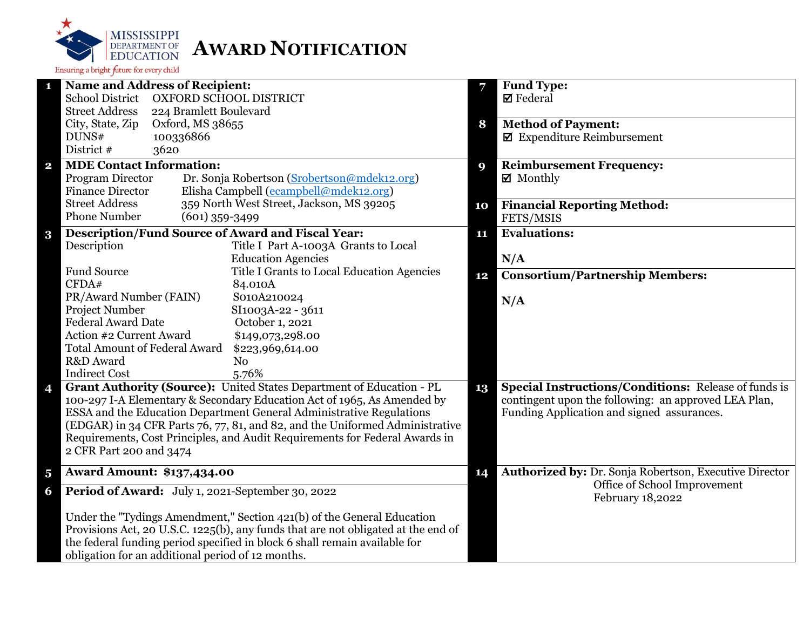

|                         | <b>Name and Address of Recipient:</b>                                             | 7  | <b>Fund Type:</b>                                           |
|-------------------------|-----------------------------------------------------------------------------------|----|-------------------------------------------------------------|
|                         | <b>School District</b><br>OXFORD SCHOOL DISTRICT                                  |    | $\boxtimes$ Federal                                         |
|                         | <b>Street Address</b><br>224 Bramlett Boulevard                                   |    |                                                             |
|                         | City, State, Zip<br>Oxford, MS 38655                                              | 8  | <b>Method of Payment:</b>                                   |
|                         | DUNS#<br>100336866                                                                |    | $\blacksquare$ Expenditure Reimbursement                    |
|                         | District #<br>3620                                                                |    |                                                             |
| $\overline{\mathbf{2}}$ | <b>MDE Contact Information:</b>                                                   | 9  | <b>Reimbursement Frequency:</b>                             |
|                         | Program Director<br>Dr. Sonja Robertson (Srobertson@mdek12.org)                   |    | $\boxtimes$ Monthly                                         |
|                         | Elisha Campbell (ecampbell@mdek12.org)<br><b>Finance Director</b>                 |    |                                                             |
|                         | <b>Street Address</b><br>359 North West Street, Jackson, MS 39205                 | 10 | <b>Financial Reporting Method:</b>                          |
|                         | <b>Phone Number</b><br>$(601)$ 359-3499                                           |    | FETS/MSIS                                                   |
| $\bf{3}$                | <b>Description/Fund Source of Award and Fiscal Year:</b>                          | 11 | <b>Evaluations:</b>                                         |
|                         | Description<br>Title I Part A-1003A Grants to Local                               |    |                                                             |
|                         | <b>Education Agencies</b>                                                         |    | N/A                                                         |
|                         | <b>Fund Source</b><br>Title I Grants to Local Education Agencies                  | 12 | <b>Consortium/Partnership Members:</b>                      |
|                         | CFDA#<br>84.010A                                                                  |    |                                                             |
|                         | PR/Award Number (FAIN)<br>S010A210024                                             |    | N/A                                                         |
|                         | Project Number<br>SI1003A-22 - 3611                                               |    |                                                             |
|                         | <b>Federal Award Date</b><br>October 1, 2021                                      |    |                                                             |
|                         | Action #2 Current Award<br>\$149,073,298.00                                       |    |                                                             |
|                         | <b>Total Amount of Federal Award</b><br>\$223,969,614.00                          |    |                                                             |
|                         | R&D Award<br>N <sub>o</sub>                                                       |    |                                                             |
|                         | <b>Indirect Cost</b><br>5.76%                                                     |    |                                                             |
| 4                       | Grant Authority (Source): United States Department of Education - PL              | 13 | <b>Special Instructions/Conditions: Release of funds is</b> |
|                         | 100-297 I-A Elementary & Secondary Education Act of 1965, As Amended by           |    | contingent upon the following: an approved LEA Plan,        |
|                         | ESSA and the Education Department General Administrative Regulations              |    | Funding Application and signed assurances.                  |
|                         | (EDGAR) in 34 CFR Parts 76, 77, 81, and 82, and the Uniformed Administrative      |    |                                                             |
|                         | Requirements, Cost Principles, and Audit Requirements for Federal Awards in       |    |                                                             |
|                         | 2 CFR Part 200 and 3474                                                           |    |                                                             |
| $\overline{\mathbf{5}}$ | <b>Award Amount: \$137,434.00</b>                                                 | 14 | Authorized by: Dr. Sonja Robertson, Executive Director      |
|                         |                                                                                   |    | Office of School Improvement                                |
| 6                       | Period of Award: July 1, 2021-September 30, 2022                                  |    | February 18,2022                                            |
|                         | Under the "Tydings Amendment," Section 421(b) of the General Education            |    |                                                             |
|                         | Provisions Act, 20 U.S.C. 1225(b), any funds that are not obligated at the end of |    |                                                             |
|                         | the federal funding period specified in block 6 shall remain available for        |    |                                                             |
|                         | obligation for an additional period of 12 months.                                 |    |                                                             |
|                         |                                                                                   |    |                                                             |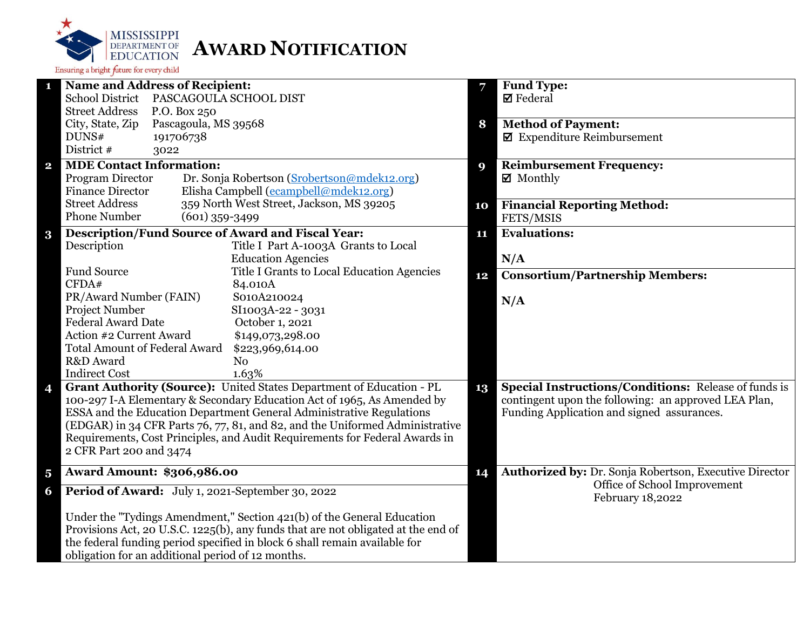

| 1                       | <b>Name and Address of Recipient:</b>                                             |    | Fund Type:                                                  |
|-------------------------|-----------------------------------------------------------------------------------|----|-------------------------------------------------------------|
|                         | School District PASCAGOULA SCHOOL DIST                                            |    | $\boxtimes$ Federal                                         |
|                         | <b>Street Address</b><br>P.O. Box 250                                             |    |                                                             |
|                         | City, State, Zip<br>Pascagoula, MS 39568                                          | 8  | <b>Method of Payment:</b>                                   |
|                         | DUNS#<br>191706738                                                                |    | $\blacksquare$ Expenditure Reimbursement                    |
|                         | District #<br>3022                                                                |    |                                                             |
| $\overline{\mathbf{2}}$ | <b>MDE Contact Information:</b>                                                   | 9  | <b>Reimbursement Frequency:</b>                             |
|                         | Program Director<br>Dr. Sonja Robertson (Srobertson@mdek12.org)                   |    | $\boxtimes$ Monthly                                         |
|                         | Elisha Campbell (ecampbell@mdek12.org)<br><b>Finance Director</b>                 |    |                                                             |
|                         | 359 North West Street, Jackson, MS 39205<br><b>Street Address</b>                 | 10 | <b>Financial Reporting Method:</b>                          |
|                         | <b>Phone Number</b><br>$(601)$ 359-3499                                           |    | FETS/MSIS                                                   |
| $\bf{3}$                | <b>Description/Fund Source of Award and Fiscal Year:</b>                          | 11 | <b>Evaluations:</b>                                         |
|                         | Description<br>Title I Part A-1003A Grants to Local                               |    |                                                             |
|                         | <b>Education Agencies</b>                                                         |    | N/A                                                         |
|                         | <b>Fund Source</b><br>Title I Grants to Local Education Agencies                  | 12 | <b>Consortium/Partnership Members:</b>                      |
|                         | CFDA#<br>84.010A                                                                  |    |                                                             |
|                         | PR/Award Number (FAIN)<br>S010A210024                                             |    | N/A                                                         |
|                         | Project Number<br>SI1003A-22 - 3031                                               |    |                                                             |
|                         | <b>Federal Award Date</b><br>October 1, 2021                                      |    |                                                             |
|                         | Action #2 Current Award<br>\$149,073,298.00                                       |    |                                                             |
|                         | <b>Total Amount of Federal Award</b><br>\$223,969,614.00                          |    |                                                             |
|                         | R&D Award<br>N <sub>o</sub>                                                       |    |                                                             |
|                         | <b>Indirect Cost</b><br>1.63%                                                     |    |                                                             |
| 4                       | Grant Authority (Source): United States Department of Education - PL              | 13 | <b>Special Instructions/Conditions: Release of funds is</b> |
|                         | 100-297 I-A Elementary & Secondary Education Act of 1965, As Amended by           |    | contingent upon the following: an approved LEA Plan,        |
|                         | ESSA and the Education Department General Administrative Regulations              |    | Funding Application and signed assurances.                  |
|                         | (EDGAR) in 34 CFR Parts 76, 77, 81, and 82, and the Uniformed Administrative      |    |                                                             |
|                         | Requirements, Cost Principles, and Audit Requirements for Federal Awards in       |    |                                                             |
|                         | 2 CFR Part 200 and 3474                                                           |    |                                                             |
| $\overline{\mathbf{5}}$ | <b>Award Amount: \$306,986.00</b>                                                 | 14 | Authorized by: Dr. Sonja Robertson, Executive Director      |
| 6                       | Period of Award: July 1, 2021-September 30, 2022                                  |    | Office of School Improvement<br>February 18,2022            |
|                         | Under the "Tydings Amendment," Section 421(b) of the General Education            |    |                                                             |
|                         | Provisions Act, 20 U.S.C. 1225(b), any funds that are not obligated at the end of |    |                                                             |
|                         | the federal funding period specified in block 6 shall remain available for        |    |                                                             |
|                         | obligation for an additional period of 12 months.                                 |    |                                                             |
|                         |                                                                                   |    |                                                             |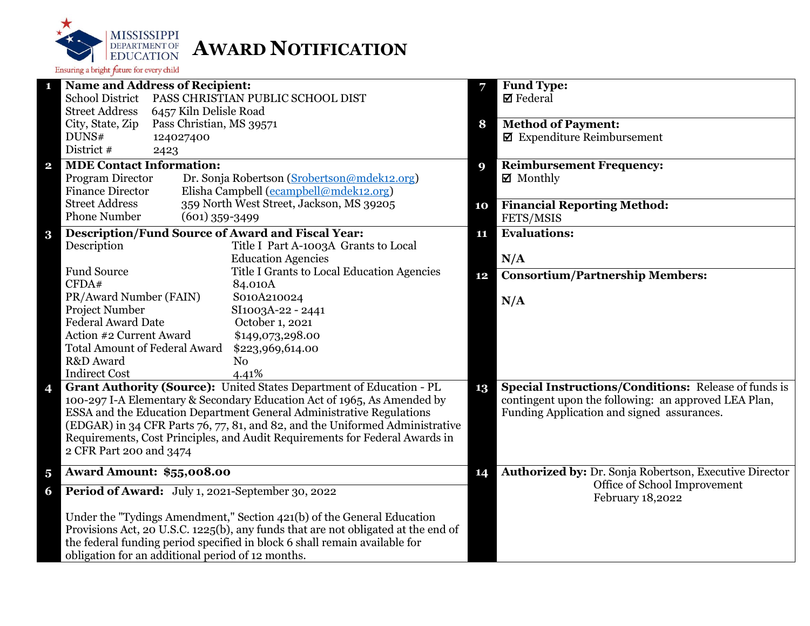

|                         | <b>Name and Address of Recipient:</b>                                             | 7  | <b>Fund Type:</b>                                      |
|-------------------------|-----------------------------------------------------------------------------------|----|--------------------------------------------------------|
|                         | <b>School District</b><br>PASS CHRISTIAN PUBLIC SCHOOL DIST                       |    | <b>Ø</b> Federal                                       |
|                         | <b>Street Address</b><br>6457 Kiln Delisle Road                                   |    |                                                        |
|                         | City, State, Zip<br>Pass Christian, MS 39571                                      | 8  | <b>Method of Payment:</b>                              |
|                         | DUNS#<br>124027400                                                                |    | $\boxtimes$ Expenditure Reimbursement                  |
|                         | District #<br>2423                                                                |    |                                                        |
| $\mathbf{2}$            | <b>MDE Contact Information:</b>                                                   | 9  | <b>Reimbursement Frequency:</b>                        |
|                         | Program Director<br>Dr. Sonja Robertson (Srobertson@mdek12.org)                   |    | $\boxtimes$ Monthly                                    |
|                         | Elisha Campbell (ecampbell@mdek12.org)<br><b>Finance Director</b>                 |    |                                                        |
|                         | <b>Street Address</b><br>359 North West Street, Jackson, MS 39205                 | 10 | <b>Financial Reporting Method:</b>                     |
|                         | <b>Phone Number</b><br>$(601)$ 359-3499                                           |    | FETS/MSIS                                              |
| $\bf{3}$                | <b>Description/Fund Source of Award and Fiscal Year:</b>                          | 11 | <b>Evaluations:</b>                                    |
|                         | Description<br>Title I Part A-1003A Grants to Local                               |    |                                                        |
|                         | <b>Education Agencies</b>                                                         |    | N/A                                                    |
|                         | <b>Fund Source</b><br>Title I Grants to Local Education Agencies                  |    | <b>Consortium/Partnership Members:</b>                 |
|                         | CFDA#<br>84.010A                                                                  | 12 |                                                        |
|                         | PR/Award Number (FAIN)<br>S010A210024                                             |    | N/A                                                    |
|                         | Project Number<br>SI1003A-22 - 2441                                               |    |                                                        |
|                         | <b>Federal Award Date</b><br>October 1, 2021                                      |    |                                                        |
|                         | Action #2 Current Award<br>\$149,073,298.00                                       |    |                                                        |
|                         | <b>Total Amount of Federal Award</b><br>\$223,969,614.00                          |    |                                                        |
|                         | R&D Award<br>N <sub>0</sub>                                                       |    |                                                        |
|                         | <b>Indirect Cost</b><br>4.41%                                                     |    |                                                        |
| 4                       | Grant Authority (Source): United States Department of Education - PL              | 13 | Special Instructions/Conditions: Release of funds is   |
|                         | 100-297 I-A Elementary & Secondary Education Act of 1965, As Amended by           |    | contingent upon the following: an approved LEA Plan,   |
|                         | ESSA and the Education Department General Administrative Regulations              |    | Funding Application and signed assurances.             |
|                         | (EDGAR) in 34 CFR Parts 76, 77, 81, and 82, and the Uniformed Administrative      |    |                                                        |
|                         | Requirements, Cost Principles, and Audit Requirements for Federal Awards in       |    |                                                        |
|                         | 2 CFR Part 200 and 3474                                                           |    |                                                        |
| $\overline{\mathbf{5}}$ | <b>Award Amount: \$55,008.00</b>                                                  | 14 | Authorized by: Dr. Sonja Robertson, Executive Director |
|                         |                                                                                   |    | Office of School Improvement                           |
| 6                       | Period of Award: July 1, 2021-September 30, 2022                                  |    | February 18,2022                                       |
|                         | Under the "Tydings Amendment," Section 421(b) of the General Education            |    |                                                        |
|                         | Provisions Act, 20 U.S.C. 1225(b), any funds that are not obligated at the end of |    |                                                        |
|                         | the federal funding period specified in block 6 shall remain available for        |    |                                                        |
|                         | obligation for an additional period of 12 months.                                 |    |                                                        |
|                         |                                                                                   |    |                                                        |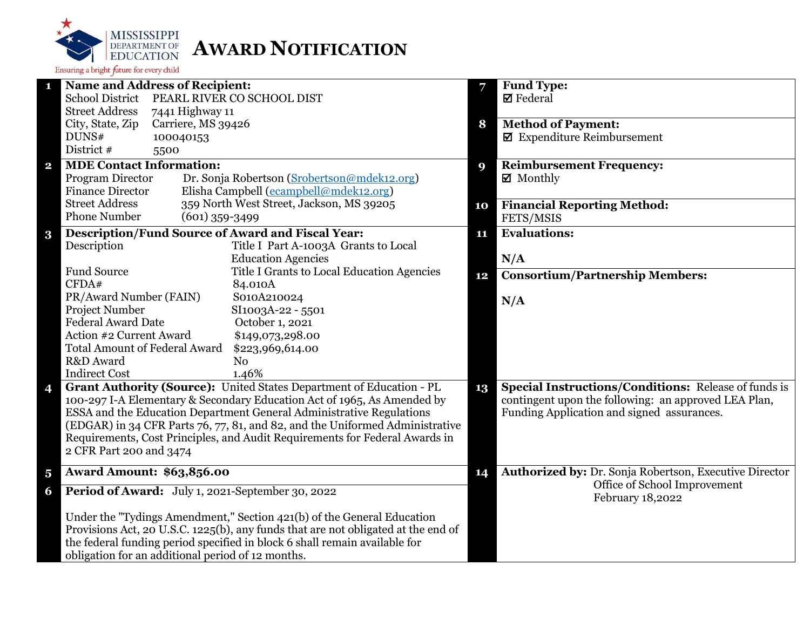

|                         | <b>Name and Address of Recipient:</b>                                             | 7  | <b>Fund Type:</b>                                           |
|-------------------------|-----------------------------------------------------------------------------------|----|-------------------------------------------------------------|
|                         | School District PEARL RIVER CO SCHOOL DIST                                        |    | $\boxtimes$ Federal                                         |
|                         | <b>Street Address</b><br>7441 Highway 11                                          |    |                                                             |
|                         | City, State, Zip<br>Carriere, MS 39426                                            | 8  | <b>Method of Payment:</b>                                   |
|                         | DUNS#<br>100040153                                                                |    | $\blacksquare$ Expenditure Reimbursement                    |
|                         | District #<br>5500                                                                |    |                                                             |
| $\overline{\mathbf{2}}$ | <b>MDE Contact Information:</b>                                                   | 9  | <b>Reimbursement Frequency:</b>                             |
|                         | Program Director<br>Dr. Sonja Robertson (Srobertson@mdek12.org)                   |    | $\boxtimes$ Monthly                                         |
|                         | Elisha Campbell (ecampbell@mdek12.org)<br><b>Finance Director</b>                 |    |                                                             |
|                         | <b>Street Address</b><br>359 North West Street, Jackson, MS 39205                 | 10 | <b>Financial Reporting Method:</b>                          |
|                         | <b>Phone Number</b><br>$(601)$ 359-3499                                           |    | FETS/MSIS                                                   |
|                         | <b>Description/Fund Source of Award and Fiscal Year:</b>                          | 11 | <b>Evaluations:</b>                                         |
| $\bf{3}$                | Description<br>Title I Part A-1003A Grants to Local                               |    |                                                             |
|                         | <b>Education Agencies</b>                                                         |    | N/A                                                         |
|                         | <b>Fund Source</b><br>Title I Grants to Local Education Agencies                  |    |                                                             |
|                         | CFDA#<br>84.010A                                                                  | 12 | <b>Consortium/Partnership Members:</b>                      |
|                         | PR/Award Number (FAIN)<br>S010A210024                                             |    |                                                             |
|                         | Project Number<br>SI1003A-22 - 5501                                               |    | N/A                                                         |
|                         | <b>Federal Award Date</b><br>October 1, 2021                                      |    |                                                             |
|                         | Action #2 Current Award<br>\$149,073,298.00                                       |    |                                                             |
|                         | <b>Total Amount of Federal Award</b><br>\$223,969,614.00                          |    |                                                             |
|                         | R&D Award<br>N <sub>o</sub>                                                       |    |                                                             |
|                         | <b>Indirect Cost</b><br>1.46%                                                     |    |                                                             |
| 4                       | Grant Authority (Source): United States Department of Education - PL              | 13 | <b>Special Instructions/Conditions: Release of funds is</b> |
|                         | 100-297 I-A Elementary & Secondary Education Act of 1965, As Amended by           |    | contingent upon the following: an approved LEA Plan,        |
|                         | ESSA and the Education Department General Administrative Regulations              |    | Funding Application and signed assurances.                  |
|                         | (EDGAR) in 34 CFR Parts 76, 77, 81, and 82, and the Uniformed Administrative      |    |                                                             |
|                         | Requirements, Cost Principles, and Audit Requirements for Federal Awards in       |    |                                                             |
|                         | 2 CFR Part 200 and 3474                                                           |    |                                                             |
|                         |                                                                                   |    |                                                             |
| $\overline{\mathbf{5}}$ | <b>Award Amount: \$63,856.00</b>                                                  | 14 | Authorized by: Dr. Sonja Robertson, Executive Director      |
| 6                       | Period of Award: July 1, 2021-September 30, 2022                                  |    | Office of School Improvement<br>February 18,2022            |
|                         | Under the "Tydings Amendment," Section 421(b) of the General Education            |    |                                                             |
|                         | Provisions Act, 20 U.S.C. 1225(b), any funds that are not obligated at the end of |    |                                                             |
|                         | the federal funding period specified in block 6 shall remain available for        |    |                                                             |
|                         | obligation for an additional period of 12 months.                                 |    |                                                             |
|                         |                                                                                   |    |                                                             |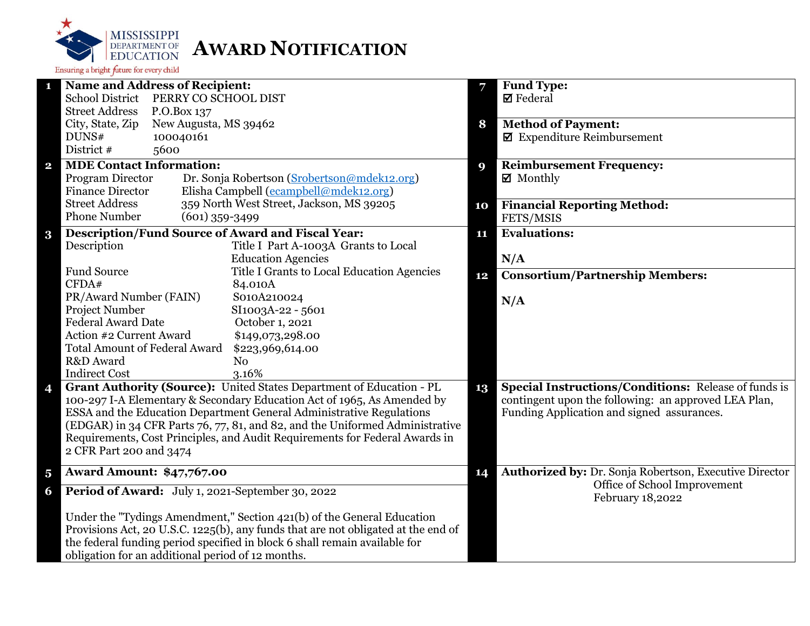

| $\mathbf{1}$            | <b>Name and Address of Recipient:</b>                                             |    | Fund Type:                                                  |
|-------------------------|-----------------------------------------------------------------------------------|----|-------------------------------------------------------------|
|                         | School District PERRY CO SCHOOL DIST                                              |    | <b>Ø</b> Federal                                            |
|                         | <b>Street Address</b><br>P.O.Box 137                                              |    |                                                             |
|                         | City, State, Zip<br>New Augusta, MS 39462                                         | 8  | <b>Method of Payment:</b>                                   |
|                         | DUNS#<br>100040161                                                                |    | $\blacksquare$ Expenditure Reimbursement                    |
|                         | District #<br>5600                                                                |    |                                                             |
| $\mathbf{2}$            | <b>MDE Contact Information:</b>                                                   | 9  | <b>Reimbursement Frequency:</b>                             |
|                         | Program Director<br>Dr. Sonja Robertson (Srobertson@mdek12.org)                   |    | ☑ Monthly                                                   |
|                         | Elisha Campbell (ecampbell@mdek12.org)<br><b>Finance Director</b>                 |    |                                                             |
|                         | <b>Street Address</b><br>359 North West Street, Jackson, MS 39205                 | 10 | <b>Financial Reporting Method:</b>                          |
|                         | <b>Phone Number</b><br>$(601)$ 359-3499                                           |    | FETS/MSIS                                                   |
| $\bf{3}$                | <b>Description/Fund Source of Award and Fiscal Year:</b>                          | 11 | <b>Evaluations:</b>                                         |
|                         | Description<br>Title I Part A-1003A Grants to Local                               |    |                                                             |
|                         | <b>Education Agencies</b>                                                         |    | N/A                                                         |
|                         | <b>Fund Source</b><br>Title I Grants to Local Education Agencies                  | 12 | <b>Consortium/Partnership Members:</b>                      |
|                         | CFDA#<br>84.010A                                                                  |    |                                                             |
|                         | PR/Award Number (FAIN)<br>S010A210024                                             |    | N/A                                                         |
|                         | Project Number<br>SI1003A-22 - 5601                                               |    |                                                             |
|                         | <b>Federal Award Date</b><br>October 1, 2021                                      |    |                                                             |
|                         | Action #2 Current Award<br>\$149,073,298.00                                       |    |                                                             |
|                         | <b>Total Amount of Federal Award</b><br>\$223,969,614.00                          |    |                                                             |
|                         | R&D Award<br>N <sub>o</sub>                                                       |    |                                                             |
|                         | <b>Indirect Cost</b><br>3.16%                                                     |    |                                                             |
| 4                       | Grant Authority (Source): United States Department of Education - PL              | 13 | <b>Special Instructions/Conditions: Release of funds is</b> |
|                         | 100-297 I-A Elementary & Secondary Education Act of 1965, As Amended by           |    | contingent upon the following: an approved LEA Plan,        |
|                         | ESSA and the Education Department General Administrative Regulations              |    | Funding Application and signed assurances.                  |
|                         | (EDGAR) in 34 CFR Parts 76, 77, 81, and 82, and the Uniformed Administrative      |    |                                                             |
|                         | Requirements, Cost Principles, and Audit Requirements for Federal Awards in       |    |                                                             |
|                         | 2 CFR Part 200 and 3474                                                           |    |                                                             |
| $\overline{\mathbf{5}}$ | <b>Award Amount: \$47,767.00</b>                                                  | 14 | Authorized by: Dr. Sonja Robertson, Executive Director      |
| 6                       | Period of Award: July 1, 2021-September 30, 2022                                  |    | Office of School Improvement<br>February 18,2022            |
|                         | Under the "Tydings Amendment," Section 421(b) of the General Education            |    |                                                             |
|                         | Provisions Act, 20 U.S.C. 1225(b), any funds that are not obligated at the end of |    |                                                             |
|                         | the federal funding period specified in block 6 shall remain available for        |    |                                                             |
|                         | obligation for an additional period of 12 months.                                 |    |                                                             |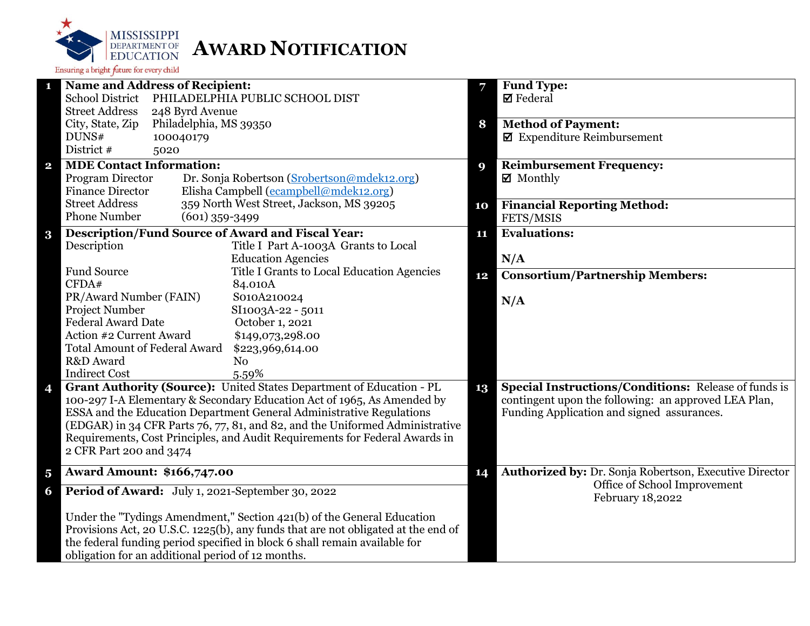

|                         | <b>Name and Address of Recipient:</b>                                             | 7  | <b>Fund Type:</b>                                      |
|-------------------------|-----------------------------------------------------------------------------------|----|--------------------------------------------------------|
|                         | <b>School District</b><br>PHILADELPHIA PUBLIC SCHOOL DIST                         |    | <b>Ø</b> Federal                                       |
|                         | <b>Street Address</b><br>248 Byrd Avenue                                          |    |                                                        |
|                         | Philadelphia, MS 39350<br>City, State, Zip                                        | 8  | <b>Method of Payment:</b>                              |
|                         | DUNS#<br>100040179                                                                |    | $\boxtimes$ Expenditure Reimbursement                  |
|                         | District #<br>5020                                                                |    |                                                        |
| $\mathbf{2}$            | <b>MDE Contact Information:</b>                                                   | 9  | <b>Reimbursement Frequency:</b>                        |
|                         | Program Director<br>Dr. Sonja Robertson (Srobertson@mdek12.org)                   |    | $\boxtimes$ Monthly                                    |
|                         | Elisha Campbell (ecampbell@mdek12.org)<br><b>Finance Director</b>                 |    |                                                        |
|                         | <b>Street Address</b><br>359 North West Street, Jackson, MS 39205                 | 10 | <b>Financial Reporting Method:</b>                     |
|                         | <b>Phone Number</b><br>$(601)$ 359-3499                                           |    | FETS/MSIS                                              |
| $\bf{3}$                | <b>Description/Fund Source of Award and Fiscal Year:</b>                          | 11 | <b>Evaluations:</b>                                    |
|                         | Description<br>Title I Part A-1003A Grants to Local                               |    |                                                        |
|                         | <b>Education Agencies</b>                                                         |    | N/A                                                    |
|                         | <b>Fund Source</b><br>Title I Grants to Local Education Agencies                  | 12 | <b>Consortium/Partnership Members:</b>                 |
|                         | CFDA#<br>84.010A                                                                  |    |                                                        |
|                         | PR/Award Number (FAIN)<br>S010A210024                                             |    | N/A                                                    |
|                         | Project Number<br>SI1003A-22 - 5011                                               |    |                                                        |
|                         | <b>Federal Award Date</b><br>October 1, 2021                                      |    |                                                        |
|                         | Action #2 Current Award<br>\$149,073,298.00                                       |    |                                                        |
|                         | <b>Total Amount of Federal Award</b><br>\$223,969,614.00                          |    |                                                        |
|                         | R&D Award<br>N <sub>o</sub>                                                       |    |                                                        |
|                         | <b>Indirect Cost</b><br>5.59%                                                     |    |                                                        |
| 4                       | Grant Authority (Source): United States Department of Education - PL              | 13 | Special Instructions/Conditions: Release of funds is   |
|                         | 100-297 I-A Elementary & Secondary Education Act of 1965, As Amended by           |    | contingent upon the following: an approved LEA Plan,   |
|                         | ESSA and the Education Department General Administrative Regulations              |    | Funding Application and signed assurances.             |
|                         | (EDGAR) in 34 CFR Parts 76, 77, 81, and 82, and the Uniformed Administrative      |    |                                                        |
|                         | Requirements, Cost Principles, and Audit Requirements for Federal Awards in       |    |                                                        |
|                         | 2 CFR Part 200 and 3474                                                           |    |                                                        |
| $\overline{\mathbf{5}}$ | <b>Award Amount: \$166,747.00</b>                                                 | 14 | Authorized by: Dr. Sonja Robertson, Executive Director |
| 6                       | Period of Award: July 1, 2021-September 30, 2022                                  |    | Office of School Improvement<br>February 18,2022       |
|                         | Under the "Tydings Amendment," Section 421(b) of the General Education            |    |                                                        |
|                         | Provisions Act, 20 U.S.C. 1225(b), any funds that are not obligated at the end of |    |                                                        |
|                         | the federal funding period specified in block 6 shall remain available for        |    |                                                        |
|                         | obligation for an additional period of 12 months.                                 |    |                                                        |
|                         |                                                                                   |    |                                                        |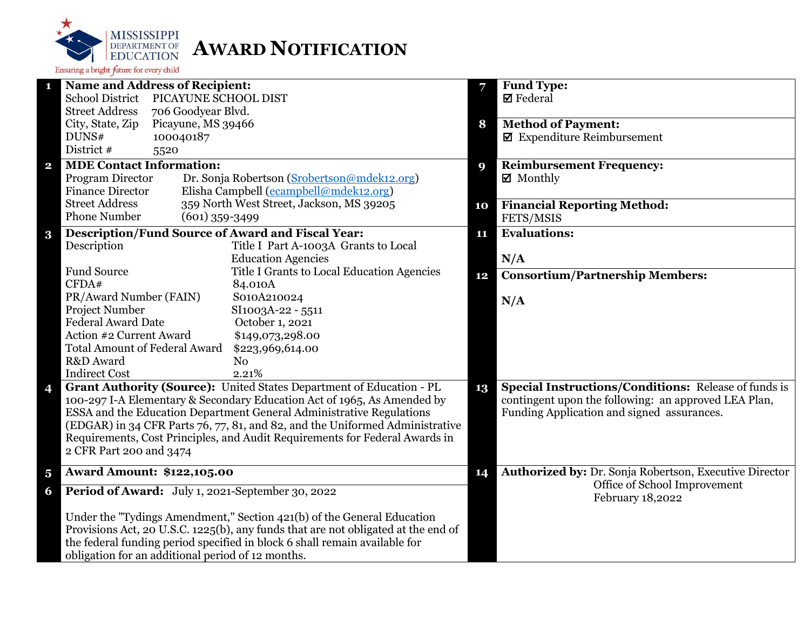

|                         | <b>Name and Address of Recipient:</b>                                             | 7  | <b>Fund Type:</b>                                           |
|-------------------------|-----------------------------------------------------------------------------------|----|-------------------------------------------------------------|
|                         | <b>School District</b><br>PICAYUNE SCHOOL DIST                                    |    | $\boxtimes$ Federal                                         |
|                         | <b>Street Address</b><br>706 Goodyear Blvd.                                       |    |                                                             |
|                         | City, State, Zip<br>Picayune, MS 39466                                            | 8  | <b>Method of Payment:</b>                                   |
|                         | DUNS#<br>100040187                                                                |    | $\blacksquare$ Expenditure Reimbursement                    |
|                         | District #<br>5520                                                                |    |                                                             |
| $\overline{\mathbf{2}}$ | <b>MDE Contact Information:</b>                                                   | 9  | <b>Reimbursement Frequency:</b>                             |
|                         | Program Director<br>Dr. Sonja Robertson (Srobertson@mdek12.org)                   |    | $\boxtimes$ Monthly                                         |
|                         | Elisha Campbell (ecampbell@mdek12.org)<br><b>Finance Director</b>                 |    |                                                             |
|                         | <b>Street Address</b><br>359 North West Street, Jackson, MS 39205                 | 10 | <b>Financial Reporting Method:</b>                          |
|                         | <b>Phone Number</b><br>$(601)$ 359-3499                                           |    | FETS/MSIS                                                   |
| $\bf{3}$                | <b>Description/Fund Source of Award and Fiscal Year:</b>                          | 11 | <b>Evaluations:</b>                                         |
|                         | Description<br>Title I Part A-1003A Grants to Local                               |    |                                                             |
|                         | <b>Education Agencies</b>                                                         |    | N/A                                                         |
|                         | <b>Fund Source</b><br>Title I Grants to Local Education Agencies                  | 12 | <b>Consortium/Partnership Members:</b>                      |
|                         | CFDA#<br>84.010A                                                                  |    |                                                             |
|                         | PR/Award Number (FAIN)<br>S010A210024                                             |    | N/A                                                         |
|                         | Project Number<br>SI1003A-22 - 5511                                               |    |                                                             |
|                         | <b>Federal Award Date</b><br>October 1, 2021                                      |    |                                                             |
|                         | Action #2 Current Award<br>\$149,073,298.00                                       |    |                                                             |
|                         | <b>Total Amount of Federal Award</b><br>\$223,969,614.00                          |    |                                                             |
|                         | R&D Award<br>N <sub>o</sub>                                                       |    |                                                             |
|                         | <b>Indirect Cost</b><br>2.21%                                                     |    |                                                             |
| 4                       | Grant Authority (Source): United States Department of Education - PL              | 13 | <b>Special Instructions/Conditions: Release of funds is</b> |
|                         | 100-297 I-A Elementary & Secondary Education Act of 1965, As Amended by           |    | contingent upon the following: an approved LEA Plan,        |
|                         | ESSA and the Education Department General Administrative Regulations              |    | Funding Application and signed assurances.                  |
|                         | (EDGAR) in 34 CFR Parts 76, 77, 81, and 82, and the Uniformed Administrative      |    |                                                             |
|                         | Requirements, Cost Principles, and Audit Requirements for Federal Awards in       |    |                                                             |
|                         | 2 CFR Part 200 and 3474                                                           |    |                                                             |
| $\overline{\mathbf{5}}$ | <b>Award Amount: \$122,105.00</b>                                                 | 14 | Authorized by: Dr. Sonja Robertson, Executive Director      |
|                         |                                                                                   |    | Office of School Improvement                                |
| 6                       | Period of Award: July 1, 2021-September 30, 2022                                  |    | February 18,2022                                            |
|                         | Under the "Tydings Amendment," Section 421(b) of the General Education            |    |                                                             |
|                         | Provisions Act, 20 U.S.C. 1225(b), any funds that are not obligated at the end of |    |                                                             |
|                         | the federal funding period specified in block 6 shall remain available for        |    |                                                             |
|                         | obligation for an additional period of 12 months.                                 |    |                                                             |
|                         |                                                                                   |    |                                                             |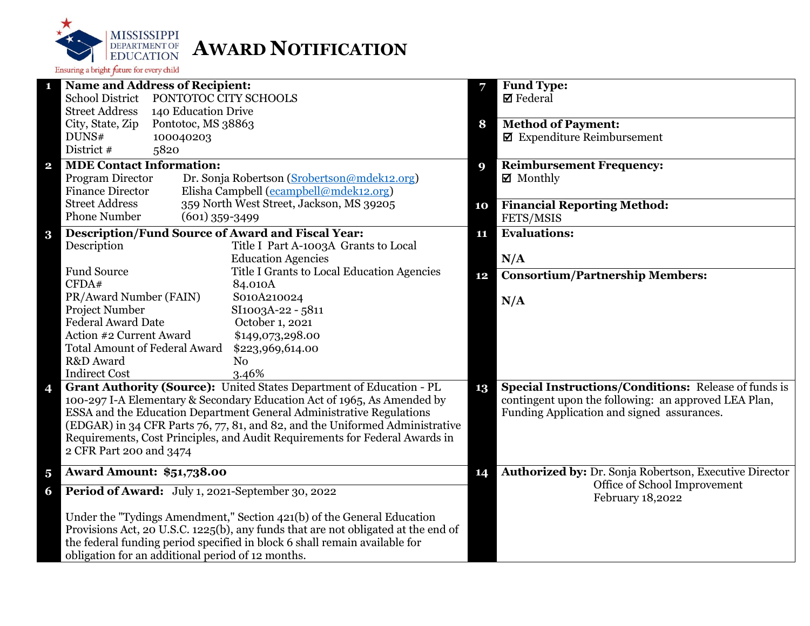

| 1                       | <b>Name and Address of Recipient:</b>                                                                  | 7  | Fund Type:                                                    |
|-------------------------|--------------------------------------------------------------------------------------------------------|----|---------------------------------------------------------------|
|                         | School District PONTOTOC CITY SCHOOLS                                                                  |    | $\boxtimes$ Federal                                           |
|                         | <b>Street Address</b><br>140 Education Drive                                                           |    |                                                               |
|                         | City, State, Zip<br>Pontotoc, MS 38863                                                                 | 8  | <b>Method of Payment:</b>                                     |
|                         | DUNS#<br>100040203                                                                                     |    | $\blacksquare$ Expenditure Reimbursement                      |
|                         | District #<br>5820                                                                                     |    |                                                               |
| $\mathbf{2}$            | <b>MDE Contact Information:</b>                                                                        | 9  | <b>Reimbursement Frequency:</b>                               |
|                         | Program Director<br>Dr. Sonja Robertson (Srobertson@mdek12.org)                                        |    | $\boxtimes$ Monthly                                           |
|                         | Elisha Campbell (ecampbell@mdek12.org)<br><b>Finance Director</b>                                      |    |                                                               |
|                         | 359 North West Street, Jackson, MS 39205<br><b>Street Address</b>                                      | 10 | <b>Financial Reporting Method:</b>                            |
|                         | <b>Phone Number</b><br>$(601)$ 359-3499                                                                |    | FETS/MSIS                                                     |
| $\bf{3}$                | Description/Fund Source of Award and Fiscal Year:                                                      | 11 | <b>Evaluations:</b>                                           |
|                         | Description<br>Title I Part A-1003A Grants to Local                                                    |    |                                                               |
|                         | <b>Education Agencies</b>                                                                              |    | N/A                                                           |
|                         | <b>Fund Source</b><br>Title I Grants to Local Education Agencies                                       | 12 | <b>Consortium/Partnership Members:</b>                        |
|                         | CFDA#<br>84.010A                                                                                       |    |                                                               |
|                         | PR/Award Number (FAIN)<br>S010A210024                                                                  |    | N/A                                                           |
|                         | Project Number<br>SI1003A-22 - 5811                                                                    |    |                                                               |
|                         | <b>Federal Award Date</b><br>October 1, 2021                                                           |    |                                                               |
|                         | Action #2 Current Award<br>\$149,073,298.00                                                            |    |                                                               |
|                         | <b>Total Amount of Federal Award</b><br>\$223,969,614.00                                               |    |                                                               |
|                         | R&D Award<br>N <sub>0</sub>                                                                            |    |                                                               |
|                         | <b>Indirect Cost</b><br>3.46%<br>Grant Authority (Source): United States Department of Education - PL  |    | <b>Special Instructions/Conditions:</b> Release of funds is   |
| 4                       | 100-297 I-A Elementary & Secondary Education Act of 1965, As Amended by                                | 13 | contingent upon the following: an approved LEA Plan,          |
|                         | ESSA and the Education Department General Administrative Regulations                                   |    | Funding Application and signed assurances.                    |
|                         | (EDGAR) in 34 CFR Parts 76, 77, 81, and 82, and the Uniformed Administrative                           |    |                                                               |
|                         | Requirements, Cost Principles, and Audit Requirements for Federal Awards in<br>2 CFR Part 200 and 3474 |    |                                                               |
|                         |                                                                                                        |    |                                                               |
|                         |                                                                                                        |    |                                                               |
| $\overline{\mathbf{5}}$ | <b>Award Amount: \$51,738.00</b>                                                                       | 14 | <b>Authorized by: Dr. Sonja Robertson, Executive Director</b> |
| 6                       | Period of Award: July 1, 2021-September 30, 2022                                                       |    | Office of School Improvement<br>February 18,2022              |
|                         | Under the "Tydings Amendment," Section 421(b) of the General Education                                 |    |                                                               |
|                         | Provisions Act, 20 U.S.C. 1225(b), any funds that are not obligated at the end of                      |    |                                                               |
|                         | the federal funding period specified in block 6 shall remain available for                             |    |                                                               |
|                         | obligation for an additional period of 12 months.                                                      |    |                                                               |
|                         |                                                                                                        |    |                                                               |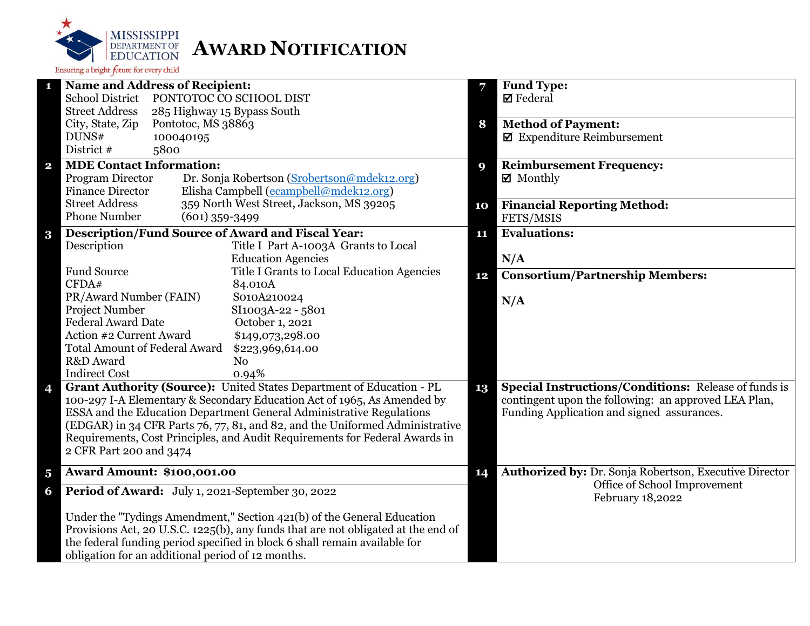

| $\mathbf{1}$            | Name and Address of Recipient:                                                    | 7  | <b>Fund Type:</b>                                             |
|-------------------------|-----------------------------------------------------------------------------------|----|---------------------------------------------------------------|
|                         | <b>School District</b><br>PONTOTOC CO SCHOOL DIST                                 |    | $\blacksquare$ Federal                                        |
|                         | <b>Street Address</b><br>285 Highway 15 Bypass South                              |    |                                                               |
|                         | City, State, Zip<br>Pontotoc, MS 38863                                            | 8  | <b>Method of Payment:</b>                                     |
|                         | DUNS#<br>100040195                                                                |    | $\boxtimes$ Expenditure Reimbursement                         |
|                         | District #<br>5800                                                                |    |                                                               |
| $\overline{\mathbf{2}}$ | <b>MDE Contact Information:</b>                                                   | 9  | <b>Reimbursement Frequency:</b>                               |
|                         | Dr. Sonja Robertson (Srobertson@mdek12.org)<br>Program Director                   |    | $\boxtimes$ Monthly                                           |
|                         | Elisha Campbell (ecampbell@mdek12.org)<br><b>Finance Director</b>                 |    |                                                               |
|                         | 359 North West Street, Jackson, MS 39205<br><b>Street Address</b>                 | 10 | <b>Financial Reporting Method:</b>                            |
|                         | <b>Phone Number</b><br>$(601)$ 359-3499                                           |    | FETS/MSIS                                                     |
| $\bf{3}$                | <b>Description/Fund Source of Award and Fiscal Year:</b>                          | 11 | <b>Evaluations:</b>                                           |
|                         | Description<br>Title I Part A-1003A Grants to Local                               |    |                                                               |
|                         | <b>Education Agencies</b>                                                         |    | N/A                                                           |
|                         | <b>Fund Source</b><br>Title I Grants to Local Education Agencies                  |    |                                                               |
|                         | CFDA#<br>84.010A                                                                  | 12 | <b>Consortium/Partnership Members:</b>                        |
|                         | PR/Award Number (FAIN)<br>S010A210024                                             |    |                                                               |
|                         | Project Number<br>SI1003A-22 - 5801                                               |    | N/A                                                           |
|                         | <b>Federal Award Date</b><br>October 1, 2021                                      |    |                                                               |
|                         | Action #2 Current Award<br>\$149,073,298.00                                       |    |                                                               |
|                         | <b>Total Amount of Federal Award</b><br>\$223,969,614.00                          |    |                                                               |
|                         | R&D Award<br>N <sub>o</sub>                                                       |    |                                                               |
|                         | <b>Indirect Cost</b><br>0.94%                                                     |    |                                                               |
| 4                       | Grant Authority (Source): United States Department of Education - PL              | 13 | <b>Special Instructions/Conditions:</b> Release of funds is   |
|                         | 100-297 I-A Elementary & Secondary Education Act of 1965, As Amended by           |    | contingent upon the following: an approved LEA Plan,          |
|                         | ESSA and the Education Department General Administrative Regulations              |    | Funding Application and signed assurances.                    |
|                         | (EDGAR) in 34 CFR Parts 76, 77, 81, and 82, and the Uniformed Administrative      |    |                                                               |
|                         | Requirements, Cost Principles, and Audit Requirements for Federal Awards in       |    |                                                               |
|                         | 2 CFR Part 200 and 3474                                                           |    |                                                               |
|                         |                                                                                   |    |                                                               |
| $\overline{\mathbf{5}}$ | <b>Award Amount: \$100,001.00</b>                                                 | 14 | <b>Authorized by: Dr. Sonja Robertson, Executive Director</b> |
| 6                       | Period of Award: July 1, 2021-September 30, 2022                                  |    | Office of School Improvement<br>February 18,2022              |
|                         | Under the "Tydings Amendment," Section 421(b) of the General Education            |    |                                                               |
|                         | Provisions Act, 20 U.S.C. 1225(b), any funds that are not obligated at the end of |    |                                                               |
|                         | the federal funding period specified in block 6 shall remain available for        |    |                                                               |
|                         | obligation for an additional period of 12 months.                                 |    |                                                               |
|                         |                                                                                   |    |                                                               |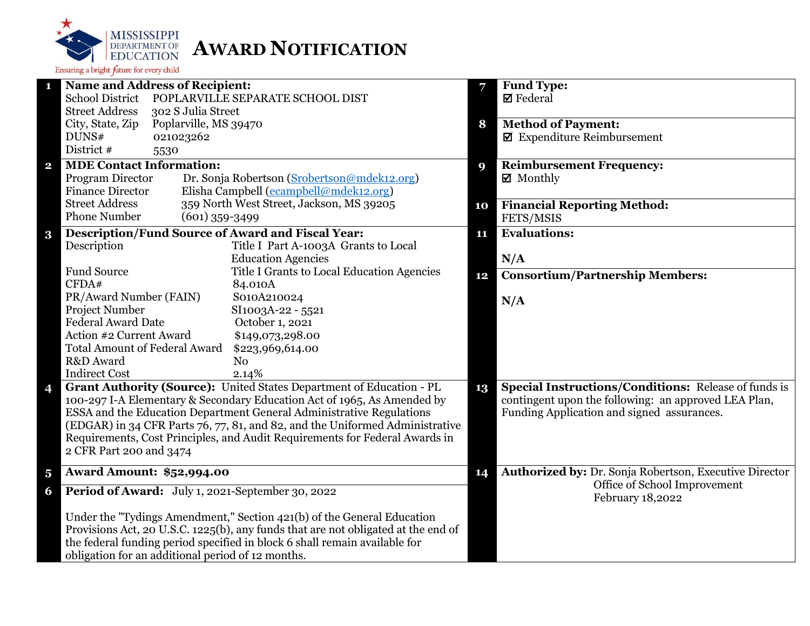

|                         | <b>Name and Address of Recipient:</b>                                             | 7  | <b>Fund Type:</b>                                           |
|-------------------------|-----------------------------------------------------------------------------------|----|-------------------------------------------------------------|
|                         | <b>School District</b><br>POPLARVILLE SEPARATE SCHOOL DIST                        |    | $\boxtimes$ Federal                                         |
|                         | <b>Street Address</b><br>302 S Julia Street                                       |    |                                                             |
|                         | City, State, Zip<br>Poplarville, MS 39470                                         | 8  | <b>Method of Payment:</b>                                   |
|                         | DUNS#<br>021023262                                                                |    | $\blacksquare$ Expenditure Reimbursement                    |
|                         | District #<br>5530                                                                |    |                                                             |
| $\overline{\mathbf{2}}$ | <b>MDE Contact Information:</b>                                                   | 9  | <b>Reimbursement Frequency:</b>                             |
|                         | Program Director<br>Dr. Sonja Robertson (Srobertson@mdek12.org)                   |    | ■ Monthly                                                   |
|                         | <b>Finance Director</b><br>Elisha Campbell (ecampbell@mdek12.org)                 |    |                                                             |
|                         | <b>Street Address</b><br>359 North West Street, Jackson, MS 39205                 | 10 | <b>Financial Reporting Method:</b>                          |
|                         | <b>Phone Number</b><br>$(601)$ 359-3499                                           |    | FETS/MSIS                                                   |
| $\bf{3}$                | <b>Description/Fund Source of Award and Fiscal Year:</b>                          | 11 | <b>Evaluations:</b>                                         |
|                         | Description<br>Title I Part A-1003A Grants to Local                               |    |                                                             |
|                         | <b>Education Agencies</b>                                                         |    | N/A                                                         |
|                         | <b>Fund Source</b><br>Title I Grants to Local Education Agencies                  | 12 | <b>Consortium/Partnership Members:</b>                      |
|                         | CFDA#<br>84.010A                                                                  |    |                                                             |
|                         | PR/Award Number (FAIN)<br>S010A210024                                             |    | N/A                                                         |
|                         | Project Number<br>SI1003A-22 - 5521                                               |    |                                                             |
|                         | <b>Federal Award Date</b><br>October 1, 2021                                      |    |                                                             |
|                         | Action #2 Current Award<br>\$149,073,298.00                                       |    |                                                             |
|                         | <b>Total Amount of Federal Award</b><br>\$223,969,614.00                          |    |                                                             |
|                         | R&D Award<br>N <sub>o</sub>                                                       |    |                                                             |
|                         | <b>Indirect Cost</b><br>2.14%                                                     |    |                                                             |
| 4                       | Grant Authority (Source): United States Department of Education - PL<br>13        |    | <b>Special Instructions/Conditions:</b> Release of funds is |
|                         | 100-297 I-A Elementary & Secondary Education Act of 1965, As Amended by           |    | contingent upon the following: an approved LEA Plan,        |
|                         | ESSA and the Education Department General Administrative Regulations              |    | Funding Application and signed assurances.                  |
|                         | (EDGAR) in 34 CFR Parts 76, 77, 81, and 82, and the Uniformed Administrative      |    |                                                             |
|                         | Requirements, Cost Principles, and Audit Requirements for Federal Awards in       |    |                                                             |
|                         | 2 CFR Part 200 and 3474                                                           |    |                                                             |
| $\overline{\mathbf{5}}$ | <b>Award Amount: \$52,994.00</b>                                                  | 14 | Authorized by: Dr. Sonja Robertson, Executive Director      |
| 6                       | Period of Award: July 1, 2021-September 30, 2022                                  |    | Office of School Improvement<br>February 18,2022            |
|                         | Under the "Tydings Amendment," Section 421(b) of the General Education            |    |                                                             |
|                         | Provisions Act, 20 U.S.C. 1225(b), any funds that are not obligated at the end of |    |                                                             |
|                         | the federal funding period specified in block 6 shall remain available for        |    |                                                             |
|                         | obligation for an additional period of 12 months.                                 |    |                                                             |
|                         |                                                                                   |    |                                                             |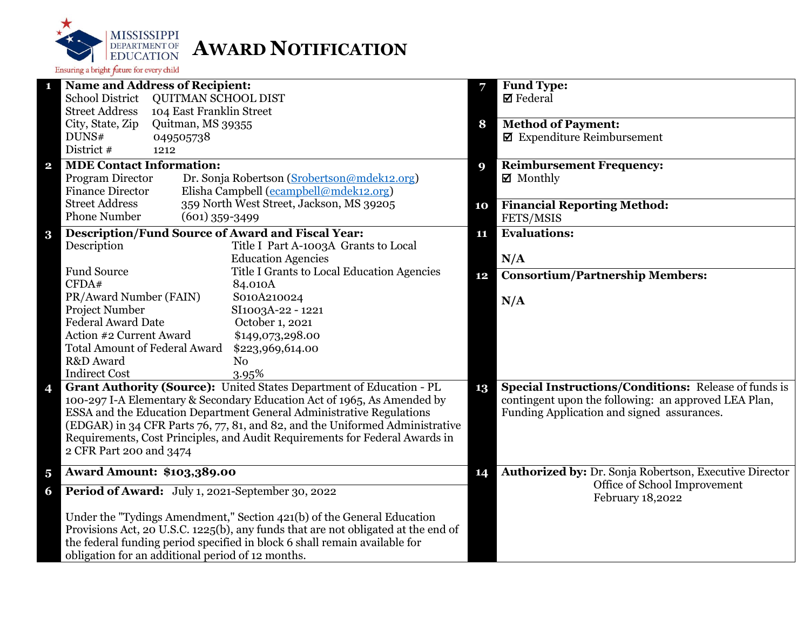

|                         | <b>Name and Address of Recipient:</b>                                             | 7  | <b>Fund Type:</b>                                           |
|-------------------------|-----------------------------------------------------------------------------------|----|-------------------------------------------------------------|
|                         | <b>School District</b><br><b>QUITMAN SCHOOL DIST</b>                              |    | $\boxtimes$ Federal                                         |
|                         | <b>Street Address</b><br>104 East Franklin Street                                 |    |                                                             |
|                         | City, State, Zip<br>Quitman, MS 39355                                             | 8  | <b>Method of Payment:</b>                                   |
|                         | DUNS#<br>049505738                                                                |    | $\blacksquare$ Expenditure Reimbursement                    |
|                         | District #<br>1212                                                                |    |                                                             |
| $\overline{\mathbf{2}}$ | <b>MDE Contact Information:</b>                                                   | 9  | <b>Reimbursement Frequency:</b>                             |
|                         | Program Director<br>Dr. Sonja Robertson (Srobertson@mdek12.org)                   |    | $\boxtimes$ Monthly                                         |
|                         | Elisha Campbell (ecampbell@mdek12.org)<br><b>Finance Director</b>                 |    |                                                             |
|                         | <b>Street Address</b><br>359 North West Street, Jackson, MS 39205                 | 10 | <b>Financial Reporting Method:</b>                          |
|                         | <b>Phone Number</b><br>$(601)$ 359-3499                                           |    | FETS/MSIS                                                   |
|                         | <b>Description/Fund Source of Award and Fiscal Year:</b>                          | 11 | <b>Evaluations:</b>                                         |
| $\bf{3}$                | Description<br>Title I Part A-1003A Grants to Local                               |    |                                                             |
|                         | <b>Education Agencies</b>                                                         |    | N/A                                                         |
|                         | <b>Fund Source</b><br>Title I Grants to Local Education Agencies                  |    |                                                             |
|                         | CFDA#<br>84.010A                                                                  | 12 | <b>Consortium/Partnership Members:</b>                      |
|                         | PR/Award Number (FAIN)<br>S010A210024                                             |    |                                                             |
|                         | <b>Project Number</b><br>SI1003A-22 - 1221                                        |    | N/A                                                         |
|                         | <b>Federal Award Date</b><br>October 1, 2021                                      |    |                                                             |
|                         | Action #2 Current Award<br>\$149,073,298.00                                       |    |                                                             |
|                         | <b>Total Amount of Federal Award</b><br>\$223,969,614.00                          |    |                                                             |
|                         | R&D Award<br>N <sub>o</sub>                                                       |    |                                                             |
|                         | <b>Indirect Cost</b><br>3.95%                                                     |    |                                                             |
| 4                       | Grant Authority (Source): United States Department of Education - PL              | 13 | <b>Special Instructions/Conditions: Release of funds is</b> |
|                         | 100-297 I-A Elementary & Secondary Education Act of 1965, As Amended by           |    | contingent upon the following: an approved LEA Plan,        |
|                         | ESSA and the Education Department General Administrative Regulations              |    | Funding Application and signed assurances.                  |
|                         | (EDGAR) in 34 CFR Parts 76, 77, 81, and 82, and the Uniformed Administrative      |    |                                                             |
|                         | Requirements, Cost Principles, and Audit Requirements for Federal Awards in       |    |                                                             |
|                         | 2 CFR Part 200 and 3474                                                           |    |                                                             |
|                         |                                                                                   |    |                                                             |
| $\overline{\mathbf{5}}$ | <b>Award Amount: \$103,389.00</b>                                                 | 14 | Authorized by: Dr. Sonja Robertson, Executive Director      |
| 6                       | Period of Award: July 1, 2021-September 30, 2022                                  |    | Office of School Improvement<br>February 18,2022            |
|                         | Under the "Tydings Amendment," Section 421(b) of the General Education            |    |                                                             |
|                         | Provisions Act, 20 U.S.C. 1225(b), any funds that are not obligated at the end of |    |                                                             |
|                         | the federal funding period specified in block 6 shall remain available for        |    |                                                             |
|                         | obligation for an additional period of 12 months.                                 |    |                                                             |
|                         |                                                                                   |    |                                                             |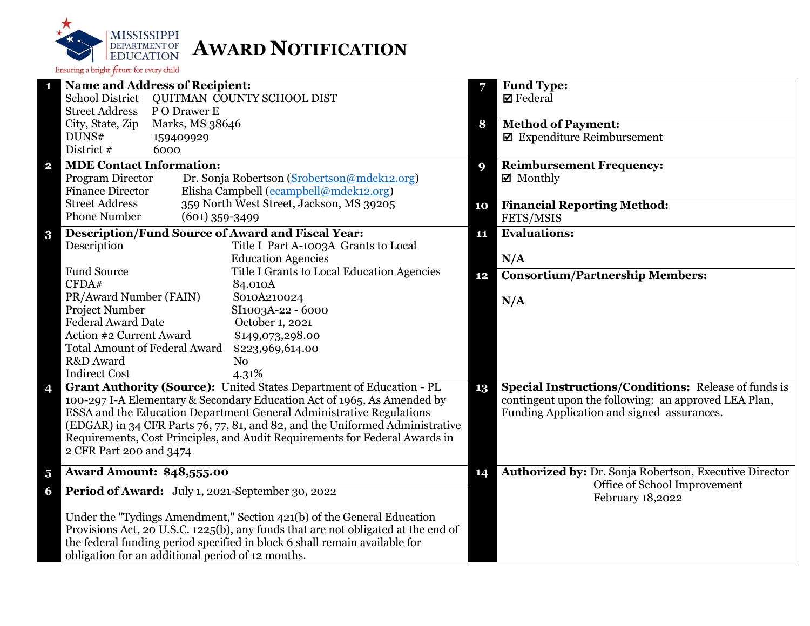

|                         | <b>Name and Address of Recipient:</b>                                             | 7  | <b>Fund Type:</b>                                           |
|-------------------------|-----------------------------------------------------------------------------------|----|-------------------------------------------------------------|
|                         | <b>School District</b><br>QUITMAN COUNTY SCHOOL DIST                              |    | $\boxtimes$ Federal                                         |
|                         | <b>Street Address</b><br>P O Drawer E                                             |    |                                                             |
|                         | City, State, Zip<br>Marks, MS 38646                                               | 8  | <b>Method of Payment:</b>                                   |
|                         | DUNS#<br>159409929                                                                |    | $\blacksquare$ Expenditure Reimbursement                    |
|                         | District #<br>6000                                                                |    |                                                             |
| $\mathbf{2}$            | <b>MDE Contact Information:</b>                                                   | 9  | <b>Reimbursement Frequency:</b>                             |
|                         | Program Director<br>Dr. Sonja Robertson (Srobertson@mdek12.org)                   |    | $\boxtimes$ Monthly                                         |
|                         | Elisha Campbell (ecampbell@mdek12.org)<br><b>Finance Director</b>                 |    |                                                             |
|                         | 359 North West Street, Jackson, MS 39205<br><b>Street Address</b>                 | 10 | <b>Financial Reporting Method:</b>                          |
|                         | <b>Phone Number</b><br>$(601)$ 359-3499                                           |    | FETS/MSIS                                                   |
| $\bf{3}$                | <b>Description/Fund Source of Award and Fiscal Year:</b>                          | 11 | <b>Evaluations:</b>                                         |
|                         | Description<br>Title I Part A-1003A Grants to Local                               |    |                                                             |
|                         | <b>Education Agencies</b>                                                         |    | N/A                                                         |
|                         | <b>Fund Source</b><br>Title I Grants to Local Education Agencies                  |    | <b>Consortium/Partnership Members:</b>                      |
|                         | CFDA#<br>84.010A                                                                  | 12 |                                                             |
|                         | PR/Award Number (FAIN)<br>S010A210024                                             |    |                                                             |
|                         | Project Number<br>SI1003A-22 - 6000                                               |    | N/A                                                         |
|                         | <b>Federal Award Date</b><br>October 1, 2021                                      |    |                                                             |
|                         | Action #2 Current Award<br>\$149,073,298.00                                       |    |                                                             |
|                         | <b>Total Amount of Federal Award</b><br>\$223,969,614.00                          |    |                                                             |
|                         | R&D Award<br>N <sub>0</sub>                                                       |    |                                                             |
|                         | <b>Indirect Cost</b><br>4.31%                                                     |    |                                                             |
| 4                       | Grant Authority (Source): United States Department of Education - PL              | 13 | <b>Special Instructions/Conditions: Release of funds is</b> |
|                         | 100-297 I-A Elementary & Secondary Education Act of 1965, As Amended by           |    | contingent upon the following: an approved LEA Plan,        |
|                         | ESSA and the Education Department General Administrative Regulations              |    | Funding Application and signed assurances.                  |
|                         | (EDGAR) in 34 CFR Parts 76, 77, 81, and 82, and the Uniformed Administrative      |    |                                                             |
|                         | Requirements, Cost Principles, and Audit Requirements for Federal Awards in       |    |                                                             |
|                         | 2 CFR Part 200 and 3474                                                           |    |                                                             |
|                         |                                                                                   |    |                                                             |
| $\overline{\mathbf{5}}$ | <b>Award Amount: \$48,555.00</b>                                                  | 14 | Authorized by: Dr. Sonja Robertson, Executive Director      |
| 6                       | Period of Award: July 1, 2021-September 30, 2022                                  |    | Office of School Improvement<br>February 18,2022            |
|                         | Under the "Tydings Amendment," Section 421(b) of the General Education            |    |                                                             |
|                         | Provisions Act, 20 U.S.C. 1225(b), any funds that are not obligated at the end of |    |                                                             |
|                         | the federal funding period specified in block 6 shall remain available for        |    |                                                             |
|                         | obligation for an additional period of 12 months.                                 |    |                                                             |
|                         |                                                                                   |    |                                                             |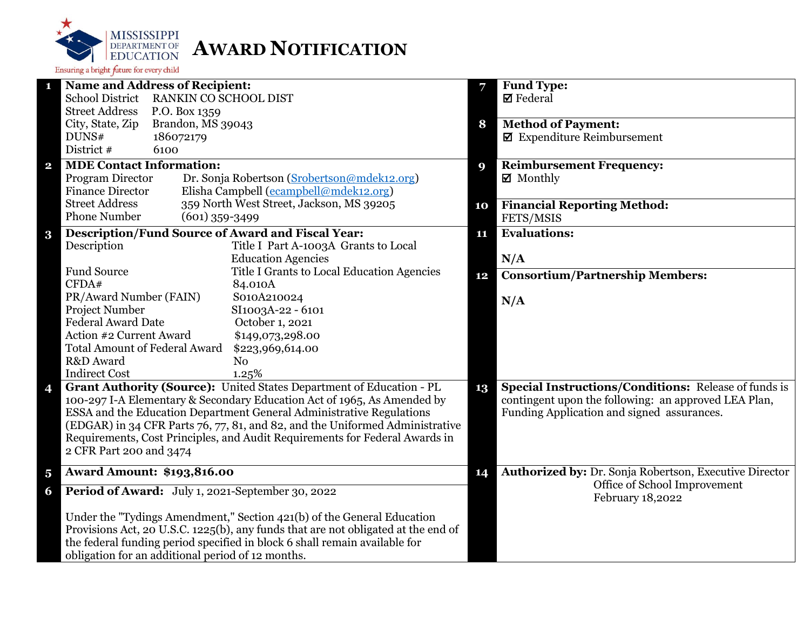

| п                       | <b>Name and Address of Recipient:</b>                                             |          | <b>Fund Type:</b>                                             |
|-------------------------|-----------------------------------------------------------------------------------|----------|---------------------------------------------------------------|
|                         | School District RANKIN CO SCHOOL DIST                                             |          | $\boxtimes$ Federal                                           |
|                         | <b>Street Address</b><br>P.O. Box 1359                                            |          |                                                               |
|                         | City, State, Zip<br>Brandon, MS 39043                                             | 8        | <b>Method of Payment:</b>                                     |
|                         | DUNS#<br>186072179                                                                |          | $\boxtimes$ Expenditure Reimbursement                         |
|                         | District #<br>6100                                                                |          |                                                               |
| $\mathbf{2}$            | <b>MDE Contact Information:</b>                                                   | <b>Q</b> | <b>Reimbursement Frequency:</b>                               |
|                         | Program Director<br>Dr. Sonja Robertson (Srobertson@mdek12.org)                   |          | $\boxtimes$ Monthly                                           |
|                         | Elisha Campbell (ecampbell@mdek12.org)<br><b>Finance Director</b>                 |          |                                                               |
|                         | 359 North West Street, Jackson, MS 39205<br><b>Street Address</b>                 | 10       | <b>Financial Reporting Method:</b>                            |
|                         | <b>Phone Number</b><br>$(601)$ 359-3499                                           |          | FETS/MSIS                                                     |
| $\bf{3}$                | <b>Description/Fund Source of Award and Fiscal Year:</b>                          | 11       | <b>Evaluations:</b>                                           |
|                         | Description<br>Title I Part A-1003A Grants to Local                               |          |                                                               |
|                         | <b>Education Agencies</b>                                                         |          | N/A                                                           |
|                         | Fund Source<br>Title I Grants to Local Education Agencies                         | 12       | <b>Consortium/Partnership Members:</b>                        |
|                         | CFDA#<br>84.010A                                                                  |          |                                                               |
|                         | PR/Award Number (FAIN)<br>S010A210024                                             |          | N/A                                                           |
|                         | Project Number<br>SI1003A-22 - 6101                                               |          |                                                               |
|                         | <b>Federal Award Date</b><br>October 1, 2021                                      |          |                                                               |
|                         | Action #2 Current Award<br>\$149,073,298.00                                       |          |                                                               |
|                         | <b>Total Amount of Federal Award</b><br>\$223,969,614.00                          |          |                                                               |
|                         | R&D Award<br>No                                                                   |          |                                                               |
|                         | <b>Indirect Cost</b><br>1.25%                                                     |          |                                                               |
| 4                       | Grant Authority (Source): United States Department of Education - PL              | 13       | Special Instructions/Conditions: Release of funds is          |
|                         | 100-297 I-A Elementary & Secondary Education Act of 1965, As Amended by           |          | contingent upon the following: an approved LEA Plan,          |
|                         | ESSA and the Education Department General Administrative Regulations              |          | Funding Application and signed assurances.                    |
|                         | (EDGAR) in 34 CFR Parts 76, 77, 81, and 82, and the Uniformed Administrative      |          |                                                               |
|                         | Requirements, Cost Principles, and Audit Requirements for Federal Awards in       |          |                                                               |
|                         | 2 CFR Part 200 and 3474                                                           |          |                                                               |
| $\overline{\mathbf{5}}$ | <b>Award Amount: \$193,816.00</b>                                                 | 14       | <b>Authorized by: Dr. Sonja Robertson, Executive Director</b> |
| 6                       | Period of Award: July 1, 2021-September 30, 2022                                  |          | Office of School Improvement                                  |
|                         |                                                                                   |          | February 18,2022                                              |
|                         | Under the "Tydings Amendment," Section 421(b) of the General Education            |          |                                                               |
|                         | Provisions Act, 20 U.S.C. 1225(b), any funds that are not obligated at the end of |          |                                                               |
|                         | the federal funding period specified in block 6 shall remain available for        |          |                                                               |
|                         | obligation for an additional period of 12 months.                                 |          |                                                               |
|                         |                                                                                   |          |                                                               |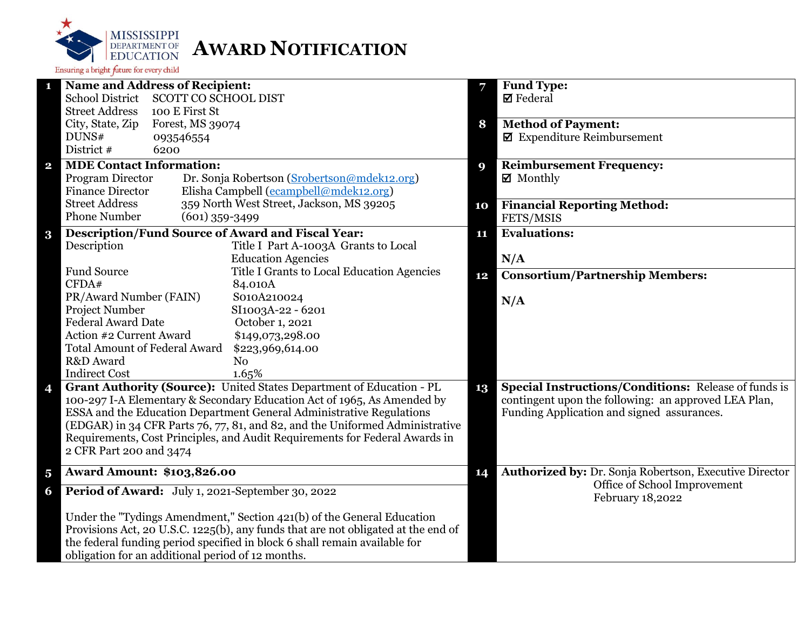

| 1                       | <b>Name and Address of Recipient:</b>                                                                                                           | 7  | <b>Fund Type:</b>                                                                                  |
|-------------------------|-------------------------------------------------------------------------------------------------------------------------------------------------|----|----------------------------------------------------------------------------------------------------|
|                         | SCOTT CO SCHOOL DIST<br><b>School District</b><br><b>Street Address</b><br>100 E First St                                                       |    | $\boxtimes$ Federal                                                                                |
|                         | City, State, Zip<br>Forest, MS 39074                                                                                                            | 8  | <b>Method of Payment:</b>                                                                          |
|                         | DUNS#<br>093546554                                                                                                                              |    | $\blacksquare$ Expenditure Reimbursement                                                           |
|                         | District #<br>6200                                                                                                                              |    |                                                                                                    |
| $\mathbf{2}$            | <b>MDE Contact Information:</b>                                                                                                                 | 9  | <b>Reimbursement Frequency:</b>                                                                    |
|                         | Program Director<br>Dr. Sonja Robertson (Srobertson@mdek12.org)                                                                                 |    | $\boxtimes$ Monthly                                                                                |
|                         | Elisha Campbell (ecampbell@mdek12.org)<br><b>Finance Director</b>                                                                               |    |                                                                                                    |
|                         | 359 North West Street, Jackson, MS 39205<br><b>Street Address</b>                                                                               | 10 | <b>Financial Reporting Method:</b>                                                                 |
|                         | <b>Phone Number</b><br>$(601)$ 359-3499                                                                                                         |    | FETS/MSIS                                                                                          |
| $\bf{3}$                | <b>Description/Fund Source of Award and Fiscal Year:</b>                                                                                        | 11 | <b>Evaluations:</b>                                                                                |
|                         | Description<br>Title I Part A-1003A Grants to Local                                                                                             |    |                                                                                                    |
|                         | <b>Education Agencies</b>                                                                                                                       |    | N/A                                                                                                |
|                         | <b>Fund Source</b><br>Title I Grants to Local Education Agencies                                                                                | 12 | <b>Consortium/Partnership Members:</b>                                                             |
|                         | CFDA#<br>84.010A<br>PR/Award Number (FAIN)<br>S010A210024                                                                                       |    |                                                                                                    |
|                         | Project Number<br>SI1003A-22 - 6201                                                                                                             |    | N/A                                                                                                |
|                         | <b>Federal Award Date</b><br>October 1, 2021                                                                                                    |    |                                                                                                    |
|                         | Action #2 Current Award<br>\$149,073,298.00                                                                                                     |    |                                                                                                    |
|                         | <b>Total Amount of Federal Award</b><br>\$223,969,614.00                                                                                        |    |                                                                                                    |
|                         | R&D Award<br>N <sub>0</sub>                                                                                                                     |    |                                                                                                    |
|                         | <b>Indirect Cost</b><br>1.65%                                                                                                                   | 13 |                                                                                                    |
| 4                       | Grant Authority (Source): United States Department of Education - PL                                                                            |    | <b>Special Instructions/Conditions: Release of funds is</b>                                        |
|                         | 100-297 I-A Elementary & Secondary Education Act of 1965, As Amended by<br>ESSA and the Education Department General Administrative Regulations |    | contingent upon the following: an approved LEA Plan,<br>Funding Application and signed assurances. |
|                         | (EDGAR) in 34 CFR Parts 76, 77, 81, and 82, and the Uniformed Administrative                                                                    |    |                                                                                                    |
|                         | Requirements, Cost Principles, and Audit Requirements for Federal Awards in                                                                     |    |                                                                                                    |
|                         | 2 CFR Part 200 and 3474                                                                                                                         |    |                                                                                                    |
|                         |                                                                                                                                                 |    |                                                                                                    |
| $\overline{\mathbf{5}}$ | <b>Award Amount: \$103,826.00</b>                                                                                                               | 14 | Authorized by: Dr. Sonja Robertson, Executive Director<br>Office of School Improvement             |
| 6                       | Period of Award: July 1, 2021-September 30, 2022                                                                                                |    | February 18,2022                                                                                   |
|                         | Under the "Tydings Amendment," Section 421(b) of the General Education                                                                          |    |                                                                                                    |
|                         | Provisions Act, 20 U.S.C. 1225(b), any funds that are not obligated at the end of                                                               |    |                                                                                                    |
|                         | the federal funding period specified in block 6 shall remain available for                                                                      |    |                                                                                                    |
|                         | obligation for an additional period of 12 months.                                                                                               |    |                                                                                                    |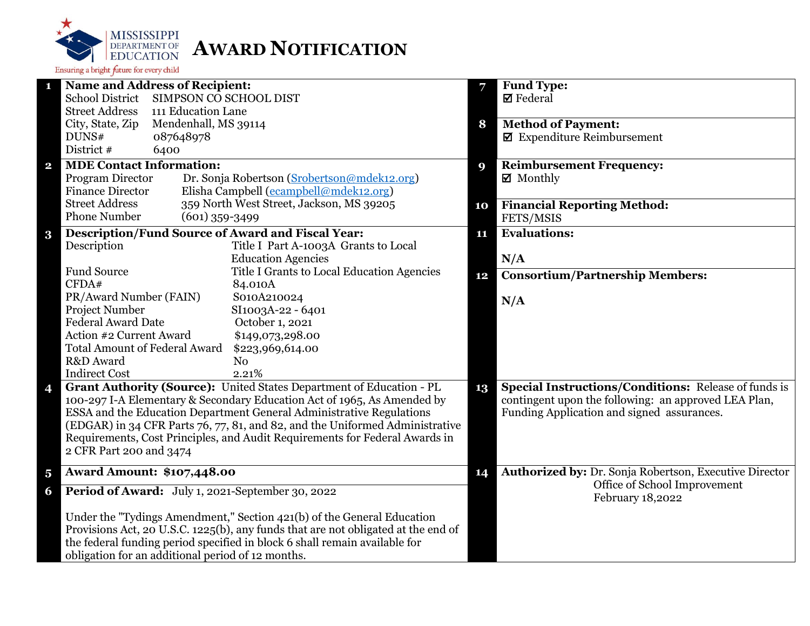

| 1                       | <b>Name and Address of Recipient:</b>                                                                                                                                                  |    | <b>Fund Type:</b>                                                                                                   |
|-------------------------|----------------------------------------------------------------------------------------------------------------------------------------------------------------------------------------|----|---------------------------------------------------------------------------------------------------------------------|
|                         | <b>School District</b><br>SIMPSON CO SCHOOL DIST                                                                                                                                       |    | $\boxtimes$ Federal                                                                                                 |
|                         | <b>Street Address</b><br>111 Education Lane                                                                                                                                            |    |                                                                                                                     |
|                         | City, State, Zip<br>Mendenhall, MS 39114                                                                                                                                               | 8  | <b>Method of Payment:</b>                                                                                           |
|                         | DUNS#<br>087648978                                                                                                                                                                     |    | $\blacksquare$ Expenditure Reimbursement                                                                            |
|                         | District #<br>6400                                                                                                                                                                     |    |                                                                                                                     |
| $\overline{\mathbf{2}}$ | <b>MDE Contact Information:</b>                                                                                                                                                        | 9  | <b>Reimbursement Frequency:</b>                                                                                     |
|                         | Program Director<br>Dr. Sonja Robertson (Srobertson@mdek12.org)                                                                                                                        |    | $\boxtimes$ Monthly                                                                                                 |
|                         | Elisha Campbell (ecampbell@mdek12.org)<br><b>Finance Director</b>                                                                                                                      |    |                                                                                                                     |
|                         | 359 North West Street, Jackson, MS 39205<br><b>Street Address</b>                                                                                                                      | 10 | <b>Financial Reporting Method:</b>                                                                                  |
|                         | <b>Phone Number</b><br>$(601)$ 359-3499                                                                                                                                                |    | FETS/MSIS                                                                                                           |
| $\bf{3}$                | <b>Description/Fund Source of Award and Fiscal Year:</b>                                                                                                                               | 11 | <b>Evaluations:</b>                                                                                                 |
|                         | Description<br>Title I Part A-1003A Grants to Local                                                                                                                                    |    |                                                                                                                     |
|                         | <b>Education Agencies</b>                                                                                                                                                              |    | N/A                                                                                                                 |
|                         | <b>Fund Source</b><br>Title I Grants to Local Education Agencies                                                                                                                       | 12 | <b>Consortium/Partnership Members:</b>                                                                              |
|                         | CFDA#<br>84.010A                                                                                                                                                                       |    |                                                                                                                     |
|                         | PR/Award Number (FAIN)<br>S010A210024                                                                                                                                                  |    | N/A                                                                                                                 |
|                         | Project Number<br>SI1003A-22 - 6401                                                                                                                                                    |    |                                                                                                                     |
|                         | <b>Federal Award Date</b><br>October 1, 2021                                                                                                                                           |    |                                                                                                                     |
|                         | Action #2 Current Award<br>\$149,073,298.00                                                                                                                                            |    |                                                                                                                     |
|                         | <b>Total Amount of Federal Award</b><br>\$223,969,614.00                                                                                                                               |    |                                                                                                                     |
|                         | R&D Award<br>N <sub>o</sub>                                                                                                                                                            |    |                                                                                                                     |
|                         | <b>Indirect Cost</b><br>2.21%                                                                                                                                                          |    |                                                                                                                     |
| 4                       | Grant Authority (Source): United States Department of Education - PL                                                                                                                   | 13 | <b>Special Instructions/Conditions: Release of funds is</b><br>contingent upon the following: an approved LEA Plan, |
|                         | 100-297 I-A Elementary & Secondary Education Act of 1965, As Amended by<br>ESSA and the Education Department General Administrative Regulations                                        |    | Funding Application and signed assurances.                                                                          |
|                         |                                                                                                                                                                                        |    |                                                                                                                     |
|                         | (EDGAR) in 34 CFR Parts 76, 77, 81, and 82, and the Uniformed Administrative<br>Requirements, Cost Principles, and Audit Requirements for Federal Awards in<br>2 CFR Part 200 and 3474 |    |                                                                                                                     |
|                         |                                                                                                                                                                                        |    |                                                                                                                     |
|                         |                                                                                                                                                                                        |    |                                                                                                                     |
| $\overline{\mathbf{5}}$ | <b>Award Amount: \$107,448.00</b>                                                                                                                                                      | 14 | Authorized by: Dr. Sonja Robertson, Executive Director                                                              |
| 6                       | Period of Award: July 1, 2021-September 30, 2022                                                                                                                                       |    | Office of School Improvement<br>February 18,2022                                                                    |
|                         | Under the "Tydings Amendment," Section 421(b) of the General Education                                                                                                                 |    |                                                                                                                     |
|                         | Provisions Act, 20 U.S.C. 1225(b), any funds that are not obligated at the end of                                                                                                      |    |                                                                                                                     |
|                         | the federal funding period specified in block 6 shall remain available for                                                                                                             |    |                                                                                                                     |
|                         | obligation for an additional period of 12 months.                                                                                                                                      |    |                                                                                                                     |
|                         |                                                                                                                                                                                        |    |                                                                                                                     |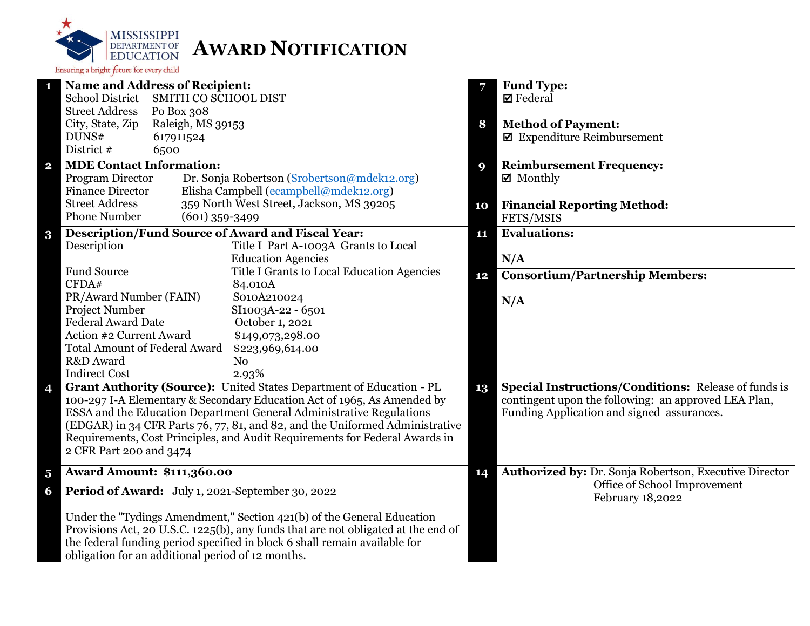

| 1                       | <b>Name and Address of Recipient:</b>                                                                 |    | <b>Fund Type:</b>                                           |
|-------------------------|-------------------------------------------------------------------------------------------------------|----|-------------------------------------------------------------|
|                         | <b>School District</b><br><b>SMITH CO SCHOOL DIST</b>                                                 |    | $\boxtimes$ Federal                                         |
|                         | <b>Street Address</b><br>Po Box 308                                                                   |    |                                                             |
|                         | City, State, Zip<br>Raleigh, MS 39153                                                                 | 8  | <b>Method of Payment:</b>                                   |
|                         | DUNS#<br>617911524                                                                                    |    | $\boxtimes$ Expenditure Reimbursement                       |
|                         | District #<br>6500                                                                                    |    |                                                             |
| $\mathbf{2}$            | <b>MDE Contact Information:</b>                                                                       | 9  | <b>Reimbursement Frequency:</b>                             |
|                         | Dr. Sonja Robertson (Srobertson@mdek12.org)<br>Program Director                                       |    | $\boxtimes$ Monthly                                         |
|                         | Elisha Campbell (ecampbell@mdek12.org)<br><b>Finance Director</b>                                     |    |                                                             |
|                         | 359 North West Street, Jackson, MS 39205<br><b>Street Address</b>                                     | 10 | <b>Financial Reporting Method:</b>                          |
|                         | <b>Phone Number</b><br>$(601)$ 359-3499                                                               |    | FETS/MSIS                                                   |
| $\bf{3}$                | <b>Description/Fund Source of Award and Fiscal Year:</b>                                              | 11 | <b>Evaluations:</b>                                         |
|                         | Description<br>Title I Part A-1003A Grants to Local                                                   |    |                                                             |
|                         | <b>Education Agencies</b>                                                                             |    | N/A                                                         |
|                         | <b>Fund Source</b><br>Title I Grants to Local Education Agencies                                      | 12 | <b>Consortium/Partnership Members:</b>                      |
|                         | CFDA#<br>84.010A                                                                                      |    |                                                             |
|                         | PR/Award Number (FAIN)<br>S010A210024                                                                 |    | N/A                                                         |
|                         | Project Number<br>SI1003A-22 - 6501                                                                   |    |                                                             |
|                         | <b>Federal Award Date</b><br>October 1, 2021                                                          |    |                                                             |
|                         | Action #2 Current Award<br>\$149,073,298.00                                                           |    |                                                             |
|                         | <b>Total Amount of Federal Award</b><br>\$223,969,614.00<br>R&D Award                                 |    |                                                             |
|                         | N <sub>0</sub>                                                                                        |    |                                                             |
|                         | <b>Indirect Cost</b><br>2.93%<br>Grant Authority (Source): United States Department of Education - PL |    | <b>Special Instructions/Conditions:</b> Release of funds is |
| 4                       | 100-297 I-A Elementary & Secondary Education Act of 1965, As Amended by                               | 13 | contingent upon the following: an approved LEA Plan,        |
|                         | ESSA and the Education Department General Administrative Regulations                                  |    | Funding Application and signed assurances.                  |
|                         | (EDGAR) in 34 CFR Parts 76, 77, 81, and 82, and the Uniformed Administrative                          |    |                                                             |
|                         | Requirements, Cost Principles, and Audit Requirements for Federal Awards in                           |    |                                                             |
|                         | 2 CFR Part 200 and 3474                                                                               |    |                                                             |
|                         |                                                                                                       |    |                                                             |
| $\overline{\mathbf{5}}$ | <b>Award Amount: \$111,360.00</b>                                                                     | 14 | Authorized by: Dr. Sonja Robertson, Executive Director      |
| 6                       | Period of Award: July 1, 2021-September 30, 2022                                                      |    | Office of School Improvement<br>February 18,2022            |
|                         | Under the "Tydings Amendment," Section 421(b) of the General Education                                |    |                                                             |
|                         | Provisions Act, 20 U.S.C. 1225(b), any funds that are not obligated at the end of                     |    |                                                             |
|                         | the federal funding period specified in block 6 shall remain available for                            |    |                                                             |
|                         | obligation for an additional period of 12 months.                                                     |    |                                                             |
|                         |                                                                                                       |    |                                                             |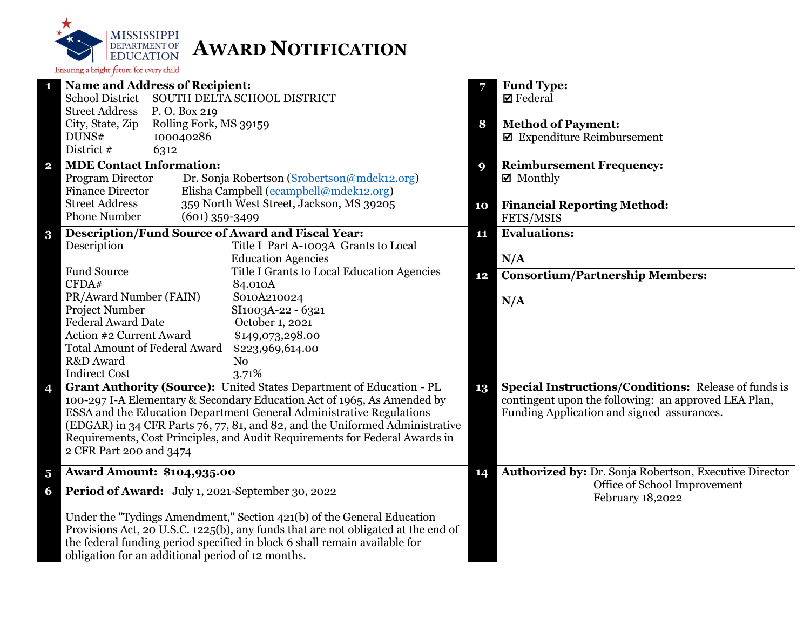

| $\mathbf{1}$            | <b>Name and Address of Recipient:</b>                                                                                                                       | 7                | <b>Fund Type:</b>                                           |
|-------------------------|-------------------------------------------------------------------------------------------------------------------------------------------------------------|------------------|-------------------------------------------------------------|
|                         | <b>School District</b><br>SOUTH DELTA SCHOOL DISTRICT                                                                                                       |                  | $\boxtimes$ Federal                                         |
|                         | <b>Street Address</b><br>P.O. Box 219                                                                                                                       |                  |                                                             |
|                         | City, State, Zip<br>Rolling Fork, MS 39159                                                                                                                  | 8                | <b>Method of Payment:</b>                                   |
|                         | DUNS#<br>100040286                                                                                                                                          |                  | $\blacksquare$ Expenditure Reimbursement                    |
|                         | District #<br>6312                                                                                                                                          |                  |                                                             |
| $\mathbf{2}$            | <b>MDE Contact Information:</b>                                                                                                                             | $\boldsymbol{9}$ | <b>Reimbursement Frequency:</b>                             |
|                         | Program Director<br>Dr. Sonja Robertson (Srobertson@mdek12.org)                                                                                             |                  | ☑ Monthly                                                   |
|                         | Elisha Campbell (ecampbell@mdek12.org)<br><b>Finance Director</b>                                                                                           |                  |                                                             |
|                         | 359 North West Street, Jackson, MS 39205<br><b>Street Address</b>                                                                                           | 10               | <b>Financial Reporting Method:</b>                          |
|                         | <b>Phone Number</b><br>$(601)$ 359-3499                                                                                                                     |                  | FETS/MSIS                                                   |
| $\bf{3}$                | <b>Description/Fund Source of Award and Fiscal Year:</b>                                                                                                    | 11               | <b>Evaluations:</b>                                         |
|                         | Description<br>Title I Part A-1003A Grants to Local                                                                                                         |                  |                                                             |
|                         | <b>Education Agencies</b>                                                                                                                                   |                  | N/A                                                         |
|                         | <b>Fund Source</b><br>Title I Grants to Local Education Agencies                                                                                            | 12               | <b>Consortium/Partnership Members:</b>                      |
|                         | CFDA#<br>84.010A                                                                                                                                            |                  |                                                             |
|                         | PR/Award Number (FAIN)<br>S010A210024                                                                                                                       |                  | N/A                                                         |
|                         | Project Number<br>SI1003A-22 - 6321                                                                                                                         |                  |                                                             |
|                         | <b>Federal Award Date</b><br>October 1, 2021                                                                                                                |                  |                                                             |
|                         | Action #2 Current Award<br>\$149,073,298.00                                                                                                                 |                  |                                                             |
|                         | <b>Total Amount of Federal Award</b><br>\$223,969,614.00                                                                                                    |                  |                                                             |
|                         | R&D Award<br>N <sub>o</sub>                                                                                                                                 |                  |                                                             |
|                         | <b>Indirect Cost</b><br>3.71%                                                                                                                               | 13               |                                                             |
| 4                       | Grant Authority (Source): United States Department of Education - PL                                                                                        |                  | <b>Special Instructions/Conditions: Release of funds is</b> |
|                         | 100-297 I-A Elementary & Secondary Education Act of 1965, As Amended by                                                                                     |                  | contingent upon the following: an approved LEA Plan,        |
|                         | ESSA and the Education Department General Administrative Regulations                                                                                        |                  | Funding Application and signed assurances.                  |
|                         | (EDGAR) in 34 CFR Parts 76, 77, 81, and 82, and the Uniformed Administrative<br>Requirements, Cost Principles, and Audit Requirements for Federal Awards in |                  |                                                             |
|                         |                                                                                                                                                             |                  |                                                             |
|                         | 2 CFR Part 200 and 3474                                                                                                                                     |                  |                                                             |
| $\overline{\mathbf{5}}$ | <b>Award Amount: \$104,935.00</b>                                                                                                                           | 14               | Authorized by: Dr. Sonja Robertson, Executive Director      |
| 6                       | Period of Award: July 1, 2021-September 30, 2022                                                                                                            |                  | Office of School Improvement<br>February 18,2022            |
|                         | Under the "Tydings Amendment," Section 421(b) of the General Education                                                                                      |                  |                                                             |
|                         | Provisions Act, 20 U.S.C. 1225(b), any funds that are not obligated at the end of                                                                           |                  |                                                             |
|                         | the federal funding period specified in block 6 shall remain available for                                                                                  |                  |                                                             |
|                         | obligation for an additional period of 12 months.                                                                                                           |                  |                                                             |
|                         |                                                                                                                                                             |                  |                                                             |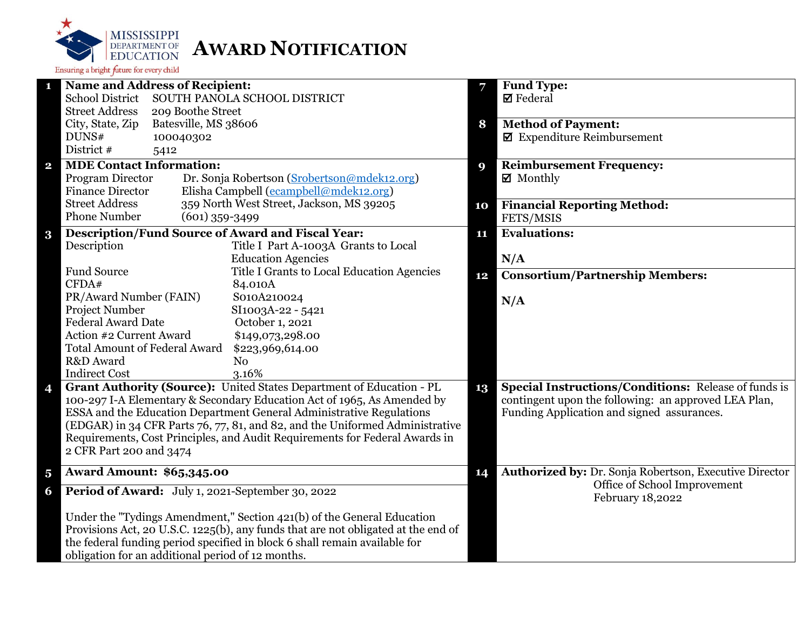

| 1                       | <b>Name and Address of Recipient:</b>                                             | 7  | <b>Fund Type:</b>                                      |
|-------------------------|-----------------------------------------------------------------------------------|----|--------------------------------------------------------|
|                         | <b>School District</b><br>SOUTH PANOLA SCHOOL DISTRICT                            |    | $\boxtimes$ Federal                                    |
|                         | <b>Street Address</b><br>209 Boothe Street                                        |    |                                                        |
|                         | City, State, Zip<br>Batesville, MS 38606                                          | 8  | <b>Method of Payment:</b>                              |
|                         | DUNS#<br>100040302                                                                |    | $\blacksquare$ Expenditure Reimbursement               |
|                         | District #<br>5412                                                                |    |                                                        |
| $\mathbf{2}$            | <b>MDE Contact Information:</b>                                                   | 9  | <b>Reimbursement Frequency:</b>                        |
|                         | Program Director<br>Dr. Sonja Robertson (Srobertson@mdek12.org)                   |    | $\boxtimes$ Monthly                                    |
|                         | Elisha Campbell (ecampbell@mdek12.org)<br><b>Finance Director</b>                 |    |                                                        |
|                         | <b>Street Address</b><br>359 North West Street, Jackson, MS 39205                 | 10 | <b>Financial Reporting Method:</b>                     |
|                         | <b>Phone Number</b><br>$(601)$ 359-3499                                           |    | FETS/MSIS                                              |
| $\bf{3}$                | <b>Description/Fund Source of Award and Fiscal Year:</b>                          | 11 | <b>Evaluations:</b>                                    |
|                         | Description<br>Title I Part A-1003A Grants to Local                               |    |                                                        |
|                         | <b>Education Agencies</b>                                                         |    | N/A                                                    |
|                         | Fund Source<br>Title I Grants to Local Education Agencies                         | 12 | <b>Consortium/Partnership Members:</b>                 |
|                         | CFDA#<br>84.010A                                                                  |    |                                                        |
|                         | PR/Award Number (FAIN)<br>S010A210024                                             |    | N/A                                                    |
|                         | Project Number<br>SI1003A-22 - 5421                                               |    |                                                        |
|                         | <b>Federal Award Date</b><br>October 1, 2021                                      |    |                                                        |
|                         | Action #2 Current Award<br>\$149,073,298.00                                       |    |                                                        |
|                         | <b>Total Amount of Federal Award</b><br>\$223,969,614.00                          |    |                                                        |
|                         | R&D Award<br>No                                                                   |    |                                                        |
|                         | <b>Indirect Cost</b><br>3.16%                                                     |    |                                                        |
| 4                       | Grant Authority (Source): United States Department of Education - PL              | 13 | Special Instructions/Conditions: Release of funds is   |
|                         | 100-297 I-A Elementary & Secondary Education Act of 1965, As Amended by           |    | contingent upon the following: an approved LEA Plan,   |
|                         | ESSA and the Education Department General Administrative Regulations              |    | Funding Application and signed assurances.             |
|                         | (EDGAR) in 34 CFR Parts 76, 77, 81, and 82, and the Uniformed Administrative      |    |                                                        |
|                         | Requirements, Cost Principles, and Audit Requirements for Federal Awards in       |    |                                                        |
|                         | 2 CFR Part 200 and 3474                                                           |    |                                                        |
| $\overline{\mathbf{5}}$ | <b>Award Amount: \$65,345.00</b>                                                  | 14 | Authorized by: Dr. Sonja Robertson, Executive Director |
| 6                       | Period of Award: July 1, 2021-September 30, 2022                                  |    | Office of School Improvement                           |
|                         |                                                                                   |    | February 18,2022                                       |
|                         | Under the "Tydings Amendment," Section 421(b) of the General Education            |    |                                                        |
|                         | Provisions Act, 20 U.S.C. 1225(b), any funds that are not obligated at the end of |    |                                                        |
|                         | the federal funding period specified in block 6 shall remain available for        |    |                                                        |
|                         | obligation for an additional period of 12 months.                                 |    |                                                        |
|                         |                                                                                   |    |                                                        |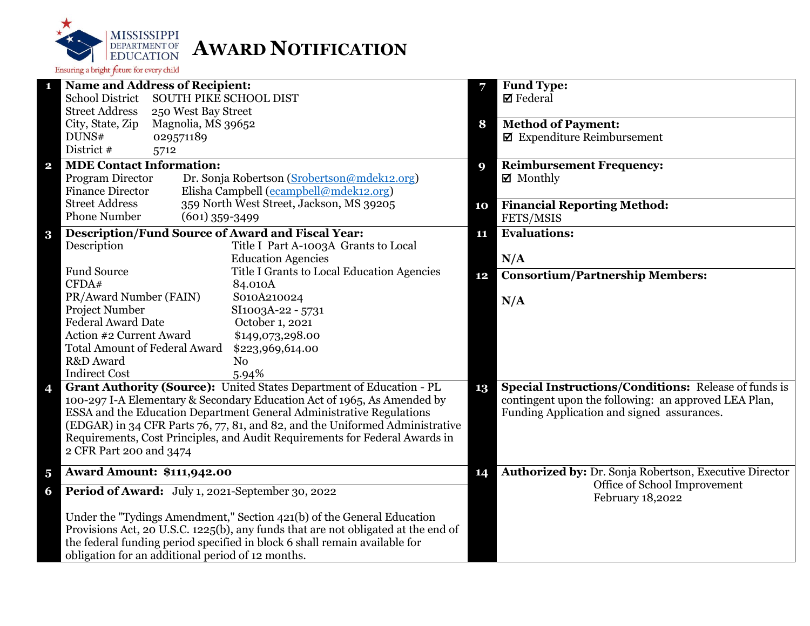

| 1                       | <b>Name and Address of Recipient:</b>                                                                                                           |                     |                                                                                   | 7  | <b>Fund Type:</b>                                                                                  |
|-------------------------|-------------------------------------------------------------------------------------------------------------------------------------------------|---------------------|-----------------------------------------------------------------------------------|----|----------------------------------------------------------------------------------------------------|
|                         | <b>School District</b><br><b>SOUTH PIKE SCHOOL DIST</b>                                                                                         |                     |                                                                                   |    | $\boxtimes$ Federal                                                                                |
|                         | <b>Street Address</b>                                                                                                                           | 250 West Bay Street |                                                                                   |    |                                                                                                    |
|                         | City, State, Zip                                                                                                                                | Magnolia, MS 39652  |                                                                                   | 8  | <b>Method of Payment:</b>                                                                          |
|                         | DUNS#                                                                                                                                           | 029571189           |                                                                                   |    | $\blacksquare$ Expenditure Reimbursement                                                           |
|                         | District #                                                                                                                                      | 5712                |                                                                                   |    |                                                                                                    |
| $\mathbf{2}$            | <b>MDE Contact Information:</b>                                                                                                                 |                     |                                                                                   | 9  | <b>Reimbursement Frequency:</b>                                                                    |
|                         | Program Director                                                                                                                                |                     | Dr. Sonja Robertson (Srobertson@mdek12.org)                                       |    | $\boxtimes$ Monthly                                                                                |
|                         | <b>Finance Director</b>                                                                                                                         |                     | Elisha Campbell (ecampbell@mdek12.org)                                            |    |                                                                                                    |
|                         | <b>Street Address</b>                                                                                                                           |                     | 359 North West Street, Jackson, MS 39205                                          | 10 | <b>Financial Reporting Method:</b>                                                                 |
|                         | <b>Phone Number</b>                                                                                                                             | $(601)$ 359-3499    |                                                                                   |    | FETS/MSIS                                                                                          |
| $\bf{3}$                |                                                                                                                                                 |                     | <b>Description/Fund Source of Award and Fiscal Year:</b>                          | 11 | <b>Evaluations:</b>                                                                                |
|                         | Description                                                                                                                                     |                     | Title I Part A-1003A Grants to Local                                              |    |                                                                                                    |
|                         |                                                                                                                                                 |                     | <b>Education Agencies</b>                                                         |    | N/A                                                                                                |
|                         | <b>Fund Source</b>                                                                                                                              |                     | Title I Grants to Local Education Agencies                                        | 12 | <b>Consortium/Partnership Members:</b>                                                             |
|                         | CFDA#                                                                                                                                           |                     | 84.010A                                                                           |    |                                                                                                    |
|                         | PR/Award Number (FAIN)                                                                                                                          |                     | S010A210024                                                                       |    | N/A                                                                                                |
|                         | <b>Project Number</b>                                                                                                                           |                     | SI1003A-22 - 5731                                                                 |    |                                                                                                    |
|                         | <b>Federal Award Date</b>                                                                                                                       |                     | October 1, 2021                                                                   |    |                                                                                                    |
|                         | Action #2 Current Award                                                                                                                         |                     | \$149,073,298.00                                                                  |    |                                                                                                    |
|                         | <b>Total Amount of Federal Award</b>                                                                                                            |                     | \$223,969,614.00                                                                  |    |                                                                                                    |
|                         | R&D Award                                                                                                                                       |                     | N <sub>o</sub>                                                                    |    |                                                                                                    |
|                         | <b>Indirect Cost</b>                                                                                                                            |                     | 5.94%                                                                             | 13 |                                                                                                    |
| 4                       | Grant Authority (Source): United States Department of Education - PL<br>100-297 I-A Elementary & Secondary Education Act of 1965, As Amended by |                     |                                                                                   |    | Special Instructions/Conditions: Release of funds is                                               |
|                         |                                                                                                                                                 |                     | ESSA and the Education Department General Administrative Regulations              |    | contingent upon the following: an approved LEA Plan,<br>Funding Application and signed assurances. |
|                         |                                                                                                                                                 |                     | (EDGAR) in 34 CFR Parts 76, 77, 81, and 82, and the Uniformed Administrative      |    |                                                                                                    |
|                         |                                                                                                                                                 |                     | Requirements, Cost Principles, and Audit Requirements for Federal Awards in       |    |                                                                                                    |
|                         | 2 CFR Part 200 and 3474                                                                                                                         |                     |                                                                                   |    |                                                                                                    |
|                         |                                                                                                                                                 |                     |                                                                                   |    |                                                                                                    |
| $\overline{\mathbf{5}}$ | <b>Award Amount: \$111,942.00</b>                                                                                                               |                     |                                                                                   |    | Authorized by: Dr. Sonja Robertson, Executive Director                                             |
| 6                       |                                                                                                                                                 |                     | Period of Award: July 1, 2021-September 30, 2022                                  |    | Office of School Improvement<br>February 18,2022                                                   |
|                         | Under the "Tydings Amendment," Section 421(b) of the General Education                                                                          |                     |                                                                                   |    |                                                                                                    |
|                         |                                                                                                                                                 |                     | Provisions Act, 20 U.S.C. 1225(b), any funds that are not obligated at the end of |    |                                                                                                    |
|                         |                                                                                                                                                 |                     | the federal funding period specified in block 6 shall remain available for        |    |                                                                                                    |
|                         | obligation for an additional period of 12 months.                                                                                               |                     |                                                                                   |    |                                                                                                    |
|                         |                                                                                                                                                 |                     |                                                                                   |    |                                                                                                    |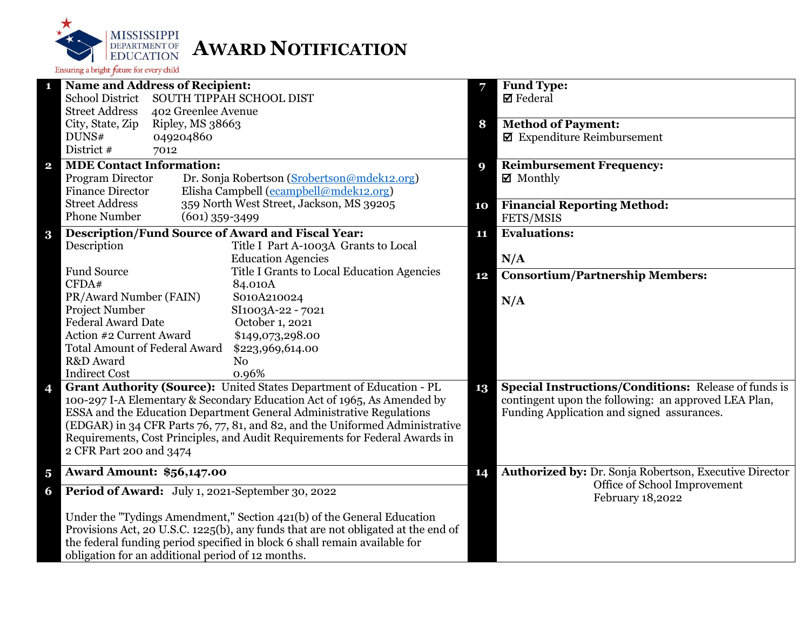

|                         | <b>Name and Address of Recipient:</b>                                                                                                                       | 7  | <b>Fund Type:</b>                                           |
|-------------------------|-------------------------------------------------------------------------------------------------------------------------------------------------------------|----|-------------------------------------------------------------|
|                         | <b>School District</b><br>SOUTH TIPPAH SCHOOL DIST                                                                                                          |    | $\boxtimes$ Federal                                         |
|                         | <b>Street Address</b><br>402 Greenlee Avenue                                                                                                                |    |                                                             |
|                         | City, State, Zip<br>Ripley, MS 38663                                                                                                                        | 8  | <b>Method of Payment:</b>                                   |
|                         | DUNS#<br>049204860                                                                                                                                          |    | $\blacksquare$ Expenditure Reimbursement                    |
|                         | District #<br>7012                                                                                                                                          |    |                                                             |
| $\overline{\mathbf{2}}$ | <b>MDE Contact Information:</b>                                                                                                                             | 9  | <b>Reimbursement Frequency:</b>                             |
|                         | Program Director<br>Dr. Sonja Robertson (Srobertson@mdek12.org)                                                                                             |    | $\boxtimes$ Monthly                                         |
|                         | Elisha Campbell (ecampbell@mdek12.org)<br><b>Finance Director</b>                                                                                           |    |                                                             |
|                         | <b>Street Address</b><br>359 North West Street, Jackson, MS 39205                                                                                           | 10 | <b>Financial Reporting Method:</b>                          |
|                         | <b>Phone Number</b><br>$(601)$ 359-3499                                                                                                                     |    | FETS/MSIS                                                   |
| $\bf{3}$                | <b>Description/Fund Source of Award and Fiscal Year:</b>                                                                                                    | 11 | <b>Evaluations:</b>                                         |
|                         | Description<br>Title I Part A-1003A Grants to Local                                                                                                         |    |                                                             |
|                         | <b>Education Agencies</b>                                                                                                                                   |    | N/A                                                         |
|                         | <b>Fund Source</b><br>Title I Grants to Local Education Agencies                                                                                            | 12 | <b>Consortium/Partnership Members:</b>                      |
|                         | CFDA#<br>84.010A                                                                                                                                            |    |                                                             |
|                         | PR/Award Number (FAIN)<br>S010A210024                                                                                                                       |    | N/A                                                         |
|                         | <b>Project Number</b><br>SI1003A-22 - 7021                                                                                                                  |    |                                                             |
|                         | <b>Federal Award Date</b><br>October 1, 2021                                                                                                                |    |                                                             |
|                         | Action #2 Current Award<br>\$149,073,298.00                                                                                                                 |    |                                                             |
|                         | <b>Total Amount of Federal Award</b><br>\$223,969,614.00                                                                                                    |    |                                                             |
|                         | R&D Award<br>N <sub>o</sub>                                                                                                                                 |    |                                                             |
|                         | <b>Indirect Cost</b><br>0.96%                                                                                                                               |    |                                                             |
| 4                       | Grant Authority (Source): United States Department of Education - PL                                                                                        | 13 | <b>Special Instructions/Conditions: Release of funds is</b> |
|                         | 100-297 I-A Elementary & Secondary Education Act of 1965, As Amended by                                                                                     |    | contingent upon the following: an approved LEA Plan,        |
|                         | ESSA and the Education Department General Administrative Regulations                                                                                        |    | Funding Application and signed assurances.                  |
|                         | (EDGAR) in 34 CFR Parts 76, 77, 81, and 82, and the Uniformed Administrative<br>Requirements, Cost Principles, and Audit Requirements for Federal Awards in |    |                                                             |
|                         |                                                                                                                                                             |    |                                                             |
|                         | 2 CFR Part 200 and 3474                                                                                                                                     |    |                                                             |
| $\overline{\mathbf{5}}$ | <b>Award Amount: \$56,147.00</b>                                                                                                                            | 14 | Authorized by: Dr. Sonja Robertson, Executive Director      |
| 6                       | Period of Award: July 1, 2021-September 30, 2022                                                                                                            |    | Office of School Improvement<br>February 18,2022            |
|                         | Under the "Tydings Amendment," Section 421(b) of the General Education                                                                                      |    |                                                             |
|                         | Provisions Act, 20 U.S.C. 1225(b), any funds that are not obligated at the end of                                                                           |    |                                                             |
|                         | the federal funding period specified in block 6 shall remain available for                                                                                  |    |                                                             |
|                         | obligation for an additional period of 12 months.                                                                                                           |    |                                                             |
|                         |                                                                                                                                                             |    |                                                             |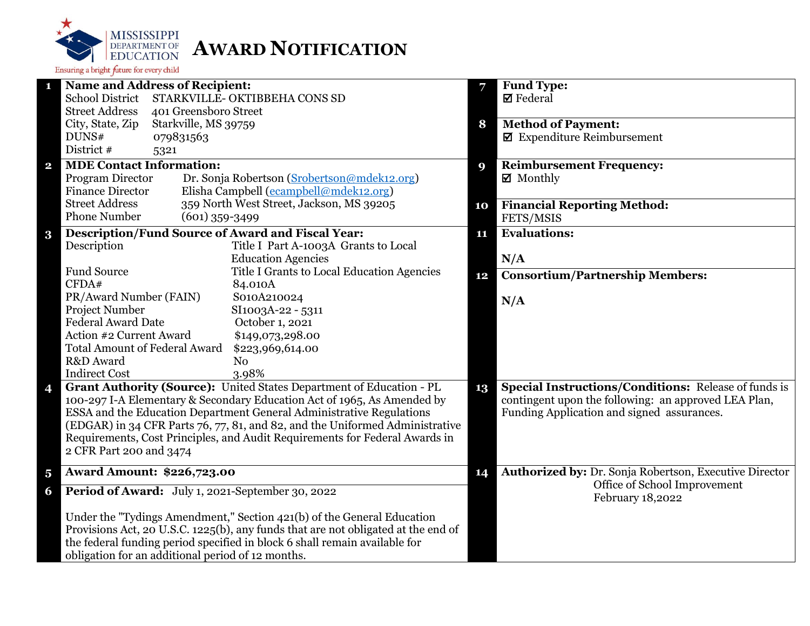

| <b>Name and Address of Recipient:</b><br>1                                                             | 7           | <b>Fund Type:</b>                                           |
|--------------------------------------------------------------------------------------------------------|-------------|-------------------------------------------------------------|
| <b>School District</b><br>STARKVILLE- OKTIBBEHA CONS SD                                                |             | <b>Ø</b> Federal                                            |
| <b>Street Address</b><br>401 Greensboro Street                                                         |             |                                                             |
| City, State, Zip<br>Starkville, MS 39759                                                               | 8           | <b>Method of Payment:</b>                                   |
| DUNS#<br>079831563                                                                                     |             | $\blacksquare$ Expenditure Reimbursement                    |
| District #<br>5321                                                                                     |             |                                                             |
| <b>MDE Contact Information:</b><br>$\mathbf{2}$                                                        | $\mathbf Q$ | <b>Reimbursement Frequency:</b>                             |
| Program Director<br>Dr. Sonja Robertson (Srobertson@mdek12.org)                                        |             | $\boxtimes$ Monthly                                         |
| <b>Finance Director</b><br>Elisha Campbell (ecampbell@mdek12.org)                                      |             |                                                             |
| <b>Street Address</b><br>359 North West Street, Jackson, MS 39205                                      | 10          | <b>Financial Reporting Method:</b>                          |
| <b>Phone Number</b><br>$(601)$ 359-3499                                                                |             | FETS/MSIS                                                   |
| <b>Description/Fund Source of Award and Fiscal Year:</b><br>3                                          | 11          | <b>Evaluations:</b>                                         |
| Title I Part A-1003A Grants to Local<br>Description                                                    |             |                                                             |
| <b>Education Agencies</b>                                                                              |             | N/A                                                         |
| <b>Fund Source</b><br>Title I Grants to Local Education Agencies                                       | 12          | <b>Consortium/Partnership Members:</b>                      |
| CFDA#<br>84.010A                                                                                       |             |                                                             |
| PR/Award Number (FAIN)<br>S010A210024                                                                  |             | N/A                                                         |
| Project Number<br>SI1003A-22 - 5311                                                                    |             |                                                             |
| <b>Federal Award Date</b><br>October 1, 2021                                                           |             |                                                             |
| Action #2 Current Award<br>\$149,073,298.00                                                            |             |                                                             |
| <b>Total Amount of Federal Award</b><br>\$223,969,614.00                                               |             |                                                             |
| R&D Award<br>N <sub>0</sub>                                                                            |             |                                                             |
| <b>Indirect Cost</b><br>3.98%                                                                          |             |                                                             |
| Grant Authority (Source): United States Department of Education - PL<br>4                              | 13          | <b>Special Instructions/Conditions: Release of funds is</b> |
| 100-297 I-A Elementary & Secondary Education Act of 1965, As Amended by                                |             | contingent upon the following: an approved LEA Plan,        |
| ESSA and the Education Department General Administrative Regulations                                   |             | Funding Application and signed assurances.                  |
| (EDGAR) in 34 CFR Parts 76, 77, 81, and 82, and the Uniformed Administrative                           |             |                                                             |
| Requirements, Cost Principles, and Audit Requirements for Federal Awards in<br>2 CFR Part 200 and 3474 |             |                                                             |
|                                                                                                        |             |                                                             |
| <b>Award Amount: \$226,723.00</b><br>$\overline{\mathbf{5}}$                                           | 14          | Authorized by: Dr. Sonja Robertson, Executive Director      |
| Period of Award: July 1, 2021-September 30, 2022<br>6                                                  |             | Office of School Improvement<br>February 18,2022            |
| Under the "Tydings Amendment," Section 421(b) of the General Education                                 |             |                                                             |
| Provisions Act, 20 U.S.C. 1225(b), any funds that are not obligated at the end of                      |             |                                                             |
| the federal funding period specified in block 6 shall remain available for                             |             |                                                             |
| obligation for an additional period of 12 months.                                                      |             |                                                             |
|                                                                                                        |             |                                                             |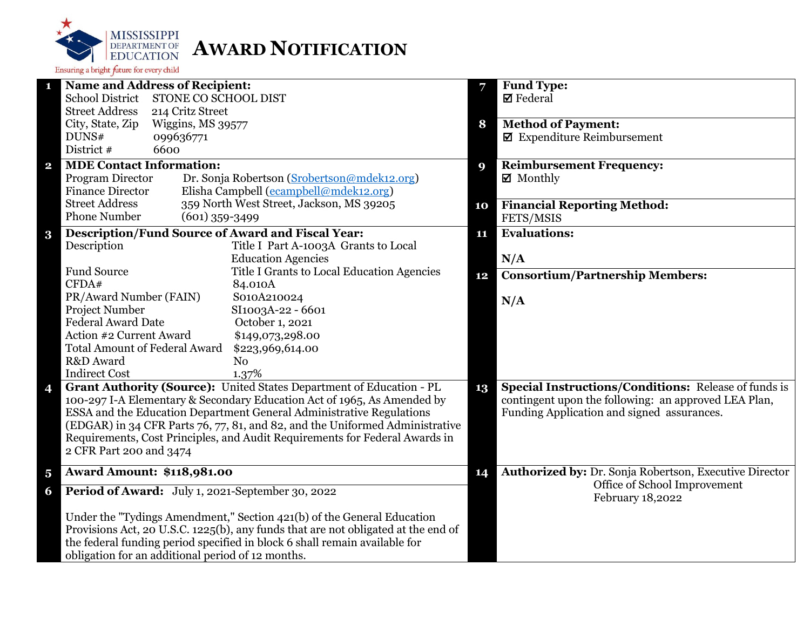

| <b>Name and Address of Recipient:</b><br>1                                                            | Fund Type:<br>7                                              |
|-------------------------------------------------------------------------------------------------------|--------------------------------------------------------------|
| <b>School District</b><br>STONE CO SCHOOL DIST                                                        | $\boxtimes$ Federal                                          |
| <b>Street Address</b><br>214 Critz Street                                                             |                                                              |
| City, State, Zip<br>Wiggins, MS 39577                                                                 | <b>Method of Payment:</b><br>8                               |
| DUNS#<br>099636771                                                                                    | $\boxtimes$ Expenditure Reimbursement                        |
| District #<br>6600                                                                                    |                                                              |
| <b>MDE Contact Information:</b><br>$\mathbf{2}$                                                       | <b>Reimbursement Frequency:</b><br>9                         |
| Program Director<br>Dr. Sonja Robertson (Srobertson@mdek12.org)                                       | $\boxtimes$ Monthly                                          |
| Elisha Campbell (ecampbell@mdek12.org)<br><b>Finance Director</b>                                     |                                                              |
| 359 North West Street, Jackson, MS 39205<br><b>Street Address</b>                                     | <b>Financial Reporting Method:</b><br>10                     |
| <b>Phone Number</b><br>$(601)$ 359-3499                                                               | FETS/MSIS                                                    |
| <b>Description/Fund Source of Award and Fiscal Year:</b><br>$\bf{3}$                                  | <b>Evaluations:</b><br>11                                    |
| Description<br>Title I Part A-1003A Grants to Local                                                   |                                                              |
| <b>Education Agencies</b>                                                                             | N/A                                                          |
| <b>Fund Source</b><br>Title I Grants to Local Education Agencies                                      | <b>Consortium/Partnership Members:</b><br>12                 |
| CFDA#<br>84.010A                                                                                      |                                                              |
| PR/Award Number (FAIN)<br>S010A210024                                                                 | N/A                                                          |
| Project Number<br>SI1003A-22 - 6601                                                                   |                                                              |
| <b>Federal Award Date</b><br>October 1, 2021                                                          |                                                              |
| Action #2 Current Award<br>\$149,073,298.00                                                           |                                                              |
| <b>Total Amount of Federal Award</b><br>\$223,969,614.00                                              |                                                              |
| R&D Award<br>N <sub>o</sub>                                                                           |                                                              |
| <b>Indirect Cost</b><br>1.37%<br>Grant Authority (Source): United States Department of Education - PL | <b>Special Instructions/Conditions: Release of funds is</b>  |
| 4<br>100-297 I-A Elementary & Secondary Education Act of 1965, As Amended by                          | 13<br>contingent upon the following: an approved LEA Plan,   |
| ESSA and the Education Department General Administrative Regulations                                  | Funding Application and signed assurances.                   |
| (EDGAR) in 34 CFR Parts 76, 77, 81, and 82, and the Uniformed Administrative                          |                                                              |
| Requirements, Cost Principles, and Audit Requirements for Federal Awards in                           |                                                              |
| 2 CFR Part 200 and 3474                                                                               |                                                              |
|                                                                                                       |                                                              |
| <b>Award Amount: \$118,981.00</b><br>$\overline{\mathbf{5}}$                                          | Authorized by: Dr. Sonja Robertson, Executive Director<br>14 |
| Period of Award: July 1, 2021-September 30, 2022<br>6                                                 | Office of School Improvement<br>February 18,2022             |
| Under the "Tydings Amendment," Section 421(b) of the General Education                                |                                                              |
| Provisions Act, 20 U.S.C. 1225(b), any funds that are not obligated at the end of                     |                                                              |
| the federal funding period specified in block 6 shall remain available for                            |                                                              |
| obligation for an additional period of 12 months.                                                     |                                                              |
|                                                                                                       |                                                              |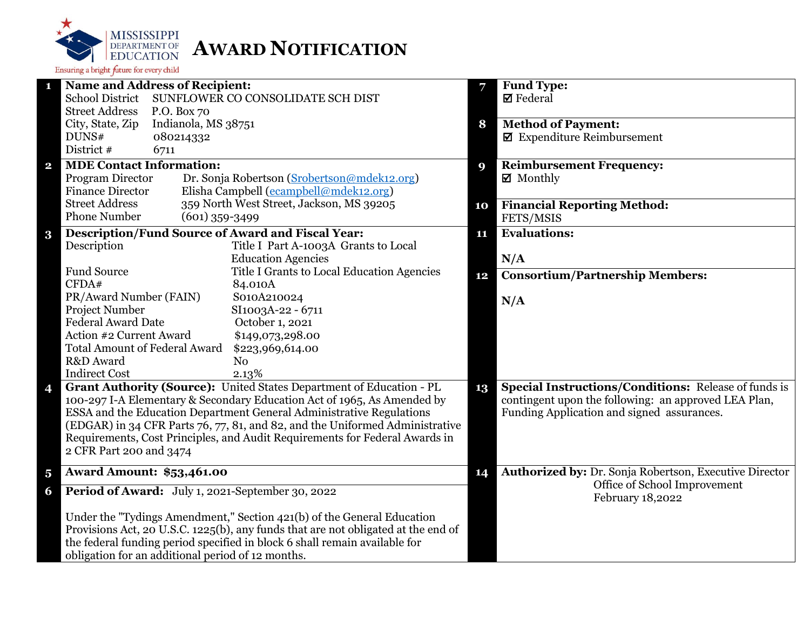

| <b>Name and Address of Recipient:</b><br>1                                                                                                                  | 7  | <b>Fund Type:</b>                                           |
|-------------------------------------------------------------------------------------------------------------------------------------------------------------|----|-------------------------------------------------------------|
| <b>School District</b><br>SUNFLOWER CO CONSOLIDATE SCH DIST                                                                                                 |    | $\boxtimes$ Federal                                         |
| <b>Street Address</b><br>P.O. Box 70                                                                                                                        |    |                                                             |
| Indianola, MS 38751<br>City, State, Zip                                                                                                                     | 8  | <b>Method of Payment:</b>                                   |
| DUNS#<br>080214332                                                                                                                                          |    | $\blacksquare$ Expenditure Reimbursement                    |
| District #<br>6711                                                                                                                                          |    |                                                             |
| <b>MDE Contact Information:</b><br>$\mathbf{2}$                                                                                                             | 9  | <b>Reimbursement Frequency:</b>                             |
| Dr. Sonja Robertson (Srobertson@mdek12.org)<br>Program Director                                                                                             |    | $\boxtimes$ Monthly                                         |
| <b>Finance Director</b><br>Elisha Campbell (ecampbell@mdek12.org)                                                                                           |    |                                                             |
| 359 North West Street, Jackson, MS 39205<br><b>Street Address</b>                                                                                           | 10 | <b>Financial Reporting Method:</b>                          |
| <b>Phone Number</b><br>$(601)$ 359-3499                                                                                                                     |    | FETS/MSIS                                                   |
| <b>Description/Fund Source of Award and Fiscal Year:</b><br>$\bf{3}$                                                                                        | 11 | <b>Evaluations:</b>                                         |
| Description<br>Title I Part A-1003A Grants to Local                                                                                                         |    |                                                             |
| <b>Education Agencies</b>                                                                                                                                   |    | N/A                                                         |
| <b>Fund Source</b><br>Title I Grants to Local Education Agencies                                                                                            | 12 | <b>Consortium/Partnership Members:</b>                      |
| CFDA#<br>84.010A                                                                                                                                            |    |                                                             |
| PR/Award Number (FAIN)<br>S010A210024                                                                                                                       |    | N/A                                                         |
| Project Number<br>SI1003A-22 - 6711                                                                                                                         |    |                                                             |
| <b>Federal Award Date</b><br>October 1, 2021                                                                                                                |    |                                                             |
| Action #2 Current Award<br>\$149,073,298.00                                                                                                                 |    |                                                             |
| <b>Total Amount of Federal Award</b><br>\$223,969,614.00                                                                                                    |    |                                                             |
| R&D Award<br>N <sub>o</sub>                                                                                                                                 |    |                                                             |
| <b>Indirect Cost</b><br>2.13%                                                                                                                               |    |                                                             |
| Grant Authority (Source): United States Department of Education - PL<br>4                                                                                   | 13 | <b>Special Instructions/Conditions:</b> Release of funds is |
| 100-297 I-A Elementary & Secondary Education Act of 1965, As Amended by                                                                                     |    | contingent upon the following: an approved LEA Plan,        |
| ESSA and the Education Department General Administrative Regulations                                                                                        |    | Funding Application and signed assurances.                  |
| (EDGAR) in 34 CFR Parts 76, 77, 81, and 82, and the Uniformed Administrative<br>Requirements, Cost Principles, and Audit Requirements for Federal Awards in |    |                                                             |
| 2 CFR Part 200 and 3474                                                                                                                                     |    |                                                             |
|                                                                                                                                                             |    |                                                             |
| <b>Award Amount: \$53,461.00</b><br>$\overline{\mathbf{5}}$                                                                                                 | 14 | Authorized by: Dr. Sonja Robertson, Executive Director      |
| Period of Award: July 1, 2021-September 30, 2022<br>6                                                                                                       |    | Office of School Improvement<br>February 18,2022            |
| Under the "Tydings Amendment," Section 421(b) of the General Education                                                                                      |    |                                                             |
| Provisions Act, 20 U.S.C. 1225(b), any funds that are not obligated at the end of                                                                           |    |                                                             |
| the federal funding period specified in block 6 shall remain available for                                                                                  |    |                                                             |
| obligation for an additional period of 12 months.                                                                                                           |    |                                                             |
|                                                                                                                                                             |    |                                                             |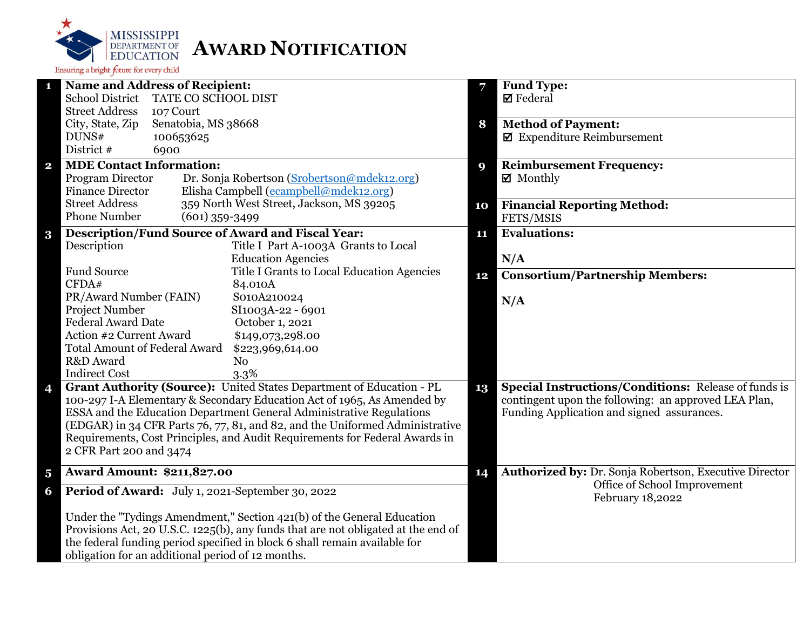

| $\mathbf{1}$            | <b>Name and Address of Recipient:</b>                                                                                                                       |    | Fund Type:                                             |
|-------------------------|-------------------------------------------------------------------------------------------------------------------------------------------------------------|----|--------------------------------------------------------|
|                         | <b>School District</b><br>TATE CO SCHOOL DIST                                                                                                               |    | $\boxtimes$ Federal                                    |
|                         | <b>Street Address</b><br>107 Court                                                                                                                          |    |                                                        |
|                         | Senatobia, MS 38668<br>City, State, Zip                                                                                                                     | 8  | <b>Method of Payment:</b>                              |
|                         | DUNS#<br>100653625                                                                                                                                          |    | $\blacksquare$ Expenditure Reimbursement               |
|                         | District #<br>6900                                                                                                                                          |    |                                                        |
| $\mathbf{2}$            | <b>MDE Contact Information:</b>                                                                                                                             | 9  | <b>Reimbursement Frequency:</b>                        |
|                         | Program Director<br>Dr. Sonja Robertson (Srobertson@mdek12.org)                                                                                             |    | $\boxtimes$ Monthly                                    |
|                         | Elisha Campbell (ecampbell@mdek12.org)<br><b>Finance Director</b>                                                                                           |    |                                                        |
|                         | <b>Street Address</b><br>359 North West Street, Jackson, MS 39205                                                                                           | 10 | <b>Financial Reporting Method:</b>                     |
|                         | <b>Phone Number</b><br>$(601)$ 359-3499                                                                                                                     |    | FETS/MSIS                                              |
| $\bf{3}$                | <b>Description/Fund Source of Award and Fiscal Year:</b>                                                                                                    | 11 | <b>Evaluations:</b>                                    |
|                         | Title I Part A-1003A Grants to Local<br>Description                                                                                                         |    |                                                        |
|                         | <b>Education Agencies</b>                                                                                                                                   |    | N/A                                                    |
|                         | <b>Fund Source</b><br>Title I Grants to Local Education Agencies                                                                                            | 12 | <b>Consortium/Partnership Members:</b>                 |
|                         | CFDA#<br>84.010A<br>S010A210024                                                                                                                             |    |                                                        |
|                         | PR/Award Number (FAIN)<br>Project Number<br>SI1003A-22 - 6901                                                                                               |    | N/A                                                    |
|                         | <b>Federal Award Date</b><br>October 1, 2021                                                                                                                |    |                                                        |
|                         | Action #2 Current Award<br>\$149,073,298.00                                                                                                                 |    |                                                        |
|                         | <b>Total Amount of Federal Award</b><br>\$223,969,614.00                                                                                                    |    |                                                        |
|                         | R&D Award<br>N <sub>o</sub>                                                                                                                                 |    |                                                        |
|                         | <b>Indirect Cost</b><br>3.3%                                                                                                                                |    |                                                        |
| 4                       | Grant Authority (Source): United States Department of Education - PL                                                                                        | 13 | Special Instructions/Conditions: Release of funds is   |
|                         | 100-297 I-A Elementary & Secondary Education Act of 1965, As Amended by                                                                                     |    | contingent upon the following: an approved LEA Plan,   |
|                         | ESSA and the Education Department General Administrative Regulations                                                                                        |    | Funding Application and signed assurances.             |
|                         | (EDGAR) in 34 CFR Parts 76, 77, 81, and 82, and the Uniformed Administrative<br>Requirements, Cost Principles, and Audit Requirements for Federal Awards in |    |                                                        |
|                         |                                                                                                                                                             |    |                                                        |
|                         | 2 CFR Part 200 and 3474                                                                                                                                     |    |                                                        |
| $\overline{\mathbf{5}}$ | <b>Award Amount: \$211,827.00</b>                                                                                                                           | 14 | Authorized by: Dr. Sonja Robertson, Executive Director |
| 6                       | Period of Award: July 1, 2021-September 30, 2022                                                                                                            |    | Office of School Improvement                           |
|                         |                                                                                                                                                             |    | February 18,2022                                       |
|                         | Under the "Tydings Amendment," Section 421(b) of the General Education                                                                                      |    |                                                        |
|                         | Provisions Act, 20 U.S.C. 1225(b), any funds that are not obligated at the end of                                                                           |    |                                                        |
|                         | the federal funding period specified in block 6 shall remain available for                                                                                  |    |                                                        |
|                         | obligation for an additional period of 12 months.                                                                                                           |    |                                                        |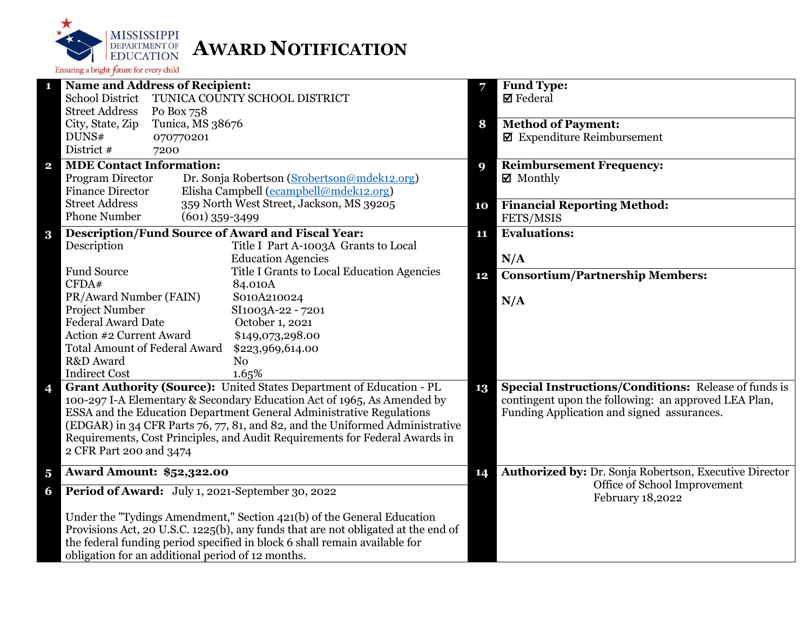

|                         | <b>Name and Address of Recipient:</b>                                             | 7  | <b>Fund Type:</b>                                           |
|-------------------------|-----------------------------------------------------------------------------------|----|-------------------------------------------------------------|
|                         | <b>School District</b><br>TUNICA COUNTY SCHOOL DISTRICT                           |    | $\boxtimes$ Federal                                         |
|                         | <b>Street Address</b><br>Po Box 758                                               |    |                                                             |
|                         | City, State, Zip<br>Tunica, MS 38676                                              | 8  | <b>Method of Payment:</b>                                   |
|                         | DUNS#<br>070770201                                                                |    | $\blacksquare$ Expenditure Reimbursement                    |
|                         | District #<br>7200                                                                |    |                                                             |
| $\overline{\mathbf{2}}$ | <b>MDE Contact Information:</b>                                                   | 9  | <b>Reimbursement Frequency:</b>                             |
|                         | Program Director<br>Dr. Sonja Robertson (Srobertson@mdek12.org)                   |    | ■ Monthly                                                   |
|                         | <b>Finance Director</b><br>Elisha Campbell (ecampbell@mdek12.org)                 |    |                                                             |
|                         | <b>Street Address</b><br>359 North West Street, Jackson, MS 39205                 | 10 | <b>Financial Reporting Method:</b>                          |
|                         | <b>Phone Number</b><br>$(601)$ 359-3499                                           |    | FETS/MSIS                                                   |
| $\bf{3}$                | <b>Description/Fund Source of Award and Fiscal Year:</b>                          | 11 | <b>Evaluations:</b>                                         |
|                         | Description<br>Title I Part A-1003A Grants to Local                               |    |                                                             |
|                         | <b>Education Agencies</b>                                                         |    | N/A                                                         |
|                         | <b>Fund Source</b><br>Title I Grants to Local Education Agencies                  | 12 | <b>Consortium/Partnership Members:</b>                      |
|                         | CFDA#<br>84.010A                                                                  |    |                                                             |
|                         | PR/Award Number (FAIN)<br>S010A210024                                             |    | N/A                                                         |
|                         | Project Number<br>SI1003A-22 - 7201                                               |    |                                                             |
|                         | <b>Federal Award Date</b><br>October 1, 2021                                      |    |                                                             |
|                         | Action #2 Current Award<br>\$149,073,298.00                                       |    |                                                             |
|                         | <b>Total Amount of Federal Award</b><br>\$223,969,614.00                          |    |                                                             |
|                         | R&D Award<br>N <sub>o</sub>                                                       |    |                                                             |
|                         | <b>Indirect Cost</b><br>1.65%                                                     |    |                                                             |
| 4                       | Grant Authority (Source): United States Department of Education - PL<br>13        |    | <b>Special Instructions/Conditions:</b> Release of funds is |
|                         | 100-297 I-A Elementary & Secondary Education Act of 1965, As Amended by           |    | contingent upon the following: an approved LEA Plan,        |
|                         | ESSA and the Education Department General Administrative Regulations              |    | Funding Application and signed assurances.                  |
|                         | (EDGAR) in 34 CFR Parts 76, 77, 81, and 82, and the Uniformed Administrative      |    |                                                             |
|                         | Requirements, Cost Principles, and Audit Requirements for Federal Awards in       |    |                                                             |
|                         | 2 CFR Part 200 and 3474                                                           |    |                                                             |
| $\overline{\mathbf{5}}$ | <b>Award Amount: \$52,322.00</b>                                                  | 14 | Authorized by: Dr. Sonja Robertson, Executive Director      |
| 6                       | Period of Award: July 1, 2021-September 30, 2022                                  |    | Office of School Improvement<br>February 18,2022            |
|                         | Under the "Tydings Amendment," Section 421(b) of the General Education            |    |                                                             |
|                         | Provisions Act, 20 U.S.C. 1225(b), any funds that are not obligated at the end of |    |                                                             |
|                         | the federal funding period specified in block 6 shall remain available for        |    |                                                             |
|                         | obligation for an additional period of 12 months.                                 |    |                                                             |
|                         |                                                                                   |    |                                                             |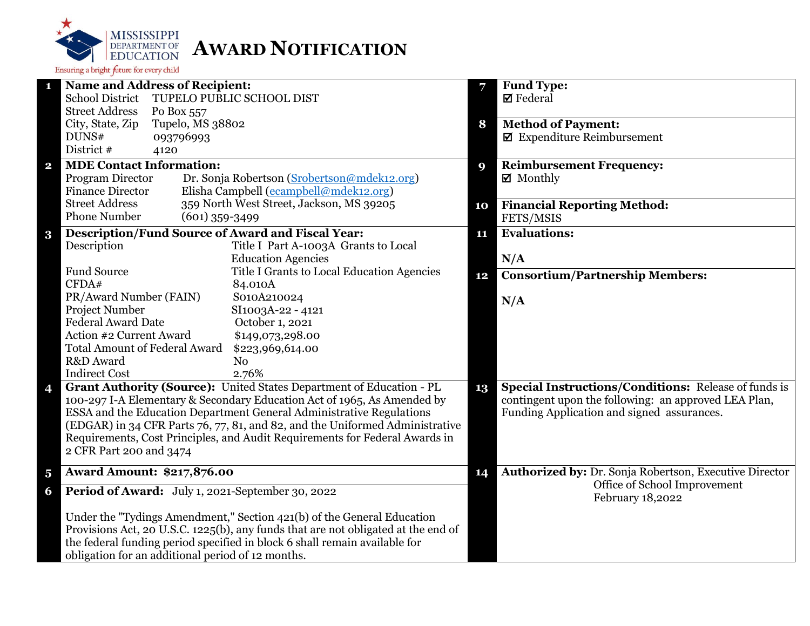

| 1                       | <b>Name and Address of Recipient:</b>                                                                                                                                                  |    | <b>Fund Type:</b>                                           |
|-------------------------|----------------------------------------------------------------------------------------------------------------------------------------------------------------------------------------|----|-------------------------------------------------------------|
|                         | <b>School District</b><br>TUPELO PUBLIC SCHOOL DIST                                                                                                                                    |    | $\boxtimes$ Federal                                         |
|                         | <b>Street Address</b><br>Po Box 557                                                                                                                                                    |    |                                                             |
|                         | City, State, Zip<br>Tupelo, MS 38802                                                                                                                                                   | 8  | <b>Method of Payment:</b>                                   |
|                         | DUNS#<br>093796993<br>District #                                                                                                                                                       |    | $\blacksquare$ Expenditure Reimbursement                    |
|                         | 4120                                                                                                                                                                                   |    |                                                             |
| $\overline{\mathbf{2}}$ | <b>MDE Contact Information:</b>                                                                                                                                                        | 9  | <b>Reimbursement Frequency:</b>                             |
|                         | Program Director<br>Dr. Sonja Robertson (Srobertson@mdek12.org)<br><b>Finance Director</b>                                                                                             |    | $\boxtimes$ Monthly                                         |
|                         | Elisha Campbell (ecampbell@mdek12.org)<br>359 North West Street, Jackson, MS 39205<br><b>Street Address</b>                                                                            |    |                                                             |
|                         | <b>Phone Number</b><br>$(601)$ 359-3499                                                                                                                                                | 10 | <b>Financial Reporting Method:</b>                          |
|                         |                                                                                                                                                                                        |    | FETS/MSIS                                                   |
| $\bf{3}$                | <b>Description/Fund Source of Award and Fiscal Year:</b>                                                                                                                               | 11 | <b>Evaluations:</b>                                         |
|                         | Description<br>Title I Part A-1003A Grants to Local<br><b>Education Agencies</b>                                                                                                       |    |                                                             |
|                         | <b>Fund Source</b><br>Title I Grants to Local Education Agencies                                                                                                                       |    | N/A                                                         |
|                         | CFDA#<br>84.010A                                                                                                                                                                       | 12 | <b>Consortium/Partnership Members:</b>                      |
|                         | PR/Award Number (FAIN)<br>S010A210024                                                                                                                                                  |    |                                                             |
|                         | Project Number<br>SI1003A-22 - 4121                                                                                                                                                    |    | N/A                                                         |
|                         | <b>Federal Award Date</b><br>October 1, 2021                                                                                                                                           |    |                                                             |
|                         | Action #2 Current Award<br>\$149,073,298.00                                                                                                                                            |    |                                                             |
|                         | <b>Total Amount of Federal Award</b><br>\$223,969,614.00                                                                                                                               |    |                                                             |
|                         | R&D Award<br>N <sub>o</sub>                                                                                                                                                            |    |                                                             |
|                         | <b>Indirect Cost</b><br>2.76%                                                                                                                                                          |    |                                                             |
| 4                       | Grant Authority (Source): United States Department of Education - PL                                                                                                                   | 13 | <b>Special Instructions/Conditions: Release of funds is</b> |
|                         | 100-297 I-A Elementary & Secondary Education Act of 1965, As Amended by                                                                                                                |    | contingent upon the following: an approved LEA Plan,        |
|                         | ESSA and the Education Department General Administrative Regulations                                                                                                                   |    | Funding Application and signed assurances.                  |
|                         | (EDGAR) in 34 CFR Parts 76, 77, 81, and 82, and the Uniformed Administrative<br>Requirements, Cost Principles, and Audit Requirements for Federal Awards in<br>2 CFR Part 200 and 3474 |    |                                                             |
|                         |                                                                                                                                                                                        |    |                                                             |
|                         |                                                                                                                                                                                        |    |                                                             |
| $\overline{\mathbf{5}}$ | <b>Award Amount: \$217,876.00</b>                                                                                                                                                      | 14 | Authorized by: Dr. Sonja Robertson, Executive Director      |
| 6                       | Period of Award: July 1, 2021-September 30, 2022                                                                                                                                       |    | Office of School Improvement<br>February 18,2022            |
|                         | Under the "Tydings Amendment," Section 421(b) of the General Education                                                                                                                 |    |                                                             |
|                         | Provisions Act, 20 U.S.C. 1225(b), any funds that are not obligated at the end of                                                                                                      |    |                                                             |
|                         | the federal funding period specified in block 6 shall remain available for                                                                                                             |    |                                                             |
|                         | obligation for an additional period of 12 months.                                                                                                                                      |    |                                                             |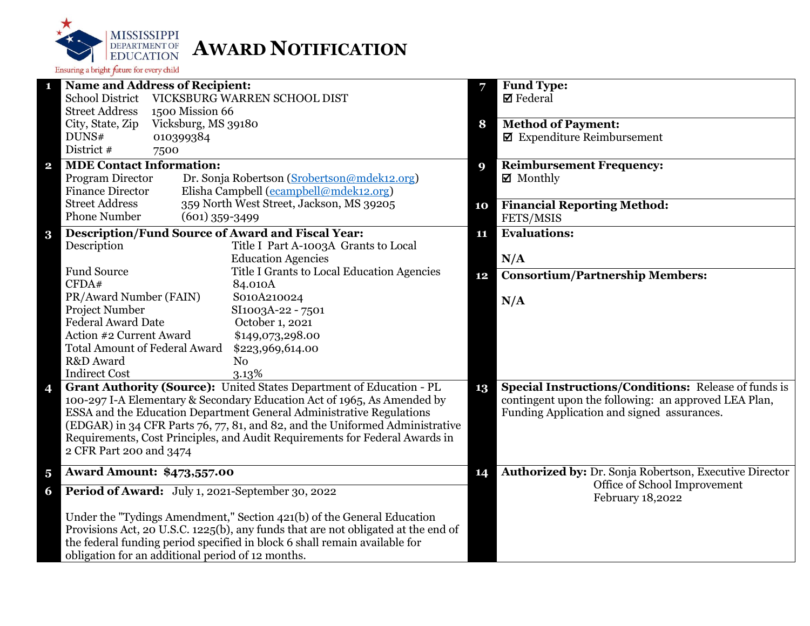

| <b>Name and Address of Recipient:</b><br>1                                        | 7           | <b>Fund Type:</b>                                      |
|-----------------------------------------------------------------------------------|-------------|--------------------------------------------------------|
| VICKSBURG WARREN SCHOOL DIST<br><b>School District</b>                            |             | $\boxtimes$ Federal                                    |
| <b>Street Address</b><br>1500 Mission 66                                          |             |                                                        |
| Vicksburg, MS 39180<br>City, State, Zip                                           | 8           | <b>Method of Payment:</b>                              |
| DUNS#<br>010399384                                                                |             | $\boxtimes$ Expenditure Reimbursement                  |
| District #<br>7500                                                                |             |                                                        |
| <b>MDE Contact Information:</b><br>$\mathbf{2}$                                   | $\mathbf Q$ | <b>Reimbursement Frequency:</b>                        |
| Program Director<br>Dr. Sonja Robertson (Srobertson@mdek12.org)                   |             | $\boxtimes$ Monthly                                    |
| Elisha Campbell (ecampbell@mdek12.org)<br><b>Finance Director</b>                 |             |                                                        |
| <b>Street Address</b><br>359 North West Street, Jackson, MS 39205                 | 10          | <b>Financial Reporting Method:</b>                     |
| <b>Phone Number</b><br>$(601)$ 359-3499                                           |             | FETS/MSIS                                              |
| <b>Description/Fund Source of Award and Fiscal Year:</b><br>$\bf{3}$              | 11          | <b>Evaluations:</b>                                    |
| Description<br>Title I Part A-1003A Grants to Local                               |             |                                                        |
| <b>Education Agencies</b>                                                         |             | N/A                                                    |
| Fund Source<br>Title I Grants to Local Education Agencies                         | 12          | <b>Consortium/Partnership Members:</b>                 |
| CFDA#<br>84.010A                                                                  |             |                                                        |
| PR/Award Number (FAIN)<br>S010A210024                                             |             | N/A                                                    |
| <b>Project Number</b><br>SI1003A-22 - 7501                                        |             |                                                        |
| <b>Federal Award Date</b><br>October 1, 2021                                      |             |                                                        |
| Action #2 Current Award<br>\$149,073,298.00                                       |             |                                                        |
| <b>Total Amount of Federal Award</b><br>\$223,969,614.00                          |             |                                                        |
| R&D Award<br>N <sub>0</sub>                                                       |             |                                                        |
| <b>Indirect Cost</b><br>3.13%                                                     |             |                                                        |
| Grant Authority (Source): United States Department of Education - PL<br>4         | 13          | Special Instructions/Conditions: Release of funds is   |
| 100-297 I-A Elementary & Secondary Education Act of 1965, As Amended by           |             | contingent upon the following: an approved LEA Plan,   |
| ESSA and the Education Department General Administrative Regulations              |             | Funding Application and signed assurances.             |
| (EDGAR) in 34 CFR Parts 76, 77, 81, and 82, and the Uniformed Administrative      |             |                                                        |
| Requirements, Cost Principles, and Audit Requirements for Federal Awards in       |             |                                                        |
| 2 CFR Part 200 and 3474                                                           |             |                                                        |
| <b>Award Amount: \$473,557.00</b><br>$\overline{\mathbf{5}}$                      | 14          | Authorized by: Dr. Sonja Robertson, Executive Director |
| Period of Award: July 1, 2021-September 30, 2022<br>6                             |             | Office of School Improvement<br>February 18,2022       |
| Under the "Tydings Amendment," Section 421(b) of the General Education            |             |                                                        |
| Provisions Act, 20 U.S.C. 1225(b), any funds that are not obligated at the end of |             |                                                        |
| the federal funding period specified in block 6 shall remain available for        |             |                                                        |
| obligation for an additional period of 12 months.                                 |             |                                                        |
|                                                                                   |             |                                                        |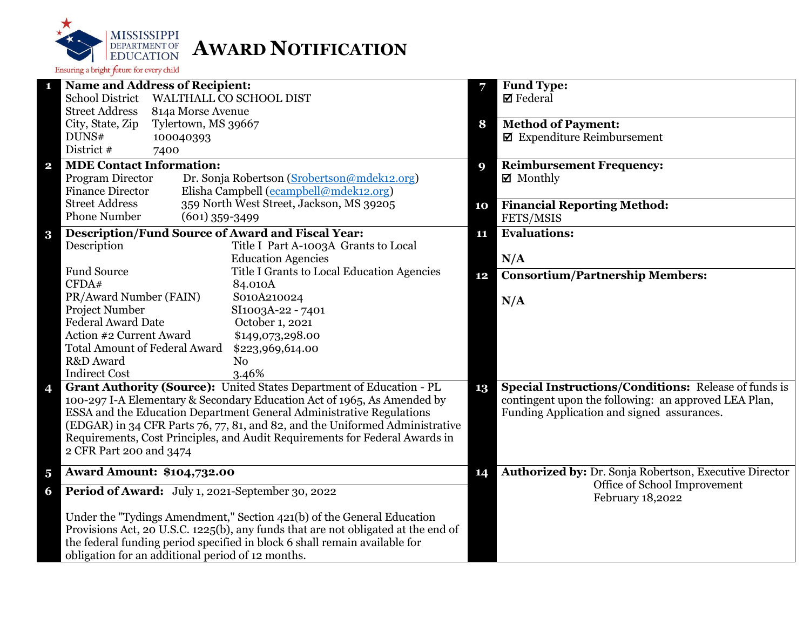

|                         | <b>Name and Address of Recipient:</b>                                             | 7  | <b>Fund Type:</b>                                           |
|-------------------------|-----------------------------------------------------------------------------------|----|-------------------------------------------------------------|
|                         | <b>School District</b><br>WALTHALL CO SCHOOL DIST                                 |    | $\boxtimes$ Federal                                         |
|                         | <b>Street Address</b><br>814a Morse Avenue                                        |    |                                                             |
|                         | City, State, Zip<br>Tylertown, MS 39667                                           | 8  | <b>Method of Payment:</b>                                   |
|                         | DUNS#<br>100040393                                                                |    | $\blacksquare$ Expenditure Reimbursement                    |
|                         | District #<br>7400                                                                |    |                                                             |
| $\overline{\mathbf{2}}$ | <b>MDE Contact Information:</b>                                                   | 9  | <b>Reimbursement Frequency:</b>                             |
|                         | Program Director<br>Dr. Sonja Robertson (Srobertson@mdek12.org)                   |    | $\boxtimes$ Monthly                                         |
|                         | Elisha Campbell (ecampbell@mdek12.org)<br><b>Finance Director</b>                 |    |                                                             |
|                         | <b>Street Address</b><br>359 North West Street, Jackson, MS 39205                 | 10 | <b>Financial Reporting Method:</b>                          |
|                         | <b>Phone Number</b><br>$(601)$ 359-3499                                           |    | FETS/MSIS                                                   |
| $\bf{3}$                | <b>Description/Fund Source of Award and Fiscal Year:</b>                          | 11 | <b>Evaluations:</b>                                         |
|                         | Description<br>Title I Part A-1003A Grants to Local                               |    |                                                             |
|                         | <b>Education Agencies</b>                                                         |    | N/A                                                         |
|                         | <b>Fund Source</b><br>Title I Grants to Local Education Agencies                  |    |                                                             |
|                         | CFDA#<br>84.010A                                                                  | 12 | <b>Consortium/Partnership Members:</b>                      |
|                         | PR/Award Number (FAIN)<br>S010A210024                                             |    |                                                             |
|                         | <b>Project Number</b><br>SI1003A-22 - 7401                                        |    | N/A                                                         |
|                         | <b>Federal Award Date</b><br>October 1, 2021                                      |    |                                                             |
|                         | Action #2 Current Award<br>\$149,073,298.00                                       |    |                                                             |
|                         | <b>Total Amount of Federal Award</b><br>\$223,969,614.00                          |    |                                                             |
|                         | R&D Award<br>N <sub>o</sub>                                                       |    |                                                             |
|                         | <b>Indirect Cost</b><br>3.46%                                                     |    |                                                             |
| 4                       | Grant Authority (Source): United States Department of Education - PL              | 13 | <b>Special Instructions/Conditions: Release of funds is</b> |
|                         | 100-297 I-A Elementary & Secondary Education Act of 1965, As Amended by           |    | contingent upon the following: an approved LEA Plan,        |
|                         | ESSA and the Education Department General Administrative Regulations              |    | Funding Application and signed assurances.                  |
|                         | (EDGAR) in 34 CFR Parts 76, 77, 81, and 82, and the Uniformed Administrative      |    |                                                             |
|                         | Requirements, Cost Principles, and Audit Requirements for Federal Awards in       |    |                                                             |
|                         | 2 CFR Part 200 and 3474                                                           |    |                                                             |
|                         |                                                                                   |    |                                                             |
| $\overline{\mathbf{5}}$ | <b>Award Amount: \$104,732.00</b>                                                 | 14 | Authorized by: Dr. Sonja Robertson, Executive Director      |
| 6                       | Period of Award: July 1, 2021-September 30, 2022                                  |    | Office of School Improvement<br>February 18,2022            |
|                         | Under the "Tydings Amendment," Section 421(b) of the General Education            |    |                                                             |
|                         | Provisions Act, 20 U.S.C. 1225(b), any funds that are not obligated at the end of |    |                                                             |
|                         | the federal funding period specified in block 6 shall remain available for        |    |                                                             |
|                         | obligation for an additional period of 12 months.                                 |    |                                                             |
|                         |                                                                                   |    |                                                             |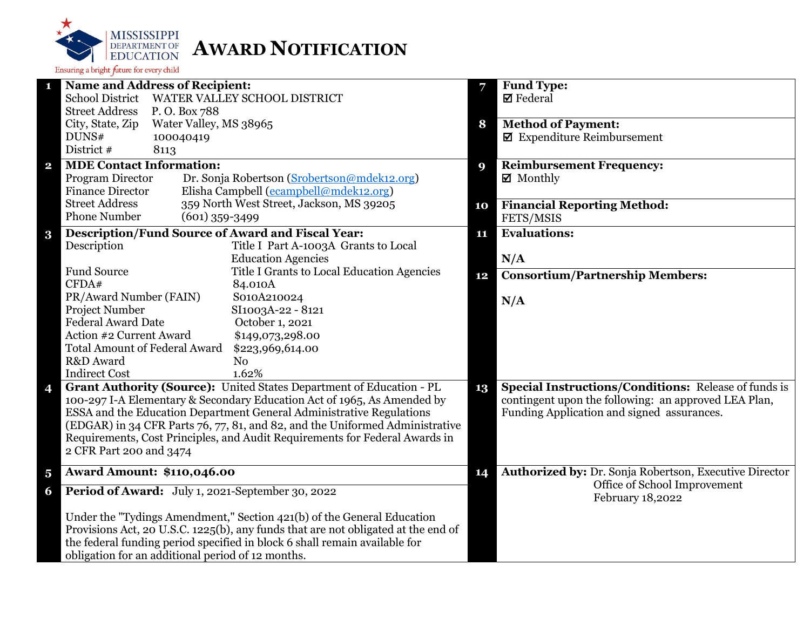

| $\mathbf{1}$            | <b>Name and Address of Recipient:</b>                                             | 7                | <b>Fund Type:</b>                                           |
|-------------------------|-----------------------------------------------------------------------------------|------------------|-------------------------------------------------------------|
|                         | School District WATER VALLEY SCHOOL DISTRICT                                      |                  | $\boxtimes$ Federal                                         |
|                         | <b>Street Address</b><br>P.O. Box 788                                             |                  |                                                             |
|                         | City, State, Zip<br>Water Valley, MS 38965                                        | 8                | <b>Method of Payment:</b>                                   |
|                         | DUNS#<br>100040419                                                                |                  | $\blacksquare$ Expenditure Reimbursement                    |
|                         | District #<br>8113                                                                |                  |                                                             |
| $\mathbf{2}$            | <b>MDE Contact Information:</b>                                                   | $\boldsymbol{9}$ | <b>Reimbursement Frequency:</b>                             |
|                         | Program Director<br>Dr. Sonja Robertson (Srobertson@mdek12.org)                   |                  | ☑ Monthly                                                   |
|                         | Elisha Campbell (ecampbell@mdek12.org)<br><b>Finance Director</b>                 |                  |                                                             |
|                         | 359 North West Street, Jackson, MS 39205<br><b>Street Address</b>                 | 10               | <b>Financial Reporting Method:</b>                          |
|                         | <b>Phone Number</b><br>$(601)$ 359-3499                                           |                  | FETS/MSIS                                                   |
| $\bf{3}$                | <b>Description/Fund Source of Award and Fiscal Year:</b>                          | 11               | <b>Evaluations:</b>                                         |
|                         | Description<br>Title I Part A-1003A Grants to Local                               |                  |                                                             |
|                         | <b>Education Agencies</b>                                                         |                  | N/A                                                         |
|                         | <b>Fund Source</b><br>Title I Grants to Local Education Agencies                  |                  |                                                             |
|                         | CFDA#<br>84.010A                                                                  | 12               | <b>Consortium/Partnership Members:</b>                      |
|                         | PR/Award Number (FAIN)<br>S010A210024                                             |                  |                                                             |
|                         | Project Number<br>SI1003A-22 - 8121                                               |                  | N/A                                                         |
|                         | <b>Federal Award Date</b><br>October 1, 2021                                      |                  |                                                             |
|                         | Action #2 Current Award<br>\$149,073,298.00                                       |                  |                                                             |
|                         | <b>Total Amount of Federal Award</b><br>\$223,969,614.00                          |                  |                                                             |
|                         | R&D Award<br>N <sub>o</sub>                                                       |                  |                                                             |
|                         | <b>Indirect Cost</b><br>1.62%                                                     |                  |                                                             |
| 4                       | Grant Authority (Source): United States Department of Education - PL              | 13               | <b>Special Instructions/Conditions: Release of funds is</b> |
|                         | 100-297 I-A Elementary & Secondary Education Act of 1965, As Amended by           |                  | contingent upon the following: an approved LEA Plan,        |
|                         | ESSA and the Education Department General Administrative Regulations              |                  | Funding Application and signed assurances.                  |
|                         | (EDGAR) in 34 CFR Parts 76, 77, 81, and 82, and the Uniformed Administrative      |                  |                                                             |
|                         | Requirements, Cost Principles, and Audit Requirements for Federal Awards in       |                  |                                                             |
|                         | 2 CFR Part 200 and 3474                                                           |                  |                                                             |
|                         |                                                                                   |                  |                                                             |
| $\overline{\mathbf{5}}$ | <b>Award Amount: \$110,046.00</b>                                                 | 14               | Authorized by: Dr. Sonja Robertson, Executive Director      |
| 6                       | Period of Award: July 1, 2021-September 30, 2022                                  |                  | Office of School Improvement<br>February 18,2022            |
|                         | Under the "Tydings Amendment," Section 421(b) of the General Education            |                  |                                                             |
|                         | Provisions Act, 20 U.S.C. 1225(b), any funds that are not obligated at the end of |                  |                                                             |
|                         | the federal funding period specified in block 6 shall remain available for        |                  |                                                             |
|                         | obligation for an additional period of 12 months.                                 |                  |                                                             |
|                         |                                                                                   |                  |                                                             |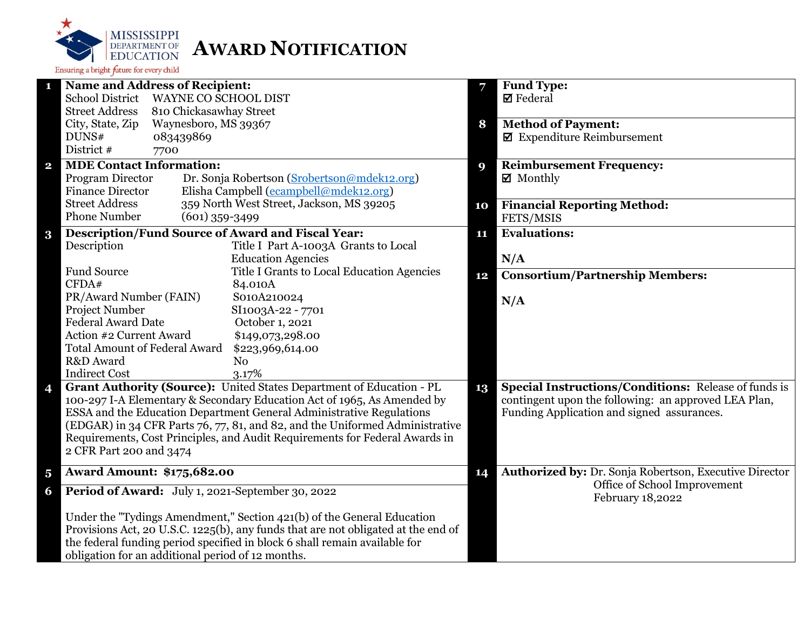

|                         | <b>Name and Address of Recipient:</b>                                                                  | 7  | <b>Fund Type:</b>                                           |
|-------------------------|--------------------------------------------------------------------------------------------------------|----|-------------------------------------------------------------|
|                         | <b>School District</b><br><b>WAYNE CO SCHOOL DIST</b>                                                  |    | $\boxtimes$ Federal                                         |
|                         | <b>Street Address</b><br>810 Chickasawhay Street                                                       |    |                                                             |
|                         | City, State, Zip<br>Waynesboro, MS 39367                                                               | 8  | <b>Method of Payment:</b>                                   |
|                         | DUNS#<br>083439869                                                                                     |    | $\blacksquare$ Expenditure Reimbursement                    |
|                         | District #<br>7700                                                                                     |    |                                                             |
| $\overline{\mathbf{2}}$ | <b>MDE Contact Information:</b>                                                                        | 9  | <b>Reimbursement Frequency:</b>                             |
|                         | Program Director<br>Dr. Sonja Robertson (Srobertson@mdek12.org)                                        |    | $\boxtimes$ Monthly                                         |
|                         | Elisha Campbell (ecampbell@mdek12.org)<br><b>Finance Director</b>                                      |    |                                                             |
|                         | <b>Street Address</b><br>359 North West Street, Jackson, MS 39205                                      | 10 | <b>Financial Reporting Method:</b>                          |
|                         | <b>Phone Number</b><br>$(601)$ 359-3499                                                                |    | FETS/MSIS                                                   |
|                         | <b>Description/Fund Source of Award and Fiscal Year:</b>                                               | 11 | <b>Evaluations:</b>                                         |
| $\bf{3}$                | Description<br>Title I Part A-1003A Grants to Local                                                    |    |                                                             |
|                         | <b>Education Agencies</b>                                                                              |    | N/A                                                         |
|                         | <b>Fund Source</b><br>Title I Grants to Local Education Agencies                                       |    |                                                             |
|                         | CFDA#<br>84.010A                                                                                       | 12 | <b>Consortium/Partnership Members:</b>                      |
|                         | PR/Award Number (FAIN)<br>S010A210024                                                                  |    |                                                             |
|                         | <b>Project Number</b><br>SI1003A-22 - 7701                                                             |    | N/A                                                         |
|                         | <b>Federal Award Date</b><br>October 1, 2021                                                           |    |                                                             |
|                         | Action #2 Current Award<br>\$149,073,298.00                                                            |    |                                                             |
|                         | <b>Total Amount of Federal Award</b>                                                                   |    |                                                             |
|                         | \$223,969,614.00<br>R&D Award<br>N <sub>o</sub>                                                        |    |                                                             |
|                         | <b>Indirect Cost</b><br>3.17%                                                                          |    |                                                             |
|                         | Grant Authority (Source): United States Department of Education - PL                                   |    | <b>Special Instructions/Conditions: Release of funds is</b> |
| 4                       | 100-297 I-A Elementary & Secondary Education Act of 1965, As Amended by                                | 13 | contingent upon the following: an approved LEA Plan,        |
|                         | ESSA and the Education Department General Administrative Regulations                                   |    | Funding Application and signed assurances.                  |
|                         | (EDGAR) in 34 CFR Parts 76, 77, 81, and 82, and the Uniformed Administrative                           |    |                                                             |
|                         | Requirements, Cost Principles, and Audit Requirements for Federal Awards in<br>2 CFR Part 200 and 3474 |    |                                                             |
|                         |                                                                                                        |    |                                                             |
|                         |                                                                                                        |    |                                                             |
| $\overline{\mathbf{5}}$ | <b>Award Amount: \$175,682.00</b>                                                                      | 14 | Authorized by: Dr. Sonja Robertson, Executive Director      |
| 6                       | Period of Award: July 1, 2021-September 30, 2022                                                       |    | Office of School Improvement                                |
|                         |                                                                                                        |    | February 18,2022                                            |
|                         | Under the "Tydings Amendment," Section 421(b) of the General Education                                 |    |                                                             |
|                         | Provisions Act, 20 U.S.C. 1225(b), any funds that are not obligated at the end of                      |    |                                                             |
|                         | the federal funding period specified in block 6 shall remain available for                             |    |                                                             |
|                         | obligation for an additional period of 12 months.                                                      |    |                                                             |
|                         |                                                                                                        |    |                                                             |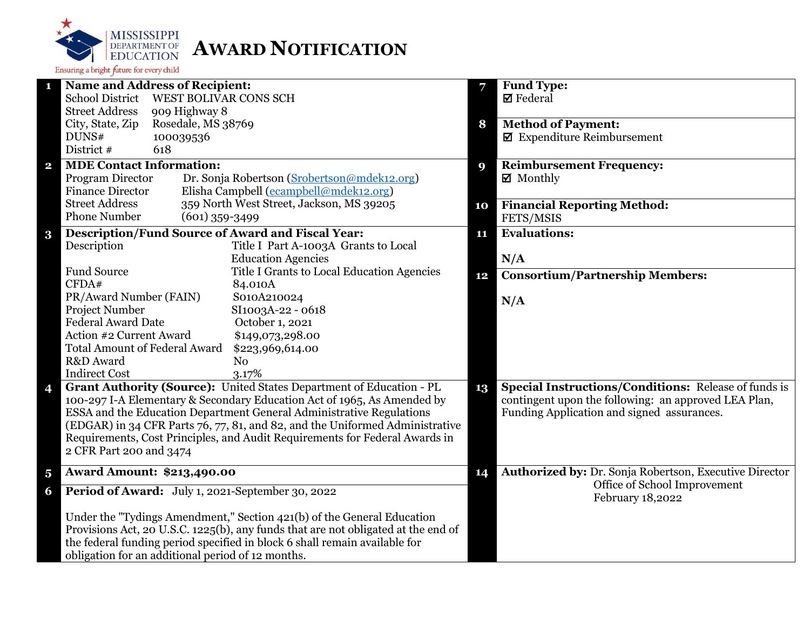

| 1                         | <b>Name and Address of Recipient:</b>                                                                                                                       |                                                                                   |    | Fund Type:                                                  |
|---------------------------|-------------------------------------------------------------------------------------------------------------------------------------------------------------|-----------------------------------------------------------------------------------|----|-------------------------------------------------------------|
| <b>School District</b>    |                                                                                                                                                             | <b>WEST BOLIVAR CONS SCH</b>                                                      |    | $\boxtimes$ Federal                                         |
| <b>Street Address</b>     | 909 Highway 8                                                                                                                                               |                                                                                   |    |                                                             |
| City, State, Zip          | Rosedale, MS 38769                                                                                                                                          |                                                                                   | 8  | <b>Method of Payment:</b>                                   |
| DUNS#                     | 100039536                                                                                                                                                   |                                                                                   |    | $\blacksquare$ Expenditure Reimbursement                    |
| District #                | 618                                                                                                                                                         |                                                                                   |    |                                                             |
| $\mathbf{2}$              | <b>MDE Contact Information:</b>                                                                                                                             |                                                                                   | 9  | <b>Reimbursement Frequency:</b>                             |
| Program Director          |                                                                                                                                                             | Dr. Sonja Robertson (Srobertson@mdek12.org)                                       |    | $\boxtimes$ Monthly                                         |
| <b>Finance Director</b>   |                                                                                                                                                             | Elisha Campbell (ecampbell@mdek12.org)                                            |    |                                                             |
| <b>Street Address</b>     |                                                                                                                                                             | 359 North West Street, Jackson, MS 39205                                          | 10 | <b>Financial Reporting Method:</b>                          |
| <b>Phone Number</b>       | $(601)$ 359-3499                                                                                                                                            |                                                                                   |    | FETS/MSIS                                                   |
| $\bf{3}$                  |                                                                                                                                                             | <b>Description/Fund Source of Award and Fiscal Year:</b>                          | 11 | <b>Evaluations:</b>                                         |
| Description               |                                                                                                                                                             | Title I Part A-1003A Grants to Local                                              |    |                                                             |
|                           |                                                                                                                                                             | <b>Education Agencies</b>                                                         |    | N/A                                                         |
| <b>Fund Source</b>        |                                                                                                                                                             | Title I Grants to Local Education Agencies                                        | 12 | <b>Consortium/Partnership Members:</b>                      |
| CFDA#                     |                                                                                                                                                             | 84.010A                                                                           |    |                                                             |
|                           | PR/Award Number (FAIN)                                                                                                                                      | S010A210024                                                                       |    | N/A                                                         |
| Project Number            |                                                                                                                                                             | SI1003A-22 - 0618                                                                 |    |                                                             |
| <b>Federal Award Date</b> |                                                                                                                                                             | October 1, 2021                                                                   |    |                                                             |
|                           | Action #2 Current Award                                                                                                                                     | \$149,073,298.00                                                                  |    |                                                             |
|                           | <b>Total Amount of Federal Award</b>                                                                                                                        | \$223,969,614.00                                                                  |    |                                                             |
| R&D Award                 |                                                                                                                                                             | N <sub>0</sub>                                                                    |    |                                                             |
| <b>Indirect Cost</b>      |                                                                                                                                                             | 3.17%                                                                             |    |                                                             |
| 4                         |                                                                                                                                                             | Grant Authority (Source): United States Department of Education - PL              | 13 | <b>Special Instructions/Conditions: Release of funds is</b> |
|                           |                                                                                                                                                             | 100-297 I-A Elementary & Secondary Education Act of 1965, As Amended by           |    | contingent upon the following: an approved LEA Plan,        |
|                           |                                                                                                                                                             | ESSA and the Education Department General Administrative Regulations              |    | Funding Application and signed assurances.                  |
|                           | (EDGAR) in 34 CFR Parts 76, 77, 81, and 82, and the Uniformed Administrative<br>Requirements, Cost Principles, and Audit Requirements for Federal Awards in |                                                                                   |    |                                                             |
|                           |                                                                                                                                                             |                                                                                   |    |                                                             |
|                           | 2 CFR Part 200 and 3474                                                                                                                                     |                                                                                   |    |                                                             |
| $\overline{\mathbf{5}}$   | <b>Award Amount: \$213,490.00</b>                                                                                                                           |                                                                                   |    | Authorized by: Dr. Sonja Robertson, Executive Director      |
| 6                         |                                                                                                                                                             | Period of Award: July 1, 2021-September 30, 2022                                  |    | Office of School Improvement<br>February 18,2022            |
|                           |                                                                                                                                                             | Under the "Tydings Amendment," Section 421(b) of the General Education            |    |                                                             |
|                           |                                                                                                                                                             | Provisions Act, 20 U.S.C. 1225(b), any funds that are not obligated at the end of |    |                                                             |
|                           |                                                                                                                                                             | the federal funding period specified in block 6 shall remain available for        |    |                                                             |
|                           | obligation for an additional period of 12 months.                                                                                                           |                                                                                   |    |                                                             |
|                           |                                                                                                                                                             |                                                                                   |    |                                                             |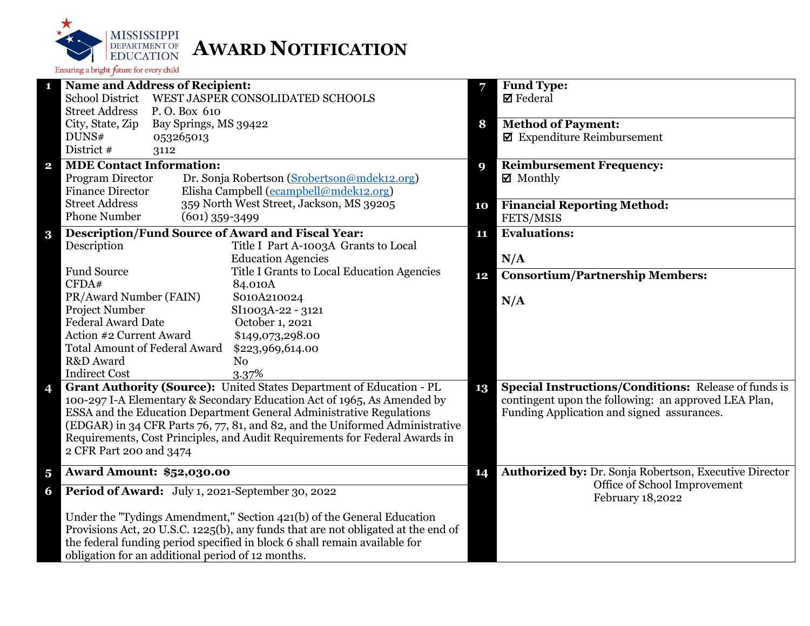

|                         | <b>Name and Address of Recipient:</b>                                             | 7  | <b>Fund Type:</b>                                           |
|-------------------------|-----------------------------------------------------------------------------------|----|-------------------------------------------------------------|
|                         | <b>School District</b><br>WEST JASPER CONSOLIDATED SCHOOLS                        |    | $\boxtimes$ Federal                                         |
|                         | <b>Street Address</b><br>P.O. Box 610                                             |    |                                                             |
|                         | City, State, Zip<br>Bay Springs, MS 39422                                         | 8  | <b>Method of Payment:</b>                                   |
|                         | DUNS#<br>053265013                                                                |    | $\blacksquare$ Expenditure Reimbursement                    |
|                         | District #<br>3112                                                                |    |                                                             |
| $\overline{\mathbf{2}}$ | <b>MDE Contact Information:</b>                                                   | 9  | <b>Reimbursement Frequency:</b>                             |
|                         | Program Director<br>Dr. Sonja Robertson (Srobertson@mdek12.org)                   |    | ■ Monthly                                                   |
|                         | <b>Finance Director</b><br>Elisha Campbell (ecampbell@mdek12.org)                 |    |                                                             |
|                         | <b>Street Address</b><br>359 North West Street, Jackson, MS 39205                 | 10 | <b>Financial Reporting Method:</b>                          |
|                         | <b>Phone Number</b><br>$(601)$ 359-3499                                           |    | FETS/MSIS                                                   |
| $\bf{3}$                | <b>Description/Fund Source of Award and Fiscal Year:</b>                          | 11 | <b>Evaluations:</b>                                         |
|                         | Description<br>Title I Part A-1003A Grants to Local                               |    |                                                             |
|                         | <b>Education Agencies</b>                                                         |    | N/A                                                         |
|                         | <b>Fund Source</b><br>Title I Grants to Local Education Agencies                  | 12 | <b>Consortium/Partnership Members:</b>                      |
|                         | CFDA#<br>84.010A                                                                  |    |                                                             |
|                         | PR/Award Number (FAIN)<br>S010A210024                                             |    | N/A                                                         |
|                         | Project Number<br>SI1003A-22 - 3121                                               |    |                                                             |
|                         | <b>Federal Award Date</b><br>October 1, 2021                                      |    |                                                             |
|                         | Action #2 Current Award<br>\$149,073,298.00                                       |    |                                                             |
|                         | <b>Total Amount of Federal Award</b><br>\$223,969,614.00                          |    |                                                             |
|                         | R&D Award<br>N <sub>o</sub>                                                       |    |                                                             |
|                         | <b>Indirect Cost</b><br>3.37%                                                     |    |                                                             |
| 4                       | Grant Authority (Source): United States Department of Education - PL              | 13 | <b>Special Instructions/Conditions:</b> Release of funds is |
|                         | 100-297 I-A Elementary & Secondary Education Act of 1965, As Amended by           |    | contingent upon the following: an approved LEA Plan,        |
|                         | ESSA and the Education Department General Administrative Regulations              |    | Funding Application and signed assurances.                  |
|                         | (EDGAR) in 34 CFR Parts 76, 77, 81, and 82, and the Uniformed Administrative      |    |                                                             |
|                         | Requirements, Cost Principles, and Audit Requirements for Federal Awards in       |    |                                                             |
|                         | 2 CFR Part 200 and 3474                                                           |    |                                                             |
| $\overline{\mathbf{5}}$ | <b>Award Amount: \$52,030.00</b>                                                  | 14 | Authorized by: Dr. Sonja Robertson, Executive Director      |
| 6                       | Period of Award: July 1, 2021-September 30, 2022                                  |    | Office of School Improvement<br>February 18,2022            |
|                         | Under the "Tydings Amendment," Section 421(b) of the General Education            |    |                                                             |
|                         | Provisions Act, 20 U.S.C. 1225(b), any funds that are not obligated at the end of |    |                                                             |
|                         | the federal funding period specified in block 6 shall remain available for        |    |                                                             |
|                         | obligation for an additional period of 12 months.                                 |    |                                                             |
|                         |                                                                                   |    |                                                             |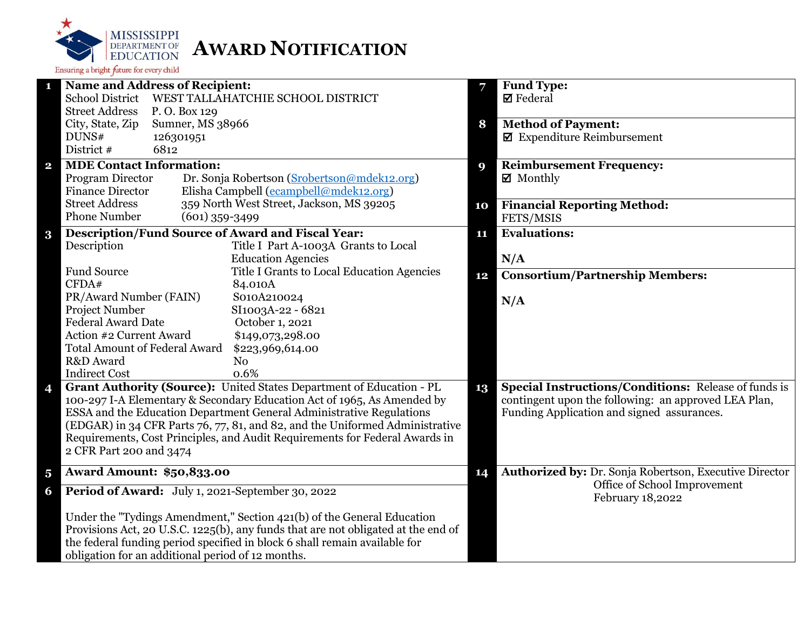

|                         | <b>Name and Address of Recipient:</b>                                             | 7  | <b>Fund Type:</b>                                           |
|-------------------------|-----------------------------------------------------------------------------------|----|-------------------------------------------------------------|
|                         | <b>School District</b><br>WEST TALLAHATCHIE SCHOOL DISTRICT                       |    | $\boxtimes$ Federal                                         |
|                         | <b>Street Address</b><br>P.O. Box 129                                             |    |                                                             |
|                         | City, State, Zip<br>Sumner, MS 38966                                              | 8  | <b>Method of Payment:</b>                                   |
|                         | DUNS#<br>126301951                                                                |    | $\blacksquare$ Expenditure Reimbursement                    |
|                         | District #<br>6812                                                                |    |                                                             |
| $\overline{\mathbf{2}}$ | <b>MDE Contact Information:</b>                                                   | 9  | <b>Reimbursement Frequency:</b>                             |
|                         | Program Director<br>Dr. Sonja Robertson (Srobertson@mdek12.org)                   |    | $\boxtimes$ Monthly                                         |
|                         | <b>Finance Director</b><br>Elisha Campbell (ecampbell@mdek12.org)                 |    |                                                             |
|                         | <b>Street Address</b><br>359 North West Street, Jackson, MS 39205                 | 10 | <b>Financial Reporting Method:</b>                          |
|                         | <b>Phone Number</b><br>$(601)$ 359-3499                                           |    | FETS/MSIS                                                   |
|                         | <b>Description/Fund Source of Award and Fiscal Year:</b>                          | 11 | <b>Evaluations:</b>                                         |
| $\bf{3}$                | Description<br>Title I Part A-1003A Grants to Local                               |    |                                                             |
|                         | <b>Education Agencies</b>                                                         |    | N/A                                                         |
|                         | <b>Fund Source</b><br>Title I Grants to Local Education Agencies                  |    |                                                             |
|                         | CFDA#<br>84.010A                                                                  | 12 | <b>Consortium/Partnership Members:</b>                      |
|                         | PR/Award Number (FAIN)<br>S010A210024                                             |    |                                                             |
|                         | Project Number<br>SI1003A-22 - 6821                                               |    | N/A                                                         |
|                         | <b>Federal Award Date</b><br>October 1, 2021                                      |    |                                                             |
|                         | Action #2 Current Award<br>\$149,073,298.00                                       |    |                                                             |
|                         | <b>Total Amount of Federal Award</b><br>\$223,969,614.00                          |    |                                                             |
|                         | R&D Award<br>N <sub>o</sub>                                                       |    |                                                             |
|                         | <b>Indirect Cost</b><br>0.6%                                                      |    |                                                             |
| 4                       | Grant Authority (Source): United States Department of Education - PL              | 13 | <b>Special Instructions/Conditions:</b> Release of funds is |
|                         | 100-297 I-A Elementary & Secondary Education Act of 1965, As Amended by           |    | contingent upon the following: an approved LEA Plan,        |
|                         | ESSA and the Education Department General Administrative Regulations              |    | Funding Application and signed assurances.                  |
|                         | (EDGAR) in 34 CFR Parts 76, 77, 81, and 82, and the Uniformed Administrative      |    |                                                             |
|                         | Requirements, Cost Principles, and Audit Requirements for Federal Awards in       |    |                                                             |
|                         | 2 CFR Part 200 and 3474                                                           |    |                                                             |
|                         |                                                                                   |    |                                                             |
| $\overline{\mathbf{5}}$ | <b>Award Amount: \$50,833.00</b>                                                  | 14 | Authorized by: Dr. Sonja Robertson, Executive Director      |
| 6                       | Period of Award: July 1, 2021-September 30, 2022                                  |    | Office of School Improvement<br>February 18,2022            |
|                         | Under the "Tydings Amendment," Section 421(b) of the General Education            |    |                                                             |
|                         | Provisions Act, 20 U.S.C. 1225(b), any funds that are not obligated at the end of |    |                                                             |
|                         | the federal funding period specified in block 6 shall remain available for        |    |                                                             |
|                         | obligation for an additional period of 12 months.                                 |    |                                                             |
|                         |                                                                                   |    |                                                             |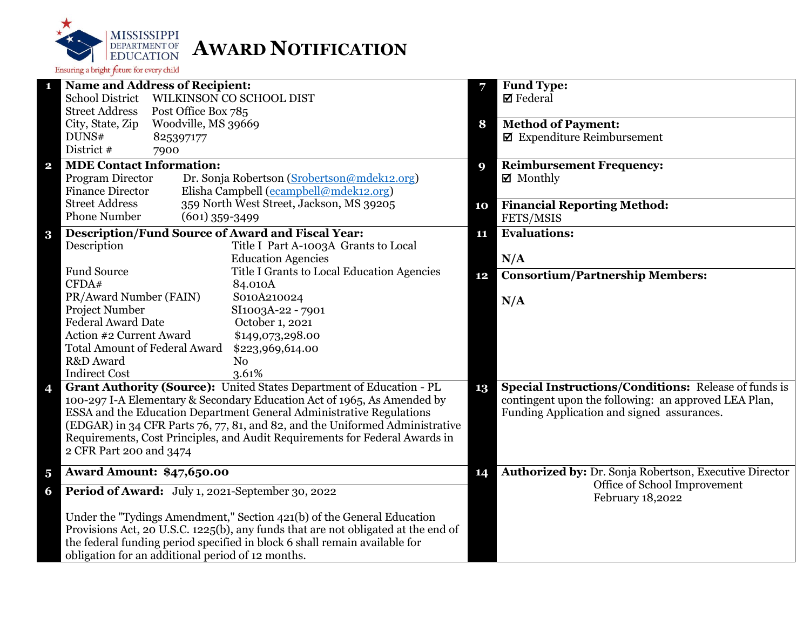

|                         | <b>Name and Address of Recipient:</b>                                             | 7  | <b>Fund Type:</b>                                           |
|-------------------------|-----------------------------------------------------------------------------------|----|-------------------------------------------------------------|
|                         | <b>School District</b><br>WILKINSON CO SCHOOL DIST                                |    | $\boxtimes$ Federal                                         |
|                         | <b>Street Address</b><br>Post Office Box 785                                      |    |                                                             |
|                         | City, State, Zip<br>Woodville, MS 39669                                           | 8  | <b>Method of Payment:</b>                                   |
|                         | DUNS#<br>825397177                                                                |    | $\blacksquare$ Expenditure Reimbursement                    |
|                         | District #<br>7900                                                                |    |                                                             |
| $\overline{\mathbf{2}}$ | <b>MDE Contact Information:</b>                                                   | 9  | <b>Reimbursement Frequency:</b>                             |
|                         | Program Director<br>Dr. Sonja Robertson (Srobertson@mdek12.org)                   |    | $\boxtimes$ Monthly                                         |
|                         | Elisha Campbell (ecampbell@mdek12.org)<br><b>Finance Director</b>                 |    |                                                             |
|                         | <b>Street Address</b><br>359 North West Street, Jackson, MS 39205                 | 10 | <b>Financial Reporting Method:</b>                          |
|                         | <b>Phone Number</b><br>$(601)$ 359-3499                                           |    | FETS/MSIS                                                   |
| $\bf{3}$                | <b>Description/Fund Source of Award and Fiscal Year:</b>                          | 11 | <b>Evaluations:</b>                                         |
|                         | Description<br>Title I Part A-1003A Grants to Local                               |    |                                                             |
|                         | <b>Education Agencies</b>                                                         |    | N/A                                                         |
|                         | <b>Fund Source</b><br>Title I Grants to Local Education Agencies                  |    |                                                             |
|                         | CFDA#<br>84.010A                                                                  | 12 | <b>Consortium/Partnership Members:</b>                      |
|                         | PR/Award Number (FAIN)<br>S010A210024                                             |    |                                                             |
|                         | <b>Project Number</b><br>SI1003A-22 - 7901                                        |    | N/A                                                         |
|                         | <b>Federal Award Date</b><br>October 1, 2021                                      |    |                                                             |
|                         | Action #2 Current Award<br>\$149,073,298.00                                       |    |                                                             |
|                         | <b>Total Amount of Federal Award</b><br>\$223,969,614.00                          |    |                                                             |
|                         | R&D Award<br>N <sub>o</sub>                                                       |    |                                                             |
|                         | <b>Indirect Cost</b><br>3.61%                                                     |    |                                                             |
| 4                       | Grant Authority (Source): United States Department of Education - PL              | 13 | <b>Special Instructions/Conditions: Release of funds is</b> |
|                         | 100-297 I-A Elementary & Secondary Education Act of 1965, As Amended by           |    | contingent upon the following: an approved LEA Plan,        |
|                         | ESSA and the Education Department General Administrative Regulations              |    | Funding Application and signed assurances.                  |
|                         | (EDGAR) in 34 CFR Parts 76, 77, 81, and 82, and the Uniformed Administrative      |    |                                                             |
|                         | Requirements, Cost Principles, and Audit Requirements for Federal Awards in       |    |                                                             |
|                         | 2 CFR Part 200 and 3474                                                           |    |                                                             |
|                         |                                                                                   |    |                                                             |
| $\overline{\mathbf{5}}$ | <b>Award Amount: \$47,650.00</b>                                                  | 14 | Authorized by: Dr. Sonja Robertson, Executive Director      |
| 6                       | Period of Award: July 1, 2021-September 30, 2022                                  |    | Office of School Improvement<br>February 18,2022            |
|                         | Under the "Tydings Amendment," Section 421(b) of the General Education            |    |                                                             |
|                         | Provisions Act, 20 U.S.C. 1225(b), any funds that are not obligated at the end of |    |                                                             |
|                         | the federal funding period specified in block 6 shall remain available for        |    |                                                             |
|                         | obligation for an additional period of 12 months.                                 |    |                                                             |
|                         |                                                                                   |    |                                                             |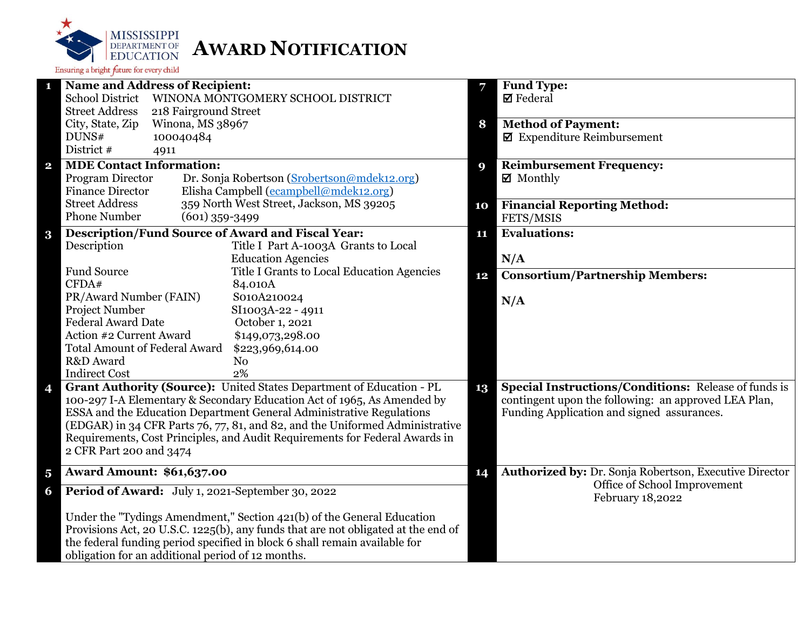

| $\mathbf{1}$            | <b>Name and Address of Recipient:</b>                                             | 7  | <b>Fund Type:</b>                                           |
|-------------------------|-----------------------------------------------------------------------------------|----|-------------------------------------------------------------|
|                         | <b>School District</b><br>WINONA MONTGOMERY SCHOOL DISTRICT                       |    | <b>Ø</b> Federal                                            |
|                         | <b>Street Address</b><br>218 Fairground Street                                    |    |                                                             |
|                         | Winona, MS 38967<br>City, State, Zip                                              | 8  | <b>Method of Payment:</b>                                   |
|                         | DUNS#<br>100040484                                                                |    | $\blacksquare$ Expenditure Reimbursement                    |
|                         | District #<br>4911                                                                |    |                                                             |
| $\overline{\mathbf{2}}$ | <b>MDE Contact Information:</b>                                                   | 9  | <b>Reimbursement Frequency:</b>                             |
|                         | Program Director<br>Dr. Sonja Robertson (Srobertson@mdek12.org)                   |    | $\boxtimes$ Monthly                                         |
|                         | Elisha Campbell (ecampbell@mdek12.org)<br><b>Finance Director</b>                 |    |                                                             |
|                         | 359 North West Street, Jackson, MS 39205<br><b>Street Address</b>                 | 10 | <b>Financial Reporting Method:</b>                          |
|                         | <b>Phone Number</b><br>$(601)$ 359-3499                                           |    | FETS/MSIS                                                   |
| $\bf{3}$                | <b>Description/Fund Source of Award and Fiscal Year:</b>                          | 11 | <b>Evaluations:</b>                                         |
|                         | Description<br>Title I Part A-1003A Grants to Local                               |    |                                                             |
|                         | <b>Education Agencies</b>                                                         |    | N/A                                                         |
|                         | <b>Fund Source</b><br>Title I Grants to Local Education Agencies                  | 12 | <b>Consortium/Partnership Members:</b>                      |
|                         | CFDA#<br>84.010A                                                                  |    |                                                             |
|                         | PR/Award Number (FAIN)<br>S010A210024                                             |    | N/A                                                         |
|                         | Project Number<br>SI1003A-22 - 4911                                               |    |                                                             |
|                         | <b>Federal Award Date</b><br>October 1, 2021                                      |    |                                                             |
|                         | Action #2 Current Award<br>\$149,073,298.00                                       |    |                                                             |
|                         | <b>Total Amount of Federal Award</b><br>\$223,969,614.00                          |    |                                                             |
|                         | R&D Award<br>N <sub>o</sub>                                                       |    |                                                             |
|                         | <b>Indirect Cost</b><br>2%                                                        |    |                                                             |
| 4                       | Grant Authority (Source): United States Department of Education - PL              | 13 | <b>Special Instructions/Conditions: Release of funds is</b> |
|                         | 100-297 I-A Elementary & Secondary Education Act of 1965, As Amended by           |    | contingent upon the following: an approved LEA Plan,        |
|                         | ESSA and the Education Department General Administrative Regulations              |    | Funding Application and signed assurances.                  |
|                         | (EDGAR) in 34 CFR Parts 76, 77, 81, and 82, and the Uniformed Administrative      |    |                                                             |
|                         | Requirements, Cost Principles, and Audit Requirements for Federal Awards in       |    |                                                             |
|                         | 2 CFR Part 200 and 3474                                                           |    |                                                             |
| $\overline{\mathbf{5}}$ | <b>Award Amount: \$61,637.00</b>                                                  | 14 | Authorized by: Dr. Sonja Robertson, Executive Director      |
| 6                       | Period of Award: July 1, 2021-September 30, 2022                                  |    | Office of School Improvement                                |
|                         |                                                                                   |    | February 18,2022                                            |
|                         | Under the "Tydings Amendment," Section 421(b) of the General Education            |    |                                                             |
|                         | Provisions Act, 20 U.S.C. 1225(b), any funds that are not obligated at the end of |    |                                                             |
|                         | the federal funding period specified in block 6 shall remain available for        |    |                                                             |
|                         | obligation for an additional period of 12 months.                                 |    |                                                             |
|                         |                                                                                   |    |                                                             |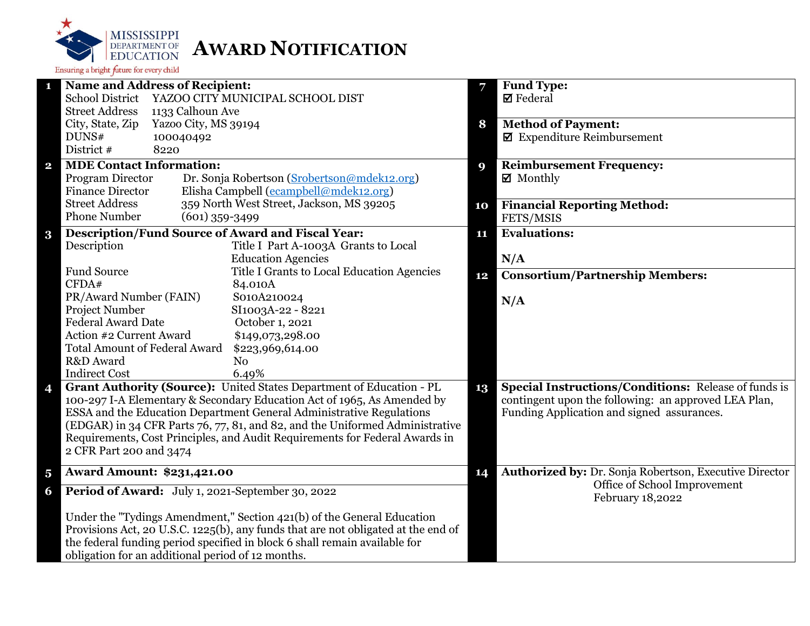

| $\mathbf{1}$            | <b>Name and Address of Recipient:</b>                                             | 7  | <b>Fund Type:</b>                                           |
|-------------------------|-----------------------------------------------------------------------------------|----|-------------------------------------------------------------|
|                         | <b>School District</b><br>YAZOO CITY MUNICIPAL SCHOOL DIST                        |    | <b>Ø</b> Federal                                            |
|                         | <b>Street Address</b><br>1133 Calhoun Ave                                         |    |                                                             |
|                         | City, State, Zip<br>Yazoo City, MS 39194                                          | 8  | <b>Method of Payment:</b>                                   |
|                         | DUNS#<br>100040492                                                                |    | $\blacksquare$ Expenditure Reimbursement                    |
|                         | District #<br>8220                                                                |    |                                                             |
| $\overline{\mathbf{2}}$ | <b>MDE Contact Information:</b>                                                   | 9  | <b>Reimbursement Frequency:</b>                             |
|                         | Program Director<br>Dr. Sonja Robertson (Srobertson@mdek12.org)                   |    | $\boxtimes$ Monthly                                         |
|                         | Elisha Campbell (ecampbell@mdek12.org)<br><b>Finance Director</b>                 |    |                                                             |
|                         | 359 North West Street, Jackson, MS 39205<br><b>Street Address</b>                 | 10 | <b>Financial Reporting Method:</b>                          |
|                         | <b>Phone Number</b><br>$(601)$ 359-3499                                           |    | FETS/MSIS                                                   |
| $\bf{3}$                | <b>Description/Fund Source of Award and Fiscal Year:</b>                          | 11 | <b>Evaluations:</b>                                         |
|                         | Description<br>Title I Part A-1003A Grants to Local                               |    |                                                             |
|                         | <b>Education Agencies</b>                                                         |    | N/A                                                         |
|                         | <b>Fund Source</b><br>Title I Grants to Local Education Agencies                  | 12 | <b>Consortium/Partnership Members:</b>                      |
|                         | CFDA#<br>84.010A                                                                  |    |                                                             |
|                         | PR/Award Number (FAIN)<br>S010A210024                                             |    | N/A                                                         |
|                         | Project Number<br>SI1003A-22 - 8221                                               |    |                                                             |
|                         | <b>Federal Award Date</b><br>October 1, 2021                                      |    |                                                             |
|                         | Action #2 Current Award<br>\$149,073,298.00                                       |    |                                                             |
|                         | <b>Total Amount of Federal Award</b><br>\$223,969,614.00                          |    |                                                             |
|                         | R&D Award<br>N <sub>o</sub>                                                       |    |                                                             |
|                         | <b>Indirect Cost</b><br>6.49%                                                     |    |                                                             |
| 4                       | Grant Authority (Source): United States Department of Education - PL              | 13 | <b>Special Instructions/Conditions: Release of funds is</b> |
|                         | 100-297 I-A Elementary & Secondary Education Act of 1965, As Amended by           |    | contingent upon the following: an approved LEA Plan,        |
|                         | ESSA and the Education Department General Administrative Regulations              |    | Funding Application and signed assurances.                  |
|                         | (EDGAR) in 34 CFR Parts 76, 77, 81, and 82, and the Uniformed Administrative      |    |                                                             |
|                         | Requirements, Cost Principles, and Audit Requirements for Federal Awards in       |    |                                                             |
|                         | 2 CFR Part 200 and 3474                                                           |    |                                                             |
| $\overline{\mathbf{5}}$ | <b>Award Amount: \$231,421.00</b>                                                 | 14 | Authorized by: Dr. Sonja Robertson, Executive Director      |
| 6                       | Period of Award: July 1, 2021-September 30, 2022                                  |    | Office of School Improvement                                |
|                         |                                                                                   |    | February 18,2022                                            |
|                         | Under the "Tydings Amendment," Section 421(b) of the General Education            |    |                                                             |
|                         | Provisions Act, 20 U.S.C. 1225(b), any funds that are not obligated at the end of |    |                                                             |
|                         | the federal funding period specified in block 6 shall remain available for        |    |                                                             |
|                         | obligation for an additional period of 12 months.                                 |    |                                                             |
|                         |                                                                                   |    |                                                             |